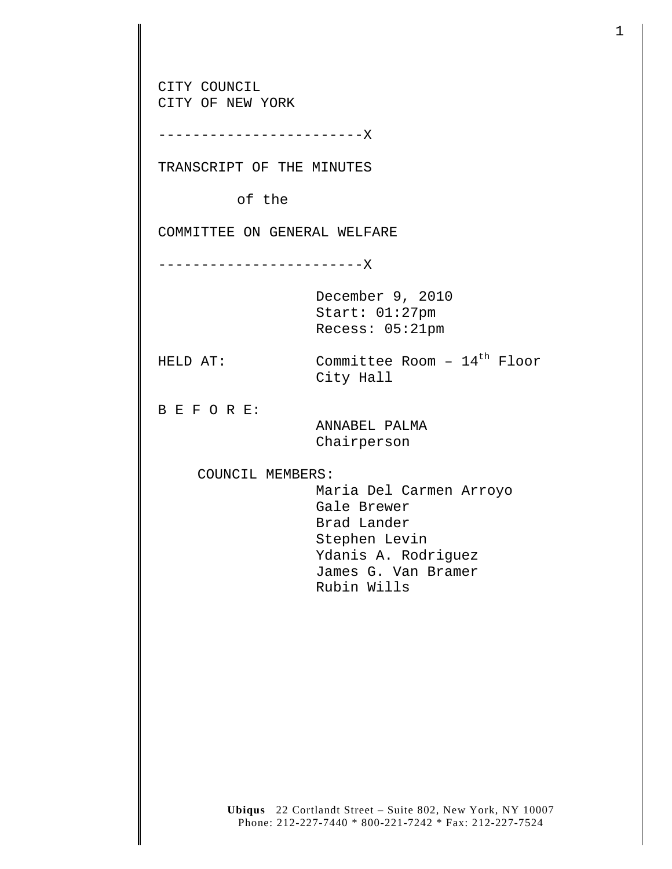**Ubiqus** 22 Cortlandt Street – Suite 802, New York, NY 10007 CITY COUNCIL CITY OF NEW YORK ------------------------X TRANSCRIPT OF THE MINUTES of the COMMITTEE ON GENERAL WELFARE ------------------------X December 9, 2010 Start: 01:27pm Recess: 05:21pm HELD AT: Committee Room - 14<sup>th</sup> Floor City Hall B E F O R E: ANNABEL PALMA Chairperson COUNCIL MEMBERS: Maria Del Carmen Arroyo Gale Brewer Brad Lander Stephen Levin Ydanis A. Rodriguez James G. Van Bramer Rubin Wills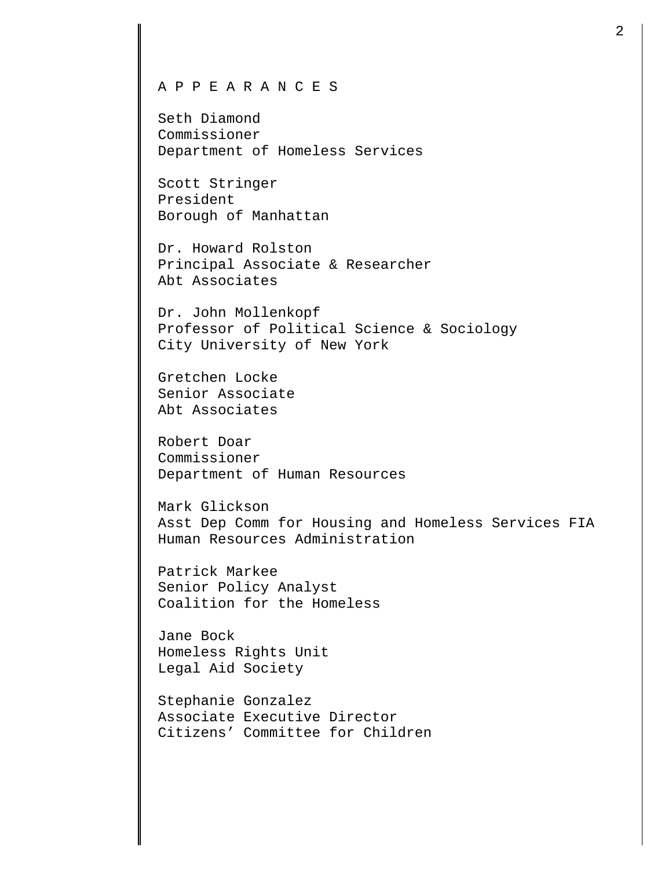## A P P E A R A N C E S

Seth Diamond Commissioner Department of Homeless Services

Scott Stringer President Borough of Manhattan

Dr. Howard Rolston Principal Associate & Researcher Abt Associates

Dr. John Mollenkopf Professor of Political Science & Sociology City University of New York

Gretchen Locke Senior Associate Abt Associates

Robert Doar Commissioner Department of Human Resources

Mark Glickson Asst Dep Comm for Housing and Homeless Services FIA Human Resources Administration

Patrick Markee Senior Policy Analyst Coalition for the Homeless

Jane Bock Homeless Rights Unit Legal Aid Society

Stephanie Gonzalez Associate Executive Director Citizens' Committee for Children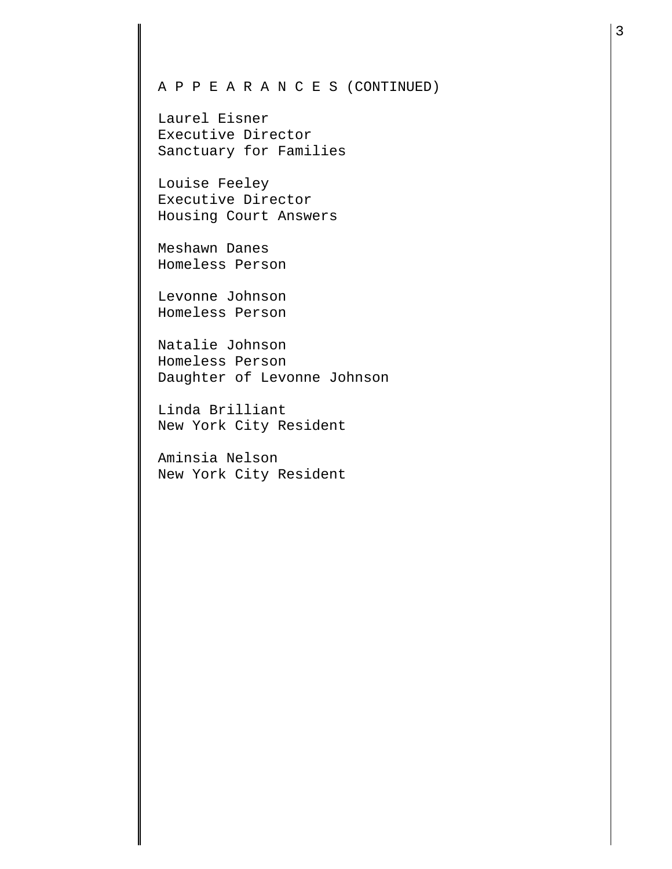## A P P E A R A N C E S (CONTINUED)

Laurel Eisner Executive Director Sanctuary for Families

Louise Feeley Executive Director Housing Court Answers

Meshawn Danes Homeless Person

Levonne Johnson Homeless Person

Natalie Johnson Homeless Person Daughter of Levonne Johnson

Linda Brilliant New York City Resident

Aminsia Nelson New York City Resident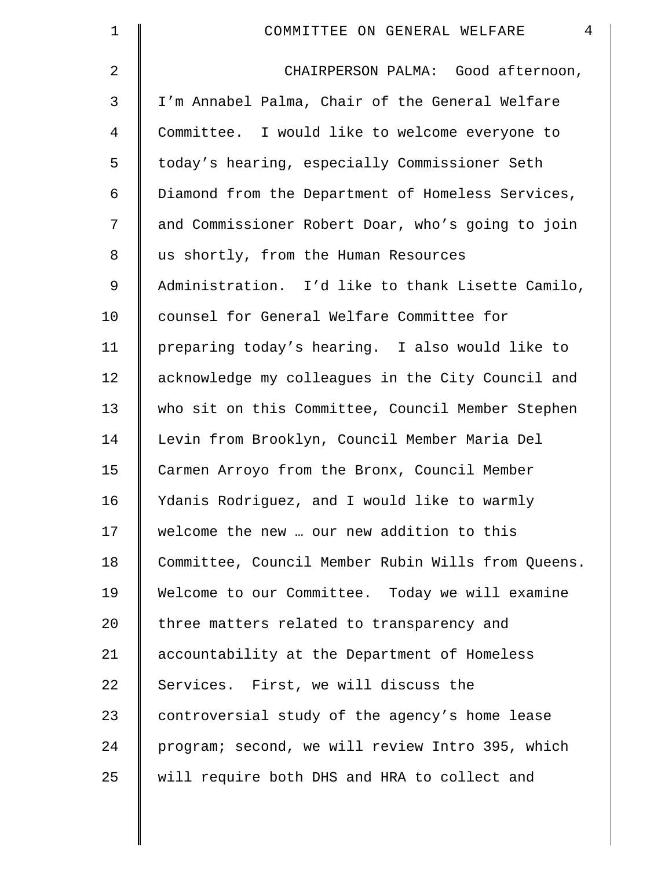| $\mathbf 1$ | $\overline{4}$<br>COMMITTEE ON GENERAL WELFARE     |
|-------------|----------------------------------------------------|
| 2           | CHAIRPERSON PALMA: Good afternoon,                 |
| 3           | I'm Annabel Palma, Chair of the General Welfare    |
| 4           | Committee. I would like to welcome everyone to     |
| 5           | today's hearing, especially Commissioner Seth      |
| 6           | Diamond from the Department of Homeless Services,  |
| 7           | and Commissioner Robert Doar, who's going to join  |
| 8           | us shortly, from the Human Resources               |
| 9           | Administration. I'd like to thank Lisette Camilo,  |
| 10          | counsel for General Welfare Committee for          |
| 11          | preparing today's hearing. I also would like to    |
| 12          | acknowledge my colleagues in the City Council and  |
| 13          | who sit on this Committee, Council Member Stephen  |
| 14          | Levin from Brooklyn, Council Member Maria Del      |
| 15          | Carmen Arroyo from the Bronx, Council Member       |
| 16          | Ydanis Rodriguez, and I would like to warmly       |
| 17          | welcome the new  our new addition to this          |
| 18          | Committee, Council Member Rubin Wills from Queens. |
| 19          | Welcome to our Committee. Today we will examine    |
| 20          | three matters related to transparency and          |
| 21          | accountability at the Department of Homeless       |
| 22          | Services. First, we will discuss the               |
| 23          | controversial study of the agency's home lease     |
| 24          | program; second, we will review Intro 395, which   |
| 25          | will require both DHS and HRA to collect and       |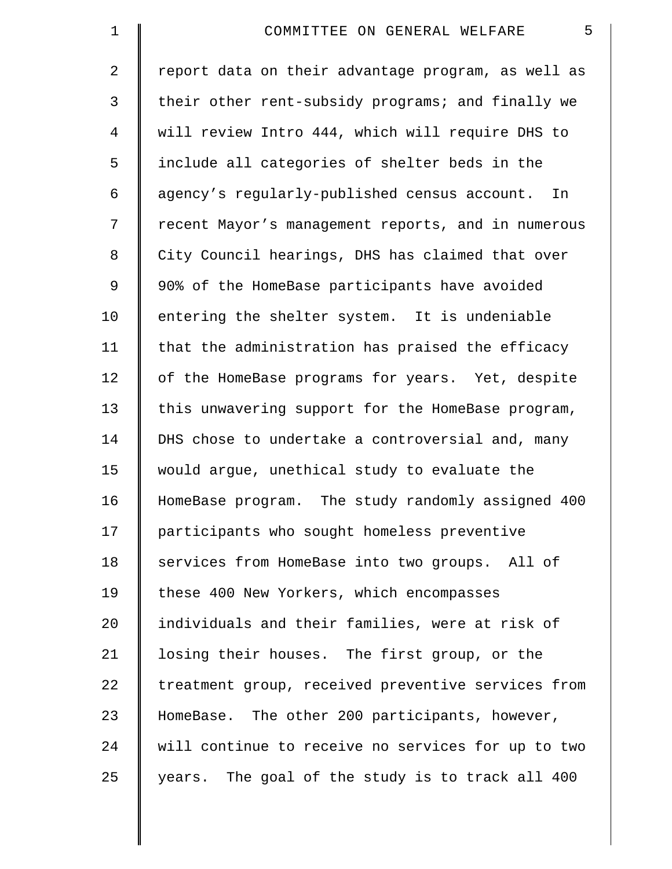| $\mathbf 1$    | 5<br>COMMITTEE ON GENERAL WELFARE                  |
|----------------|----------------------------------------------------|
| $\overline{a}$ | report data on their advantage program, as well as |
| 3              | their other rent-subsidy programs; and finally we  |
| 4              | will review Intro 444, which will require DHS to   |
| 5              | include all categories of shelter beds in the      |
| 6              | agency's regularly-published census account. In    |
| 7              | recent Mayor's management reports, and in numerous |
| 8              | City Council hearings, DHS has claimed that over   |
| 9              | 90% of the HomeBase participants have avoided      |
| 10             | entering the shelter system. It is undeniable      |
| 11             | that the administration has praised the efficacy   |
| 12             | of the HomeBase programs for years. Yet, despite   |
| 13             | this unwavering support for the HomeBase program,  |
| 14             | DHS chose to undertake a controversial and, many   |
| 15             | would argue, unethical study to evaluate the       |
| 16             | HomeBase program. The study randomly assigned 400  |
| 17             | participants who sought homeless preventive        |
| 18             | services from HomeBase into two groups. All of     |
| 19             | these 400 New Yorkers, which encompasses           |
| 20             | individuals and their families, were at risk of    |
| 21             | losing their houses. The first group, or the       |
| 22             | treatment group, received preventive services from |
| 23             | HomeBase. The other 200 participants, however,     |
| 24             | will continue to receive no services for up to two |
| 25             | years. The goal of the study is to track all 400   |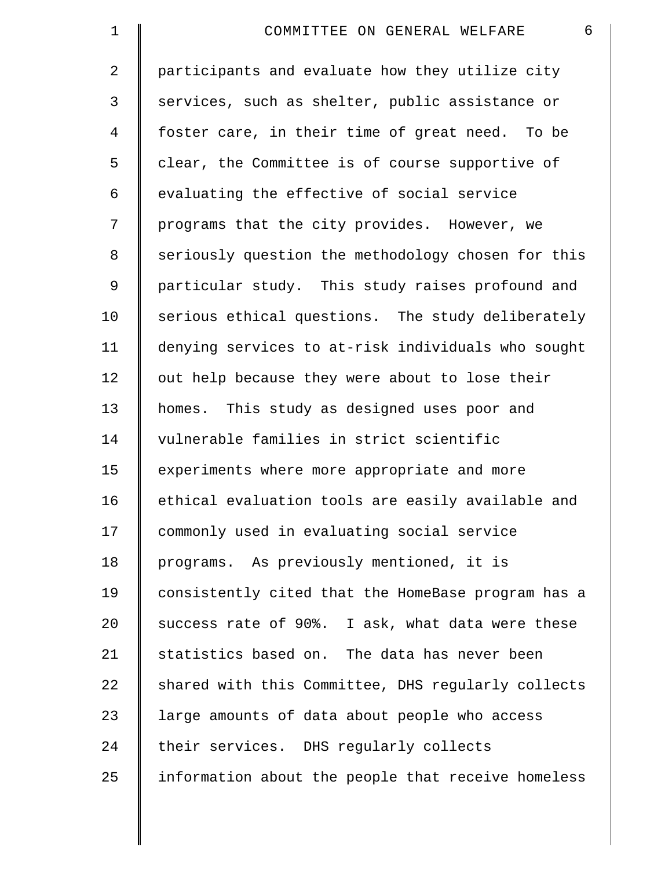| $\mathbf 1$    | 6<br>COMMITTEE ON GENERAL WELFARE                  |
|----------------|----------------------------------------------------|
| $\overline{2}$ | participants and evaluate how they utilize city    |
| 3              | services, such as shelter, public assistance or    |
| 4              | foster care, in their time of great need. To be    |
| 5              | clear, the Committee is of course supportive of    |
| 6              | evaluating the effective of social service         |
| 7              | programs that the city provides. However, we       |
| 8              | seriously question the methodology chosen for this |
| 9              | particular study. This study raises profound and   |
| 10             | serious ethical questions. The study deliberately  |
| 11             | denying services to at-risk individuals who sought |
| 12             | out help because they were about to lose their     |
| 13             | homes. This study as designed uses poor and        |
| 14             | vulnerable families in strict scientific           |
| 15             | experiments where more appropriate and more        |
| 16             | ethical evaluation tools are easily available and  |
| 17             | commonly used in evaluating social service         |
| 18             | programs. As previously mentioned, it is           |
| 19             | consistently cited that the HomeBase program has a |
| 20             | success rate of 90%. I ask, what data were these   |
| 21             | statistics based on. The data has never been       |
| 22             | shared with this Committee, DHS regularly collects |
| 23             | large amounts of data about people who access      |
| 24             | their services. DHS regularly collects             |
| 25             | information about the people that receive homeless |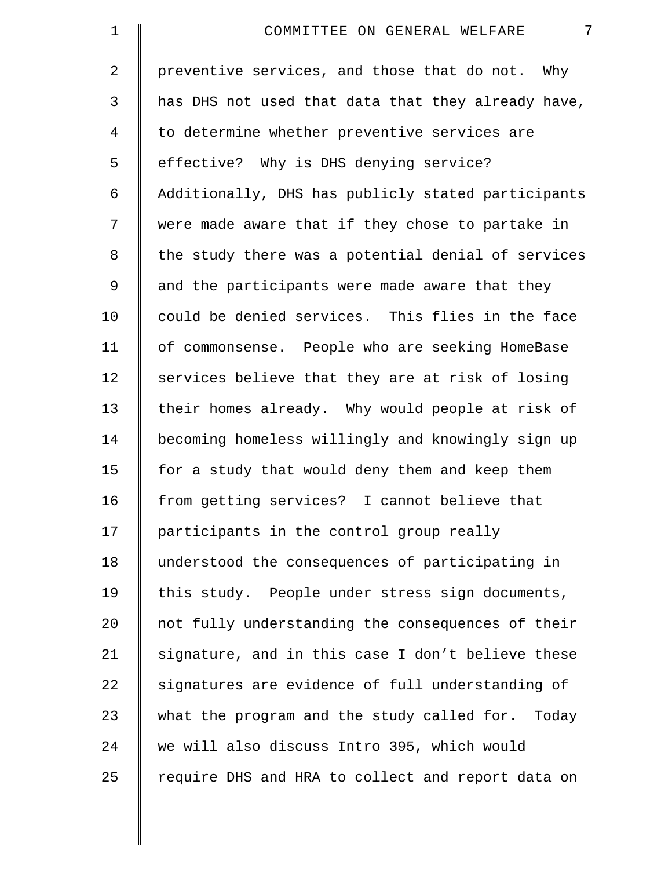| $\mathbf 1$    | 7<br>COMMITTEE ON GENERAL WELFARE                   |
|----------------|-----------------------------------------------------|
| $\overline{2}$ | preventive services, and those that do not. Why     |
| 3              | has DHS not used that data that they already have,  |
| 4              | to determine whether preventive services are        |
| 5              | effective? Why is DHS denying service?              |
| 6              | Additionally, DHS has publicly stated participants  |
| 7              | were made aware that if they chose to partake in    |
| 8              | the study there was a potential denial of services  |
| 9              | and the participants were made aware that they      |
| 10             | could be denied services. This flies in the face    |
| 11             | of commonsense. People who are seeking HomeBase     |
| 12             | services believe that they are at risk of losing    |
| 13             | their homes already. Why would people at risk of    |
| 14             | becoming homeless willingly and knowingly sign up   |
| 15             | for a study that would deny them and keep them      |
| 16             | from getting services? I cannot believe that        |
| 17             | participants in the control group really            |
| 18             | understood the consequences of participating in     |
| 19             | this study. People under stress sign documents,     |
| 20             | not fully understanding the consequences of their   |
| 21             | signature, and in this case I don't believe these   |
| 22             | signatures are evidence of full understanding of    |
| 23             | what the program and the study called for.<br>Today |
| 24             | we will also discuss Intro 395, which would         |
| 25             | require DHS and HRA to collect and report data on   |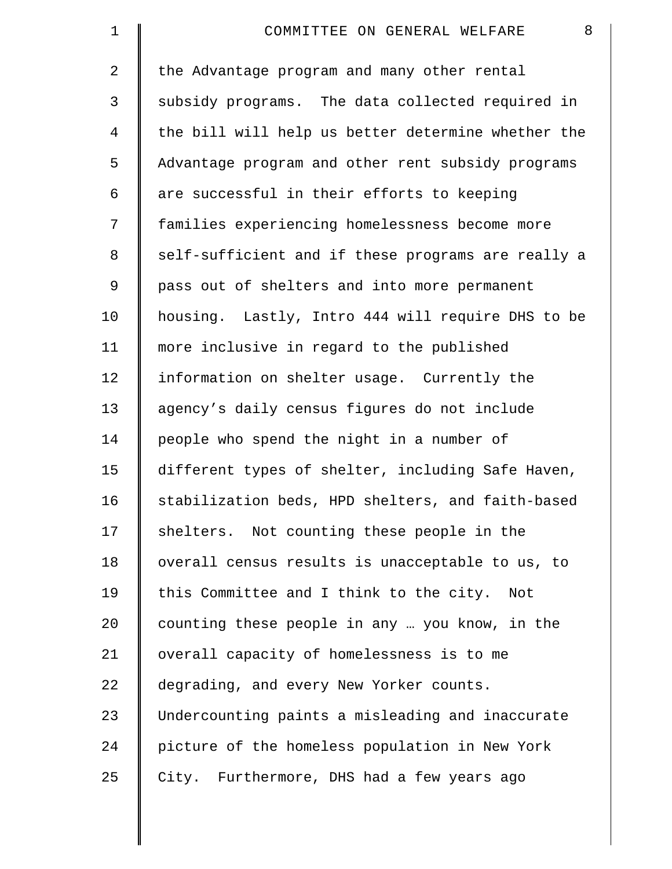| 1              | 8<br>COMMITTEE ON GENERAL WELFARE                  |
|----------------|----------------------------------------------------|
| $\overline{2}$ | the Advantage program and many other rental        |
| 3              | subsidy programs. The data collected required in   |
| 4              | the bill will help us better determine whether the |
| 5              | Advantage program and other rent subsidy programs  |
| 6              | are successful in their efforts to keeping         |
| 7              | families experiencing homelessness become more     |
| 8              | self-sufficient and if these programs are really a |
| 9              | pass out of shelters and into more permanent       |
| 10             | housing. Lastly, Intro 444 will require DHS to be  |
| 11             | more inclusive in regard to the published          |
| 12             | information on shelter usage. Currently the        |
| 13             | agency's daily census figures do not include       |
| 14             | people who spend the night in a number of          |
| 15             | different types of shelter, including Safe Haven,  |
| 16             | stabilization beds, HPD shelters, and faith-based  |
| 17             | shelters. Not counting these people in the         |
| 18             | overall census results is unacceptable to us, to   |
| 19             | this Committee and I think to the city.<br>Not     |
| 20             | counting these people in any  you know, in the     |
| 21             | overall capacity of homelessness is to me          |
| 22             | degrading, and every New Yorker counts.            |
| 23             | Undercounting paints a misleading and inaccurate   |
| 24             | picture of the homeless population in New York     |
| 25             | City. Furthermore, DHS had a few years ago         |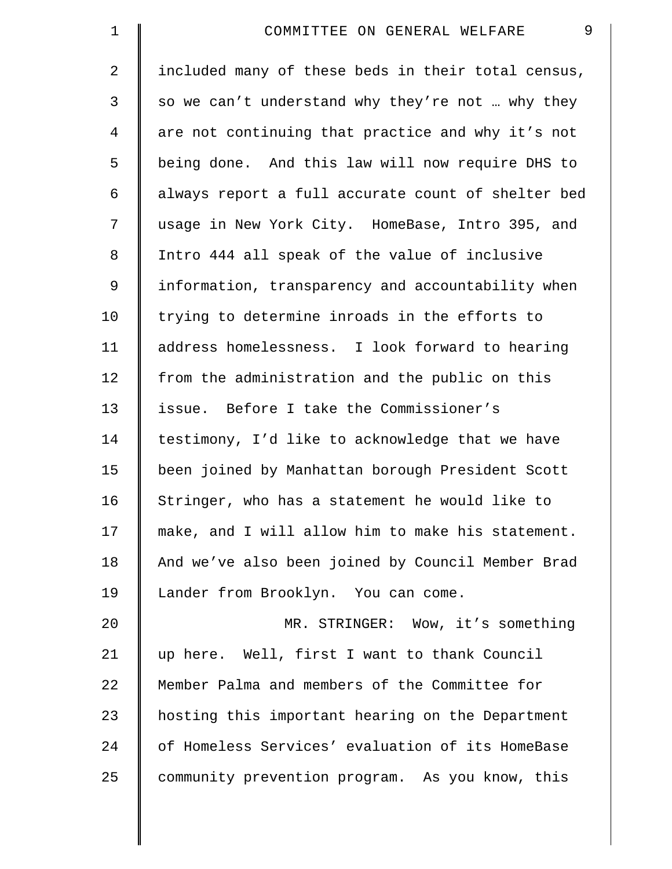| $\mathbf 1$    | 9<br>COMMITTEE ON GENERAL WELFARE                  |
|----------------|----------------------------------------------------|
| $\overline{2}$ | included many of these beds in their total census, |
| 3              | so we can't understand why they're not  why they   |
| 4              | are not continuing that practice and why it's not  |
| 5              | being done. And this law will now require DHS to   |
| 6              | always report a full accurate count of shelter bed |
| 7              | usage in New York City. HomeBase, Intro 395, and   |
| 8              | Intro 444 all speak of the value of inclusive      |
| $\mathsf 9$    | information, transparency and accountability when  |
| 10             | trying to determine inroads in the efforts to      |
| 11             | address homelessness. I look forward to hearing    |
| 12             | from the administration and the public on this     |
| 13             | issue. Before I take the Commissioner's            |
| 14             | testimony, I'd like to acknowledge that we have    |
| 15             | been joined by Manhattan borough President Scott   |
| 16             | Stringer, who has a statement he would like to     |
| 17             | make, and I will allow him to make his statement.  |
| 18             | And we've also been joined by Council Member Brad  |
| 19             | Lander from Brooklyn. You can come.                |
| 20             | MR. STRINGER: Wow, it's something                  |
| 21             | up here. Well, first I want to thank Council       |
| 22             | Member Palma and members of the Committee for      |
| 23             | hosting this important hearing on the Department   |
| 24             | of Homeless Services' evaluation of its HomeBase   |
| 25             | community prevention program. As you know, this    |
|                |                                                    |

I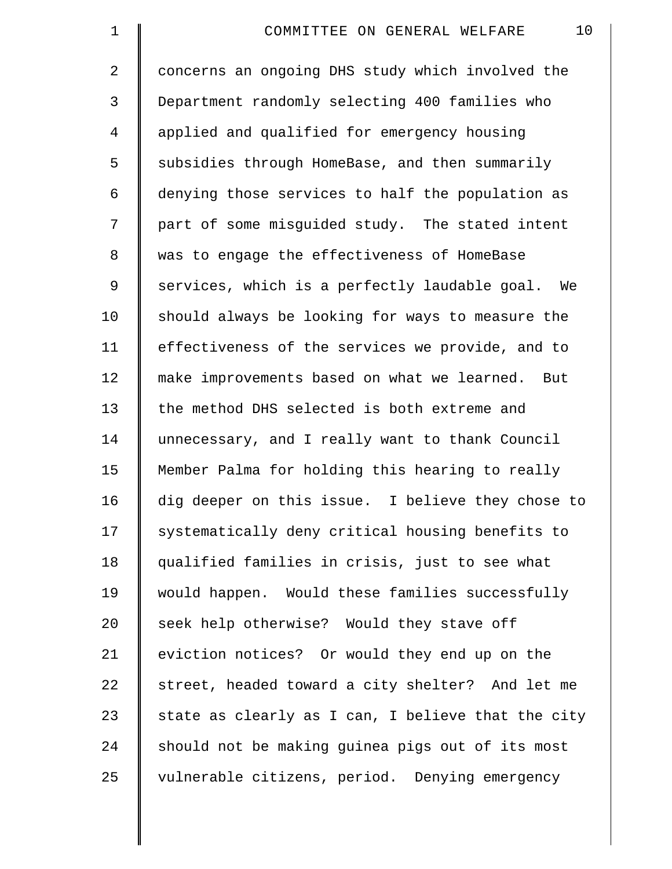| $\mathbf 1$ | 10<br>COMMITTEE ON GENERAL WELFARE                 |
|-------------|----------------------------------------------------|
| 2           | concerns an ongoing DHS study which involved the   |
| 3           | Department randomly selecting 400 families who     |
| 4           | applied and qualified for emergency housing        |
| 5           | subsidies through HomeBase, and then summarily     |
| 6           | denying those services to half the population as   |
| 7           | part of some misguided study. The stated intent    |
| $\,8\,$     | was to engage the effectiveness of HomeBase        |
| 9           | services, which is a perfectly laudable goal. We   |
| 10          | should always be looking for ways to measure the   |
| 11          | effectiveness of the services we provide, and to   |
| 12          | make improvements based on what we learned. But    |
| 13          | the method DHS selected is both extreme and        |
| 14          | unnecessary, and I really want to thank Council    |
| 15          | Member Palma for holding this hearing to really    |
| 16          | dig deeper on this issue. I believe they chose to  |
| 17          | systematically deny critical housing benefits to   |
| 18          | qualified families in crisis, just to see what     |
| 19          | would happen. Would these families successfully    |
| 20          | seek help otherwise? Would they stave off          |
| 21          | eviction notices? Or would they end up on the      |
| 22          | street, headed toward a city shelter? And let me   |
| 23          | state as clearly as I can, I believe that the city |
| 24          | should not be making guinea pigs out of its most   |
| 25          | vulnerable citizens, period. Denying emergency     |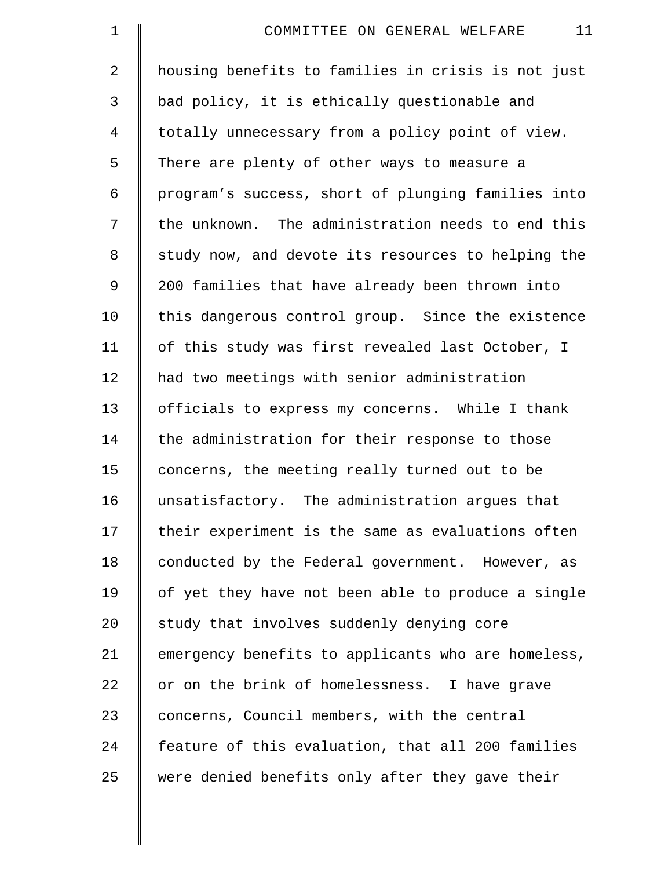| $\mathbf 1$    | 11<br>COMMITTEE ON GENERAL WELFARE                 |
|----------------|----------------------------------------------------|
| $\overline{2}$ | housing benefits to families in crisis is not just |
| 3              | bad policy, it is ethically questionable and       |
| 4              | totally unnecessary from a policy point of view.   |
| 5              | There are plenty of other ways to measure a        |
| 6              | program's success, short of plunging families into |
| 7              | the unknown. The administration needs to end this  |
| 8              | study now, and devote its resources to helping the |
| 9              | 200 families that have already been thrown into    |
| 10             | this dangerous control group. Since the existence  |
| 11             | of this study was first revealed last October, I   |
| 12             | had two meetings with senior administration        |
| 13             | officials to express my concerns. While I thank    |
| 14             | the administration for their response to those     |
| 15             | concerns, the meeting really turned out to be      |
| 16             | unsatisfactory. The administration argues that     |
| 17             | their experiment is the same as evaluations often  |
| 18             | conducted by the Federal government. However, as   |
| 19             | of yet they have not been able to produce a single |
| 20             | study that involves suddenly denying core          |
| 21             | emergency benefits to applicants who are homeless, |
| 22             | or on the brink of homelessness. I have grave      |
| 23             | concerns, Council members, with the central        |
| 24             | feature of this evaluation, that all 200 families  |
| 25             | were denied benefits only after they gave their    |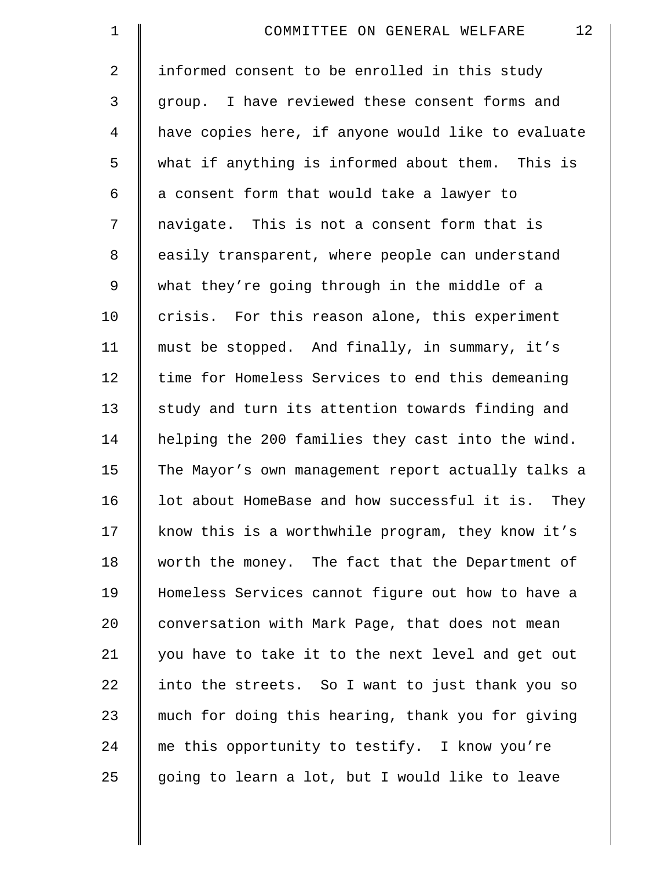| $\mathbf 1$    | 12<br>COMMITTEE ON GENERAL WELFARE                 |
|----------------|----------------------------------------------------|
| $\overline{2}$ | informed consent to be enrolled in this study      |
| 3              | group. I have reviewed these consent forms and     |
| 4              | have copies here, if anyone would like to evaluate |
| 5              | what if anything is informed about them. This is   |
| 6              | a consent form that would take a lawyer to         |
| 7              | navigate. This is not a consent form that is       |
| 8              | easily transparent, where people can understand    |
| $\mathsf 9$    | what they're going through in the middle of a      |
| 10             | crisis. For this reason alone, this experiment     |
| 11             | must be stopped. And finally, in summary, it's     |
| 12             | time for Homeless Services to end this demeaning   |
| 13             | study and turn its attention towards finding and   |
| 14             | helping the 200 families they cast into the wind.  |
| 15             | The Mayor's own management report actually talks a |
| 16             | lot about HomeBase and how successful it is. They  |
| 17             | know this is a worthwhile program, they know it's  |
| 18             | worth the money. The fact that the Department of   |
| 19             | Homeless Services cannot figure out how to have a  |
| $20 \,$        | conversation with Mark Page, that does not mean    |
| 21             | you have to take it to the next level and get out  |
| 22             | into the streets. So I want to just thank you so   |
| 23             | much for doing this hearing, thank you for giving  |
| 24             | me this opportunity to testify. I know you're      |
| 25             | going to learn a lot, but I would like to leave    |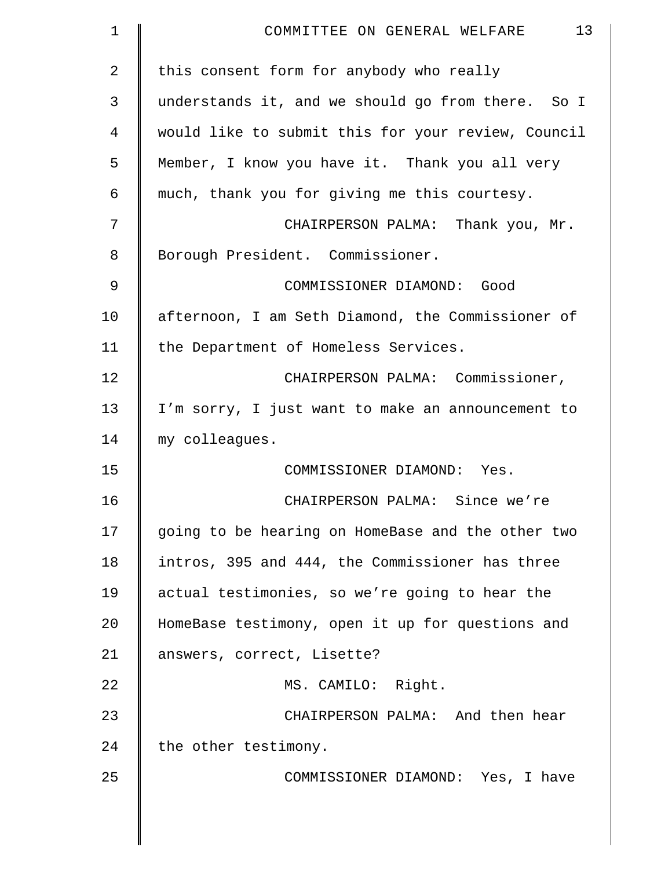| 1           | 13<br>COMMITTEE ON GENERAL WELFARE                 |
|-------------|----------------------------------------------------|
| 2           | this consent form for anybody who really           |
| 3           | understands it, and we should go from there. So I  |
| 4           | would like to submit this for your review, Council |
| 5           | Member, I know you have it. Thank you all very     |
| 6           | much, thank you for giving me this courtesy.       |
| 7           | CHAIRPERSON PALMA: Thank you, Mr.                  |
| 8           | Borough President. Commissioner.                   |
| $\mathsf 9$ | COMMISSIONER DIAMOND: Good                         |
| 10          | afternoon, I am Seth Diamond, the Commissioner of  |
| 11          | the Department of Homeless Services.               |
| 12          | CHAIRPERSON PALMA: Commissioner,                   |
| 13          | I'm sorry, I just want to make an announcement to  |
| 14          | my colleagues.                                     |
| 15          | COMMISSIONER DIAMOND: Yes.                         |
| 16          | CHAIRPERSON PALMA: Since we're                     |
| 17          | going to be hearing on HomeBase and the other two  |
| 18          | intros, 395 and 444, the Commissioner has three    |
| 19          | actual testimonies, so we're going to hear the     |
| 20          | HomeBase testimony, open it up for questions and   |
| 21          | answers, correct, Lisette?                         |
| 22          | MS. CAMILO: Right.                                 |
| 23          | CHAIRPERSON PALMA: And then hear                   |
| 24          | the other testimony.                               |
| 25          | COMMISSIONER DIAMOND: Yes, I have                  |
|             |                                                    |
|             |                                                    |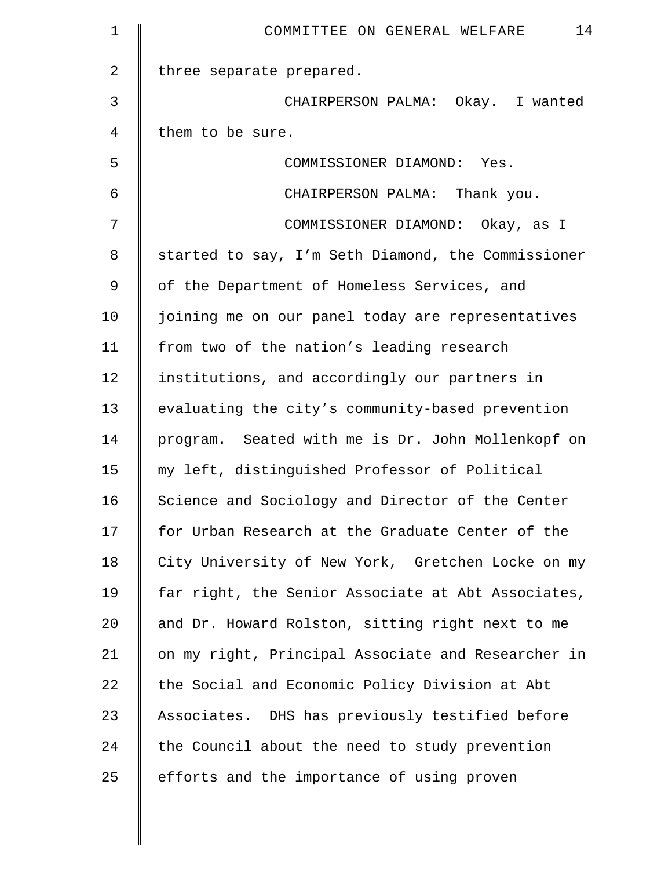| $\mathbf 1$    | 14<br>COMMITTEE ON GENERAL WELFARE                 |
|----------------|----------------------------------------------------|
| $\overline{a}$ | three separate prepared.                           |
| 3              | CHAIRPERSON PALMA: Okay. I wanted                  |
| 4              | them to be sure.                                   |
| 5              | COMMISSIONER DIAMOND: Yes.                         |
| 6              | CHAIRPERSON PALMA: Thank you.                      |
| 7              | COMMISSIONER DIAMOND: Okay, as I                   |
| 8              | started to say, I'm Seth Diamond, the Commissioner |
| 9              | of the Department of Homeless Services, and        |
| 10             | joining me on our panel today are representatives  |
| 11             | from two of the nation's leading research          |
| 12             | institutions, and accordingly our partners in      |
| 13             | evaluating the city's community-based prevention   |
| 14             | program. Seated with me is Dr. John Mollenkopf on  |
| 15             | my left, distinguished Professor of Political      |
| 16             | Science and Sociology and Director of the Center   |
| 17             | for Urban Research at the Graduate Center of the   |
| 18             | City University of New York, Gretchen Locke on my  |
| 19             | far right, the Senior Associate at Abt Associates, |
| 20             | and Dr. Howard Rolston, sitting right next to me   |
| 21             | on my right, Principal Associate and Researcher in |
| 22             | the Social and Economic Policy Division at Abt     |
| 23             | Associates. DHS has previously testified before    |
| 24             | the Council about the need to study prevention     |
| 25             | efforts and the importance of using proven         |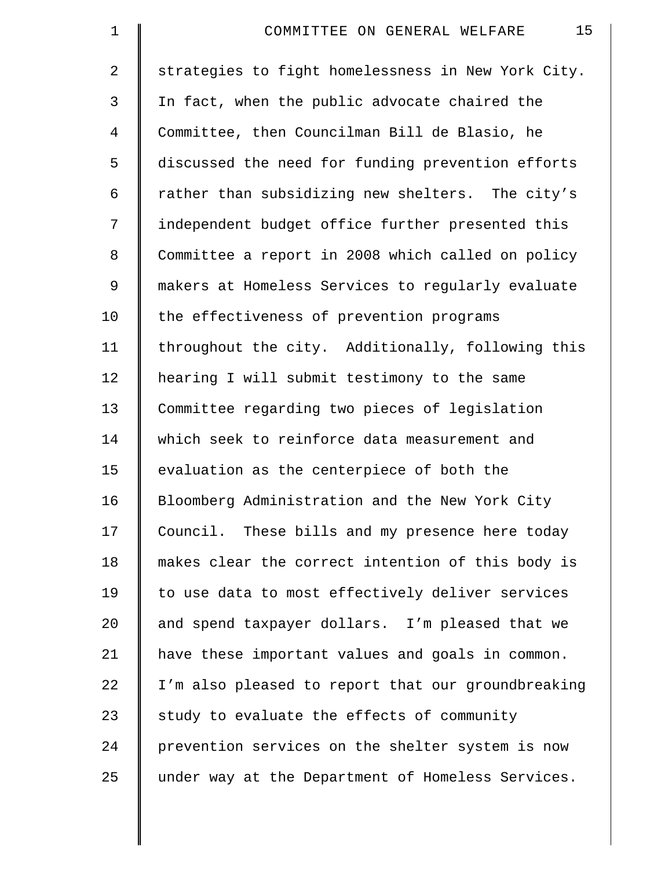| $\mathbf 1$ | 15<br>COMMITTEE ON GENERAL WELFARE                 |
|-------------|----------------------------------------------------|
| 2           | strategies to fight homelessness in New York City. |
| 3           | In fact, when the public advocate chaired the      |
| 4           | Committee, then Councilman Bill de Blasio, he      |
| 5           | discussed the need for funding prevention efforts  |
| 6           | rather than subsidizing new shelters. The city's   |
| 7           | independent budget office further presented this   |
| 8           | Committee a report in 2008 which called on policy  |
| 9           | makers at Homeless Services to regularly evaluate  |
| 10          | the effectiveness of prevention programs           |
| 11          | throughout the city. Additionally, following this  |
| 12          | hearing I will submit testimony to the same        |
| 13          | Committee regarding two pieces of legislation      |
| 14          | which seek to reinforce data measurement and       |
| 15          | evaluation as the centerpiece of both the          |
| 16          | Bloomberg Administration and the New York City     |
| 17          | Council. These bills and my presence here today    |
| 18          | makes clear the correct intention of this body is  |
| 19          | to use data to most effectively deliver services   |
| 20          | and spend taxpayer dollars. I'm pleased that we    |
| 21          | have these important values and goals in common.   |
| 22          | I'm also pleased to report that our groundbreaking |
| 23          | study to evaluate the effects of community         |
| 24          | prevention services on the shelter system is now   |
| 25          | under way at the Department of Homeless Services.  |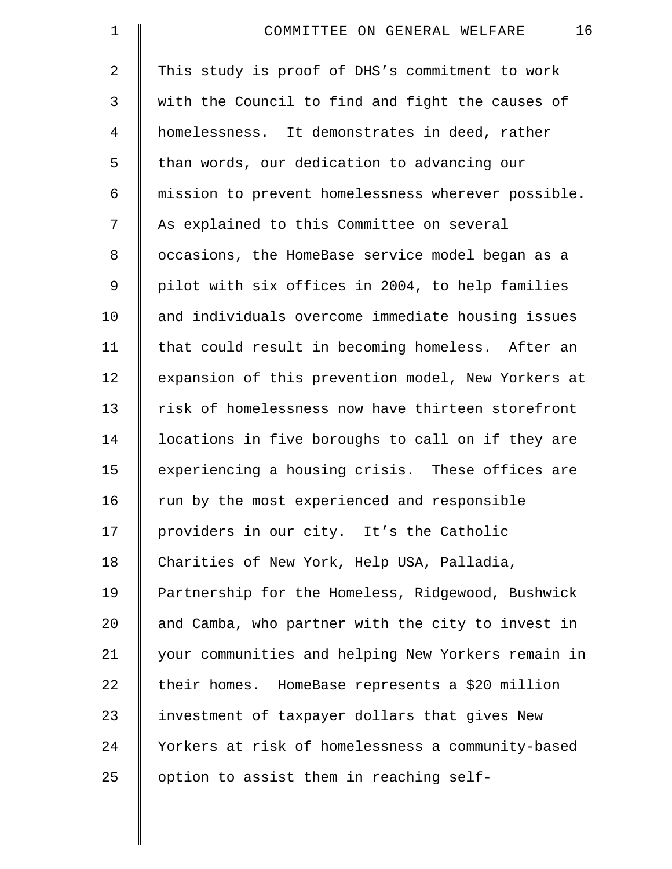| $\mathbf 1$    | 16<br>COMMITTEE ON GENERAL WELFARE                 |
|----------------|----------------------------------------------------|
| $\overline{a}$ | This study is proof of DHS's commitment to work    |
| 3              | with the Council to find and fight the causes of   |
| 4              | homelessness. It demonstrates in deed, rather      |
| 5              | than words, our dedication to advancing our        |
| 6              | mission to prevent homelessness wherever possible. |
| 7              | As explained to this Committee on several          |
| 8              | occasions, the HomeBase service model began as a   |
| 9              | pilot with six offices in 2004, to help families   |
| 10             | and individuals overcome immediate housing issues  |
| 11             | that could result in becoming homeless. After an   |
| 12             | expansion of this prevention model, New Yorkers at |
| 13             | risk of homelessness now have thirteen storefront  |
| 14             | locations in five boroughs to call on if they are  |
| 15             | experiencing a housing crisis. These offices are   |
| 16             | run by the most experienced and responsible        |
| 17             | providers in our city. It's the Catholic           |
| 18             | Charities of New York, Help USA, Palladia,         |
| 19             | Partnership for the Homeless, Ridgewood, Bushwick  |
| 20             | and Camba, who partner with the city to invest in  |
| 21             | your communities and helping New Yorkers remain in |
| 22             | their homes. HomeBase represents a \$20 million    |
| 23             | investment of taxpayer dollars that gives New      |
| 24             | Yorkers at risk of homelessness a community-based  |
| 25             | option to assist them in reaching self-            |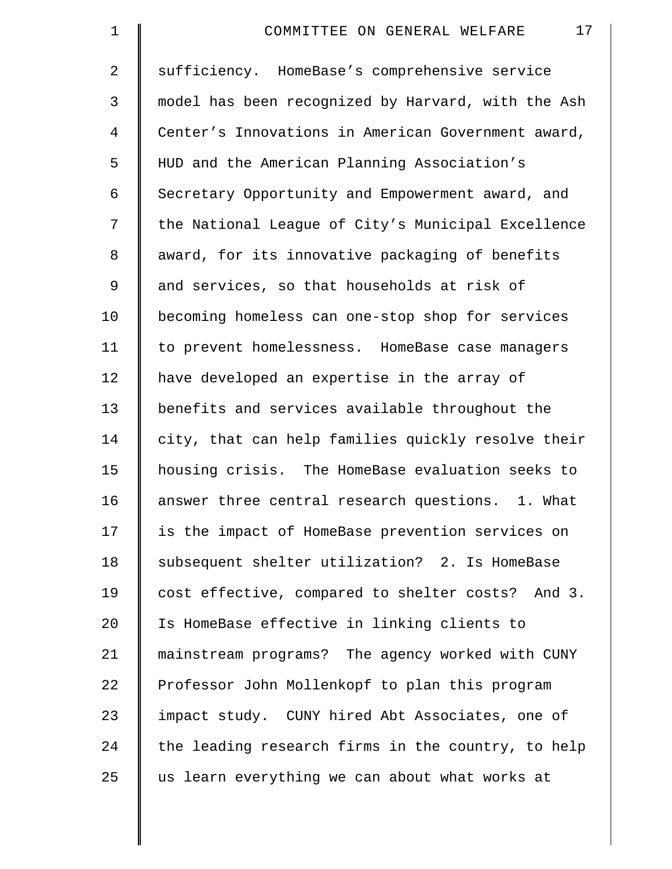| $\mathbf 1$    | 17<br>COMMITTEE ON GENERAL WELFARE                 |
|----------------|----------------------------------------------------|
| $\overline{a}$ | sufficiency. HomeBase's comprehensive service      |
| 3              | model has been recognized by Harvard, with the Ash |
| 4              | Center's Innovations in American Government award, |
| 5              | HUD and the American Planning Association's        |
| 6              | Secretary Opportunity and Empowerment award, and   |
| 7              | the National League of City's Municipal Excellence |
| 8              | award, for its innovative packaging of benefits    |
| 9              | and services, so that households at risk of        |
| 10             | becoming homeless can one-stop shop for services   |
| 11             | to prevent homelessness. HomeBase case managers    |
| 12             | have developed an expertise in the array of        |
| 13             | benefits and services available throughout the     |
| 14             | city, that can help families quickly resolve their |
| 15             | housing crisis. The HomeBase evaluation seeks to   |
| 16             | answer three central research questions. 1. What   |
| 17             | is the impact of HomeBase prevention services on   |
| 18             | subsequent shelter utilization? 2. Is HomeBase     |
| 19             | cost effective, compared to shelter costs? And 3.  |
| 20             | Is HomeBase effective in linking clients to        |
| 21             | mainstream programs? The agency worked with CUNY   |
| 22             | Professor John Mollenkopf to plan this program     |
| 23             | impact study. CUNY hired Abt Associates, one of    |
| 24             | the leading research firms in the country, to help |
| 25             | us learn everything we can about what works at     |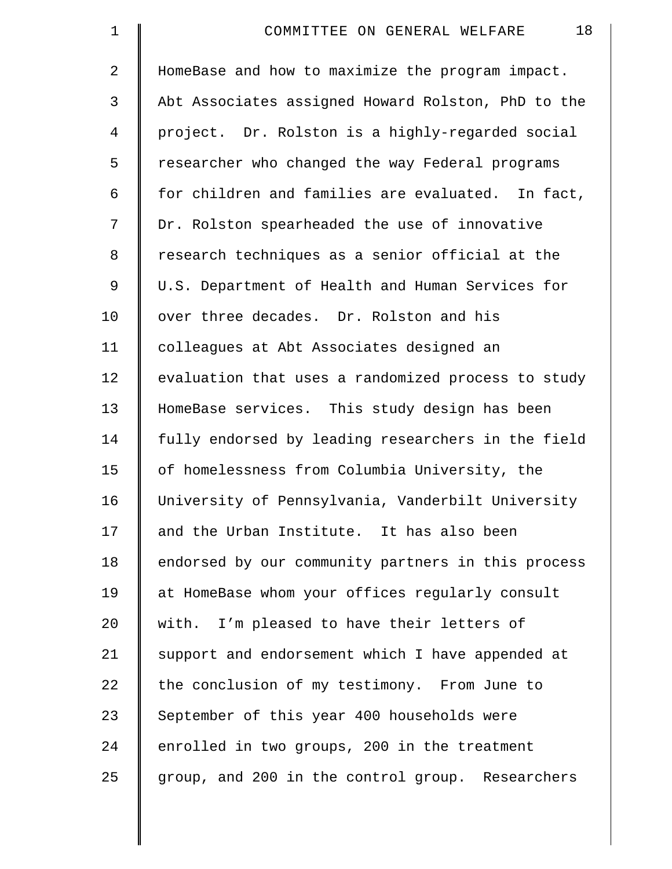| $\mathbf 1$ | 18<br>COMMITTEE ON GENERAL WELFARE                 |
|-------------|----------------------------------------------------|
| 2           | HomeBase and how to maximize the program impact.   |
| 3           | Abt Associates assigned Howard Rolston, PhD to the |
| 4           | project. Dr. Rolston is a highly-regarded social   |
| 5           | researcher who changed the way Federal programs    |
| 6           | for children and families are evaluated. In fact,  |
| 7           | Dr. Rolston spearheaded the use of innovative      |
| 8           | research techniques as a senior official at the    |
| 9           | U.S. Department of Health and Human Services for   |
| 10          | over three decades. Dr. Rolston and his            |
| 11          | colleagues at Abt Associates designed an           |
| 12          | evaluation that uses a randomized process to study |
| 13          | HomeBase services. This study design has been      |
| 14          | fully endorsed by leading researchers in the field |
| 15          | of homelessness from Columbia University, the      |
| 16          | University of Pennsylvania, Vanderbilt University  |
| 17          | and the Urban Institute. It has also been          |
| 18          | endorsed by our community partners in this process |
| 19          | at HomeBase whom your offices regularly consult    |
| 20          | with. I'm pleased to have their letters of         |
| 21          | support and endorsement which I have appended at   |
| 22          | the conclusion of my testimony. From June to       |
| 23          | September of this year 400 households were         |
| 24          | enrolled in two groups, 200 in the treatment       |
| 25          | group, and 200 in the control group. Researchers   |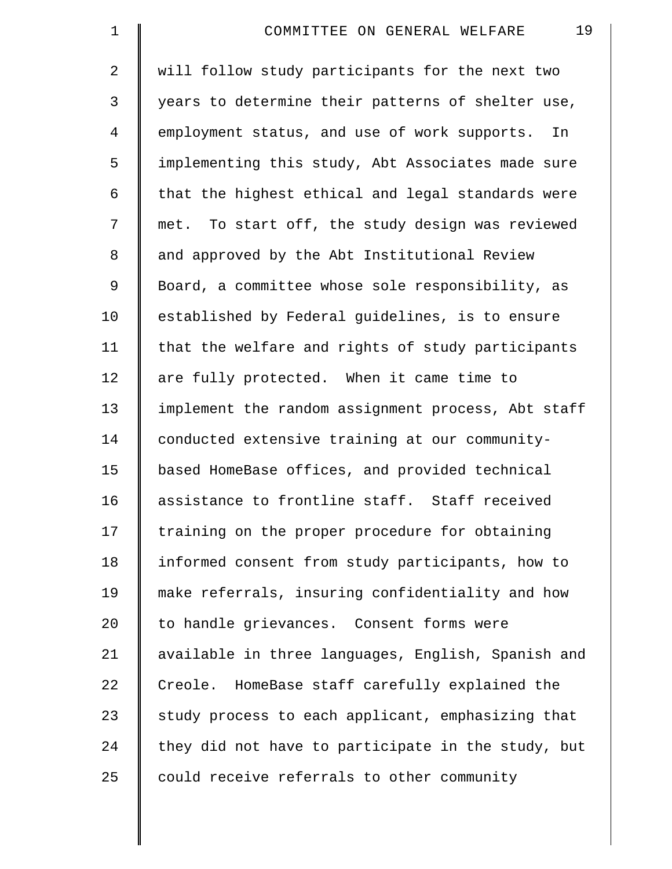| $\mathbf 1$ | 19<br>COMMITTEE ON GENERAL WELFARE                 |
|-------------|----------------------------------------------------|
| 2           | will follow study participants for the next two    |
| 3           | years to determine their patterns of shelter use,  |
| 4           | employment status, and use of work supports. In    |
| 5           | implementing this study, Abt Associates made sure  |
| 6           | that the highest ethical and legal standards were  |
| 7           | met. To start off, the study design was reviewed   |
| 8           | and approved by the Abt Institutional Review       |
| 9           | Board, a committee whose sole responsibility, as   |
| 10          | established by Federal guidelines, is to ensure    |
| 11          | that the welfare and rights of study participants  |
| 12          | are fully protected. When it came time to          |
| 13          | implement the random assignment process, Abt staff |
| 14          | conducted extensive training at our community-     |
| 15          | based HomeBase offices, and provided technical     |
| 16          | assistance to frontline staff. Staff received      |
| 17          | training on the proper procedure for obtaining     |
| 18          | informed consent from study participants, how to   |
| 19          | make referrals, insuring confidentiality and how   |
| 20          | to handle grievances. Consent forms were           |
| 21          | available in three languages, English, Spanish and |
| 22          | Creole. HomeBase staff carefully explained the     |
| 23          | study process to each applicant, emphasizing that  |
| 24          | they did not have to participate in the study, but |
| 25          | could receive referrals to other community         |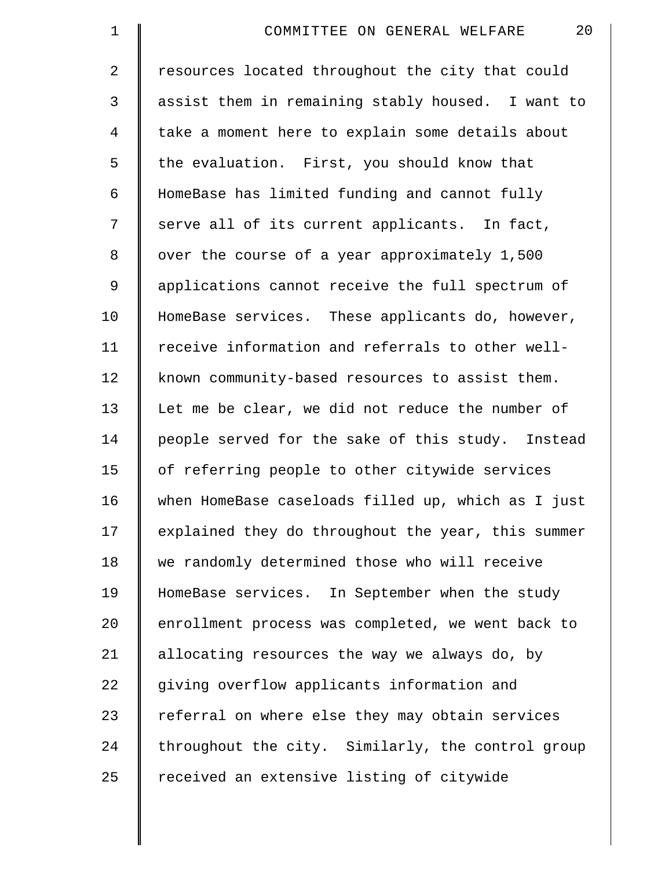| $\mathbf 1$ | 20<br>COMMITTEE ON GENERAL WELFARE                 |
|-------------|----------------------------------------------------|
| 2           | resources located throughout the city that could   |
| 3           | assist them in remaining stably housed. I want to  |
| 4           | take a moment here to explain some details about   |
| 5           | the evaluation. First, you should know that        |
| 6           | HomeBase has limited funding and cannot fully      |
| 7           | serve all of its current applicants. In fact,      |
| 8           | over the course of a year approximately 1,500      |
| 9           | applications cannot receive the full spectrum of   |
| 10          | HomeBase services. These applicants do, however,   |
| 11          | receive information and referrals to other well-   |
| 12          | known community-based resources to assist them.    |
| 13          | Let me be clear, we did not reduce the number of   |
| 14          | people served for the sake of this study. Instead  |
| 15          | of referring people to other citywide services     |
| 16          | when HomeBase caseloads filled up, which as I just |
| 17          | explained they do throughout the year, this summer |
| 18          | we randomly determined those who will receive      |
| 19          | HomeBase services. In September when the study     |
| 20          | enrollment process was completed, we went back to  |
| 21          | allocating resources the way we always do, by      |
| 22          | giving overflow applicants information and         |
| 23          | referral on where else they may obtain services    |
| 24          | throughout the city. Similarly, the control group  |
| 25          | received an extensive listing of citywide          |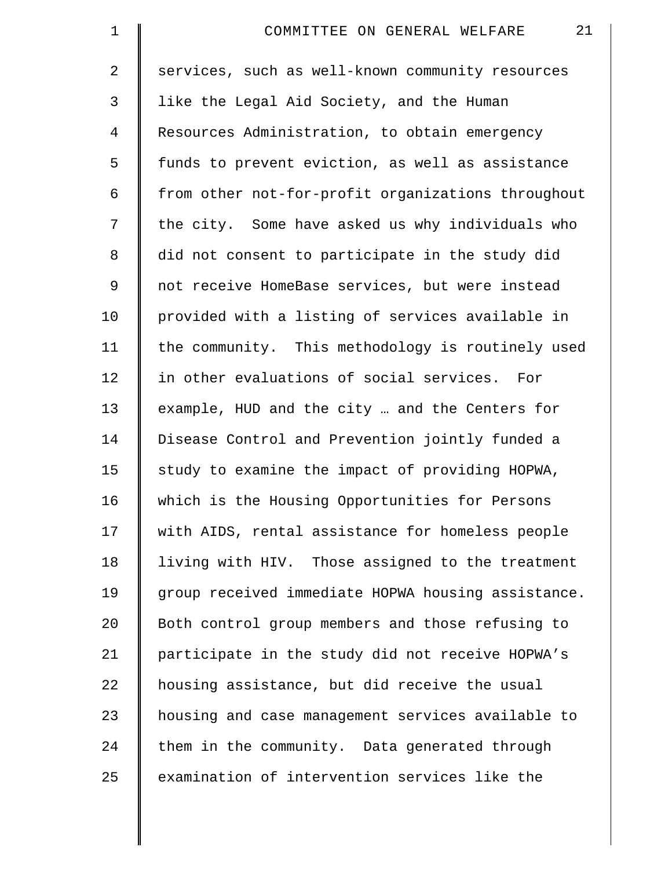| $\mathbf 1$    | 21<br>COMMITTEE ON GENERAL WELFARE                 |
|----------------|----------------------------------------------------|
| $\overline{2}$ | services, such as well-known community resources   |
| $\mathsf{3}$   | like the Legal Aid Society, and the Human          |
| 4              | Resources Administration, to obtain emergency      |
| 5              | funds to prevent eviction, as well as assistance   |
| 6              | from other not-for-profit organizations throughout |
| 7              | the city. Some have asked us why individuals who   |
| 8              | did not consent to participate in the study did    |
| $\mathsf 9$    | not receive HomeBase services, but were instead    |
| 10             | provided with a listing of services available in   |
| 11             | the community. This methodology is routinely used  |
| 12             | in other evaluations of social services. For       |
| 13             | example, HUD and the city  and the Centers for     |
| 14             | Disease Control and Prevention jointly funded a    |
| 15             | study to examine the impact of providing HOPWA,    |
| 16             | which is the Housing Opportunities for Persons     |
| 17             | with AIDS, rental assistance for homeless people   |
| 18             | living with HIV. Those assigned to the treatment   |
| 19             | group received immediate HOPWA housing assistance. |
| 20             | Both control group members and those refusing to   |
| 21             | participate in the study did not receive HOPWA's   |
| 22             | housing assistance, but did receive the usual      |
| 23             | housing and case management services available to  |
| 24             | them in the community. Data generated through      |
| 25             | examination of intervention services like the      |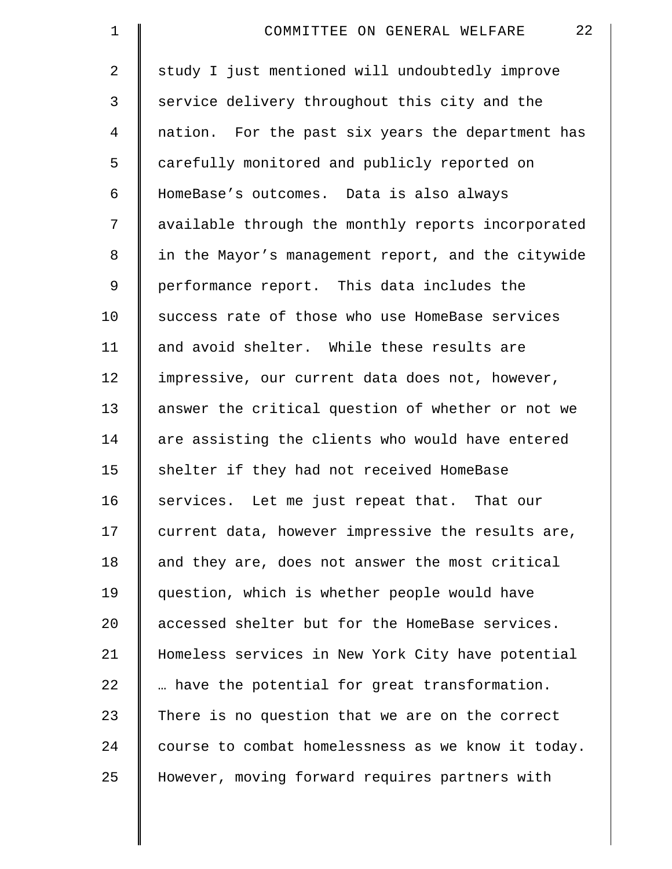| $\mathbf 1$    | 22<br>COMMITTEE ON GENERAL WELFARE                 |
|----------------|----------------------------------------------------|
| $\overline{2}$ | study I just mentioned will undoubtedly improve    |
| 3              | service delivery throughout this city and the      |
| 4              | nation. For the past six years the department has  |
| 5              | carefully monitored and publicly reported on       |
| 6              | HomeBase's outcomes. Data is also always           |
| 7              | available through the monthly reports incorporated |
| 8              | in the Mayor's management report, and the citywide |
| 9              | performance report. This data includes the         |
| 10             | success rate of those who use HomeBase services    |
| 11             | and avoid shelter. While these results are         |
| 12             | impressive, our current data does not, however,    |
| 13             | answer the critical question of whether or not we  |
| 14             | are assisting the clients who would have entered   |
| 15             | shelter if they had not received HomeBase          |
| 16             | services. Let me just repeat that. That our        |
| 17             | current data, however impressive the results are,  |
| 18             | and they are, does not answer the most critical    |
| 19             | question, which is whether people would have       |
| 20             | accessed shelter but for the HomeBase services.    |
| 21             | Homeless services in New York City have potential  |
| 22             | have the potential for great transformation.       |
| 23             | There is no question that we are on the correct    |
| 24             | course to combat homelessness as we know it today. |
| 25             | However, moving forward requires partners with     |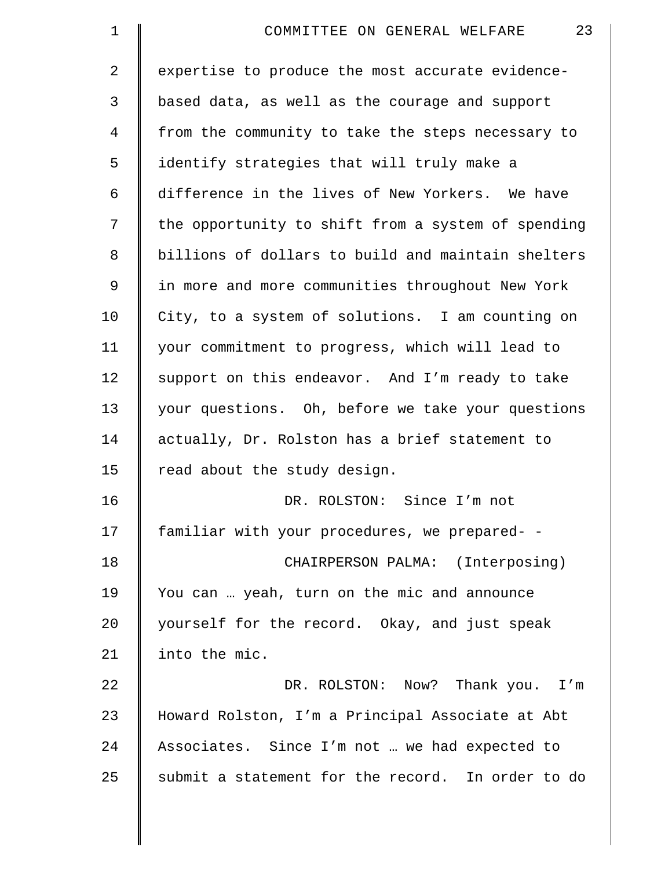| $\mathbf 1$    | 23<br>COMMITTEE ON GENERAL WELFARE                 |
|----------------|----------------------------------------------------|
| $\overline{2}$ | expertise to produce the most accurate evidence-   |
| 3              | based data, as well as the courage and support     |
| 4              | from the community to take the steps necessary to  |
| 5              | identify strategies that will truly make a         |
| 6              | difference in the lives of New Yorkers. We have    |
| 7              | the opportunity to shift from a system of spending |
| 8              | billions of dollars to build and maintain shelters |
| 9              | in more and more communities throughout New York   |
| 10             | City, to a system of solutions. I am counting on   |
| 11             | your commitment to progress, which will lead to    |
| 12             | support on this endeavor. And I'm ready to take    |
| 13             | your questions. Oh, before we take your questions  |
| 14             | actually, Dr. Rolston has a brief statement to     |
| 15             | read about the study design.                       |
| 16             | DR. ROLSTON: Since I'm not                         |
| 17             | familiar with your procedures, we prepared- -      |
| 18             | CHAIRPERSON PALMA: (Interposing)                   |
| 19             | You can  yeah, turn on the mic and announce        |
| 20             | yourself for the record. Okay, and just speak      |
| 21             | into the mic.                                      |
| 22             | DR. ROLSTON: Now? Thank you. I'm                   |
| 23             | Howard Rolston, I'm a Principal Associate at Abt   |
| 24             | Associates. Since I'm not  we had expected to      |
| 25             | submit a statement for the record. In order to do  |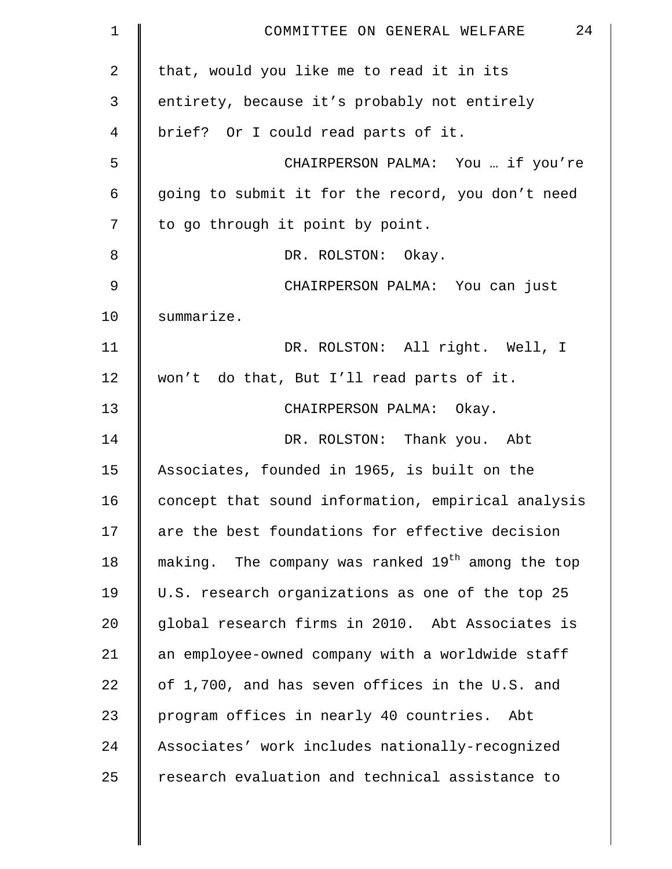| $\mathbf 1$ | 24<br>COMMITTEE ON GENERAL WELFARE                            |
|-------------|---------------------------------------------------------------|
| 2           | that, would you like me to read it in its                     |
| 3           | entirety, because it's probably not entirely                  |
| 4           | brief? Or I could read parts of it.                           |
| 5           | CHAIRPERSON PALMA: You  if you're                             |
| 6           | going to submit it for the record, you don't need             |
| 7           | to go through it point by point.                              |
| 8           | DR. ROLSTON: Okay.                                            |
| $\mathsf 9$ | CHAIRPERSON PALMA: You can just                               |
| 10          | summarize.                                                    |
| 11          | DR. ROLSTON: All right. Well, I                               |
| 12          | won't do that, But I'll read parts of it.                     |
| 13          | CHAIRPERSON PALMA: Okay.                                      |
| 14          | DR. ROLSTON: Thank you. Abt                                   |
| 15          | Associates, founded in 1965, is built on the                  |
| 16          | concept that sound information, empirical analysis            |
| 17          | are the best foundations for effective decision               |
| 18          | making. The company was ranked 19 <sup>th</sup> among the top |
| 19          | U.S. research organizations as one of the top 25              |
| 20          | global research firms in 2010. Abt Associates is              |
| 21          | an employee-owned company with a worldwide staff              |
| 22          | of 1,700, and has seven offices in the U.S. and               |
| 23          | program offices in nearly 40 countries. Abt                   |
| 24          | Associates' work includes nationally-recognized               |
| 25          | research evaluation and technical assistance to               |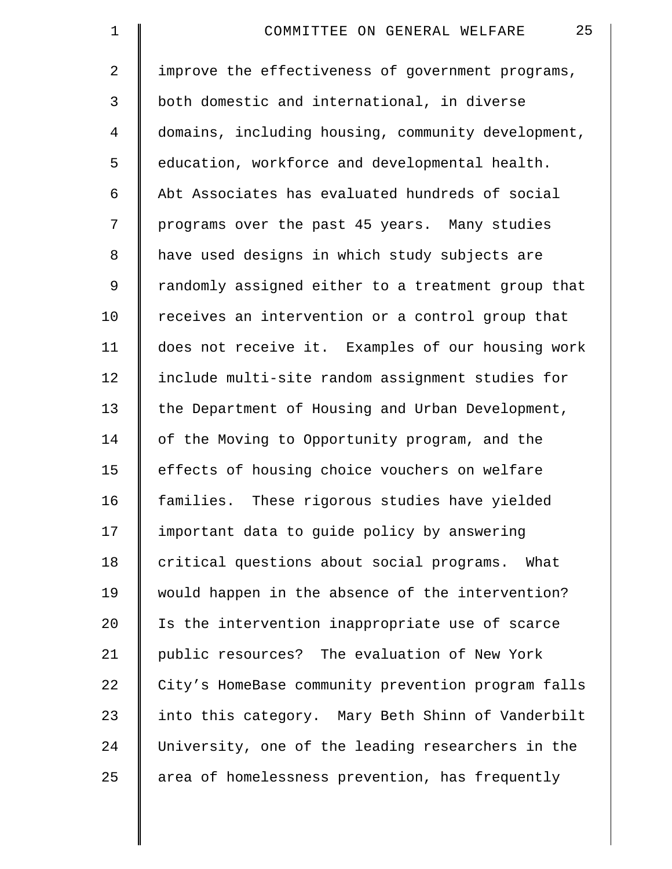| $\mathbf 1$    | 25<br>COMMITTEE ON GENERAL WELFARE                 |
|----------------|----------------------------------------------------|
| $\overline{2}$ | improve the effectiveness of government programs,  |
| 3              | both domestic and international, in diverse        |
| 4              | domains, including housing, community development, |
| 5              | education, workforce and developmental health.     |
| 6              | Abt Associates has evaluated hundreds of social    |
| 7              | programs over the past 45 years. Many studies      |
| 8              | have used designs in which study subjects are      |
| 9              | randomly assigned either to a treatment group that |
| 10             | receives an intervention or a control group that   |
| 11             | does not receive it. Examples of our housing work  |
| 12             | include multi-site random assignment studies for   |
| 13             | the Department of Housing and Urban Development,   |
| 14             | of the Moving to Opportunity program, and the      |
| 15             | effects of housing choice vouchers on welfare      |
| 16             | families. These rigorous studies have yielded      |
| 17             | important data to guide policy by answering        |
| 18             | critical questions about social programs. What     |
| 19             | would happen in the absence of the intervention?   |
| 20             | Is the intervention inappropriate use of scarce    |
| 21             | public resources? The evaluation of New York       |
| 22             | City's HomeBase community prevention program falls |
| 23             | into this category. Mary Beth Shinn of Vanderbilt  |
| 24             | University, one of the leading researchers in the  |
| 25             | area of homelessness prevention, has frequently    |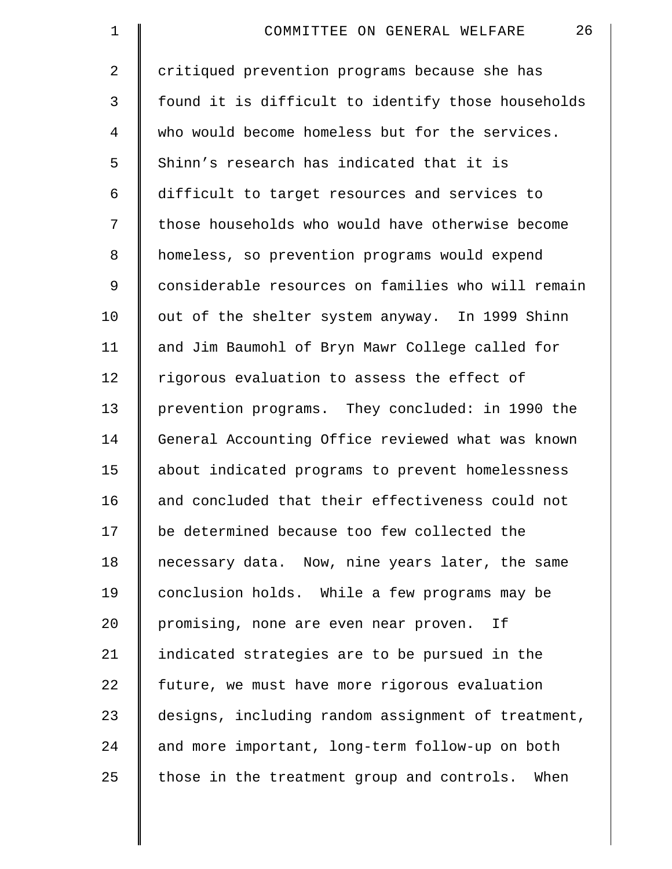| 1  | 26<br>COMMITTEE ON GENERAL WELFARE                 |
|----|----------------------------------------------------|
| 2  | critiqued prevention programs because she has      |
| 3  | found it is difficult to identify those households |
| 4  | who would become homeless but for the services.    |
| 5  | Shinn's research has indicated that it is          |
| 6  | difficult to target resources and services to      |
| 7  | those households who would have otherwise become   |
| 8  | homeless, so prevention programs would expend      |
| 9  | considerable resources on families who will remain |
| 10 | out of the shelter system anyway. In 1999 Shinn    |
| 11 | and Jim Baumohl of Bryn Mawr College called for    |
| 12 | rigorous evaluation to assess the effect of        |
| 13 | prevention programs. They concluded: in 1990 the   |
| 14 | General Accounting Office reviewed what was known  |
| 15 | about indicated programs to prevent homelessness   |
| 16 | and concluded that their effectiveness could not   |
| 17 | be determined because too few collected the        |
| 18 | necessary data. Now, nine years later, the same    |
| 19 | conclusion holds. While a few programs may be      |
| 20 | promising, none are even near proven.<br>Ιf        |
| 21 | indicated strategies are to be pursued in the      |
| 22 | future, we must have more rigorous evaluation      |
| 23 | designs, including random assignment of treatment, |
| 24 | and more important, long-term follow-up on both    |
| 25 | those in the treatment group and controls. When    |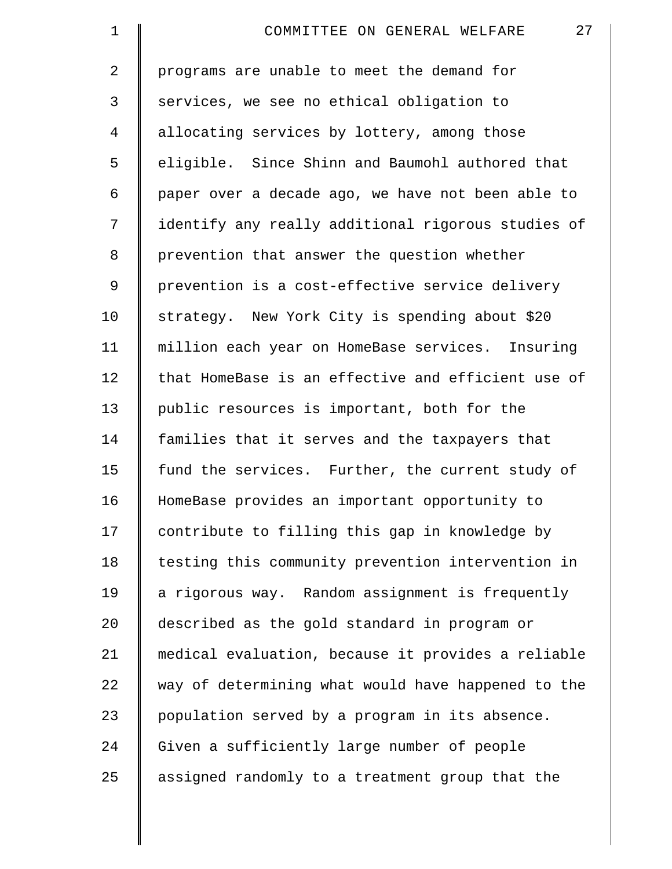| $\mathbf 1$    | 27<br>COMMITTEE ON GENERAL WELFARE                 |
|----------------|----------------------------------------------------|
| $\overline{2}$ | programs are unable to meet the demand for         |
| 3              | services, we see no ethical obligation to          |
| 4              | allocating services by lottery, among those        |
| 5              | eligible. Since Shinn and Baumohl authored that    |
| 6              | paper over a decade ago, we have not been able to  |
| 7              | identify any really additional rigorous studies of |
| 8              | prevention that answer the question whether        |
| $\mathsf 9$    | prevention is a cost-effective service delivery    |
| 10             | strategy. New York City is spending about \$20     |
| 11             | million each year on HomeBase services. Insuring   |
| 12             | that HomeBase is an effective and efficient use of |
| 13             | public resources is important, both for the        |
| 14             | families that it serves and the taxpayers that     |
| 15             | fund the services. Further, the current study of   |
| 16             | HomeBase provides an important opportunity to      |
| 17             | contribute to filling this gap in knowledge by     |
| 18             | testing this community prevention intervention in  |
| 19             | a rigorous way. Random assignment is frequently    |
| 20             | described as the gold standard in program or       |
| 21             | medical evaluation, because it provides a reliable |
| 22             | way of determining what would have happened to the |
| 23             | population served by a program in its absence.     |
| 24             | Given a sufficiently large number of people        |
| 25             | assigned randomly to a treatment group that the    |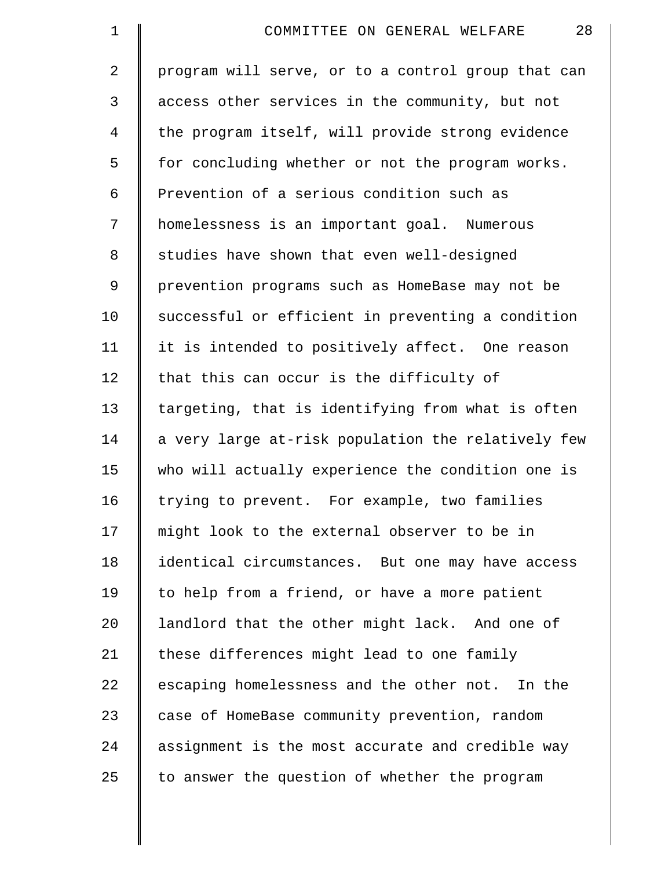| $\mathbf 1$    | 28<br>COMMITTEE ON GENERAL WELFARE                 |
|----------------|----------------------------------------------------|
| $\overline{2}$ | program will serve, or to a control group that can |
| 3              | access other services in the community, but not    |
| 4              | the program itself, will provide strong evidence   |
| 5              | for concluding whether or not the program works.   |
| 6              | Prevention of a serious condition such as          |
| 7              | homelessness is an important goal. Numerous        |
| 8              | studies have shown that even well-designed         |
| 9              | prevention programs such as HomeBase may not be    |
| 10             | successful or efficient in preventing a condition  |
| 11             | it is intended to positively affect. One reason    |
| 12             | that this can occur is the difficulty of           |
| 13             | targeting, that is identifying from what is often  |
| 14             | a very large at-risk population the relatively few |
| 15             | who will actually experience the condition one is  |
| 16             | trying to prevent. For example, two families       |
| 17             | might look to the external observer to be in       |
| 18             | identical circumstances. But one may have access   |
| 19             | to help from a friend, or have a more patient      |
| 20             | landlord that the other might lack. And one of     |
| 21             | these differences might lead to one family         |
| 22             | escaping homelessness and the other not. In the    |
| 23             | case of HomeBase community prevention, random      |
| 24             | assignment is the most accurate and credible way   |
| 25             | to answer the question of whether the program      |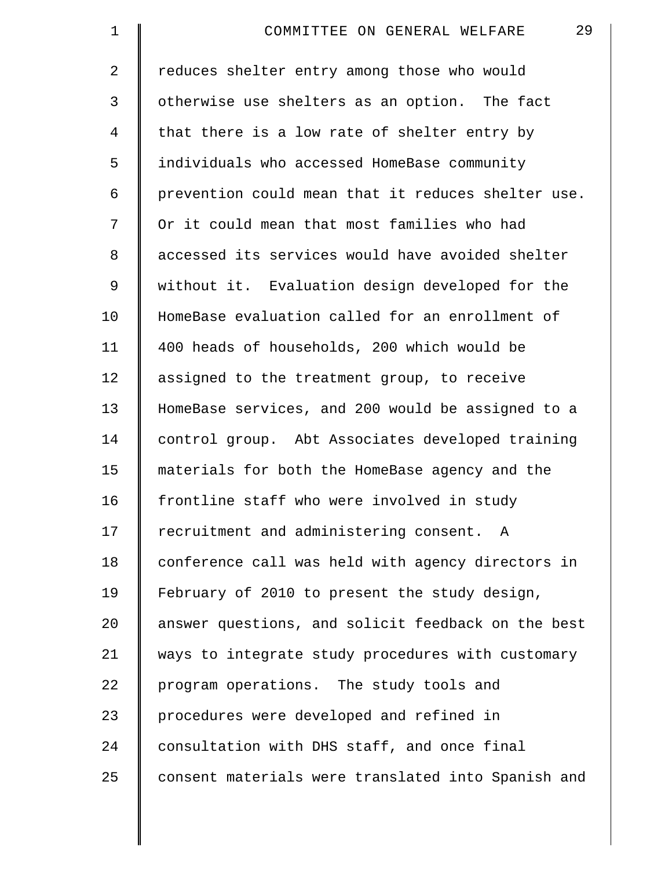| $\mathbf 1$    | 29<br>COMMITTEE ON GENERAL WELFARE                 |
|----------------|----------------------------------------------------|
| $\overline{2}$ | reduces shelter entry among those who would        |
| 3              | otherwise use shelters as an option. The fact      |
| 4              | that there is a low rate of shelter entry by       |
| 5              | individuals who accessed HomeBase community        |
| 6              | prevention could mean that it reduces shelter use. |
| 7              | Or it could mean that most families who had        |
| 8              | accessed its services would have avoided shelter   |
| 9              | without it. Evaluation design developed for the    |
| 10             | HomeBase evaluation called for an enrollment of    |
| 11             | 400 heads of households, 200 which would be        |
| 12             | assigned to the treatment group, to receive        |
| 13             | HomeBase services, and 200 would be assigned to a  |
| 14             | control group. Abt Associates developed training   |
| 15             | materials for both the HomeBase agency and the     |
| 16             | frontline staff who were involved in study         |
| 17             | recruitment and administering consent. A           |
| 18             | conference call was held with agency directors in  |
| 19             | February of 2010 to present the study design,      |
| 20             | answer questions, and solicit feedback on the best |
| 21             | ways to integrate study procedures with customary  |
| 22             | program operations. The study tools and            |
| 23             | procedures were developed and refined in           |
| 24             | consultation with DHS staff, and once final        |
| 25             | consent materials were translated into Spanish and |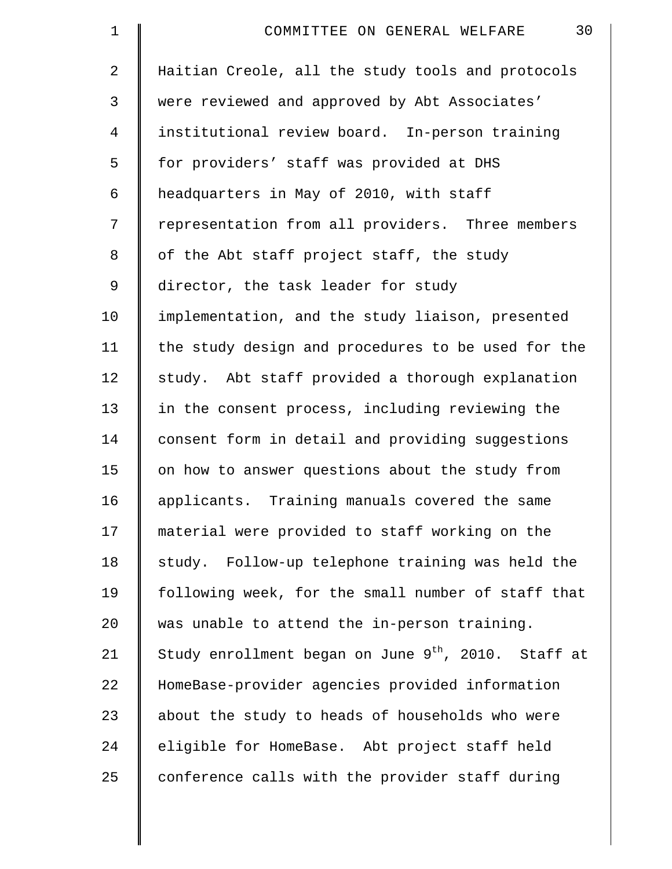| $\mathbf 1$    | 30<br>COMMITTEE ON GENERAL WELFARE                              |
|----------------|-----------------------------------------------------------------|
| $\overline{2}$ | Haitian Creole, all the study tools and protocols               |
| 3              | were reviewed and approved by Abt Associates'                   |
| 4              | institutional review board. In-person training                  |
| 5              | for providers' staff was provided at DHS                        |
| 6              | headquarters in May of 2010, with staff                         |
| 7              | representation from all providers. Three members                |
| 8              | of the Abt staff project staff, the study                       |
| 9              | director, the task leader for study                             |
| 10             | implementation, and the study liaison, presented                |
| 11             | the study design and procedures to be used for the              |
| 12             | study. Abt staff provided a thorough explanation                |
| 13             | in the consent process, including reviewing the                 |
| 14             | consent form in detail and providing suggestions                |
| 15             | on how to answer questions about the study from                 |
| 16             | applicants. Training manuals covered the same                   |
| 17             | material were provided to staff working on the                  |
| 18             | study. Follow-up telephone training was held the                |
| 19             | following week, for the small number of staff that              |
| 20             | was unable to attend the in-person training.                    |
| 21             | Study enrollment began on June 9 <sup>th</sup> , 2010. Staff at |
| 22             | HomeBase-provider agencies provided information                 |
| 23             | about the study to heads of households who were                 |
| 24             | eligible for HomeBase. Abt project staff held                   |
| 25             | conference calls with the provider staff during                 |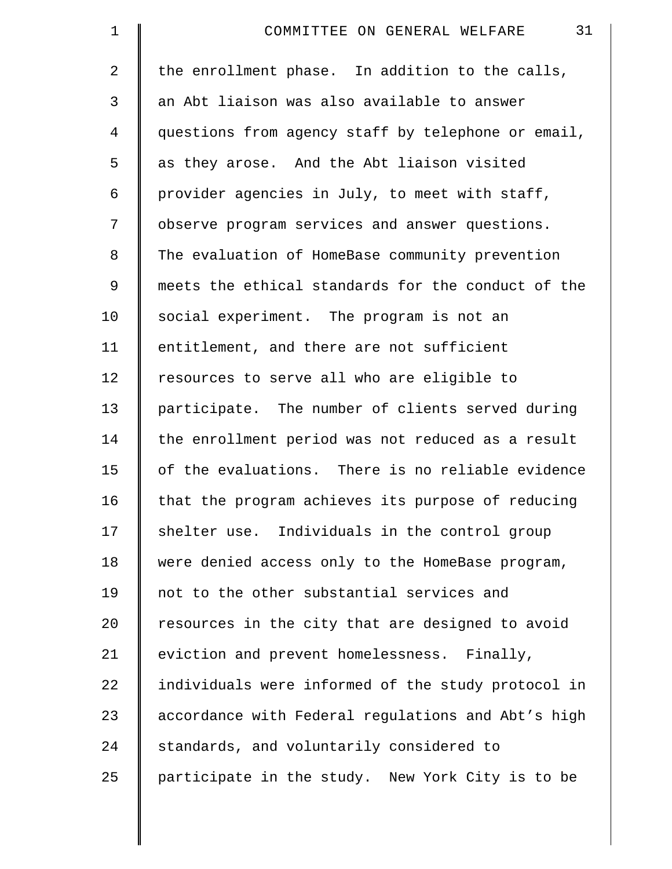| $\mathbf 1$    | 31<br>COMMITTEE ON GENERAL WELFARE                 |
|----------------|----------------------------------------------------|
| $\overline{2}$ | the enrollment phase. In addition to the calls,    |
| 3              | an Abt liaison was also available to answer        |
| 4              | questions from agency staff by telephone or email, |
| 5              | as they arose. And the Abt liaison visited         |
| 6              | provider agencies in July, to meet with staff,     |
| 7              | observe program services and answer questions.     |
| 8              | The evaluation of HomeBase community prevention    |
| 9              | meets the ethical standards for the conduct of the |
| 10             | social experiment. The program is not an           |
| 11             | entitlement, and there are not sufficient          |
| 12             | resources to serve all who are eligible to         |
| 13             | participate. The number of clients served during   |
| 14             | the enrollment period was not reduced as a result  |
| 15             | of the evaluations. There is no reliable evidence  |
| 16             | that the program achieves its purpose of reducing  |
| 17             | shelter use. Individuals in the control group      |
| 18             | were denied access only to the HomeBase program,   |
| 19             | not to the other substantial services and          |
| 20             | resources in the city that are designed to avoid   |
| 21             | eviction and prevent homelessness. Finally,        |
| 22             | individuals were informed of the study protocol in |
| 23             | accordance with Federal regulations and Abt's high |
| 24             | standards, and voluntarily considered to           |
| 25             | participate in the study. New York City is to be   |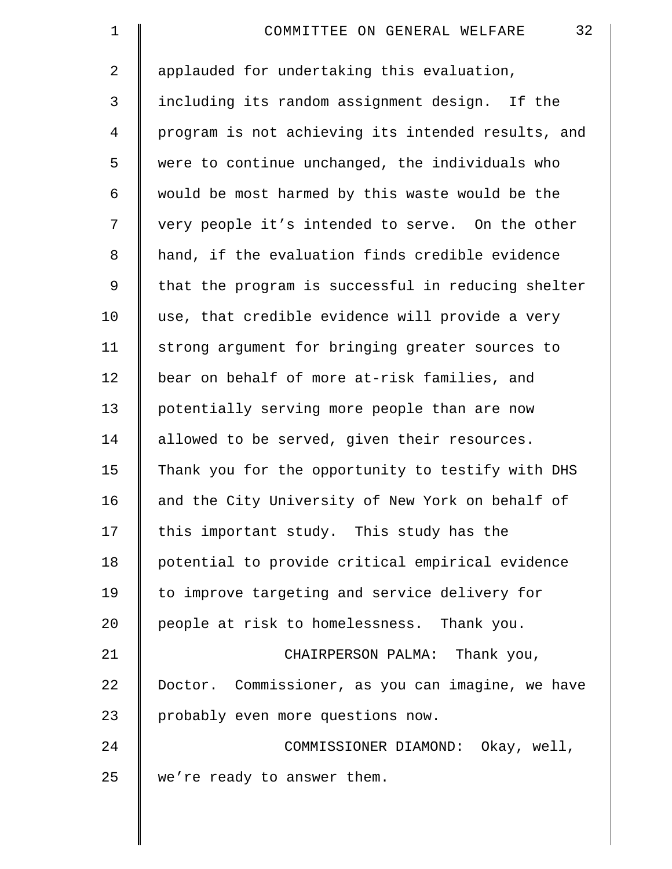| $\mathbf 1$    | 32<br>COMMITTEE ON GENERAL WELFARE                 |
|----------------|----------------------------------------------------|
| $\overline{2}$ | applauded for undertaking this evaluation,         |
| 3              | including its random assignment design. If the     |
| $\overline{4}$ | program is not achieving its intended results, and |
| 5              | were to continue unchanged, the individuals who    |
| 6              | would be most harmed by this waste would be the    |
| 7              | very people it's intended to serve. On the other   |
| 8              | hand, if the evaluation finds credible evidence    |
| 9              | that the program is successful in reducing shelter |
| 10             | use, that credible evidence will provide a very    |
| 11             | strong argument for bringing greater sources to    |
| 12             | bear on behalf of more at-risk families, and       |
| 13             | potentially serving more people than are now       |
| 14             | allowed to be served, given their resources.       |
| 15             | Thank you for the opportunity to testify with DHS  |
| 16             | and the City University of New York on behalf of   |
| 17             | this important study. This study has the           |
| 18             | potential to provide critical empirical evidence   |
| 19             | to improve targeting and service delivery for      |
| 20             | people at risk to homelessness. Thank you.         |
| 21             | CHAIRPERSON PALMA: Thank you,                      |
| 22             | Doctor. Commissioner, as you can imagine, we have  |
| 23             | probably even more questions now.                  |
| 24             | COMMISSIONER DIAMOND: Okay, well,                  |
| 25             | we're ready to answer them.                        |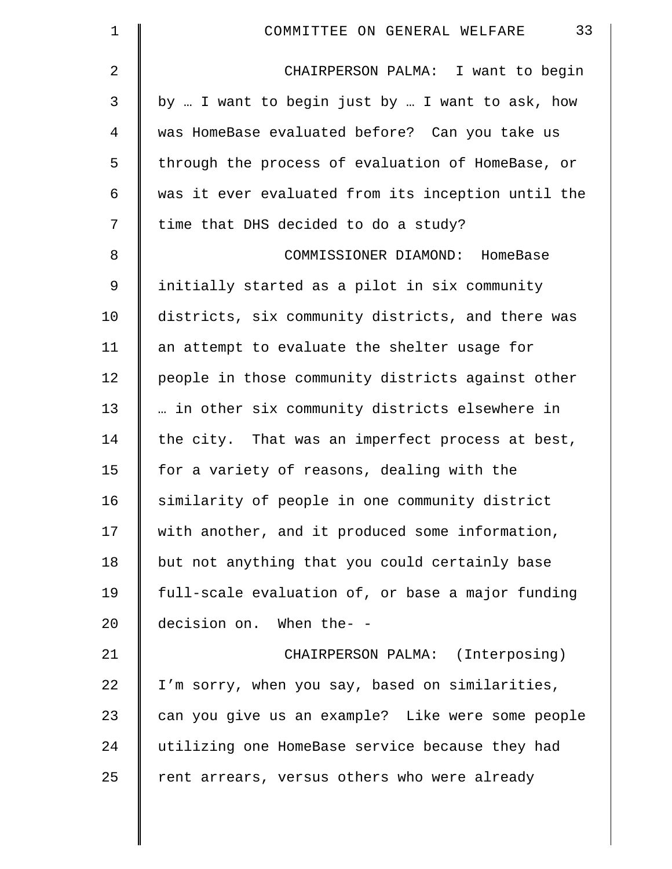| 1           | 33<br>COMMITTEE ON GENERAL WELFARE                 |
|-------------|----------------------------------------------------|
| 2           | CHAIRPERSON PALMA: I want to begin                 |
| 3           | by  I want to begin just by  I want to ask, how    |
| 4           | was HomeBase evaluated before? Can you take us     |
| 5           | through the process of evaluation of HomeBase, or  |
| 6           | was it ever evaluated from its inception until the |
| 7           | time that DHS decided to do a study?               |
| $\,8\,$     | COMMISSIONER DIAMOND: HomeBase                     |
| $\mathsf 9$ | initially started as a pilot in six community      |
| 10          | districts, six community districts, and there was  |
| 11          | an attempt to evaluate the shelter usage for       |
| 12          | people in those community districts against other  |
| 13          | in other six community districts elsewhere in      |
| 14          | the city. That was an imperfect process at best,   |
| 15          | for a variety of reasons, dealing with the         |
| 16          | similarity of people in one community district     |
| 17          | with another, and it produced some information,    |
| 18          | but not anything that you could certainly base     |
| 19          | full-scale evaluation of, or base a major funding  |
| 20          | decision on. When the- -                           |
| 21          | CHAIRPERSON PALMA: (Interposing)                   |
| 22          | I'm sorry, when you say, based on similarities,    |
| 23          | can you give us an example? Like were some people  |
| 24          | utilizing one HomeBase service because they had    |
| 25          | rent arrears, versus others who were already       |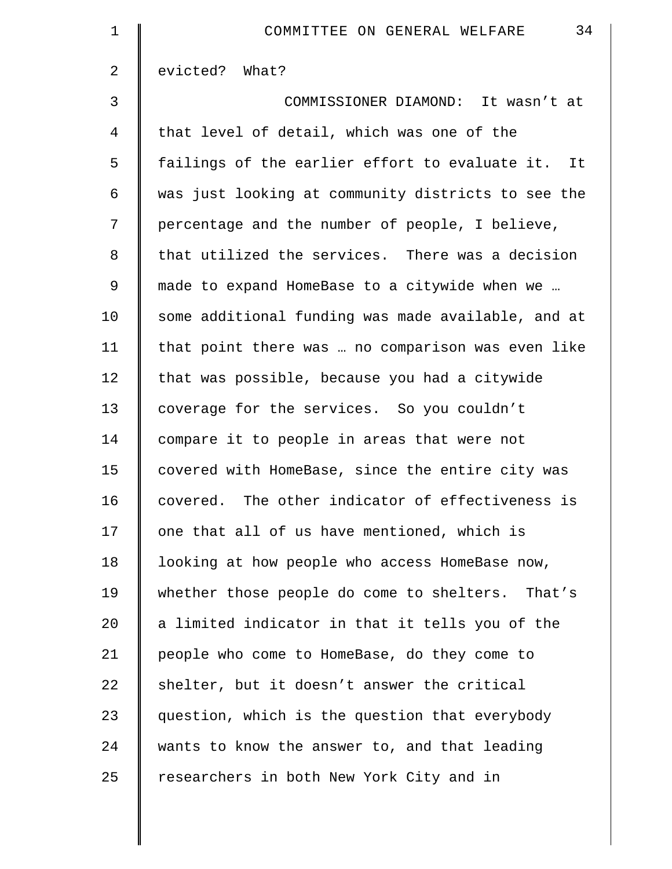| $\mathbf 1$    | 34<br>COMMITTEE ON GENERAL WELFARE                 |
|----------------|----------------------------------------------------|
| 2              | evicted? What?                                     |
| 3              | COMMISSIONER DIAMOND: It wasn't at                 |
| $\overline{4}$ | that level of detail, which was one of the         |
| 5              | failings of the earlier effort to evaluate it. It  |
| 6              | was just looking at community districts to see the |
| 7              | percentage and the number of people, I believe,    |
| 8              | that utilized the services. There was a decision   |
| 9              | made to expand HomeBase to a citywide when we      |
| 10             | some additional funding was made available, and at |
| 11             | that point there was  no comparison was even like  |
| 12             | that was possible, because you had a citywide      |
| 13             | coverage for the services. So you couldn't         |
| 14             | compare it to people in areas that were not        |
| 15             | covered with HomeBase, since the entire city was   |
| 16             | covered. The other indicator of effectiveness is   |
| 17             | one that all of us have mentioned, which is        |
| 18             | looking at how people who access HomeBase now,     |
| 19             | whether those people do come to shelters. That's   |
| 20             | a limited indicator in that it tells you of the    |
| 21             | people who come to HomeBase, do they come to       |
| 22             | shelter, but it doesn't answer the critical        |
| 23             | question, which is the question that everybody     |
| 24             | wants to know the answer to, and that leading      |
| 25             | researchers in both New York City and in           |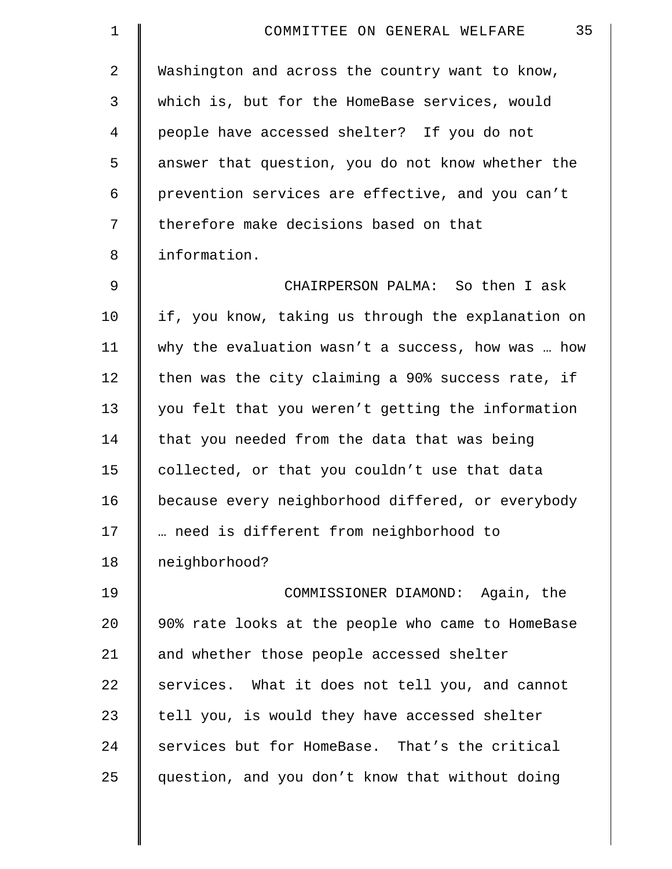| 1              | 35<br>COMMITTEE ON GENERAL WELFARE                 |
|----------------|----------------------------------------------------|
| $\overline{2}$ | Washington and across the country want to know,    |
| 3              | which is, but for the HomeBase services, would     |
| 4              | people have accessed shelter? If you do not        |
| 5              | answer that question, you do not know whether the  |
| 6              | prevention services are effective, and you can't   |
| 7              | therefore make decisions based on that             |
| 8              | information.                                       |
| $\mathsf 9$    | CHAIRPERSON PALMA: So then I ask                   |
| 10             | if, you know, taking us through the explanation on |
| 11             | why the evaluation wasn't a success, how was  how  |
| 12             | then was the city claiming a 90% success rate, if  |
| 13             | you felt that you weren't getting the information  |
| 14             | that you needed from the data that was being       |
| 15             | collected, or that you couldn't use that data      |
| 16             | because every neighborhood differed, or everybody  |
| 17             | need is different from neighborhood to             |
| 18             | neighborhood?                                      |
| 19             | COMMISSIONER DIAMOND: Again, the                   |
| 20             | 90% rate looks at the people who came to HomeBase  |
| 21             | and whether those people accessed shelter          |
| 22             | services. What it does not tell you, and cannot    |
| 23             | tell you, is would they have accessed shelter      |
| 24             | services but for HomeBase. That's the critical     |
| 25             | question, and you don't know that without doing    |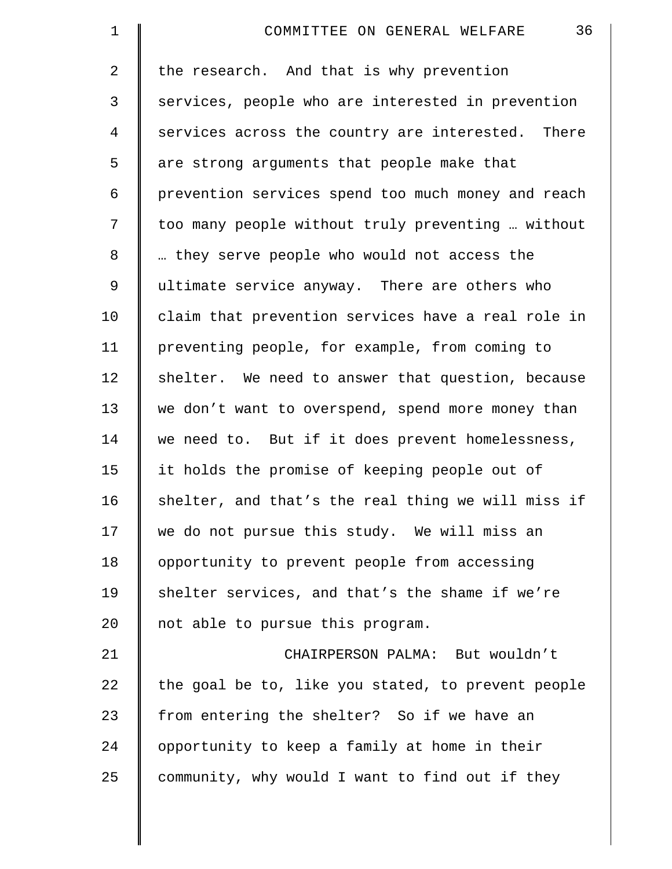| $\mathbf 1$    | 36<br>COMMITTEE ON GENERAL WELFARE                 |
|----------------|----------------------------------------------------|
| $\overline{2}$ | the research. And that is why prevention           |
| 3              | services, people who are interested in prevention  |
| 4              | services across the country are interested. There  |
| 5              | are strong arguments that people make that         |
| 6              | prevention services spend too much money and reach |
| 7              | too many people without truly preventing  without  |
| 8              | they serve people who would not access the         |
| 9              | ultimate service anyway. There are others who      |
| 10             | claim that prevention services have a real role in |
| 11             | preventing people, for example, from coming to     |
| 12             | shelter. We need to answer that question, because  |
| 13             | we don't want to overspend, spend more money than  |
| 14             | we need to. But if it does prevent homelessness,   |
| 15             | it holds the promise of keeping people out of      |
| 16             | shelter, and that's the real thing we will miss if |
| 17             | we do not pursue this study. We will miss an       |
| 18             | opportunity to prevent people from accessing       |
| 19             | shelter services, and that's the shame if we're    |
| 20             | not able to pursue this program.                   |
| 21             | CHAIRPERSON PALMA: But wouldn't                    |
| 22             | the goal be to, like you stated, to prevent people |
| 23             | from entering the shelter? So if we have an        |
| 24             | opportunity to keep a family at home in their      |
| 25             | community, why would I want to find out if they    |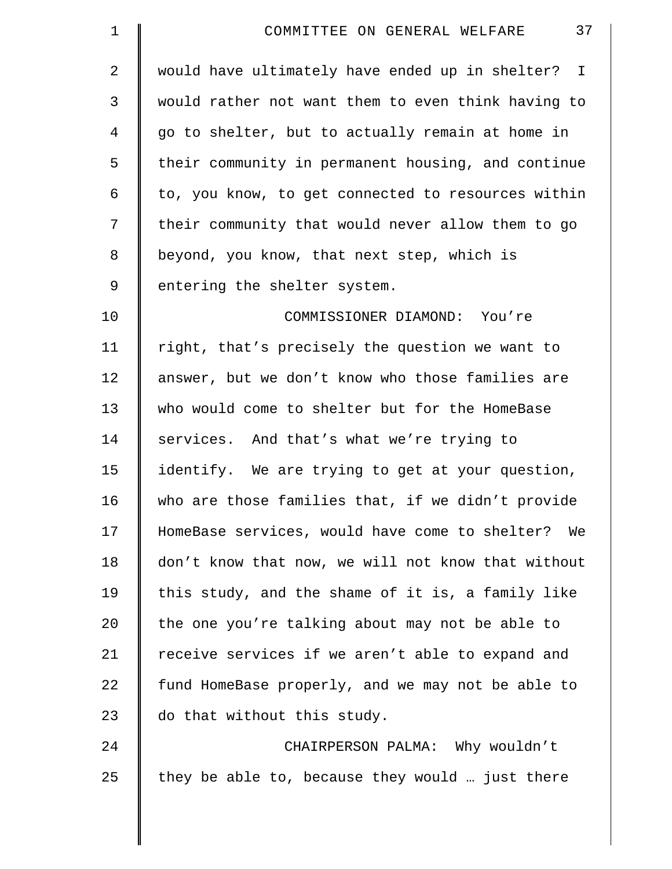| $\mathbf 1$    | 37<br>COMMITTEE ON GENERAL WELFARE                 |
|----------------|----------------------------------------------------|
| 2              | would have ultimately have ended up in shelter? I  |
| 3              | would rather not want them to even think having to |
| $\overline{4}$ | go to shelter, but to actually remain at home in   |
| 5              | their community in permanent housing, and continue |
| 6              | to, you know, to get connected to resources within |
| 7              | their community that would never allow them to go  |
| 8              | beyond, you know, that next step, which is         |
| 9              | entering the shelter system.                       |
| 10             | COMMISSIONER DIAMOND: You're                       |
| 11             | right, that's precisely the question we want to    |
| 12             | answer, but we don't know who those families are   |
| 13             | who would come to shelter but for the HomeBase     |
| 14             | services. And that's what we're trying to          |
| 15             | identify. We are trying to get at your question,   |
| 16             | who are those families that, if we didn't provide  |
| 17             | HomeBase services, would have come to shelter? We  |
| 18             | don't know that now, we will not know that without |
| 19             | this study, and the shame of it is, a family like  |
| 20             | the one you're talking about may not be able to    |
| 21             | receive services if we aren't able to expand and   |
| 22             | fund HomeBase properly, and we may not be able to  |
| 23             | do that without this study.                        |
| 24             | CHAIRPERSON PALMA: Why wouldn't                    |
| 25             | they be able to, because they would  just there    |

║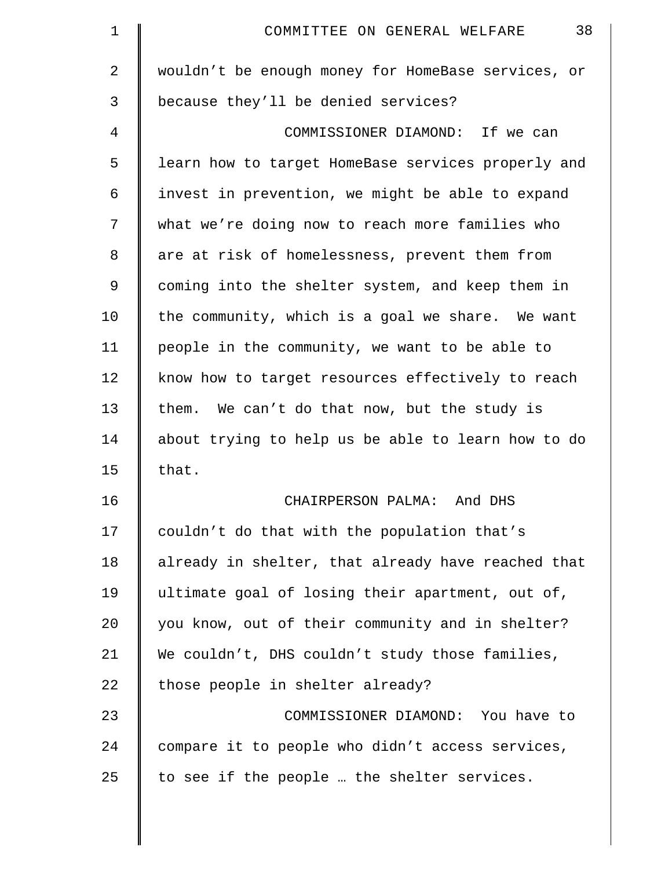| $\mathbf 1$ | 38<br>COMMITTEE ON GENERAL WELFARE                 |
|-------------|----------------------------------------------------|
| 2           | wouldn't be enough money for HomeBase services, or |
| 3           | because they'll be denied services?                |
| 4           | COMMISSIONER DIAMOND: If we can                    |
| 5           | learn how to target HomeBase services properly and |
| 6           | invest in prevention, we might be able to expand   |
| 7           | what we're doing now to reach more families who    |
| 8           | are at risk of homelessness, prevent them from     |
| 9           | coming into the shelter system, and keep them in   |
| 10          | the community, which is a goal we share. We want   |
| 11          | people in the community, we want to be able to     |
| 12          | know how to target resources effectively to reach  |
| 13          | them. We can't do that now, but the study is       |
| 14          | about trying to help us be able to learn how to do |
| 15          | that.                                              |
| 16          | CHAIRPERSON PALMA: And DHS                         |
| 17          | couldn't do that with the population that's        |
| 18          | already in shelter, that already have reached that |
| 19          | ultimate goal of losing their apartment, out of,   |
| 20          | you know, out of their community and in shelter?   |
| 21          | We couldn't, DHS couldn't study those families,    |
| 22          | those people in shelter already?                   |
| 23          | COMMISSIONER DIAMOND: You have to                  |
| 24          | compare it to people who didn't access services,   |
| 25          | to see if the people  the shelter services.        |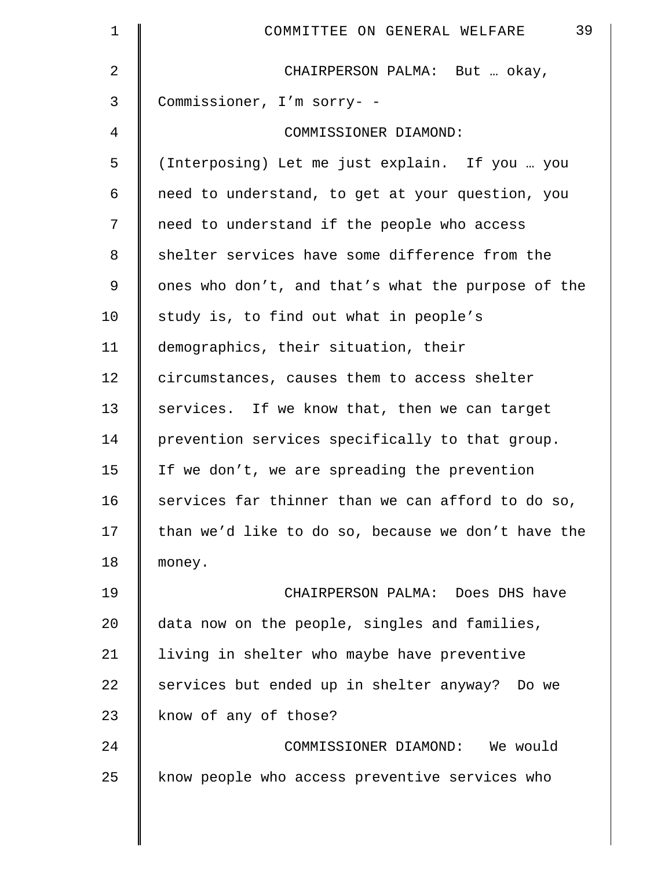| 1  | 39<br>COMMITTEE ON GENERAL WELFARE                 |
|----|----------------------------------------------------|
| 2  | CHAIRPERSON PALMA: But  okay,                      |
| 3  | Commissioner, I'm sorry- -                         |
| 4  | COMMISSIONER DIAMOND:                              |
| 5  | (Interposing) Let me just explain. If you  you     |
| 6  | need to understand, to get at your question, you   |
| 7  | need to understand if the people who access        |
| 8  | shelter services have some difference from the     |
| 9  | ones who don't, and that's what the purpose of the |
| 10 | study is, to find out what in people's             |
| 11 | demographics, their situation, their               |
| 12 | circumstances, causes them to access shelter       |
| 13 | services. If we know that, then we can target      |
| 14 | prevention services specifically to that group.    |
| 15 | If we don't, we are spreading the prevention       |
| 16 | services far thinner than we can afford to do so,  |
| 17 | than we'd like to do so, because we don't have the |
| 18 | money.                                             |
| 19 | CHAIRPERSON PALMA: Does DHS have                   |
| 20 | data now on the people, singles and families,      |
| 21 | living in shelter who maybe have preventive        |
| 22 | services but ended up in shelter anyway? Do we     |
| 23 | know of any of those?                              |
| 24 | COMMISSIONER DIAMOND: We would                     |
| 25 | know people who access preventive services who     |

║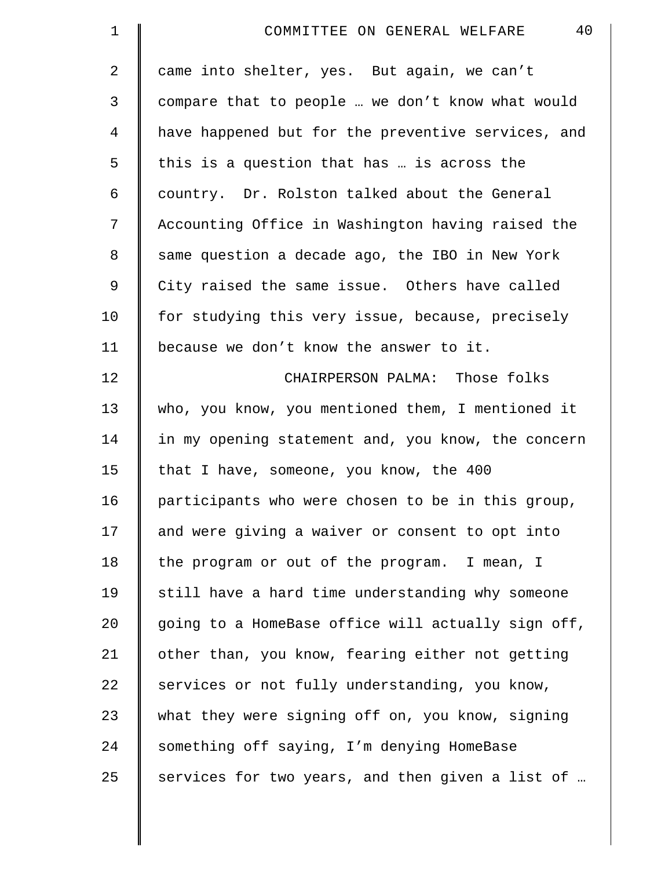| $\mathbf 1$    | 40<br>COMMITTEE ON GENERAL WELFARE                 |
|----------------|----------------------------------------------------|
| $\overline{a}$ | came into shelter, yes. But again, we can't        |
| 3              | compare that to people  we don't know what would   |
| 4              | have happened but for the preventive services, and |
| 5              | this is a question that has  is across the         |
| 6              | country. Dr. Rolston talked about the General      |
| 7              | Accounting Office in Washington having raised the  |
| 8              | same question a decade ago, the IBO in New York    |
| 9              | City raised the same issue. Others have called     |
| 10             | for studying this very issue, because, precisely   |
| 11             | because we don't know the answer to it.            |
| 12             | CHAIRPERSON PALMA: Those folks                     |
| 13             | who, you know, you mentioned them, I mentioned it  |
| 14             | in my opening statement and, you know, the concern |
| 15             | that I have, someone, you know, the 400            |
| 16             | participants who were chosen to be in this group,  |
| 17             | and were giving a waiver or consent to opt into    |
| 18             | the program or out of the program. I mean, I       |
| 19             | still have a hard time understanding why someone   |
| 20             | going to a HomeBase office will actually sign off, |
| 21             | other than, you know, fearing either not getting   |
| 22             | services or not fully understanding, you know,     |
| 23             | what they were signing off on, you know, signing   |
| 24             | something off saying, I'm denying HomeBase         |
| 25             | services for two years, and then given a list of   |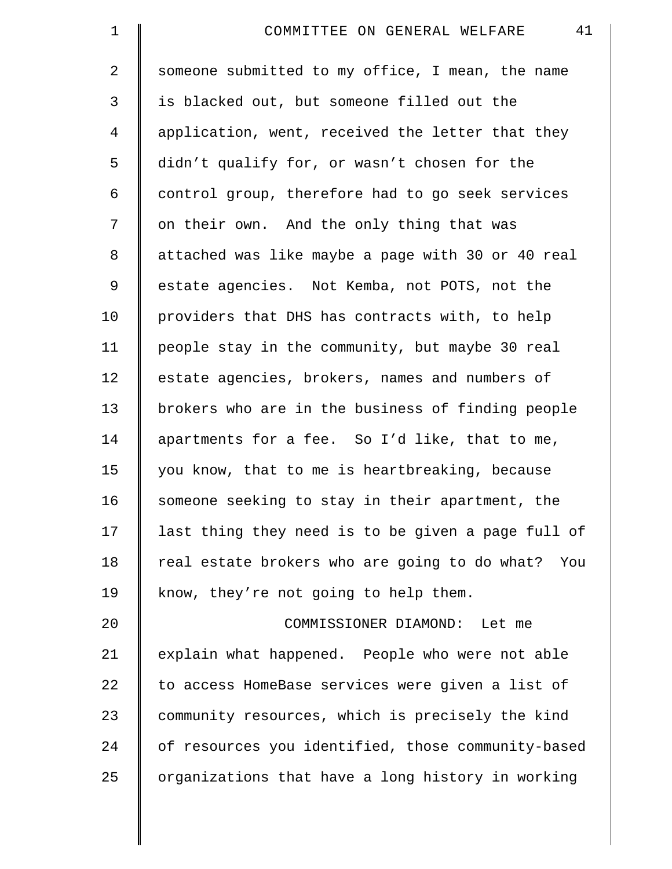| $\mathbf 1$    | 41<br>COMMITTEE ON GENERAL WELFARE                 |
|----------------|----------------------------------------------------|
| $\overline{2}$ | someone submitted to my office, I mean, the name   |
| 3              | is blacked out, but someone filled out the         |
| 4              | application, went, received the letter that they   |
| 5              | didn't qualify for, or wasn't chosen for the       |
| 6              | control group, therefore had to go seek services   |
| 7              | on their own. And the only thing that was          |
| 8              | attached was like maybe a page with 30 or 40 real  |
| 9              | estate agencies. Not Kemba, not POTS, not the      |
| 10             | providers that DHS has contracts with, to help     |
| 11             | people stay in the community, but maybe 30 real    |
| 12             | estate agencies, brokers, names and numbers of     |
| 13             | brokers who are in the business of finding people  |
| 14             | apartments for a fee. So I'd like, that to me,     |
| 15             | you know, that to me is heartbreaking, because     |
| 16             | someone seeking to stay in their apartment, the    |
| 17             | last thing they need is to be given a page full of |
| 18             | real estate brokers who are going to do what? You  |
| 19             | know, they're not going to help them.              |
| 20             | COMMISSIONER DIAMOND: Let me                       |
| 21             | explain what happened. People who were not able    |
| 22             | to access HomeBase services were given a list of   |
| 23             | community resources, which is precisely the kind   |
| 24             | of resources you identified, those community-based |
| 25             | organizations that have a long history in working  |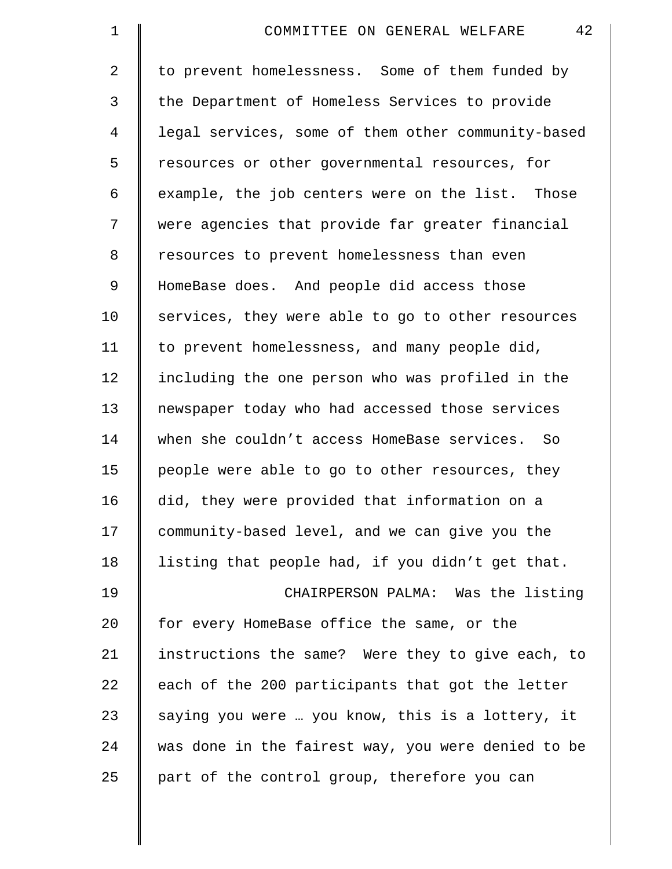| $\mathbf 1$    | 42<br>COMMITTEE ON GENERAL WELFARE                 |
|----------------|----------------------------------------------------|
| $\overline{2}$ | to prevent homelessness. Some of them funded by    |
| 3              | the Department of Homeless Services to provide     |
| 4              | legal services, some of them other community-based |
| 5              | resources or other governmental resources, for     |
| 6              | example, the job centers were on the list. Those   |
| 7              | were agencies that provide far greater financial   |
| 8              | resources to prevent homelessness than even        |
| $\mathsf 9$    | HomeBase does. And people did access those         |
| 10             | services, they were able to go to other resources  |
| 11             | to prevent homelessness, and many people did,      |
| 12             | including the one person who was profiled in the   |
| 13             | newspaper today who had accessed those services    |
| 14             | when she couldn't access HomeBase services. So     |
| 15             | people were able to go to other resources, they    |
| 16             | did, they were provided that information on a      |
| 17             | community-based level, and we can give you the     |
| 18             | listing that people had, if you didn't get that.   |
| 19             | CHAIRPERSON PALMA: Was the listing                 |
| 20             | for every HomeBase office the same, or the         |
| 21             | instructions the same? Were they to give each, to  |
| 22             | each of the 200 participants that got the letter   |
| 23             | saying you were  you know, this is a lottery, it   |
| 24             | was done in the fairest way, you were denied to be |
| 25             | part of the control group, therefore you can       |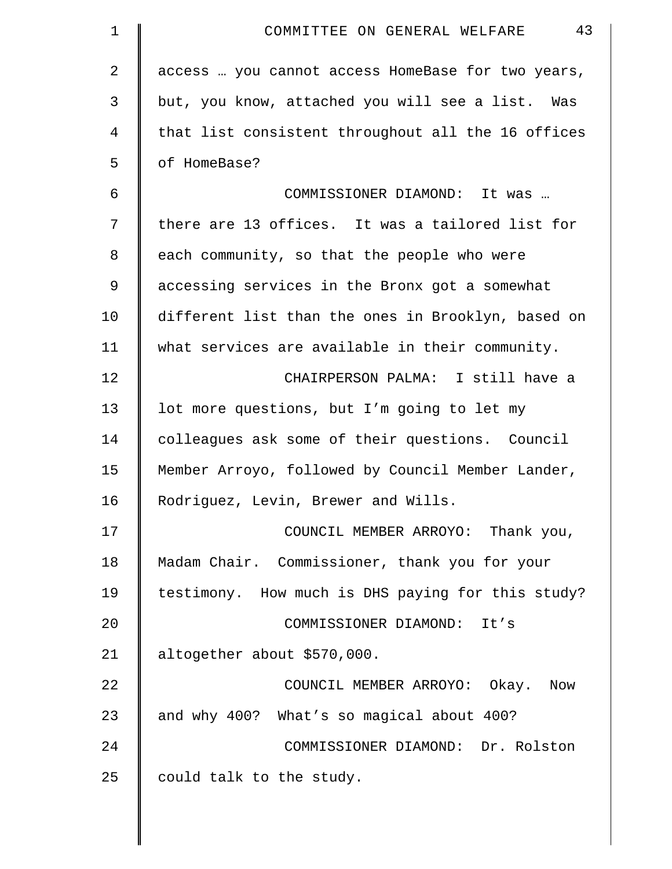| $\mathbf 1$ | 43<br>COMMITTEE ON GENERAL WELFARE                 |
|-------------|----------------------------------------------------|
| 2           | access  you cannot access HomeBase for two years,  |
| 3           | but, you know, attached you will see a list. Was   |
| 4           | that list consistent throughout all the 16 offices |
| 5           | of HomeBase?                                       |
| 6           | COMMISSIONER DIAMOND: It was                       |
| 7           | there are 13 offices. It was a tailored list for   |
| 8           | each community, so that the people who were        |
| 9           | accessing services in the Bronx got a somewhat     |
| 10          | different list than the ones in Brooklyn, based on |
| 11          | what services are available in their community.    |
| 12          | CHAIRPERSON PALMA: I still have a                  |
| 13          | lot more questions, but I'm going to let my        |
| 14          | colleagues ask some of their questions. Council    |
| 15          | Member Arroyo, followed by Council Member Lander,  |
| 16          | Rodriguez, Levin, Brewer and Wills.                |
| 17          | COUNCIL MEMBER ARROYO: Thank you,                  |
| 18          | Madam Chair. Commissioner, thank you for your      |
| 19          | testimony. How much is DHS paying for this study?  |
| 20          | COMMISSIONER DIAMOND: It's                         |
| 21          | altogether about \$570,000.                        |
| 22          | COUNCIL MEMBER ARROYO: Okay. Now                   |
| 23          | and why 400? What's so magical about 400?          |
| 24          | COMMISSIONER DIAMOND: Dr. Rolston                  |
| 25          | could talk to the study.                           |
|             |                                                    |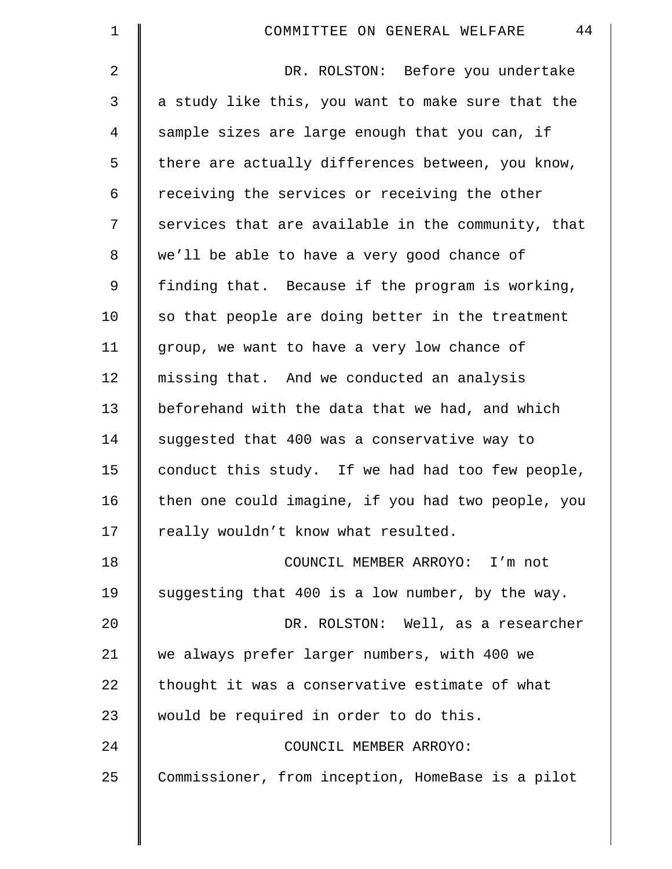| $\mathbf 1$    | 44<br>COMMITTEE ON GENERAL WELFARE                 |
|----------------|----------------------------------------------------|
| $\overline{2}$ | DR. ROLSTON: Before you undertake                  |
| 3              | a study like this, you want to make sure that the  |
| 4              | sample sizes are large enough that you can, if     |
| 5              | there are actually differences between, you know,  |
| 6              | receiving the services or receiving the other      |
| 7              | services that are available in the community, that |
| 8              | we'll be able to have a very good chance of        |
| 9              | finding that. Because if the program is working,   |
| 10             | so that people are doing better in the treatment   |
| 11             | group, we want to have a very low chance of        |
| 12             | missing that. And we conducted an analysis         |
| 13             | beforehand with the data that we had, and which    |
| 14             | suggested that 400 was a conservative way to       |
| 15             | conduct this study. If we had had too few people,  |
| 16             | then one could imagine, if you had two people, you |
| 17             | really wouldn't know what resulted.                |
| 18             | COUNCIL MEMBER ARROYO: I'm not                     |
| 19             | suggesting that 400 is a low number, by the way.   |
| 20             | DR. ROLSTON: Well, as a researcher                 |
| 21             | we always prefer larger numbers, with 400 we       |
| 22             | thought it was a conservative estimate of what     |
| 23             | would be required in order to do this.             |
| 24             | COUNCIL MEMBER ARROYO:                             |
| 25             | Commissioner, from inception, HomeBase is a pilot  |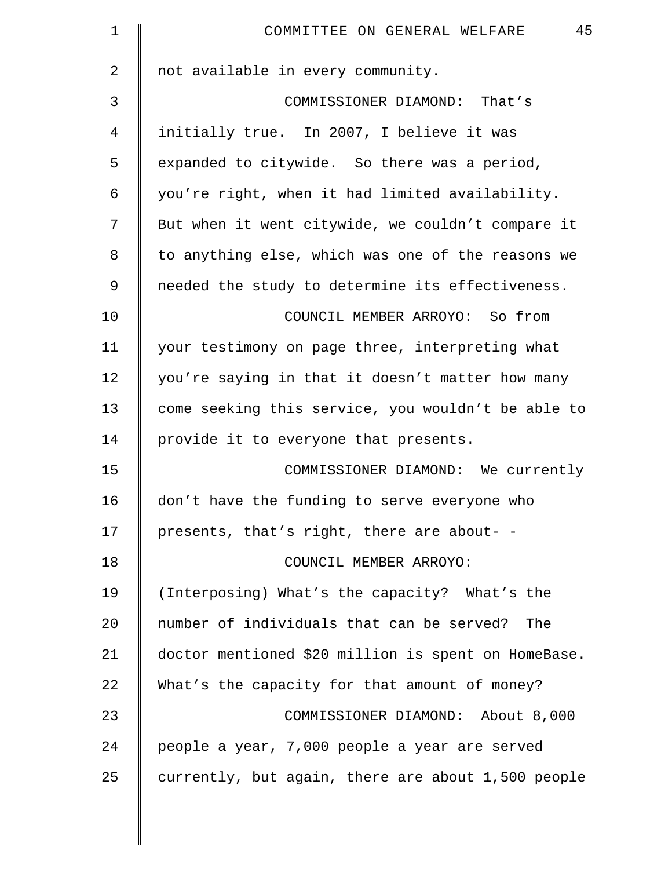| 1  | 45<br>COMMITTEE ON GENERAL WELFARE                  |
|----|-----------------------------------------------------|
| 2  | not available in every community.                   |
| 3  | COMMISSIONER DIAMOND: That's                        |
| 4  | initially true. In 2007, I believe it was           |
| 5  | expanded to citywide. So there was a period,        |
| 6  | you're right, when it had limited availability.     |
| 7  | But when it went citywide, we couldn't compare it   |
| 8  | to anything else, which was one of the reasons we   |
| 9  | needed the study to determine its effectiveness.    |
| 10 | COUNCIL MEMBER ARROYO: So from                      |
| 11 | your testimony on page three, interpreting what     |
| 12 | you're saying in that it doesn't matter how many    |
| 13 | come seeking this service, you wouldn't be able to  |
| 14 | provide it to everyone that presents.               |
| 15 | COMMISSIONER DIAMOND: We currently                  |
| 16 | don't have the funding to serve everyone who        |
| 17 | presents, that's right, there are about- -          |
| 18 | COUNCIL MEMBER ARROYO:                              |
| 19 | (Interposing) What's the capacity? What's the       |
| 20 | number of individuals that can be served? The       |
| 21 | doctor mentioned \$20 million is spent on HomeBase. |
| 22 | What's the capacity for that amount of money?       |
| 23 | COMMISSIONER DIAMOND: About 8,000                   |
| 24 | people a year, 7,000 people a year are served       |
| 25 | currently, but again, there are about 1,500 people  |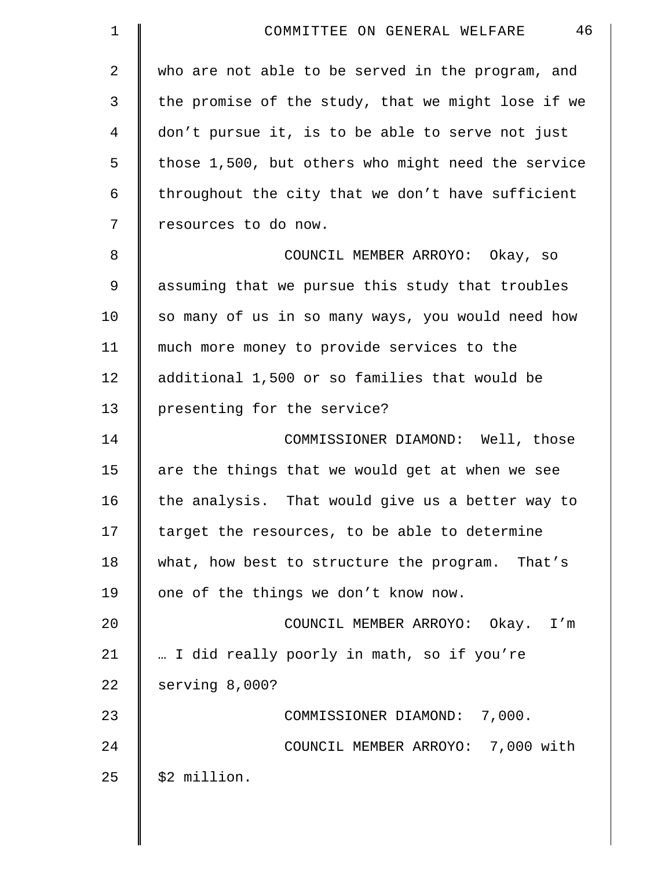| 1              | 46<br>COMMITTEE ON GENERAL WELFARE                 |
|----------------|----------------------------------------------------|
| $\overline{2}$ | who are not able to be served in the program, and  |
| 3              | the promise of the study, that we might lose if we |
| 4              | don't pursue it, is to be able to serve not just   |
| 5              | those 1,500, but others who might need the service |
| 6              | throughout the city that we don't have sufficient  |
| 7              | resources to do now.                               |
| 8              | COUNCIL MEMBER ARROYO: Okay, so                    |
| $\mathsf 9$    | assuming that we pursue this study that troubles   |
| 10             | so many of us in so many ways, you would need how  |
| 11             | much more money to provide services to the         |
| 12             | additional 1,500 or so families that would be      |
| 13             | presenting for the service?                        |
| 14             | COMMISSIONER DIAMOND: Well, those                  |
| 15             | are the things that we would get at when we see    |
| 16             | the analysis. That would give us a better way to   |
| 17             | target the resources, to be able to determine      |
| 18             | what, how best to structure the program. That's    |
| 19             | one of the things we don't know now.               |
| 20             | COUNCIL MEMBER ARROYO: Okay. I'm                   |
| 21             | I did really poorly in math, so if you're          |
| 22             | serving 8,000?                                     |
| 23             | COMMISSIONER DIAMOND: 7,000.                       |
| 24             | COUNCIL MEMBER ARROYO: 7,000 with                  |
| 25             | \$2 million.                                       |

 $\mathbb{I}$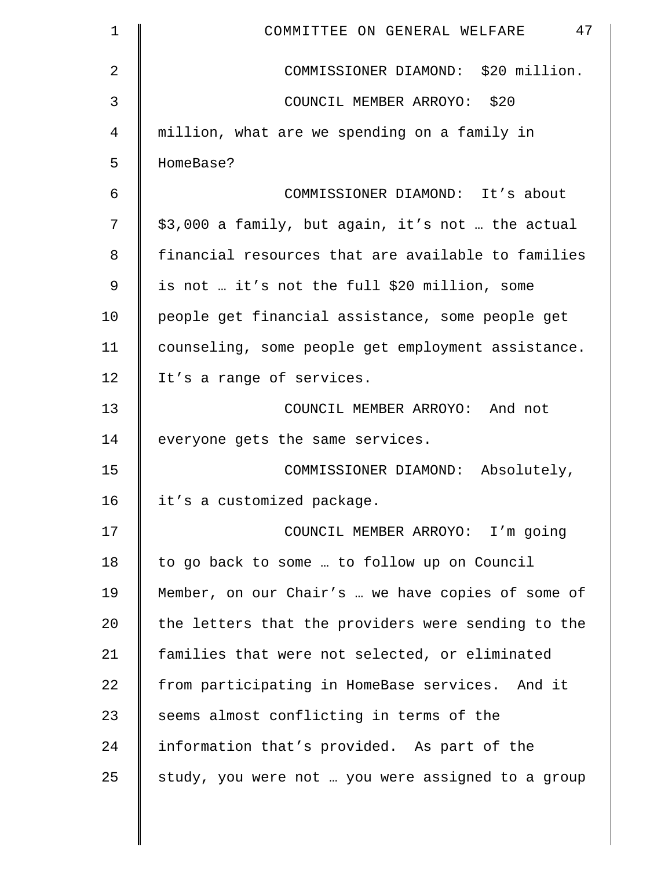| 1           | 47<br>COMMITTEE ON GENERAL WELFARE                 |
|-------------|----------------------------------------------------|
| 2           | COMMISSIONER DIAMOND: \$20 million.                |
| 3           | COUNCIL MEMBER ARROYO: \$20                        |
| 4           | million, what are we spending on a family in       |
| 5           | HomeBase?                                          |
| 6           | COMMISSIONER DIAMOND: It's about                   |
| 7           | \$3,000 a family, but again, it's not  the actual  |
| 8           | financial resources that are available to families |
| $\mathsf 9$ | is not  it's not the full \$20 million, some       |
| 10          | people get financial assistance, some people get   |
| 11          | counseling, some people get employment assistance. |
| 12          | It's a range of services.                          |
| 13          | COUNCIL MEMBER ARROYO: And not                     |
| 14          | everyone gets the same services.                   |
| 15          | COMMISSIONER DIAMOND: Absolutely,                  |
| 16          | it's a customized package.                         |
| 17          | COUNCIL MEMBER ARROYO: I'm going                   |
| 18          | to go back to some  to follow up on Council        |
| 19          | Member, on our Chair's  we have copies of some of  |
| 20          | the letters that the providers were sending to the |
| 21          | families that were not selected, or eliminated     |
| 22          | from participating in HomeBase services. And it    |
| 23          | seems almost conflicting in terms of the           |
| 24          | information that's provided. As part of the        |
| 25          | study, you were not  you were assigned to a group  |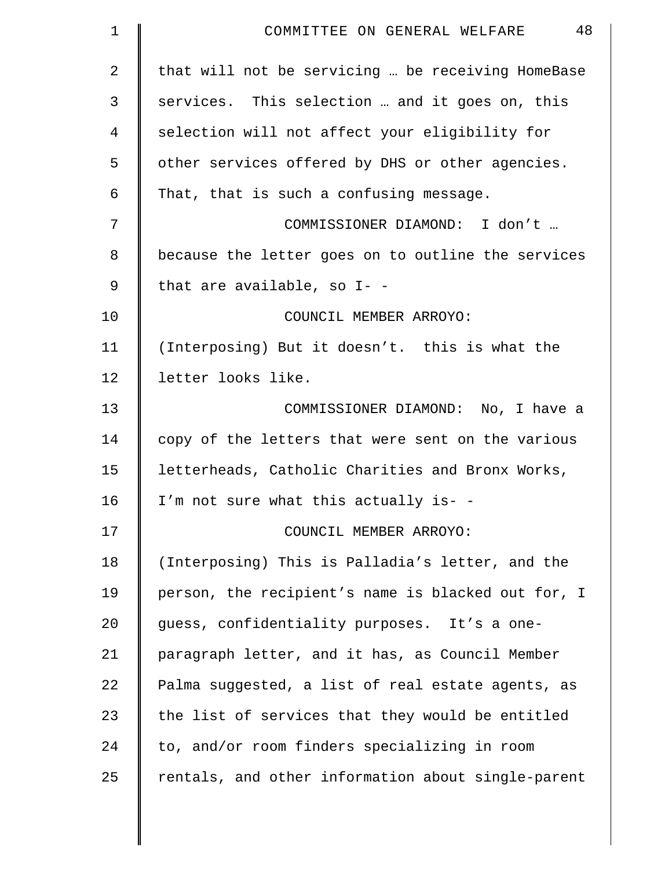| $\mathbf 1$ | 48<br>COMMITTEE ON GENERAL WELFARE                 |
|-------------|----------------------------------------------------|
| 2           | that will not be servicing  be receiving HomeBase  |
| 3           | services. This selection  and it goes on, this     |
| 4           | selection will not affect your eligibility for     |
| 5           | other services offered by DHS or other agencies.   |
| 6           | That, that is such a confusing message.            |
| 7           | COMMISSIONER DIAMOND: I don't                      |
| 8           | because the letter goes on to outline the services |
| 9           | that are available, so I- -                        |
| 10          | COUNCIL MEMBER ARROYO:                             |
| 11          | (Interposing) But it doesn't. this is what the     |
| 12          | letter looks like.                                 |
| 13          | COMMISSIONER DIAMOND: No, I have a                 |
| 14          | copy of the letters that were sent on the various  |
| 15          | letterheads, Catholic Charities and Bronx Works,   |
| 16          | I'm not sure what this actually is- -              |
| 17          | COUNCIL MEMBER ARROYO:                             |
| 18          | (Interposing) This is Palladia's letter, and the   |
| 19          | person, the recipient's name is blacked out for, I |
| 20          | guess, confidentiality purposes. It's a one-       |
| 21          | paragraph letter, and it has, as Council Member    |
| 22          | Palma suggested, a list of real estate agents, as  |
| 23          | the list of services that they would be entitled   |
| 24          | to, and/or room finders specializing in room       |
| 25          | rentals, and other information about single-parent |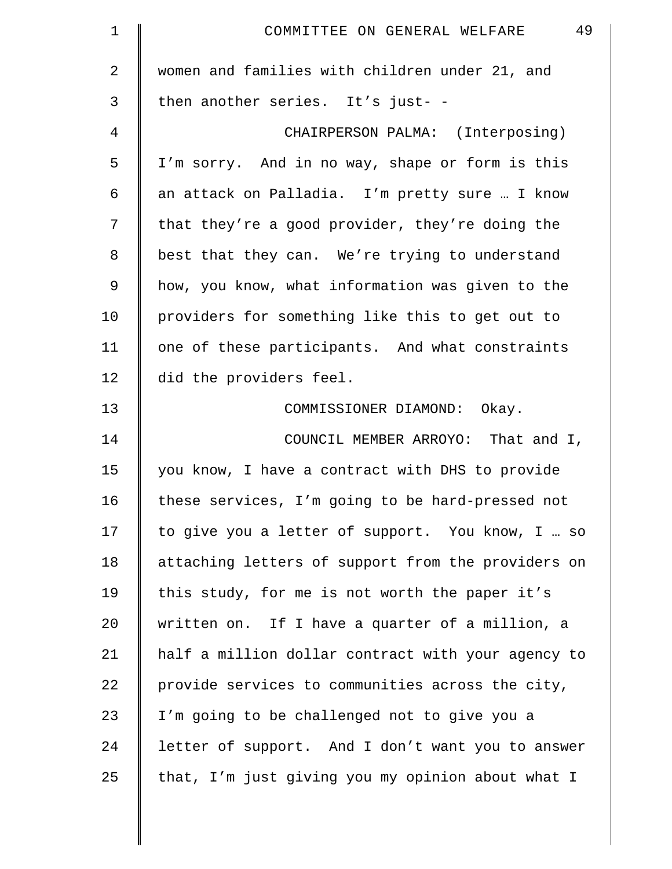| $\mathbf 1$ | 49<br>COMMITTEE ON GENERAL WELFARE                 |
|-------------|----------------------------------------------------|
| 2           | women and families with children under 21, and     |
| 3           | then another series. It's just- -                  |
| 4           | CHAIRPERSON PALMA: (Interposing)                   |
| 5           | I'm sorry. And in no way, shape or form is this    |
| 6           | an attack on Palladia. I'm pretty sure  I know     |
| 7           | that they're a good provider, they're doing the    |
| 8           | best that they can. We're trying to understand     |
| 9           | how, you know, what information was given to the   |
| 10          | providers for something like this to get out to    |
| 11          | one of these participants. And what constraints    |
| 12          | did the providers feel.                            |
| 13          | COMMISSIONER DIAMOND: Okay.                        |
| 14          | COUNCIL MEMBER ARROYO: That and I,                 |
| 15          | you know, I have a contract with DHS to provide    |
| 16          | these services, I'm going to be hard-pressed not   |
| 17          | to give you a letter of support. You know, I  so   |
| 18          | attaching letters of support from the providers on |
| 19          | this study, for me is not worth the paper it's     |
| 20          | written on. If I have a quarter of a million, a    |
| 21          | half a million dollar contract with your agency to |
| 22          | provide services to communities across the city,   |
| 23          | I'm going to be challenged not to give you a       |
| 24          | letter of support. And I don't want you to answer  |
| 25          | that, I'm just giving you my opinion about what I  |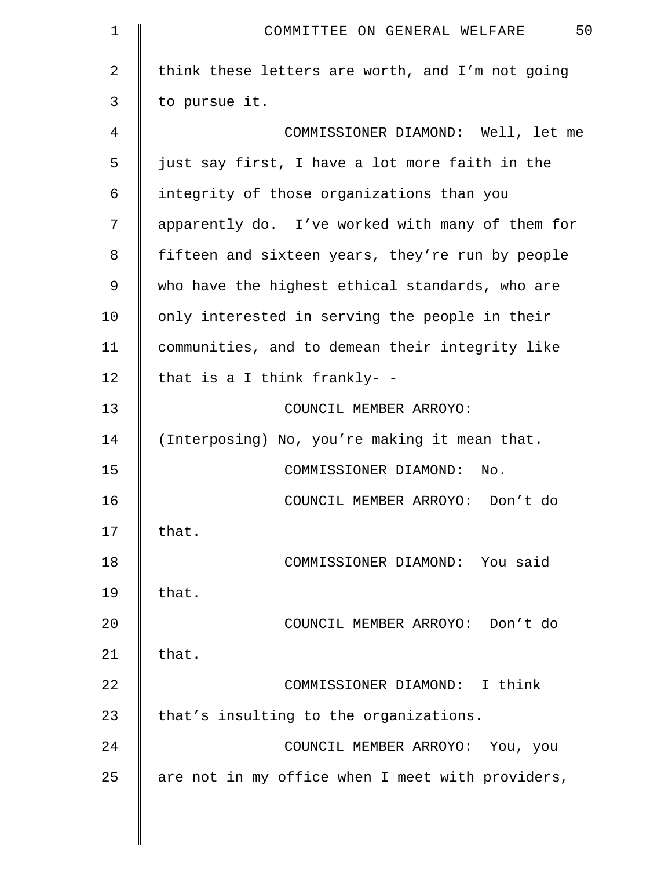| 1  | 50<br>COMMITTEE ON GENERAL WELFARE               |
|----|--------------------------------------------------|
| 2  | think these letters are worth, and I'm not going |
| 3  | to pursue it.                                    |
| 4  | COMMISSIONER DIAMOND: Well, let me               |
| 5  | just say first, I have a lot more faith in the   |
| 6  | integrity of those organizations than you        |
| 7  | apparently do. I've worked with many of them for |
| 8  | fifteen and sixteen years, they're run by people |
| 9  | who have the highest ethical standards, who are  |
| 10 | only interested in serving the people in their   |
| 11 | communities, and to demean their integrity like  |
| 12 | that is a I think frankly- -                     |
| 13 | COUNCIL MEMBER ARROYO:                           |
| 14 | (Interposing) No, you're making it mean that.    |
| 15 | COMMISSIONER DIAMOND: No.                        |
| 16 | COUNCIL MEMBER ARROYO: Don't do                  |
| 17 | that.                                            |
| 18 | COMMISSIONER DIAMOND: You said                   |
| 19 | that.                                            |
| 20 | COUNCIL MEMBER ARROYO: Don't do                  |
| 21 | that.                                            |
| 22 | COMMISSIONER DIAMOND: I think                    |
| 23 | that's insulting to the organizations.           |
| 24 | COUNCIL MEMBER ARROYO: You, you                  |
| 25 | are not in my office when I meet with providers, |
|    |                                                  |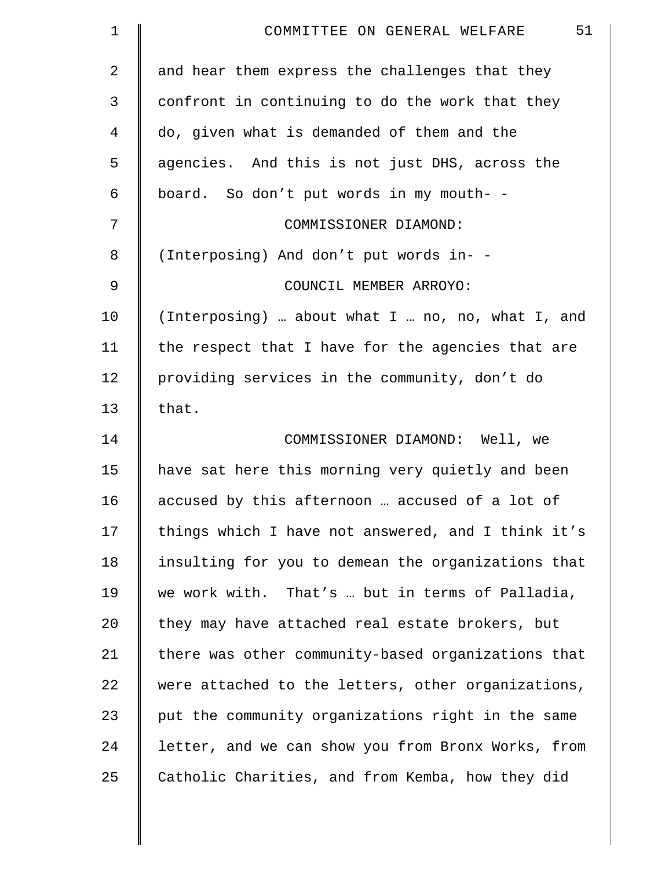| $\mathbf 1$ | 51<br>COMMITTEE ON GENERAL WELFARE                 |
|-------------|----------------------------------------------------|
| 2           | and hear them express the challenges that they     |
| 3           | confront in continuing to do the work that they    |
| 4           | do, given what is demanded of them and the         |
| 5           | agencies. And this is not just DHS, across the     |
| 6           | board. So don't put words in my mouth- -           |
| 7           | COMMISSIONER DIAMOND:                              |
| $\,8\,$     | (Interposing) And don't put words in- -            |
| 9           | COUNCIL MEMBER ARROYO:                             |
| 10          | (Interposing)  about what I  no, no, what I, and   |
| 11          | the respect that I have for the agencies that are  |
| 12          | providing services in the community, don't do      |
| 13          | that.                                              |
| 14          | COMMISSIONER DIAMOND: Well, we                     |
| 15          | have sat here this morning very quietly and been   |
| 16          | accused by this afternoon  accused of a lot of     |
| 17          | things which I have not answered, and I think it's |
| 18          | insulting for you to demean the organizations that |
| 19          | we work with. That's  but in terms of Palladia,    |
| 20          | they may have attached real estate brokers, but    |
| 21          | there was other community-based organizations that |
| 22          | were attached to the letters, other organizations, |
| 23          | put the community organizations right in the same  |
| 24          | letter, and we can show you from Bronx Works, from |
| 25          | Catholic Charities, and from Kemba, how they did   |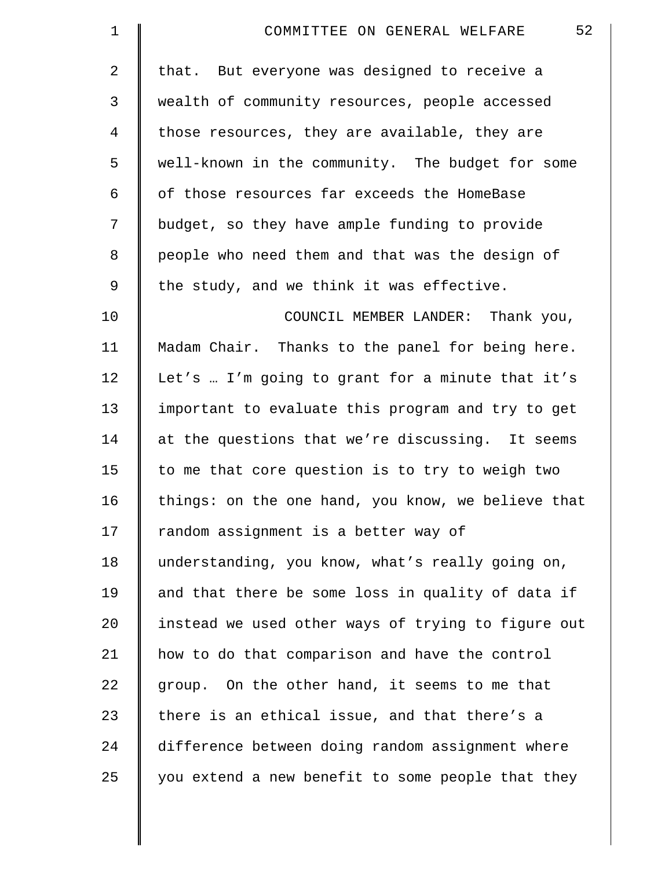| $\mathbf 1$    | 52<br>COMMITTEE ON GENERAL WELFARE                 |
|----------------|----------------------------------------------------|
| $\overline{2}$ | that. But everyone was designed to receive a       |
| 3              | wealth of community resources, people accessed     |
| $\overline{4}$ | those resources, they are available, they are      |
| 5              | well-known in the community. The budget for some   |
| 6              | of those resources far exceeds the HomeBase        |
| 7              | budget, so they have ample funding to provide      |
| 8              | people who need them and that was the design of    |
| 9              | the study, and we think it was effective.          |
| 10             | COUNCIL MEMBER LANDER: Thank you,                  |
| 11             | Madam Chair. Thanks to the panel for being here.   |
| 12             | Let's  I'm going to grant for a minute that it's   |
| 13             | important to evaluate this program and try to get  |
| 14             | at the questions that we're discussing. It seems   |
| 15             | to me that core question is to try to weigh two    |
| 16             | things: on the one hand, you know, we believe that |
| 17             | random assignment is a better way of               |
| 18             | understanding, you know, what's really going on,   |
| 19             | and that there be some loss in quality of data if  |
| 20             | instead we used other ways of trying to figure out |
| 21             | how to do that comparison and have the control     |
| 22             | group. On the other hand, it seems to me that      |
| 23             | there is an ethical issue, and that there's a      |
| 24             | difference between doing random assignment where   |
| 25             | you extend a new benefit to some people that they  |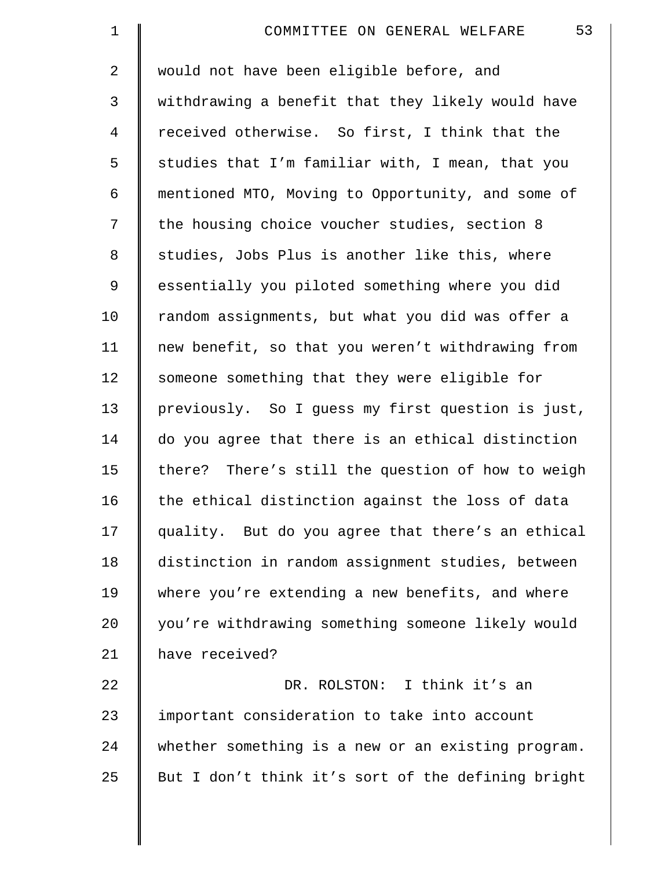| $\mathbf 1$    | 53<br>COMMITTEE ON GENERAL WELFARE                 |
|----------------|----------------------------------------------------|
| $\overline{a}$ | would not have been eligible before, and           |
| $\mathfrak{Z}$ | withdrawing a benefit that they likely would have  |
| 4              | received otherwise. So first, I think that the     |
| 5              | studies that I'm familiar with, I mean, that you   |
| 6              | mentioned MTO, Moving to Opportunity, and some of  |
| 7              | the housing choice voucher studies, section 8      |
| $\,8\,$        | studies, Jobs Plus is another like this, where     |
| $\mathsf 9$    | essentially you piloted something where you did    |
| 10             | random assignments, but what you did was offer a   |
| 11             | new benefit, so that you weren't withdrawing from  |
| 12             | someone something that they were eligible for      |
| 13             | previously. So I guess my first question is just,  |
| 14             | do you agree that there is an ethical distinction  |
| 15             | there? There's still the question of how to weigh  |
| 16             | the ethical distinction against the loss of data   |
| 17             | quality. But do you agree that there's an ethical  |
| 18             | distinction in random assignment studies, between  |
| 19             | where you're extending a new benefits, and where   |
| 20             | you're withdrawing something someone likely would  |
| 21             | have received?                                     |
| 22             | DR. ROLSTON: I think it's an                       |
| 23             | important consideration to take into account       |
| 24             | whether something is a new or an existing program. |
| 25             | But I don't think it's sort of the defining bright |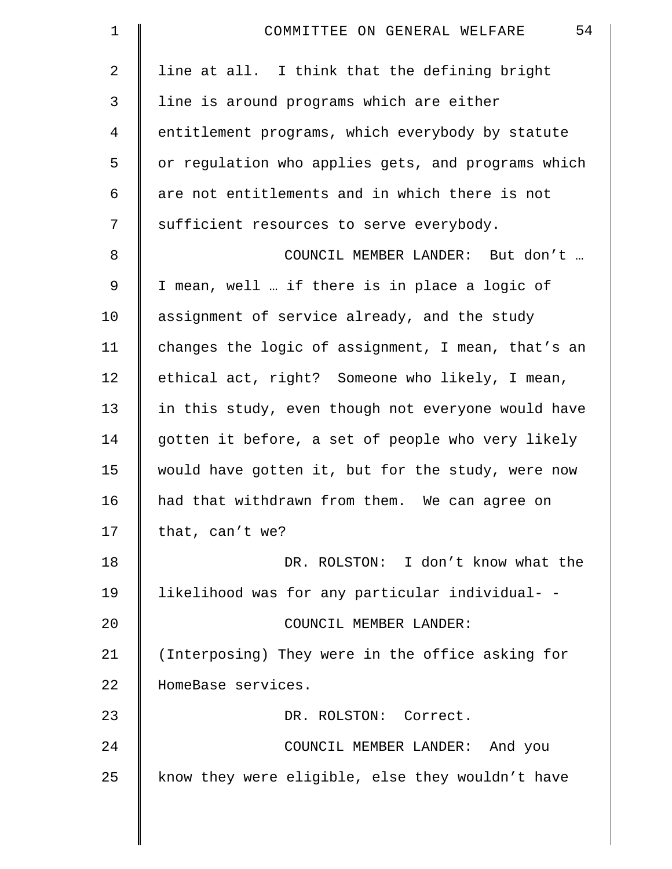| $\mathbf 1$ | 54<br>COMMITTEE ON GENERAL WELFARE                 |
|-------------|----------------------------------------------------|
| 2           | line at all. I think that the defining bright      |
| 3           | line is around programs which are either           |
| 4           | entitlement programs, which everybody by statute   |
| 5           | or regulation who applies gets, and programs which |
| 6           | are not entitlements and in which there is not     |
| 7           | sufficient resources to serve everybody.           |
| 8           | COUNCIL MEMBER LANDER: But don't                   |
| 9           | I mean, well  if there is in place a logic of      |
| 10          | assignment of service already, and the study       |
| 11          | changes the logic of assignment, I mean, that's an |
| 12          | ethical act, right? Someone who likely, I mean,    |
| 13          | in this study, even though not everyone would have |
| 14          | gotten it before, a set of people who very likely  |
| 15          | would have gotten it, but for the study, were now  |
| 16          | had that withdrawn from them. We can agree on      |
| 17          | that, can't we?                                    |
| 18          | DR. ROLSTON: I don't know what the                 |
| 19          | likelihood was for any particular individual- -    |
| 20          | COUNCIL MEMBER LANDER:                             |
| 21          | (Interposing) They were in the office asking for   |
| 22          | HomeBase services.                                 |
| 23          | DR. ROLSTON: Correct.                              |
| 24          | COUNCIL MEMBER LANDER: And you                     |
| 25          | know they were eligible, else they wouldn't have   |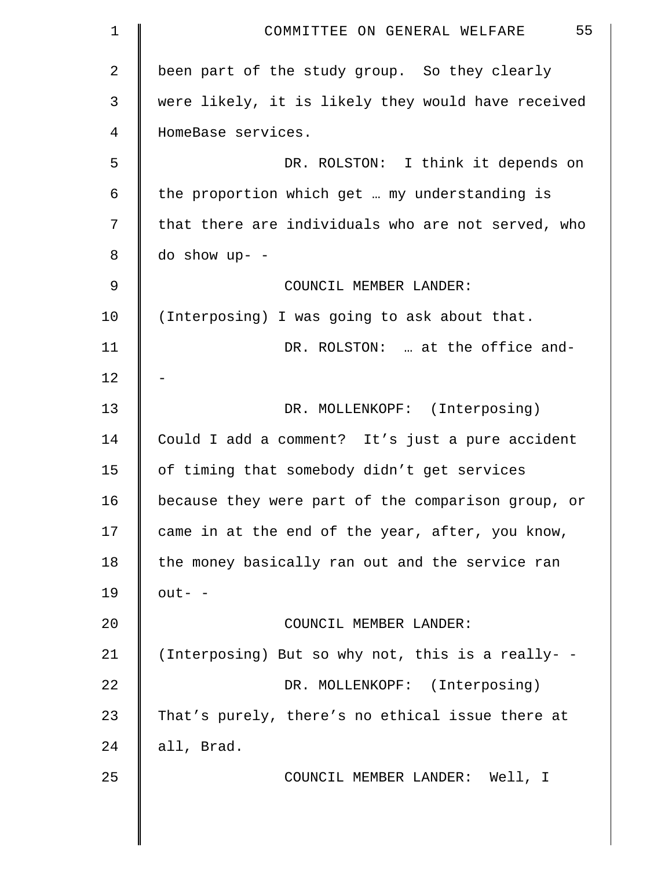| $\mathbf 1$    | 55<br>COMMITTEE ON GENERAL WELFARE                 |
|----------------|----------------------------------------------------|
| $\overline{2}$ | been part of the study group. So they clearly      |
| 3              | were likely, it is likely they would have received |
| 4              | HomeBase services.                                 |
| 5              | DR. ROLSTON: I think it depends on                 |
| 6              | the proportion which get  my understanding is      |
| 7              | that there are individuals who are not served, who |
| 8              | $do$ show up- -                                    |
| 9              | COUNCIL MEMBER LANDER:                             |
| 10             | (Interposing) I was going to ask about that.       |
| 11             | DR. ROLSTON:  at the office and-                   |
| 12             |                                                    |
| 13             | DR. MOLLENKOPF: (Interposing)                      |
| 14             | Could I add a comment? It's just a pure accident   |
| 15             | of timing that somebody didn't get services        |
| 16             | because they were part of the comparison group, or |
| 17             | came in at the end of the year, after, you know,   |
| 18             | the money basically ran out and the service ran    |
| 19             | $out-$ -                                           |
| 20             | COUNCIL MEMBER LANDER:                             |
| 21             | (Interposing) But so why not, this is a really- -  |
| 22             | DR. MOLLENKOPF: (Interposing)                      |
| 23             | That's purely, there's no ethical issue there at   |
| 24             | all, Brad.                                         |
| 25             | COUNCIL MEMBER LANDER: Well, I                     |
|                |                                                    |
|                |                                                    |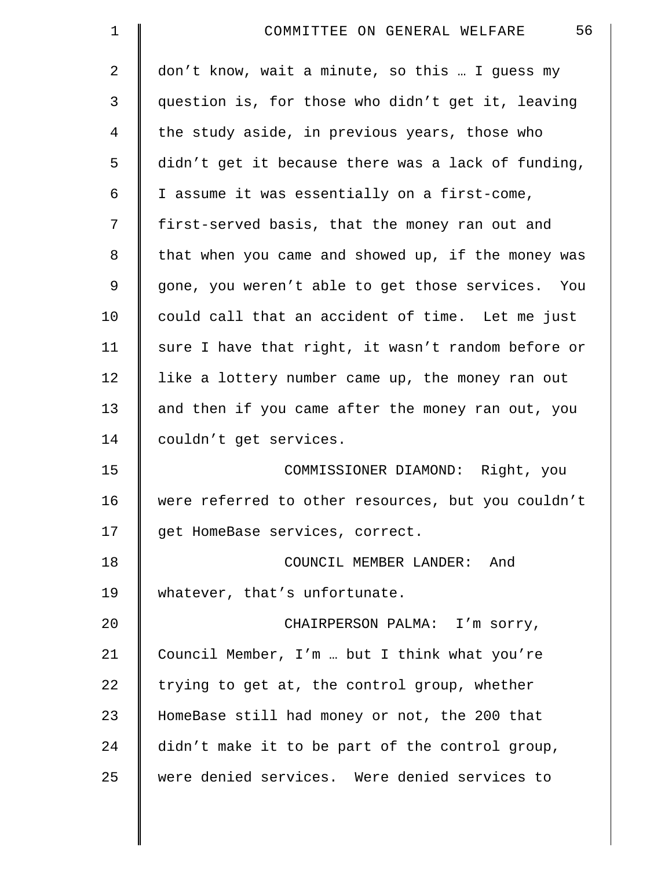| $\mathbf 1$ | 56<br>COMMITTEE ON GENERAL WELFARE                 |
|-------------|----------------------------------------------------|
| 2           | don't know, wait a minute, so this  I guess my     |
| 3           | question is, for those who didn't get it, leaving  |
| 4           | the study aside, in previous years, those who      |
| 5           | didn't get it because there was a lack of funding, |
| 6           | I assume it was essentially on a first-come,       |
| 7           | first-served basis, that the money ran out and     |
| 8           | that when you came and showed up, if the money was |
| 9           | gone, you weren't able to get those services. You  |
| 10          | could call that an accident of time. Let me just   |
| 11          | sure I have that right, it wasn't random before or |
| 12          | like a lottery number came up, the money ran out   |
| 13          | and then if you came after the money ran out, you  |
| 14          | couldn't get services.                             |
| 15          | COMMISSIONER DIAMOND: Right, you                   |
| 16          | were referred to other resources, but you couldn't |
| 17          | get HomeBase services, correct.                    |
| 18          | COUNCIL MEMBER LANDER:<br>And                      |
| 19          | whatever, that's unfortunate.                      |
| 20          | CHAIRPERSON PALMA: I'm sorry,                      |
| 21          | Council Member, I'm  but I think what you're       |
| 22          | trying to get at, the control group, whether       |
| 23          | HomeBase still had money or not, the 200 that      |
| 24          | didn't make it to be part of the control group,    |
| 25          | were denied services. Were denied services to      |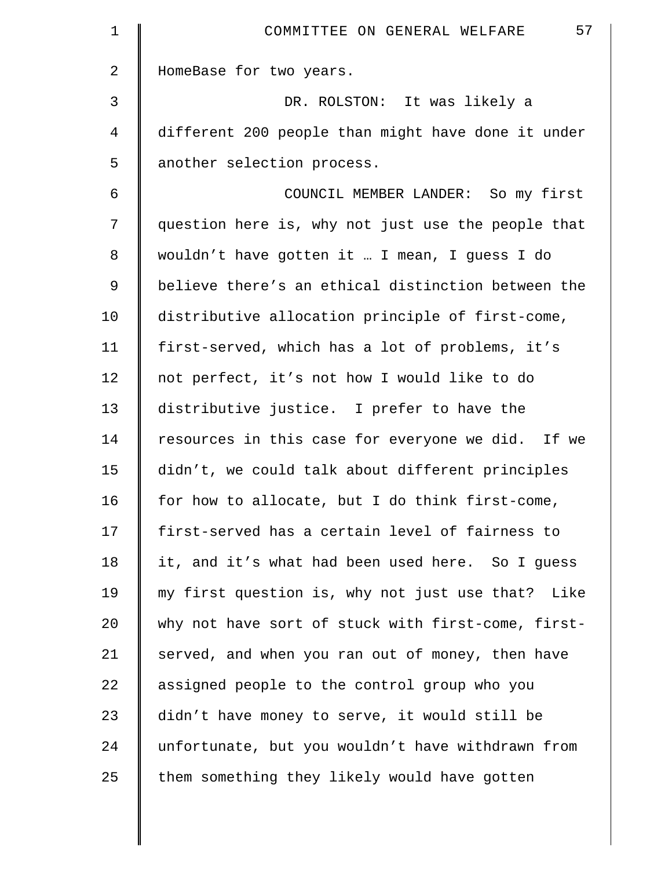| $\mathbf 1$    | 57<br>COMMITTEE ON GENERAL WELFARE                 |
|----------------|----------------------------------------------------|
| $\overline{a}$ | HomeBase for two years.                            |
| 3              | DR. ROLSTON: It was likely a                       |
| 4              | different 200 people than might have done it under |
| 5              | another selection process.                         |
| 6              | COUNCIL MEMBER LANDER: So my first                 |
| 7              | question here is, why not just use the people that |
| 8              | wouldn't have gotten it  I mean, I guess I do      |
| 9              | believe there's an ethical distinction between the |
| 10             | distributive allocation principle of first-come,   |
| 11             | first-served, which has a lot of problems, it's    |
| 12             | not perfect, it's not how I would like to do       |
| 13             | distributive justice. I prefer to have the         |
| 14             | resources in this case for everyone we did. If we  |
| 15             | didn't, we could talk about different principles   |
| 16             | for how to allocate, but I do think first-come,    |
| 17             | first-served has a certain level of fairness to    |
| 18             | it, and it's what had been used here. So I guess   |
| 19             | my first question is, why not just use that? Like  |
| 20             | why not have sort of stuck with first-come, first- |
| 21             | served, and when you ran out of money, then have   |
| 22             | assigned people to the control group who you       |
| 23             | didn't have money to serve, it would still be      |
| 24             | unfortunate, but you wouldn't have withdrawn from  |
| 25             | them something they likely would have gotten       |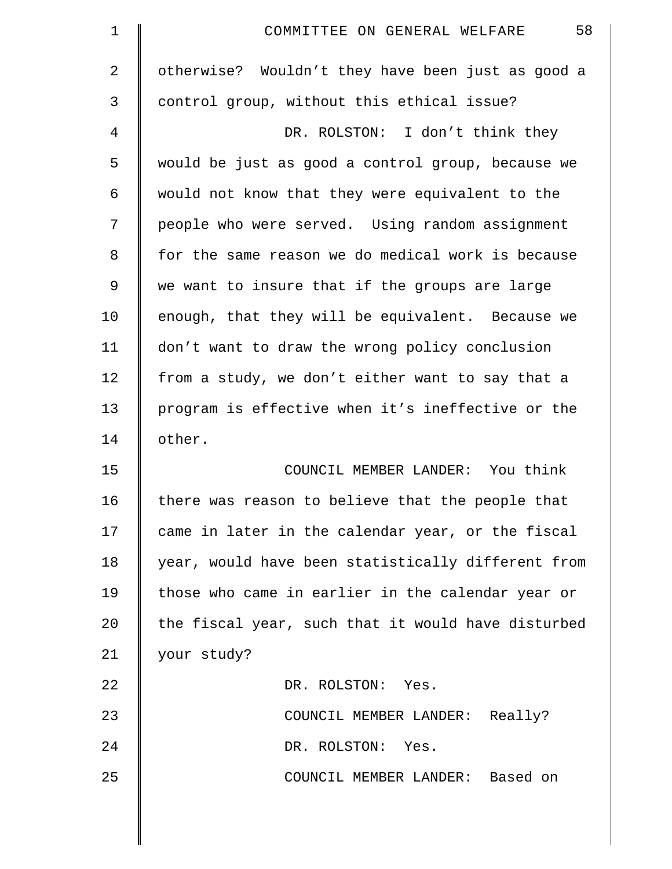| $\mathbf 1$    | 58<br>COMMITTEE ON GENERAL WELFARE                 |
|----------------|----------------------------------------------------|
| $\overline{2}$ | otherwise? Wouldn't they have been just as good a  |
| 3              | control group, without this ethical issue?         |
| 4              | DR. ROLSTON: I don't think they                    |
| 5              | would be just as good a control group, because we  |
| 6              | would not know that they were equivalent to the    |
| 7              | people who were served. Using random assignment    |
| 8              | for the same reason we do medical work is because  |
| 9              | we want to insure that if the groups are large     |
| 10             | enough, that they will be equivalent. Because we   |
| 11             | don't want to draw the wrong policy conclusion     |
| 12             | from a study, we don't either want to say that a   |
| 13             | program is effective when it's ineffective or the  |
| 14             | other.                                             |
| 15             | COUNCIL MEMBER LANDER: You think                   |
| 16             | there was reason to believe that the people that   |
| 17             | came in later in the calendar year, or the fiscal  |
| 18             | year, would have been statistically different from |
| 19             | those who came in earlier in the calendar year or  |
| 20             | the fiscal year, such that it would have disturbed |
| 21             | your study?                                        |
| 22             | DR. ROLSTON: Yes.                                  |
| 23             | COUNCIL MEMBER LANDER: Really?                     |
| 24             | DR. ROLSTON: Yes.                                  |
| 25             | COUNCIL MEMBER LANDER: Based on                    |
|                |                                                    |

 $\parallel$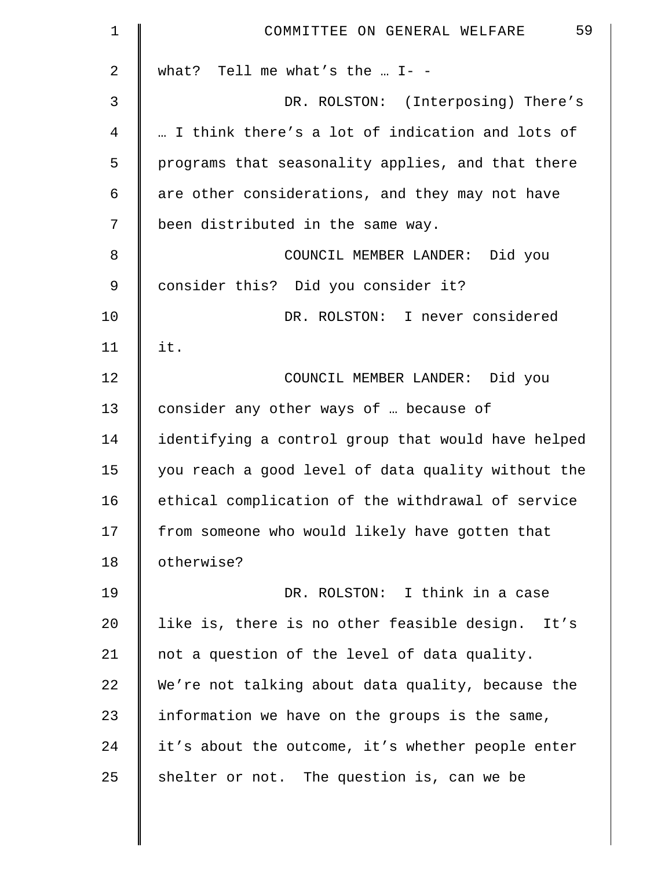| $\mathbf 1$ | 59<br>COMMITTEE ON GENERAL WELFARE                 |
|-------------|----------------------------------------------------|
| 2           | what? Tell me what's the $I -$                     |
| 3           | DR. ROLSTON: (Interposing) There's                 |
| 4           | I think there's a lot of indication and lots of    |
| 5           | programs that seasonality applies, and that there  |
| 6           | are other considerations, and they may not have    |
| 7           | been distributed in the same way.                  |
| 8           | COUNCIL MEMBER LANDER: Did you                     |
| 9           | consider this? Did you consider it?                |
| 10          | DR. ROLSTON: I never considered                    |
| 11          | it.                                                |
| 12          | COUNCIL MEMBER LANDER: Did you                     |
| 13          | consider any other ways of  because of             |
| 14          | identifying a control group that would have helped |
| 15          | you reach a good level of data quality without the |
| 16          | ethical complication of the withdrawal of service  |
| 17          | from someone who would likely have gotten that     |
| 18          | otherwise?                                         |
| 19          | DR. ROLSTON: I think in a case                     |
| 20          | like is, there is no other feasible design. It's   |
| 21          | not a question of the level of data quality.       |
| 22          | We're not talking about data quality, because the  |
| 23          | information we have on the groups is the same,     |
| 24          | it's about the outcome, it's whether people enter  |
| 25          | shelter or not. The question is, can we be         |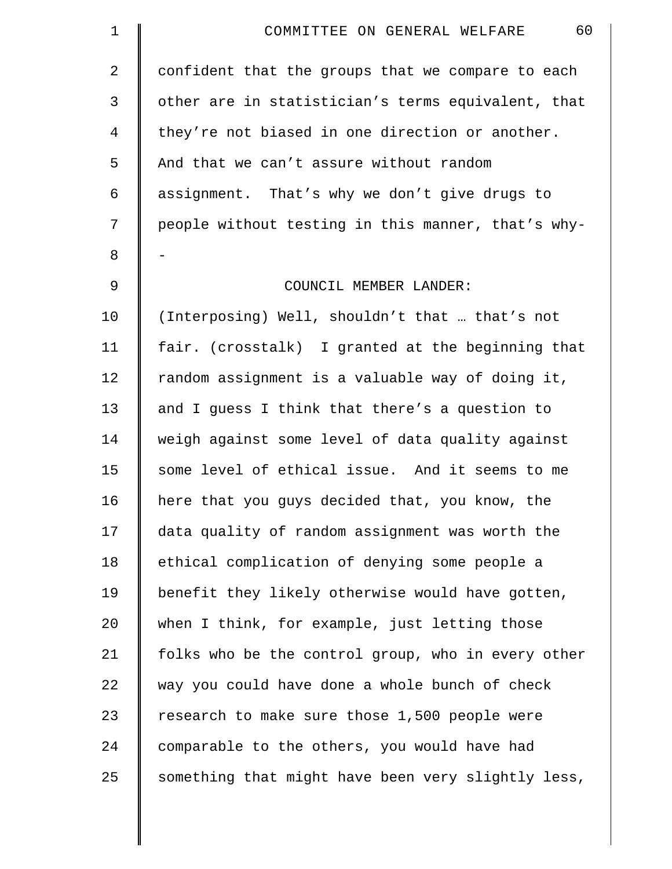| $\mathbf 1$    | 60<br>COMMITTEE ON GENERAL WELFARE                 |
|----------------|----------------------------------------------------|
| $\overline{2}$ | confident that the groups that we compare to each  |
| 3              | other are in statistician's terms equivalent, that |
| 4              | they're not biased in one direction or another.    |
| 5              | And that we can't assure without random            |
| 6              | assignment. That's why we don't give drugs to      |
| 7              | people without testing in this manner, that's why- |
| 8              |                                                    |
| $\mathsf 9$    | COUNCIL MEMBER LANDER:                             |
| 10             | (Interposing) Well, shouldn't that  that's not     |
| 11             | fair. (crosstalk) I granted at the beginning that  |
| 12             | random assignment is a valuable way of doing it,   |
| 13             | and I guess I think that there's a question to     |
| 14             | weigh against some level of data quality against   |
| 15             | some level of ethical issue. And it seems to me    |
| 16             | here that you guys decided that, you know, the     |
| 17             | data quality of random assignment was worth the    |
| 18             | ethical complication of denying some people a      |
| 19             | benefit they likely otherwise would have gotten,   |
| 20             | when I think, for example, just letting those      |
| 21             | folks who be the control group, who in every other |
| 22             | way you could have done a whole bunch of check     |
| 23             | research to make sure those 1,500 people were      |
| 24             | comparable to the others, you would have had       |
| 25             | something that might have been very slightly less, |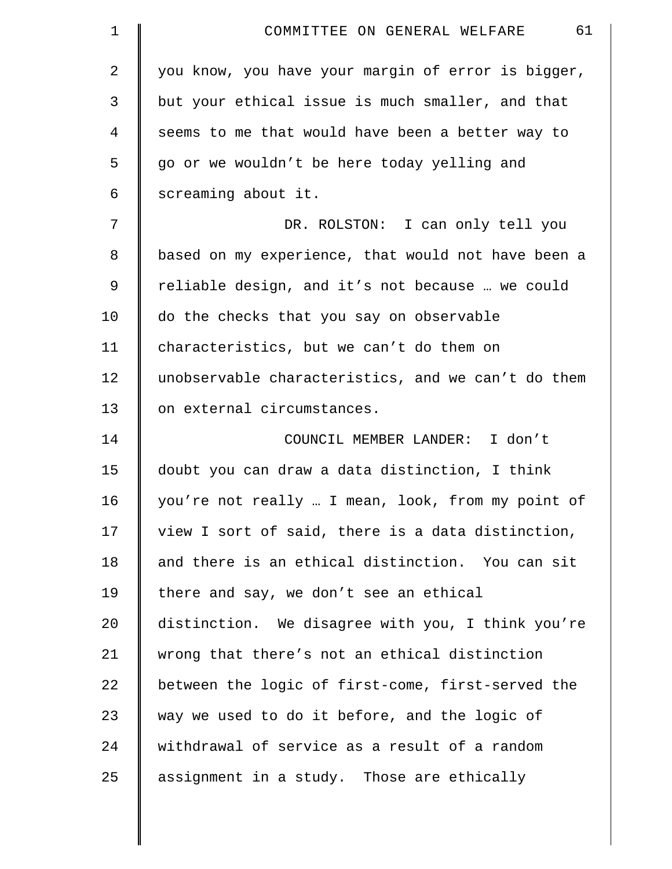| $\mathbf 1$ | 61<br>COMMITTEE ON GENERAL WELFARE                 |
|-------------|----------------------------------------------------|
| 2           | you know, you have your margin of error is bigger, |
| 3           | but your ethical issue is much smaller, and that   |
| 4           | seems to me that would have been a better way to   |
| 5           | go or we wouldn't be here today yelling and        |
| 6           | screaming about it.                                |
| 7           | DR. ROLSTON: I can only tell you                   |
| 8           | based on my experience, that would not have been a |
| 9           | reliable design, and it's not because  we could    |
| 10          | do the checks that you say on observable           |
| 11          | characteristics, but we can't do them on           |
| 12          | unobservable characteristics, and we can't do them |
| 13          | on external circumstances.                         |
| 14          | COUNCIL MEMBER LANDER: I don't                     |
| 15          | doubt you can draw a data distinction, I think     |
| 16          | you're not really  I mean, look, from my point of  |
| 17          | view I sort of said, there is a data distinction,  |
| 18          | and there is an ethical distinction. You can sit   |
| 19          | there and say, we don't see an ethical             |
| 20          | distinction. We disagree with you, I think you're  |
| 21          | wrong that there's not an ethical distinction      |
| 22          | between the logic of first-come, first-served the  |
| 23          | way we used to do it before, and the logic of      |
| 24          | withdrawal of service as a result of a random      |
| 25          | assignment in a study. Those are ethically         |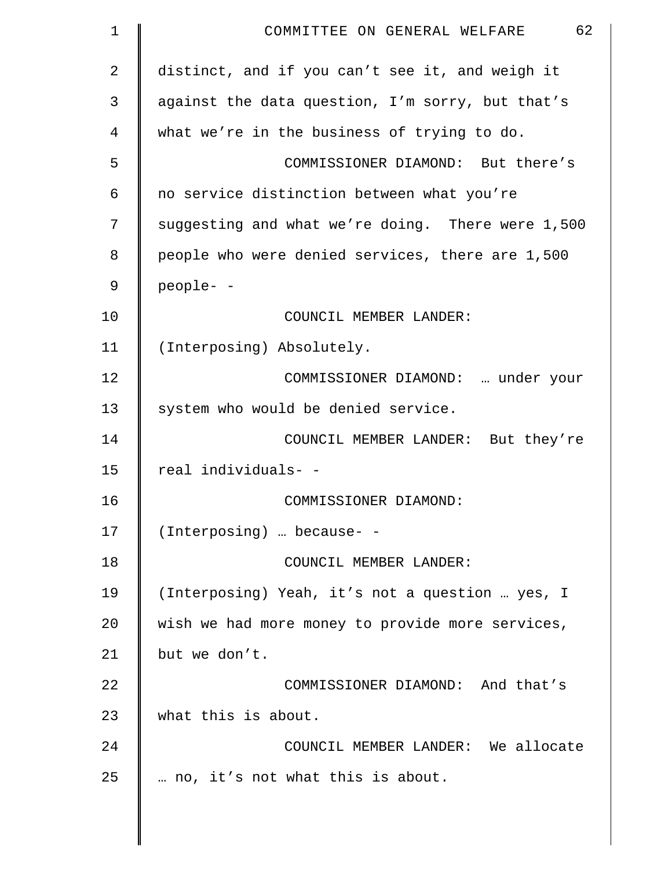| 1  | 62<br>COMMITTEE ON GENERAL WELFARE                |
|----|---------------------------------------------------|
| 2  | distinct, and if you can't see it, and weigh it   |
| 3  | against the data question, I'm sorry, but that's  |
| 4  | what we're in the business of trying to do.       |
| 5  | COMMISSIONER DIAMOND: But there's                 |
| 6  | no service distinction between what you're        |
| 7  | suggesting and what we're doing. There were 1,500 |
| 8  | people who were denied services, there are 1,500  |
| 9  | people- -                                         |
| 10 | COUNCIL MEMBER LANDER:                            |
| 11 | (Interposing) Absolutely.                         |
| 12 | COMMISSIONER DIAMOND:  under your                 |
| 13 | system who would be denied service.               |
| 14 | COUNCIL MEMBER LANDER: But they're                |
| 15 | real individuals- -                               |
| 16 | COMMISSIONER DIAMOND:                             |
| 17 | (Interposing)  because- -                         |
| 18 | COUNCIL MEMBER LANDER:                            |
| 19 | (Interposing) Yeah, it's not a question  yes, I   |
| 20 | wish we had more money to provide more services,  |
| 21 | but we don't.                                     |
| 22 | COMMISSIONER DIAMOND: And that's                  |
| 23 | what this is about.                               |
| 24 | COUNCIL MEMBER LANDER: We allocate                |
| 25 | no, it's not what this is about.                  |
|    |                                                   |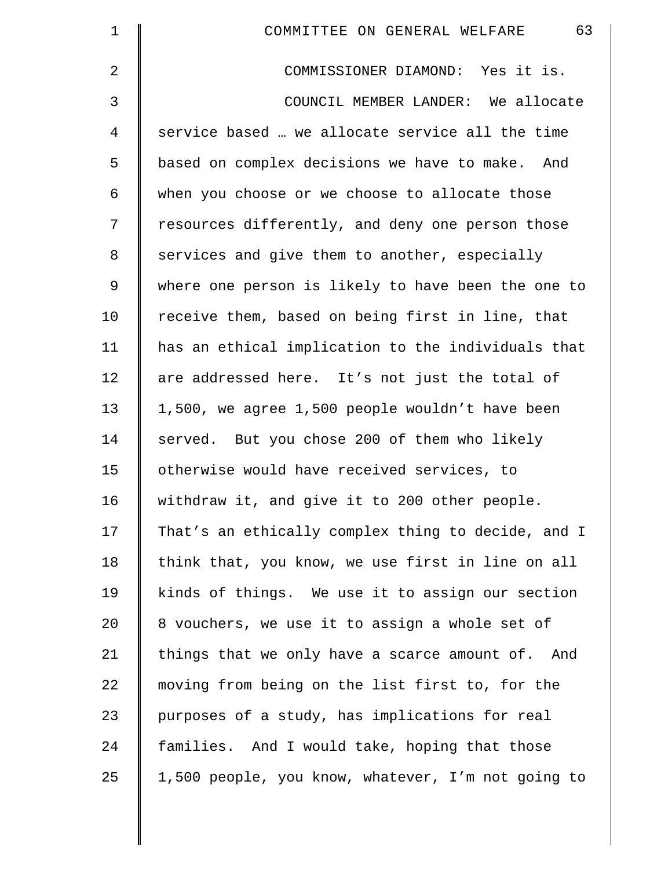| $\mathbf 1$    | 63<br>COMMITTEE ON GENERAL WELFARE                 |
|----------------|----------------------------------------------------|
| $\overline{2}$ | COMMISSIONER DIAMOND: Yes it is.                   |
| 3              | COUNCIL MEMBER LANDER: We allocate                 |
| $\overline{4}$ | service based  we allocate service all the time    |
| 5              | based on complex decisions we have to make. And    |
| 6              | when you choose or we choose to allocate those     |
| 7              | resources differently, and deny one person those   |
| 8              | services and give them to another, especially      |
| 9              | where one person is likely to have been the one to |
| 10             | receive them, based on being first in line, that   |
| 11             | has an ethical implication to the individuals that |
| 12             | are addressed here. It's not just the total of     |
| 13             | 1,500, we agree 1,500 people wouldn't have been    |
| 14             | served. But you chose 200 of them who likely       |
| 15             | otherwise would have received services, to         |
| 16             | withdraw it, and give it to 200 other people.      |
| 17             | That's an ethically complex thing to decide, and I |
| 18             | think that, you know, we use first in line on all  |
| 19             | kinds of things. We use it to assign our section   |
| 20             | 8 vouchers, we use it to assign a whole set of     |
| 21             | things that we only have a scarce amount of. And   |
| 22             | moving from being on the list first to, for the    |
| 23             | purposes of a study, has implications for real     |
| 24             | families. And I would take, hoping that those      |
| 25             | 1,500 people, you know, whatever, I'm not going to |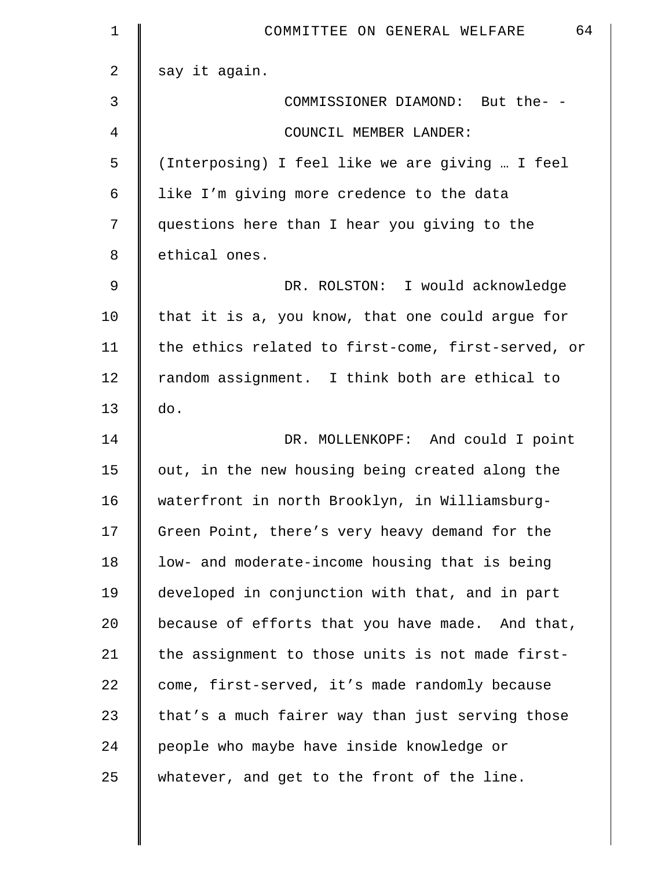| $\mathbf 1$    | 64<br>COMMITTEE ON GENERAL WELFARE                 |
|----------------|----------------------------------------------------|
| $\overline{2}$ | say it again.                                      |
| 3              | COMMISSIONER DIAMOND: But the- -                   |
| 4              | COUNCIL MEMBER LANDER:                             |
| 5              | (Interposing) I feel like we are giving  I feel    |
| 6              | like I'm giving more credence to the data          |
| 7              | questions here than I hear you giving to the       |
| 8              | ethical ones.                                      |
| 9              | DR. ROLSTON: I would acknowledge                   |
| 10             | that it is a, you know, that one could argue for   |
| 11             | the ethics related to first-come, first-served, or |
| 12             | random assignment. I think both are ethical to     |
| 13             | do.                                                |
| 14             | DR. MOLLENKOPF: And could I point                  |
| 15             | out, in the new housing being created along the    |
| 16             | waterfront in north Brooklyn, in Williamsburg-     |
| 17             | Green Point, there's very heavy demand for the     |
| 18             | low- and moderate-income housing that is being     |
| 19             | developed in conjunction with that, and in part    |
| 20             | because of efforts that you have made. And that,   |
| 21             | the assignment to those units is not made first-   |
| 22             | come, first-served, it's made randomly because     |
| 23             | that's a much fairer way than just serving those   |
| 24             | people who maybe have inside knowledge or          |
| 25             | whatever, and get to the front of the line.        |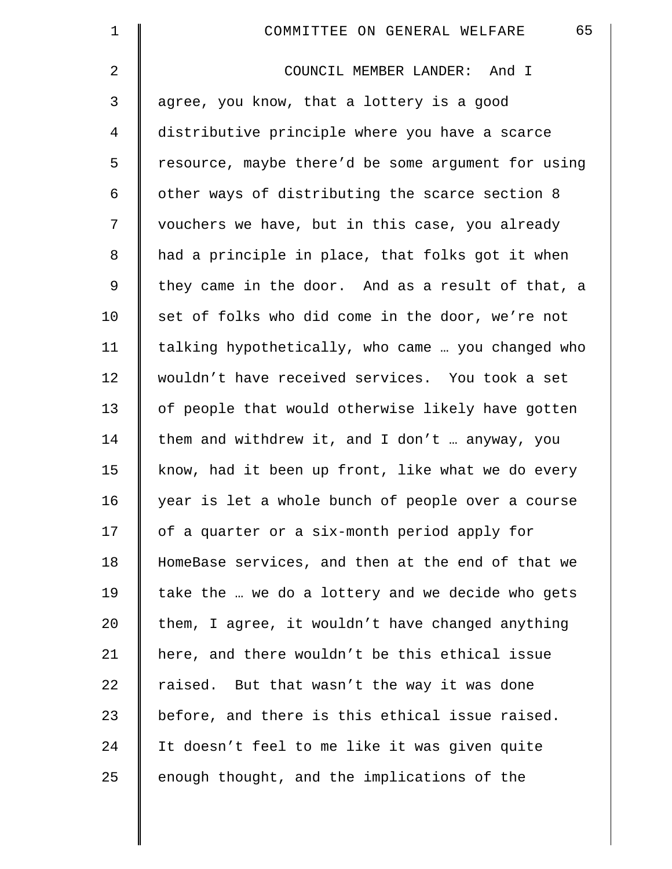| $\mathbf 1$    | 65<br>COMMITTEE ON GENERAL WELFARE                 |
|----------------|----------------------------------------------------|
| $\overline{a}$ | COUNCIL MEMBER LANDER: And I                       |
| 3              | agree, you know, that a lottery is a good          |
| $\overline{4}$ | distributive principle where you have a scarce     |
| 5              | resource, maybe there'd be some argument for using |
| 6              | other ways of distributing the scarce section 8    |
| 7              | vouchers we have, but in this case, you already    |
| 8              | had a principle in place, that folks got it when   |
| 9              | they came in the door. And as a result of that, a  |
| 10             | set of folks who did come in the door, we're not   |
| 11             | talking hypothetically, who came  you changed who  |
| 12             | wouldn't have received services. You took a set    |
| 13             | of people that would otherwise likely have gotten  |
| 14             | them and withdrew it, and I don't  anyway, you     |
| 15             | know, had it been up front, like what we do every  |
| 16             | year is let a whole bunch of people over a course  |
| 17             | of a quarter or a six-month period apply for       |
| 18             | HomeBase services, and then at the end of that we  |
| 19             | take the  we do a lottery and we decide who gets   |
| 20             | them, I agree, it wouldn't have changed anything   |
| 21             | here, and there wouldn't be this ethical issue     |
| 22             | raised. But that wasn't the way it was done        |
| 23             | before, and there is this ethical issue raised.    |
| 24             | It doesn't feel to me like it was given quite      |
| 25             | enough thought, and the implications of the        |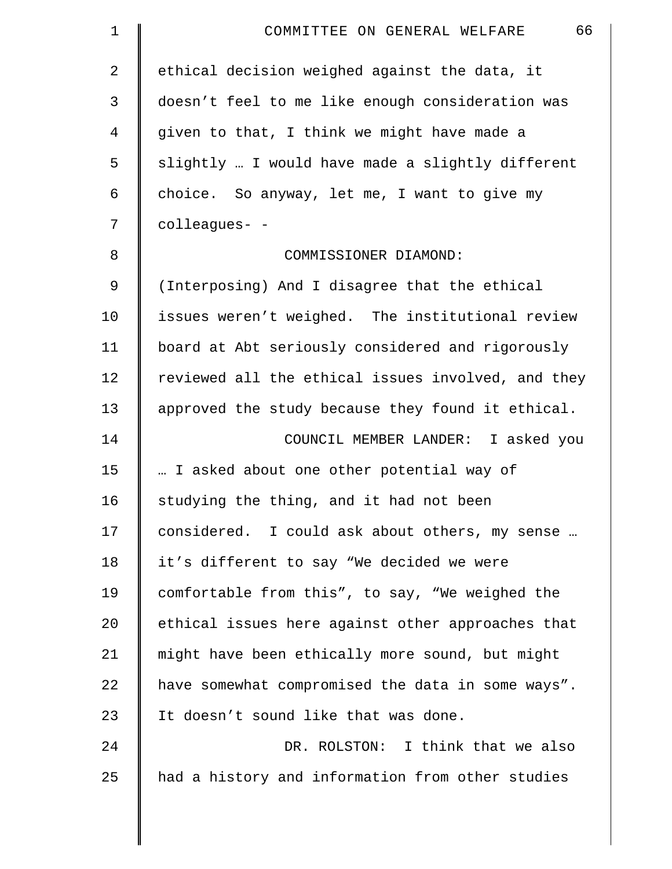| $\mathbf{1}$   | 66<br>COMMITTEE ON GENERAL WELFARE                 |
|----------------|----------------------------------------------------|
| $\overline{2}$ | ethical decision weighed against the data, it      |
| 3              | doesn't feel to me like enough consideration was   |
| 4              | given to that, I think we might have made a        |
| 5              | slightly  I would have made a slightly different   |
| 6              | choice. So anyway, let me, I want to give my       |
| 7              | colleagues- -                                      |
| 8              | COMMISSIONER DIAMOND:                              |
| $\mathsf 9$    | (Interposing) And I disagree that the ethical      |
| 10             | issues weren't weighed. The institutional review   |
| 11             | board at Abt seriously considered and rigorously   |
| 12             | reviewed all the ethical issues involved, and they |
| 13             | approved the study because they found it ethical.  |
| 14             | COUNCIL MEMBER LANDER: I asked you                 |
| 15             | I asked about one other potential way of           |
| 16             | studying the thing, and it had not been            |
| 17             | considered. I could ask about others, my sense     |
| 18             | it's different to say "We decided we were          |
| 19             | comfortable from this", to say, "We weighed the    |
| 20             | ethical issues here against other approaches that  |
| 21             | might have been ethically more sound, but might    |
| 22             | have somewhat compromised the data in some ways".  |
| 23             | It doesn't sound like that was done.               |
| 24             | DR. ROLSTON: I think that we also                  |
| 25             | had a history and information from other studies   |
|                |                                                    |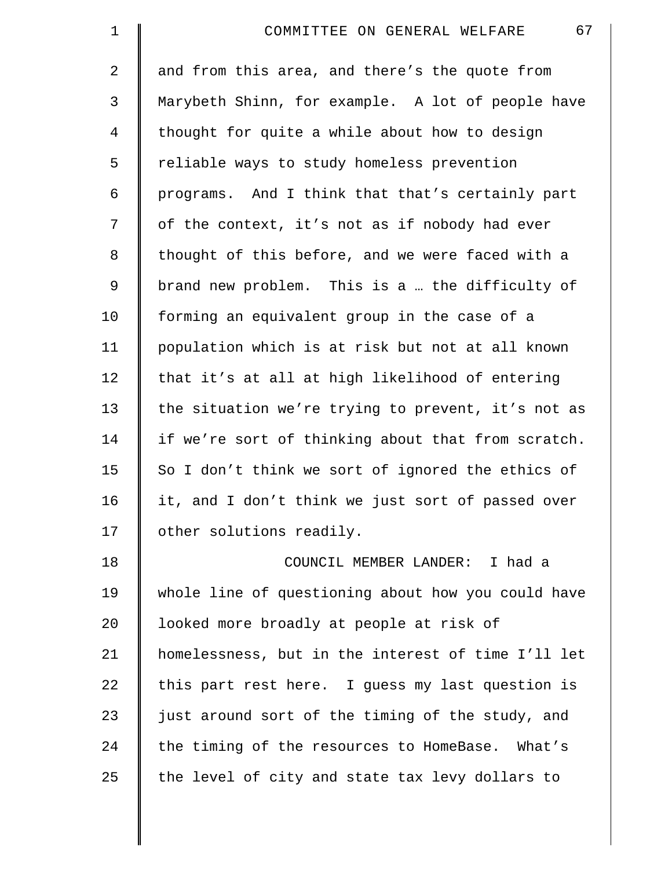| $\mathbf 1$ | 67<br>COMMITTEE ON GENERAL WELFARE                 |
|-------------|----------------------------------------------------|
| 2           | and from this area, and there's the quote from     |
| 3           | Marybeth Shinn, for example. A lot of people have  |
| 4           | thought for quite a while about how to design      |
| 5           | reliable ways to study homeless prevention         |
| 6           | programs. And I think that that's certainly part   |
| 7           | of the context, it's not as if nobody had ever     |
| 8           | thought of this before, and we were faced with a   |
| 9           | brand new problem. This is a  the difficulty of    |
| 10          | forming an equivalent group in the case of a       |
| 11          | population which is at risk but not at all known   |
| 12          | that it's at all at high likelihood of entering    |
| 13          | the situation we're trying to prevent, it's not as |
| 14          | if we're sort of thinking about that from scratch. |
| 15          | So I don't think we sort of ignored the ethics of  |
| 16          | it, and I don't think we just sort of passed over  |
| 17          | other solutions readily.                           |
| 18          | COUNCIL MEMBER LANDER: I had a                     |
| 19          | whole line of questioning about how you could have |
| 20          | looked more broadly at people at risk of           |
| 21          | homelessness, but in the interest of time I'll let |
| 22          | this part rest here. I guess my last question is   |
| 23          | just around sort of the timing of the study, and   |
| 24          | the timing of the resources to HomeBase. What's    |
| 25          | the level of city and state tax levy dollars to    |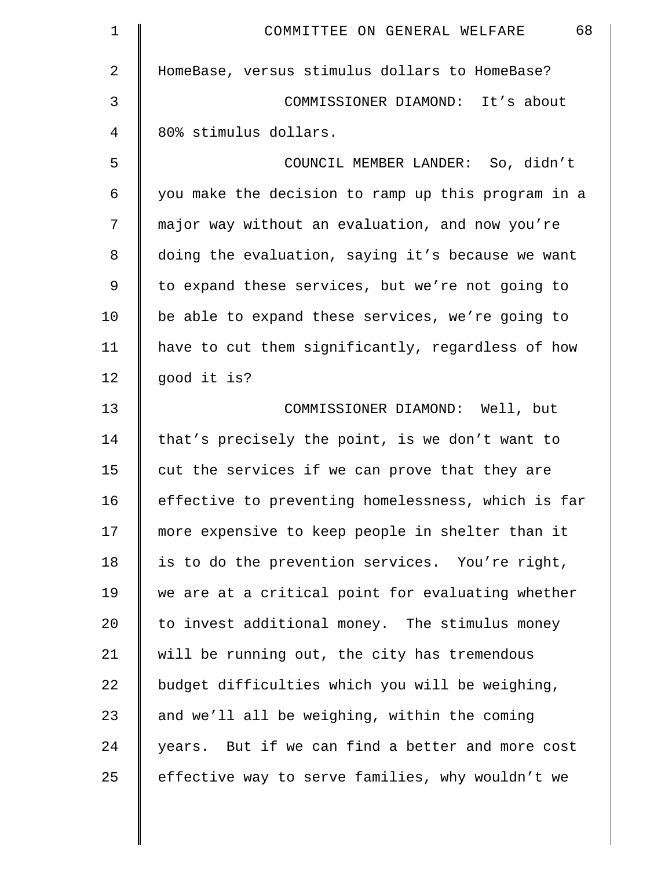| 1              | 68<br>COMMITTEE ON GENERAL WELFARE                 |
|----------------|----------------------------------------------------|
| $\overline{2}$ | HomeBase, versus stimulus dollars to HomeBase?     |
| 3              | COMMISSIONER DIAMOND: It's about                   |
| 4              | 80% stimulus dollars.                              |
| 5              | COUNCIL MEMBER LANDER: So, didn't                  |
| 6              | you make the decision to ramp up this program in a |
| 7              | major way without an evaluation, and now you're    |
| 8              | doing the evaluation, saying it's because we want  |
| 9              | to expand these services, but we're not going to   |
| 10             | be able to expand these services, we're going to   |
| 11             | have to cut them significantly, regardless of how  |
| 12             | good it is?                                        |
| 13             | COMMISSIONER DIAMOND: Well, but                    |
| 14             | that's precisely the point, is we don't want to    |
| 15             | cut the services if we can prove that they are     |
| 16             | effective to preventing homelessness, which is far |
| 17             | more expensive to keep people in shelter than it   |
| 18             | is to do the prevention services. You're right,    |
| 19             | we are at a critical point for evaluating whether  |
| 20             | to invest additional money. The stimulus money     |
| 21             | will be running out, the city has tremendous       |
| 22             | budget difficulties which you will be weighing,    |
| 23             | and we'll all be weighing, within the coming       |
| 24             | years. But if we can find a better and more cost   |
| 25             | effective way to serve families, why wouldn't we   |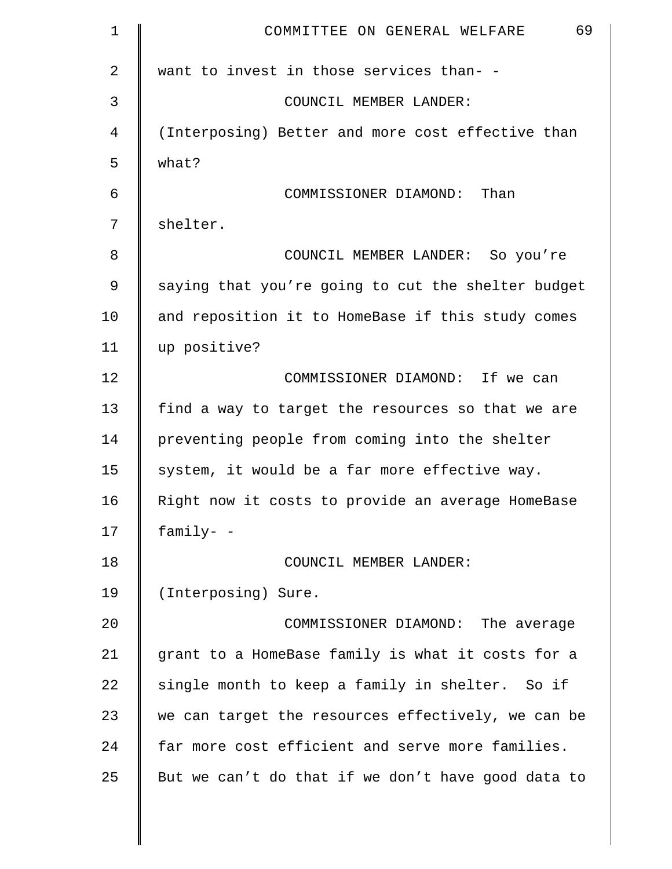| $\mathbf 1$    | 69<br>COMMITTEE ON GENERAL WELFARE                 |
|----------------|----------------------------------------------------|
| $\overline{2}$ | want to invest in those services than- -           |
| 3              | COUNCIL MEMBER LANDER:                             |
| 4              | (Interposing) Better and more cost effective than  |
| 5              | what?                                              |
| 6              | COMMISSIONER DIAMOND: Than                         |
| 7              | shelter.                                           |
| 8              | COUNCIL MEMBER LANDER: So you're                   |
| 9              | saying that you're going to cut the shelter budget |
| 10             | and reposition it to HomeBase if this study comes  |
| 11             | up positive?                                       |
| 12             | COMMISSIONER DIAMOND: If we can                    |
| 13             | find a way to target the resources so that we are  |
| 14             | preventing people from coming into the shelter     |
| 15             | system, it would be a far more effective way.      |
| 16             | Right now it costs to provide an average HomeBase  |
| 17             | family- -                                          |
| 18             | COUNCIL MEMBER LANDER:                             |
| 19             | (Interposing) Sure.                                |
| 20             | COMMISSIONER DIAMOND: The average                  |
| 21             | grant to a HomeBase family is what it costs for a  |
| 22             | single month to keep a family in shelter. So if    |
| 23             | we can target the resources effectively, we can be |
| 24             | far more cost efficient and serve more families.   |
| 25             | But we can't do that if we don't have good data to |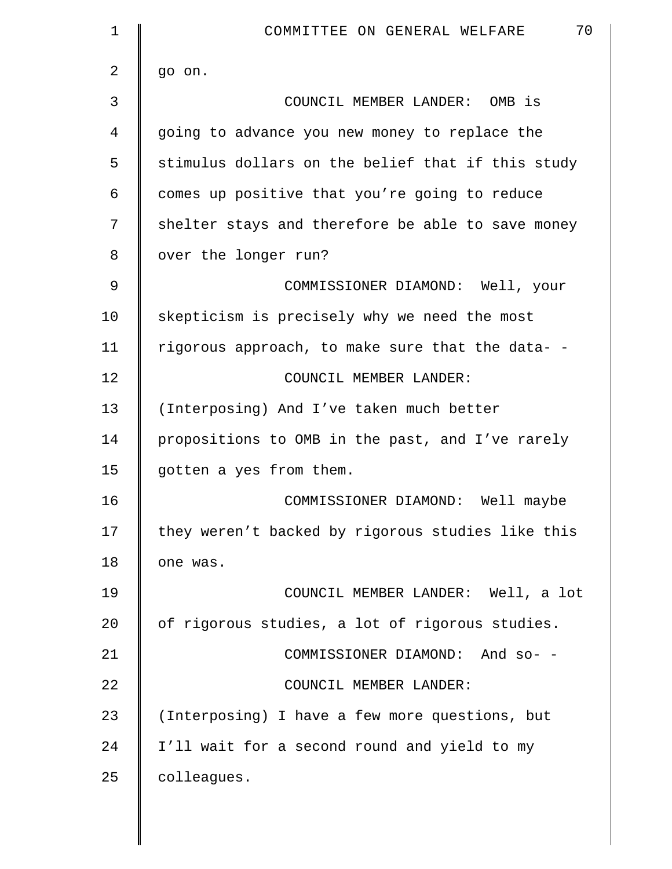| $\mathbf 1$    | 70<br>COMMITTEE ON GENERAL WELFARE                |
|----------------|---------------------------------------------------|
| $\overline{a}$ | go on.                                            |
| 3              | COUNCIL MEMBER LANDER: OMB is                     |
| 4              | going to advance you new money to replace the     |
| 5              | stimulus dollars on the belief that if this study |
| 6              | comes up positive that you're going to reduce     |
| 7              | shelter stays and therefore be able to save money |
| 8              | over the longer run?                              |
| 9              | COMMISSIONER DIAMOND: Well, your                  |
| 10             | skepticism is precisely why we need the most      |
| 11             | rigorous approach, to make sure that the data- -  |
| 12             | COUNCIL MEMBER LANDER:                            |
| 13             | (Interposing) And I've taken much better          |
| 14             | propositions to OMB in the past, and I've rarely  |
| 15             | gotten a yes from them.                           |
| 16             | COMMISSIONER DIAMOND: Well maybe                  |
| 17             | they weren't backed by rigorous studies like this |
| 18             | one was.                                          |
| 19             | COUNCIL MEMBER LANDER: Well, a lot                |
| 20             | of rigorous studies, a lot of rigorous studies.   |
| 21             | COMMISSIONER DIAMOND: And so- -                   |
| 22             | COUNCIL MEMBER LANDER:                            |
| 23             | (Interposing) I have a few more questions, but    |
| 24             | I'll wait for a second round and yield to my      |
| 25             | colleagues.                                       |
|                |                                                   |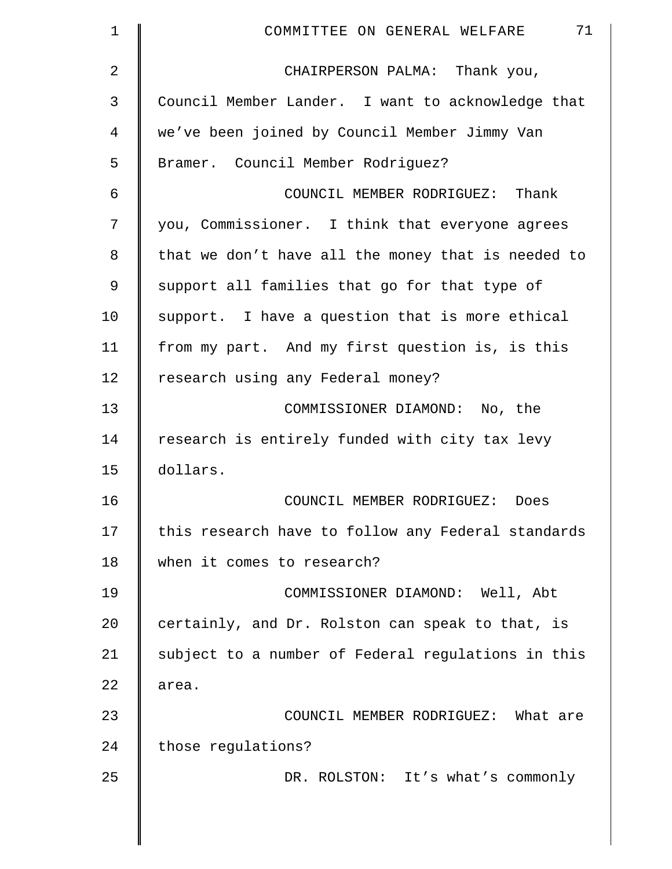| 1  | 71<br>COMMITTEE ON GENERAL WELFARE                 |
|----|----------------------------------------------------|
| 2  | CHAIRPERSON PALMA: Thank you,                      |
| 3  | Council Member Lander. I want to acknowledge that  |
| 4  | we've been joined by Council Member Jimmy Van      |
| 5  | Bramer. Council Member Rodriguez?                  |
| 6  | COUNCIL MEMBER RODRIGUEZ: Thank                    |
| 7  | you, Commissioner. I think that everyone agrees    |
| 8  | that we don't have all the money that is needed to |
| 9  | support all families that go for that type of      |
| 10 | support. I have a question that is more ethical    |
| 11 | from my part. And my first question is, is this    |
| 12 | research using any Federal money?                  |
| 13 | COMMISSIONER DIAMOND: No, the                      |
| 14 | research is entirely funded with city tax levy     |
| 15 | dollars.                                           |
| 16 | COUNCIL MEMBER RODRIGUEZ:<br>Does                  |
| 17 | this research have to follow any Federal standards |
| 18 | when it comes to research?                         |
| 19 | COMMISSIONER DIAMOND: Well, Abt                    |
| 20 | certainly, and Dr. Rolston can speak to that, is   |
| 21 | subject to a number of Federal regulations in this |
| 22 | area.                                              |
| 23 | COUNCIL MEMBER RODRIGUEZ: What are                 |
| 24 | those regulations?                                 |
| 25 | DR. ROLSTON: It's what's commonly                  |
|    |                                                    |
|    |                                                    |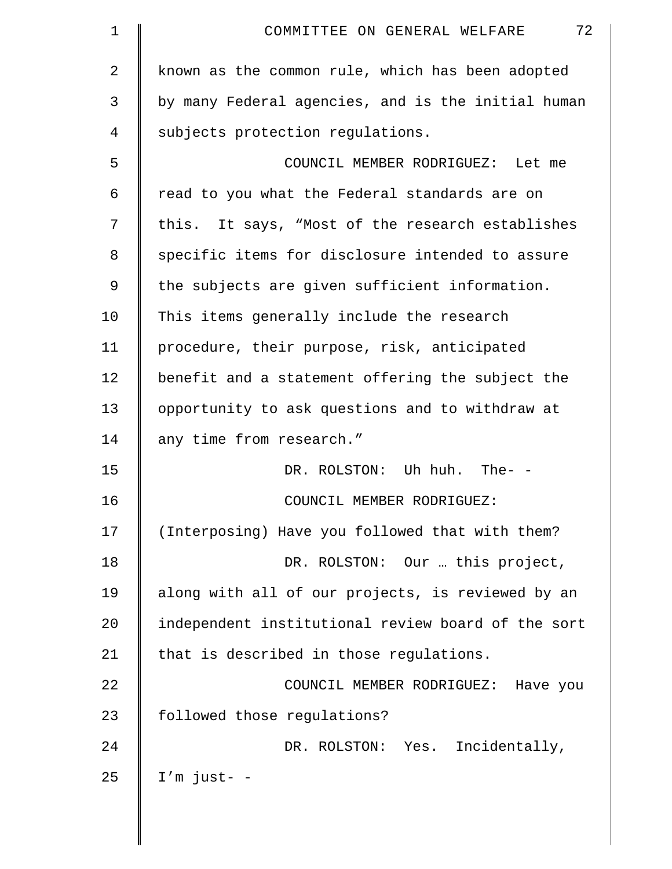| 1  | 72<br>COMMITTEE ON GENERAL WELFARE                 |
|----|----------------------------------------------------|
| 2  | known as the common rule, which has been adopted   |
| 3  | by many Federal agencies, and is the initial human |
| 4  | subjects protection regulations.                   |
| 5  | COUNCIL MEMBER RODRIGUEZ: Let me                   |
| 6  | read to you what the Federal standards are on      |
| 7  | this. It says, "Most of the research establishes   |
| 8  | specific items for disclosure intended to assure   |
| 9  | the subjects are given sufficient information.     |
| 10 | This items generally include the research          |
| 11 | procedure, their purpose, risk, anticipated        |
| 12 | benefit and a statement offering the subject the   |
| 13 | opportunity to ask questions and to withdraw at    |
| 14 | any time from research."                           |
| 15 | DR. ROLSTON: Uh huh. The- -                        |
| 16 | COUNCIL MEMBER RODRIGUEZ:                          |
| 17 | (Interposing) Have you followed that with them?    |
| 18 | DR. ROLSTON: Our  this project,                    |
| 19 | along with all of our projects, is reviewed by an  |
| 20 | independent institutional review board of the sort |
| 21 | that is described in those regulations.            |
| 22 | COUNCIL MEMBER RODRIGUEZ: Have you                 |
| 23 | followed those regulations?                        |
| 24 | Incidentally,<br>DR. ROLSTON: Yes.                 |
| 25 | $I'm$ just- -                                      |
|    |                                                    |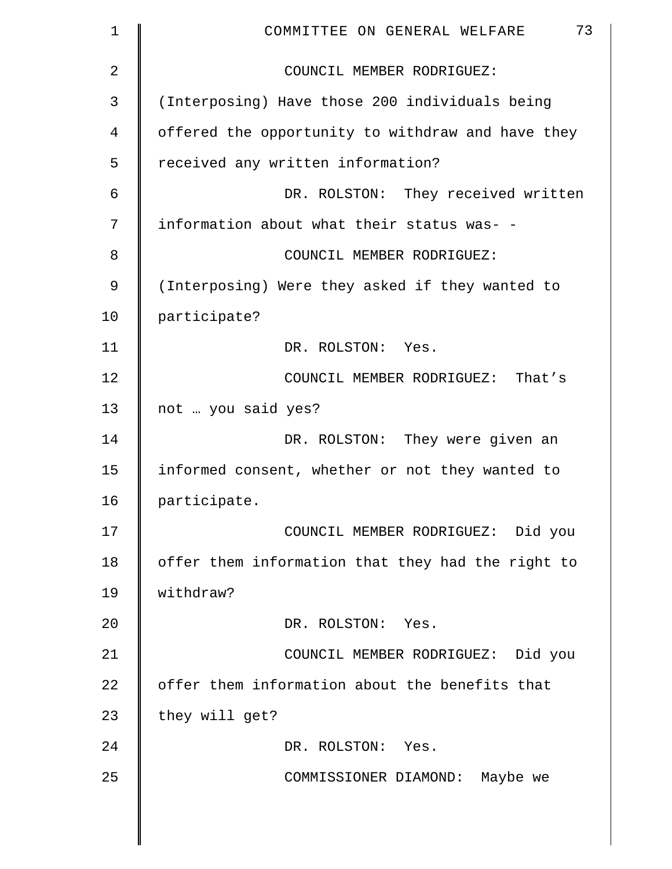| $\mathbf 1$ | 73<br>COMMITTEE ON GENERAL WELFARE                |
|-------------|---------------------------------------------------|
| 2           | COUNCIL MEMBER RODRIGUEZ:                         |
| 3           | (Interposing) Have those 200 individuals being    |
| 4           | offered the opportunity to withdraw and have they |
| 5           | received any written information?                 |
| 6           | DR. ROLSTON: They received written                |
| 7           | information about what their status was- -        |
| 8           | COUNCIL MEMBER RODRIGUEZ:                         |
| 9           | (Interposing) Were they asked if they wanted to   |
| 10          | participate?                                      |
| 11          | DR. ROLSTON: Yes.                                 |
| 12          | COUNCIL MEMBER RODRIGUEZ: That's                  |
| 13          | not  you said yes?                                |
| 14          | DR. ROLSTON: They were given an                   |
| 15          | informed consent, whether or not they wanted to   |
| 16          | participate.                                      |
| 17          | COUNCIL MEMBER RODRIGUEZ: Did you                 |
| 18          | offer them information that they had the right to |
| 19          | withdraw?                                         |
| 20          | DR. ROLSTON: Yes.                                 |
| 21          | COUNCIL MEMBER RODRIGUEZ: Did you                 |
| 22          | offer them information about the benefits that    |
| 23          | they will get?                                    |
| 24          | DR. ROLSTON: Yes.                                 |
| 25          | COMMISSIONER DIAMOND: Maybe we                    |
|             |                                                   |
|             |                                                   |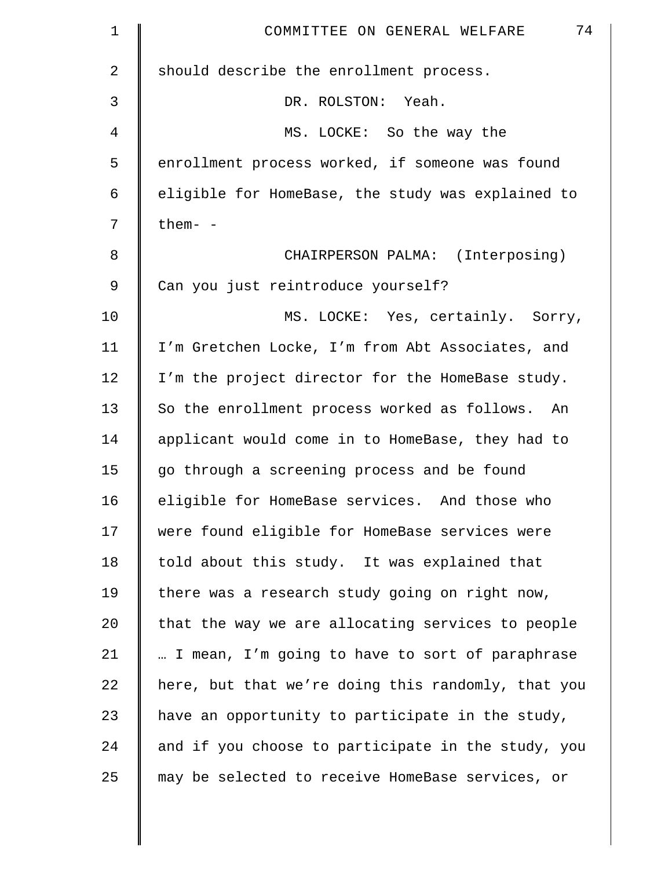| $\mathbf 1$ | 74<br>COMMITTEE ON GENERAL WELFARE                 |
|-------------|----------------------------------------------------|
| 2           | should describe the enrollment process.            |
| 3           | DR. ROLSTON: Yeah.                                 |
| 4           | MS. LOCKE: So the way the                          |
| 5           | enrollment process worked, if someone was found    |
| 6           | eligible for HomeBase, the study was explained to  |
| 7           | them- -                                            |
| 8           | CHAIRPERSON PALMA: (Interposing)                   |
| 9           | Can you just reintroduce yourself?                 |
| 10          | MS. LOCKE: Yes, certainly. Sorry,                  |
| 11          | I'm Gretchen Locke, I'm from Abt Associates, and   |
| 12          | I'm the project director for the HomeBase study.   |
| 13          | So the enrollment process worked as follows. An    |
| 14          | applicant would come in to HomeBase, they had to   |
| 15          | go through a screening process and be found        |
| 16          | eligible for HomeBase services. And those who      |
| 17          | were found eligible for HomeBase services were     |
| 18          | told about this study. It was explained that       |
| 19          | there was a research study going on right now,     |
| 20          | that the way we are allocating services to people  |
| 21          | I mean, I'm going to have to sort of paraphrase    |
| 22          | here, but that we're doing this randomly, that you |
| 23          | have an opportunity to participate in the study,   |
| 24          | and if you choose to participate in the study, you |
| 25          | may be selected to receive HomeBase services, or   |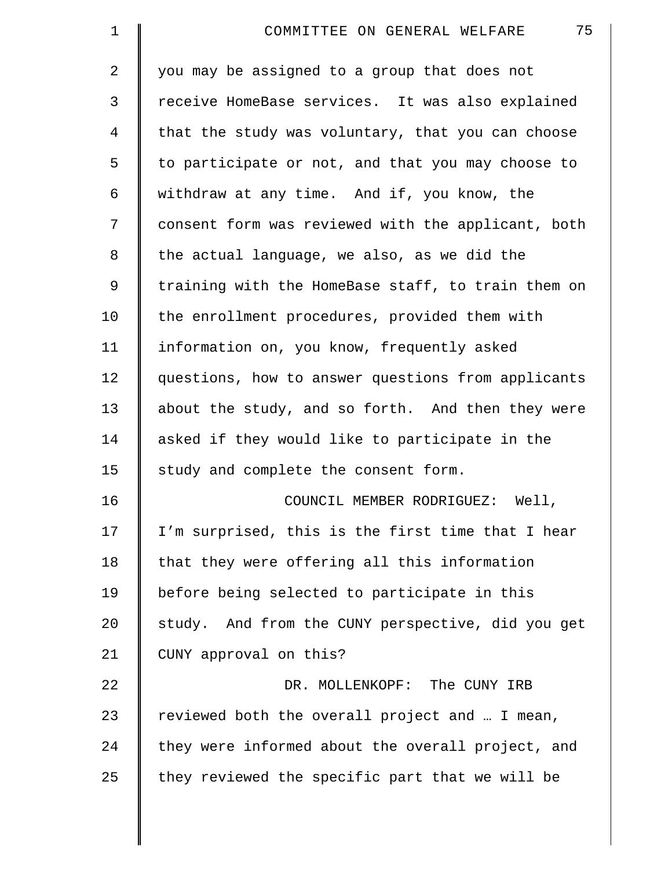| $\mathbf 1$    | 75<br>COMMITTEE ON GENERAL WELFARE                 |
|----------------|----------------------------------------------------|
| $\overline{a}$ | you may be assigned to a group that does not       |
| 3              | receive HomeBase services. It was also explained   |
| 4              | that the study was voluntary, that you can choose  |
| 5              | to participate or not, and that you may choose to  |
| 6              | withdraw at any time. And if, you know, the        |
| 7              | consent form was reviewed with the applicant, both |
| 8              | the actual language, we also, as we did the        |
| 9              | training with the HomeBase staff, to train them on |
| 10             | the enrollment procedures, provided them with      |
| 11             | information on, you know, frequently asked         |
| 12             | questions, how to answer questions from applicants |
| 13             | about the study, and so forth. And then they were  |
| 14             | asked if they would like to participate in the     |
| 15             | study and complete the consent form.               |
| 16             | COUNCIL MEMBER RODRIGUEZ: Well,                    |
| 17             | I'm surprised, this is the first time that I hear  |
| 18             | that they were offering all this information       |
| 19             | before being selected to participate in this       |
| 20             | study. And from the CUNY perspective, did you get  |
| 21             | CUNY approval on this?                             |
| 22             | DR. MOLLENKOPF: The CUNY IRB                       |
| 23             | reviewed both the overall project and  I mean,     |
| 24             | they were informed about the overall project, and  |
| 25             | they reviewed the specific part that we will be    |
|                |                                                    |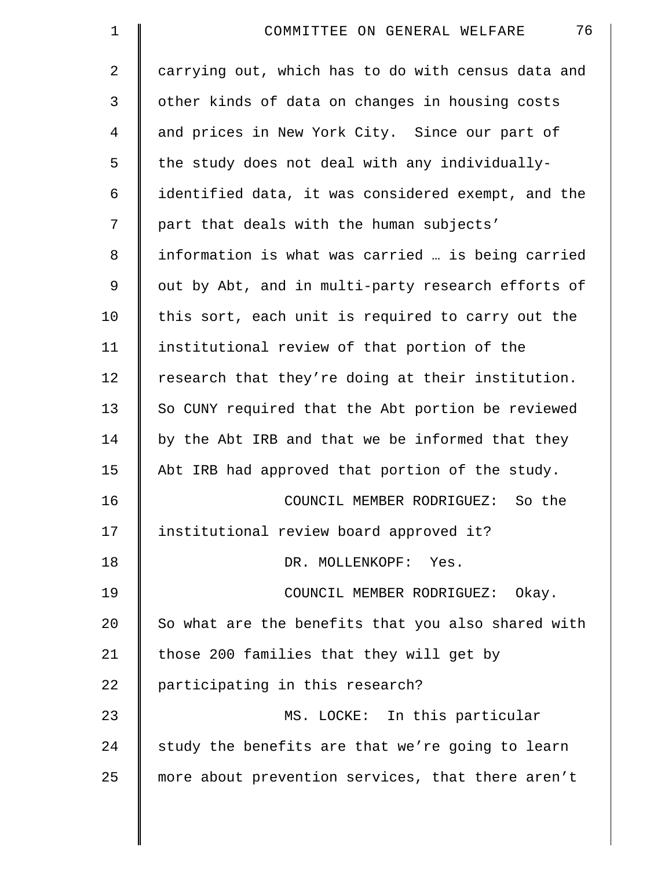| $\mathbf 1$    | 76<br>COMMITTEE ON GENERAL WELFARE                 |
|----------------|----------------------------------------------------|
| $\overline{2}$ | carrying out, which has to do with census data and |
| 3              | other kinds of data on changes in housing costs    |
| 4              | and prices in New York City. Since our part of     |
| 5              | the study does not deal with any individually-     |
| 6              | identified data, it was considered exempt, and the |
| 7              | part that deals with the human subjects'           |
| 8              | information is what was carried  is being carried  |
| 9              | out by Abt, and in multi-party research efforts of |
| 10             | this sort, each unit is required to carry out the  |
| 11             | institutional review of that portion of the        |
| 12             | research that they're doing at their institution.  |
| 13             | So CUNY required that the Abt portion be reviewed  |
| 14             | by the Abt IRB and that we be informed that they   |
| 15             | Abt IRB had approved that portion of the study.    |
| 16             | COUNCIL MEMBER RODRIGUEZ: So the                   |
| 17             | institutional review board approved it?            |
| 18             | DR. MOLLENKOPF: Yes.                               |
| 19             | COUNCIL MEMBER RODRIGUEZ:<br>Okay.                 |
| 20             | So what are the benefits that you also shared with |
| 21             | those 200 families that they will get by           |
| 22             | participating in this research?                    |
| 23             | MS. LOCKE: In this particular                      |
| 24             | study the benefits are that we're going to learn   |
| 25             | more about prevention services, that there aren't  |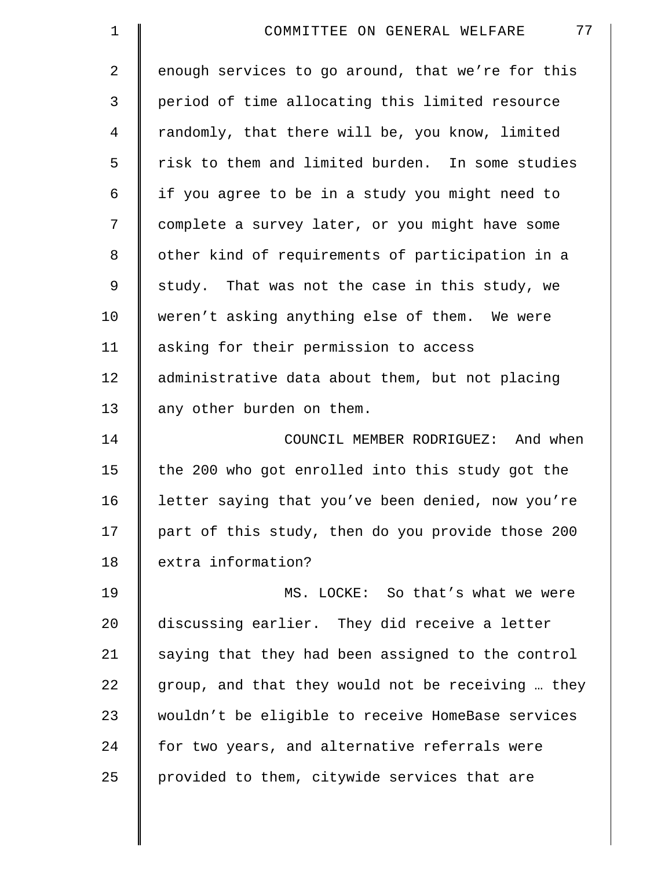| $\mathbf 1$ | 77<br>COMMITTEE ON GENERAL WELFARE                |
|-------------|---------------------------------------------------|
| 2           | enough services to go around, that we're for this |
| 3           | period of time allocating this limited resource   |
| 4           | randomly, that there will be, you know, limited   |
| 5           | risk to them and limited burden. In some studies  |
| 6           | if you agree to be in a study you might need to   |
| 7           | complete a survey later, or you might have some   |
| 8           | other kind of requirements of participation in a  |
| $\mathsf 9$ | study. That was not the case in this study, we    |
| 10          | weren't asking anything else of them. We were     |
| 11          | asking for their permission to access             |
| 12          | administrative data about them, but not placing   |
| 13          | any other burden on them.                         |
| 14          | COUNCIL MEMBER RODRIGUEZ: And when                |
| 15          | the 200 who got enrolled into this study got the  |
| 16          | letter saying that you've been denied, now you're |
| 17          | part of this study, then do you provide those 200 |
| 18          | extra information?                                |
| 19          | MS. LOCKE: So that's what we were                 |
| 20          | discussing earlier. They did receive a letter     |
| 21          | saying that they had been assigned to the control |
| 22          | group, and that they would not be receiving  they |
| 23          | wouldn't be eligible to receive HomeBase services |
| 24          | for two years, and alternative referrals were     |
| 25          | provided to them, citywide services that are      |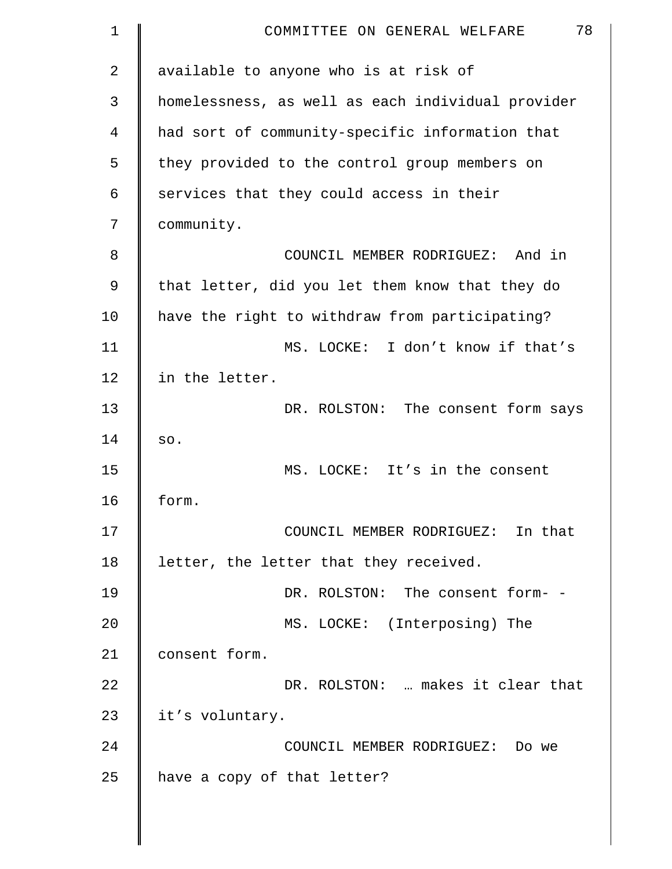| $\mathbf 1$    | 78<br>COMMITTEE ON GENERAL WELFARE                |
|----------------|---------------------------------------------------|
| $\overline{a}$ | available to anyone who is at risk of             |
| 3              | homelessness, as well as each individual provider |
| 4              | had sort of community-specific information that   |
| 5              | they provided to the control group members on     |
| 6              | services that they could access in their          |
| 7              | community.                                        |
| 8              | COUNCIL MEMBER RODRIGUEZ: And in                  |
| 9              | that letter, did you let them know that they do   |
| 10             | have the right to withdraw from participating?    |
| 11             | MS. LOCKE: I don't know if that's                 |
| 12             | in the letter.                                    |
| 13             | DR. ROLSTON: The consent form says                |
| 14             | SO.                                               |
| 15             | MS. LOCKE: It's in the consent                    |
| 16             | form.                                             |
| 17             | COUNCIL MEMBER RODRIGUEZ: In that                 |
| 18             | letter, the letter that they received.            |
| 19             | DR. ROLSTON: The consent form- -                  |
| 20             | MS. LOCKE: (Interposing) The                      |
| 21             | consent form.                                     |
| 22             | DR. ROLSTON:  makes it clear that                 |
| 23             | it's voluntary.                                   |
| 24             | COUNCIL MEMBER RODRIGUEZ: Do we                   |
| 25             | have a copy of that letter?                       |
|                |                                                   |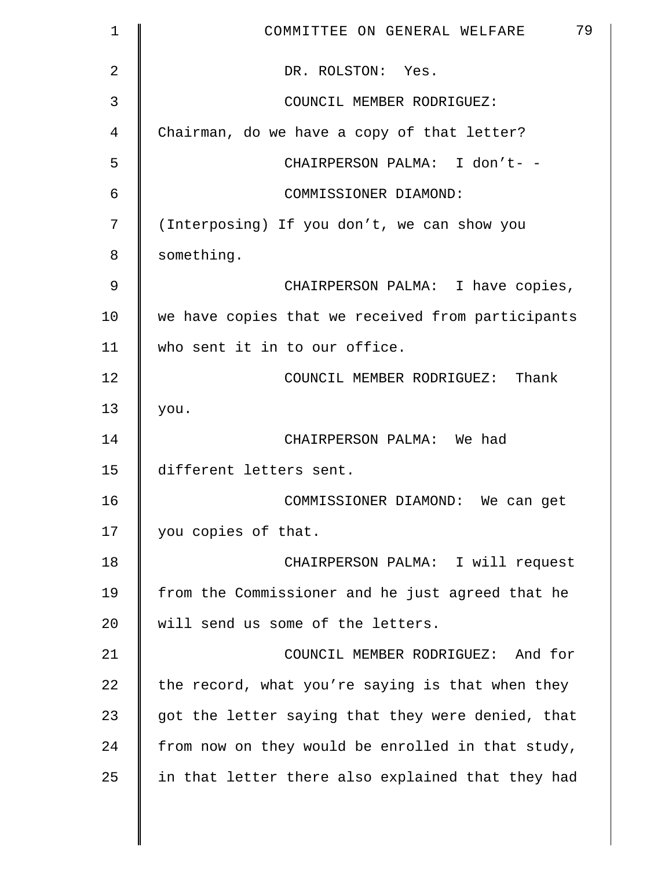| 1             | 79<br>COMMITTEE ON GENERAL WELFARE                |
|---------------|---------------------------------------------------|
| 2             | DR. ROLSTON: Yes.                                 |
| 3             | COUNCIL MEMBER RODRIGUEZ:                         |
| 4             | Chairman, do we have a copy of that letter?       |
| 5             | CHAIRPERSON PALMA: I don't- -                     |
| 6             | COMMISSIONER DIAMOND:                             |
| 7             | (Interposing) If you don't, we can show you       |
| 8             | something.                                        |
| $\mathcal{G}$ | CHAIRPERSON PALMA: I have copies,                 |
| 10            | we have copies that we received from participants |
| 11            | who sent it in to our office.                     |
| 12            | COUNCIL MEMBER RODRIGUEZ: Thank                   |
| 13            | you.                                              |
| 14            | CHAIRPERSON PALMA: We had                         |
| 15            | different letters sent.                           |
| 16            | COMMISSIONER DIAMOND: We can get                  |
| 17            | you copies of that.                               |
| 18            | CHAIRPERSON PALMA: I will request                 |
| 19            | from the Commissioner and he just agreed that he  |
| 20            | will send us some of the letters.                 |
| 21            | COUNCIL MEMBER RODRIGUEZ: And for                 |
| 22            | the record, what you're saying is that when they  |
| 23            | got the letter saying that they were denied, that |
| 24            | from now on they would be enrolled in that study, |
| 25            | in that letter there also explained that they had |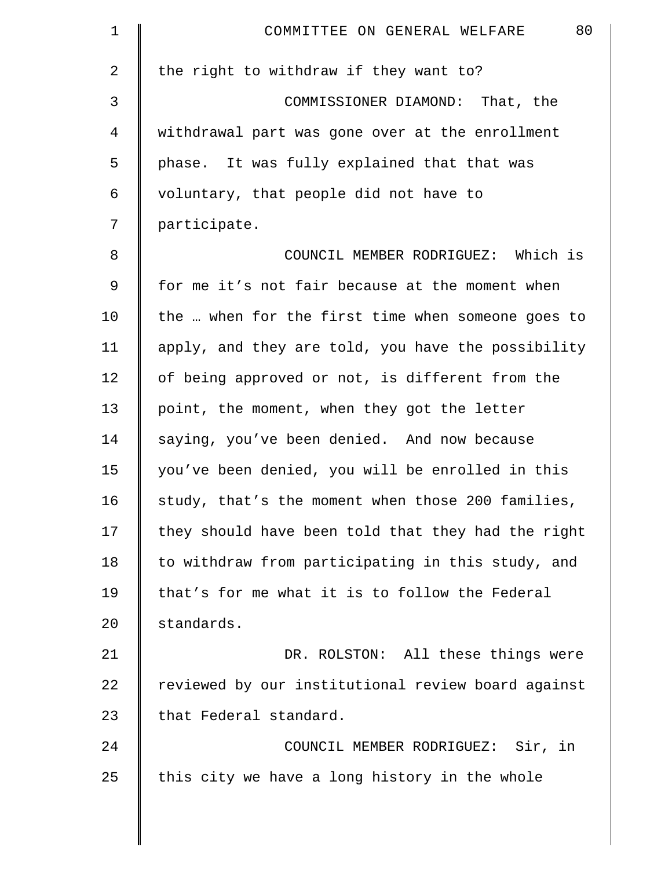| $\mathbf 1$ | 80<br>COMMITTEE ON GENERAL WELFARE                 |
|-------------|----------------------------------------------------|
| 2           | the right to withdraw if they want to?             |
| 3           | COMMISSIONER DIAMOND: That, the                    |
| 4           | withdrawal part was gone over at the enrollment    |
| 5           | phase. It was fully explained that that was        |
| 6           | voluntary, that people did not have to             |
| 7           | participate.                                       |
| $\,8\,$     | COUNCIL MEMBER RODRIGUEZ: Which is                 |
| 9           | for me it's not fair because at the moment when    |
| 10          | the  when for the first time when someone goes to  |
| 11          | apply, and they are told, you have the possibility |
| 12          | of being approved or not, is different from the    |
| 13          | point, the moment, when they got the letter        |
| 14          | saying, you've been denied. And now because        |
| 15          | you've been denied, you will be enrolled in this   |
| 16          | study, that's the moment when those 200 families,  |
| 17          | they should have been told that they had the right |
| 18          | to withdraw from participating in this study, and  |
| 19          | that's for me what it is to follow the Federal     |
| 20          | standards.                                         |
| 21          | DR. ROLSTON: All these things were                 |
| 22          | reviewed by our institutional review board against |
| 23          | that Federal standard.                             |
| 24          | COUNCIL MEMBER RODRIGUEZ: Sir, in                  |
| 25          | this city we have a long history in the whole      |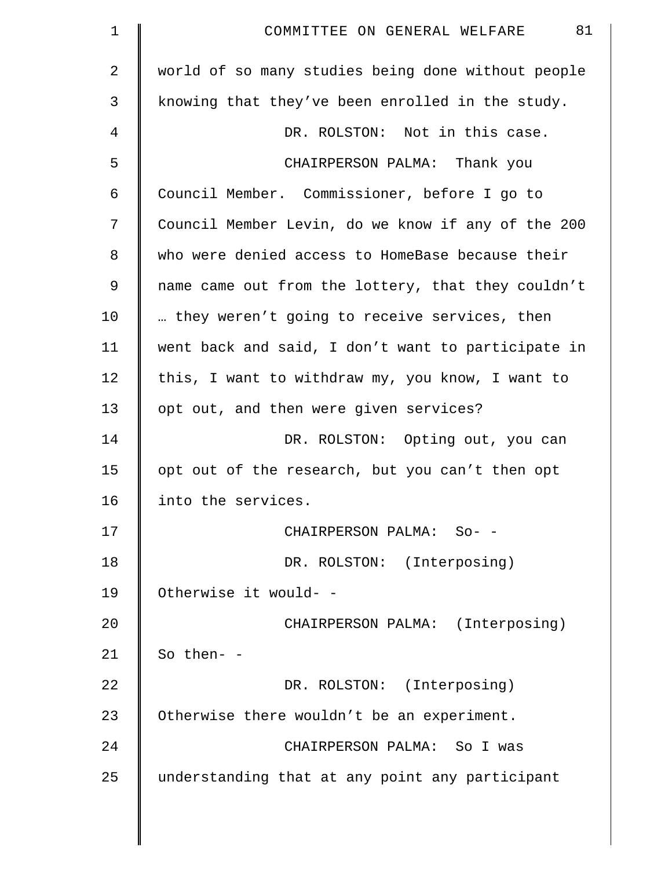| $\mathbf 1$ | 81<br>COMMITTEE ON GENERAL WELFARE                 |
|-------------|----------------------------------------------------|
| 2           | world of so many studies being done without people |
| 3           | knowing that they've been enrolled in the study.   |
| 4           | DR. ROLSTON: Not in this case.                     |
| 5           | CHAIRPERSON PALMA: Thank you                       |
| 6           | Council Member. Commissioner, before I go to       |
| 7           | Council Member Levin, do we know if any of the 200 |
| 8           | who were denied access to HomeBase because their   |
| 9           | name came out from the lottery, that they couldn't |
| 10          | they weren't going to receive services, then       |
| 11          | went back and said, I don't want to participate in |
| 12          | this, I want to withdraw my, you know, I want to   |
| 13          | opt out, and then were given services?             |
| 14          | DR. ROLSTON: Opting out, you can                   |
| 15          | opt out of the research, but you can't then opt    |
| 16          | into the services.                                 |
| 17          | CHAIRPERSON PALMA: So- -                           |
| 18          | DR. ROLSTON: (Interposing)                         |
| 19          | Otherwise it would- -                              |
| 20          | CHAIRPERSON PALMA: (Interposing)                   |
| 21          | So then- -                                         |
| 22          | DR. ROLSTON: (Interposing)                         |
| 23          | Otherwise there wouldn't be an experiment.         |
| 24          | CHAIRPERSON PALMA: So I was                        |
| 25          | understanding that at any point any participant    |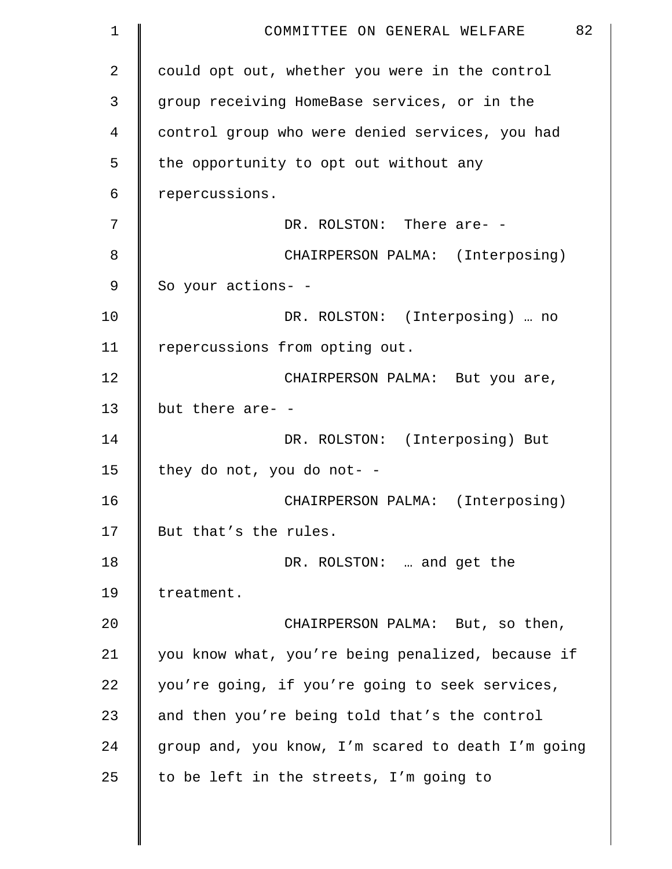| 1  | 82<br>COMMITTEE ON GENERAL WELFARE                 |
|----|----------------------------------------------------|
| 2  | could opt out, whether you were in the control     |
| 3  | group receiving HomeBase services, or in the       |
| 4  | control group who were denied services, you had    |
| 5  | the opportunity to opt out without any             |
| 6  | repercussions.                                     |
| 7  | DR. ROLSTON: There are- -                          |
| 8  | CHAIRPERSON PALMA: (Interposing)                   |
| 9  | So your actions- -                                 |
| 10 | DR. ROLSTON: (Interposing)  no                     |
| 11 | repercussions from opting out.                     |
| 12 | CHAIRPERSON PALMA: But you are,                    |
| 13 | but there are- -                                   |
| 14 | DR. ROLSTON: (Interposing) But                     |
| 15 | they do not, you do not- -                         |
| 16 | CHAIRPERSON PALMA: (Interposing)                   |
| 17 | But that's the rules.                              |
| 18 | DR. ROLSTON:  and get the                          |
| 19 | treatment.                                         |
| 20 | CHAIRPERSON PALMA: But, so then,                   |
| 21 | you know what, you're being penalized, because if  |
| 22 | you're going, if you're going to seek services,    |
| 23 | and then you're being told that's the control      |
| 24 | group and, you know, I'm scared to death I'm going |
| 25 | to be left in the streets, I'm going to            |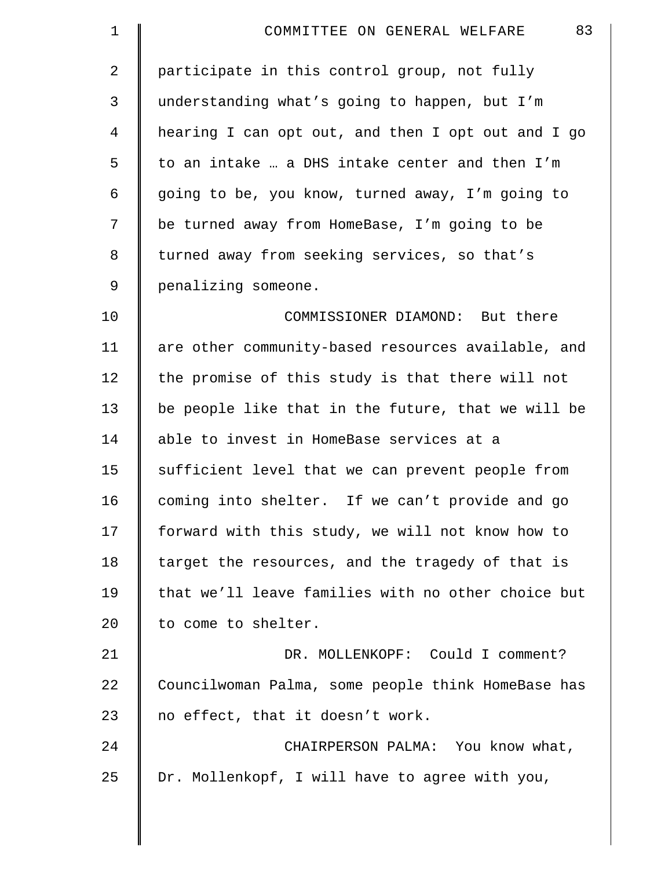| $\mathbf 1$    | 83<br>COMMITTEE ON GENERAL WELFARE                 |
|----------------|----------------------------------------------------|
| 2              | participate in this control group, not fully       |
| $\mathfrak{Z}$ | understanding what's going to happen, but I'm      |
| 4              | hearing I can opt out, and then I opt out and I go |
| 5              | to an intake  a DHS intake center and then I'm     |
| 6              | going to be, you know, turned away, I'm going to   |
| 7              | be turned away from HomeBase, I'm going to be      |
| 8              | turned away from seeking services, so that's       |
| $\mathsf 9$    | penalizing someone.                                |
| 10             | COMMISSIONER DIAMOND: But there                    |
| 11             | are other community-based resources available, and |
| 12             | the promise of this study is that there will not   |
| 13             | be people like that in the future, that we will be |
| 14             | able to invest in HomeBase services at a           |
| 15             | sufficient level that we can prevent people from   |
| 16             | coming into shelter. If we can't provide and go    |
| 17             | forward with this study, we will not know how to   |
| 18             | target the resources, and the tragedy of that is   |
| 19             | that we'll leave families with no other choice but |
| 20             | to come to shelter.                                |
| 21             | DR. MOLLENKOPF: Could I comment?                   |
| 22             | Councilwoman Palma, some people think HomeBase has |
| 23             | no effect, that it doesn't work.                   |
| 24             | CHAIRPERSON PALMA: You know what,                  |
| 25             | Dr. Mollenkopf, I will have to agree with you,     |
|                |                                                    |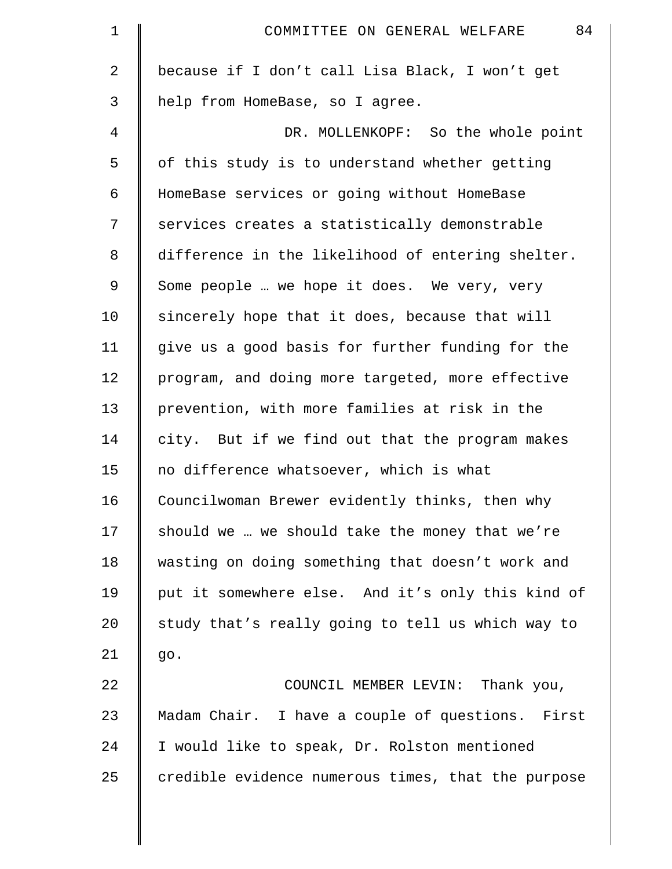| 1              | 84<br>COMMITTEE ON GENERAL WELFARE                 |
|----------------|----------------------------------------------------|
| $\overline{a}$ | because if I don't call Lisa Black, I won't get    |
| 3              | help from HomeBase, so I agree.                    |
| 4              | DR. MOLLENKOPF: So the whole point                 |
| 5              | of this study is to understand whether getting     |
| 6              | HomeBase services or going without HomeBase        |
| 7              | services creates a statistically demonstrable      |
| 8              | difference in the likelihood of entering shelter.  |
| 9              | Some people  we hope it does. We very, very        |
| 10             | sincerely hope that it does, because that will     |
| 11             | give us a good basis for further funding for the   |
| 12             | program, and doing more targeted, more effective   |
| 13             | prevention, with more families at risk in the      |
| 14             | city. But if we find out that the program makes    |
| 15             | no difference whatsoever, which is what            |
| 16             | Councilwoman Brewer evidently thinks, then why     |
| 17             | should we  we should take the money that we're     |
| 18             | wasting on doing something that doesn't work and   |
| 19             | put it somewhere else. And it's only this kind of  |
| 20             | study that's really going to tell us which way to  |
| 21             | go.                                                |
| 22             | COUNCIL MEMBER LEVIN: Thank you,                   |
| 23             | Madam Chair. I have a couple of questions. First   |
| 24             | I would like to speak, Dr. Rolston mentioned       |
| 25             | credible evidence numerous times, that the purpose |
|                |                                                    |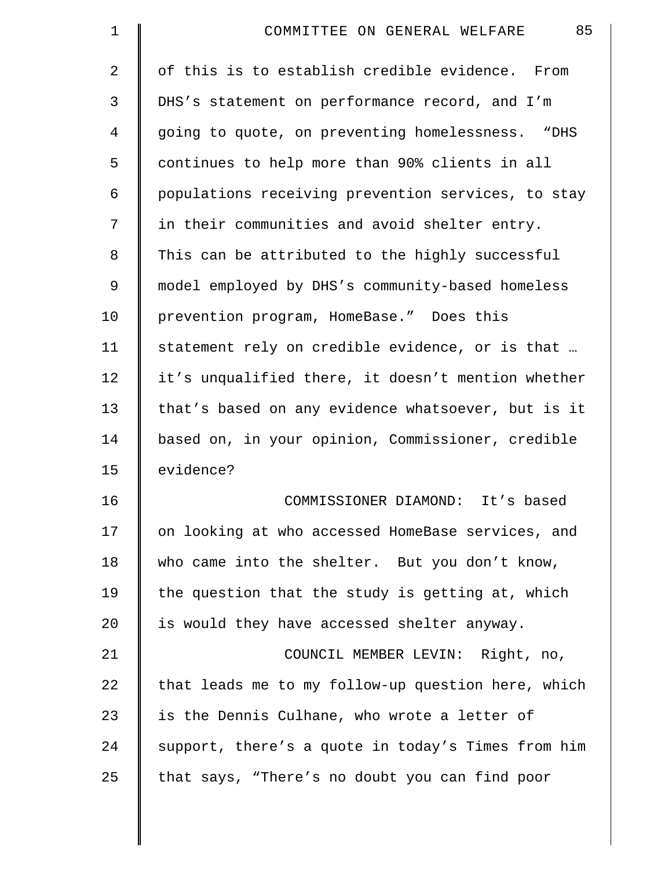| $\mathbf 1$ | 85<br>COMMITTEE ON GENERAL WELFARE                 |
|-------------|----------------------------------------------------|
| 2           | of this is to establish credible evidence. From    |
| 3           | DHS's statement on performance record, and I'm     |
| 4           | going to quote, on preventing homelessness. "DHS   |
| 5           | continues to help more than 90% clients in all     |
| 6           | populations receiving prevention services, to stay |
| 7           | in their communities and avoid shelter entry.      |
| 8           | This can be attributed to the highly successful    |
| 9           | model employed by DHS's community-based homeless   |
| 10          | prevention program, HomeBase." Does this           |
| 11          | statement rely on credible evidence, or is that    |
| 12          | it's unqualified there, it doesn't mention whether |
| 13          | that's based on any evidence whatsoever, but is it |
| 14          | based on, in your opinion, Commissioner, credible  |
| 15          | evidence?                                          |
| 16          | COMMISSIONER DIAMOND: It's based                   |
| 17          | on looking at who accessed HomeBase services, and  |
| 18          | who came into the shelter. But you don't know,     |
| 19          | the question that the study is getting at, which   |
| 20          | is would they have accessed shelter anyway.        |
| 21          | COUNCIL MEMBER LEVIN: Right, no,                   |
| 22          | that leads me to my follow-up question here, which |
| 23          | is the Dennis Culhane, who wrote a letter of       |
| 24          | support, there's a quote in today's Times from him |
| 25          | that says, "There's no doubt you can find poor     |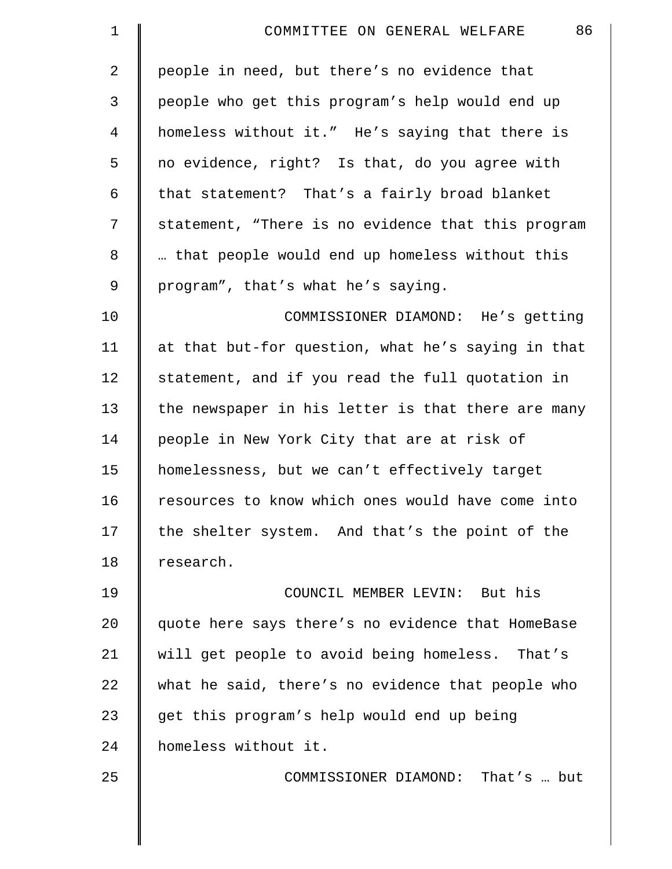| $\mathbf 1$ | 86<br>COMMITTEE ON GENERAL WELFARE                 |
|-------------|----------------------------------------------------|
| 2           | people in need, but there's no evidence that       |
| 3           | people who get this program's help would end up    |
| 4           | homeless without it." He's saying that there is    |
| 5           | no evidence, right? Is that, do you agree with     |
| 6           | that statement? That's a fairly broad blanket      |
| 7           | statement, "There is no evidence that this program |
| 8           | that people would end up homeless without this     |
| 9           | program", that's what he's saying.                 |
| 10          | COMMISSIONER DIAMOND: He's getting                 |
| 11          | at that but-for question, what he's saying in that |
| 12          | statement, and if you read the full quotation in   |
| 13          | the newspaper in his letter is that there are many |
| 14          | people in New York City that are at risk of        |
| 15          | homelessness, but we can't effectively target      |
| 16          | resources to know which ones would have come into  |
| 17          | the shelter system. And that's the point of the    |
| 18          | research.                                          |
| 19          | COUNCIL MEMBER LEVIN: But his                      |
| 20          | quote here says there's no evidence that HomeBase  |
| 21          | will get people to avoid being homeless. That's    |
| 22          | what he said, there's no evidence that people who  |
| 23          | get this program's help would end up being         |
| 24          | homeless without it.                               |
| 25          | COMMISSIONER DIAMOND: That's  but                  |
|             |                                                    |
|             |                                                    |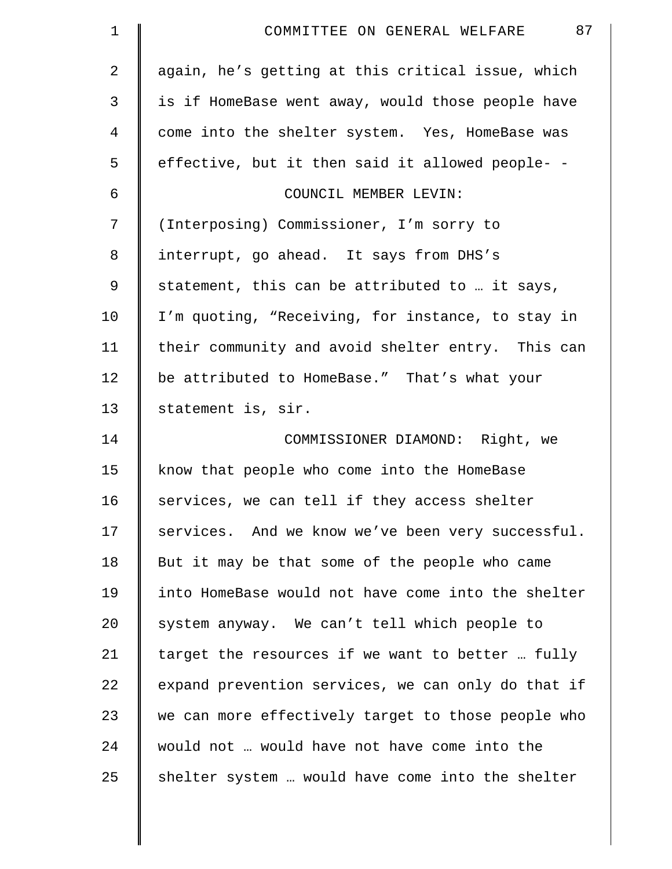| $\mathbf 1$    | 87<br>COMMITTEE ON GENERAL WELFARE                 |
|----------------|----------------------------------------------------|
| 2              | again, he's getting at this critical issue, which  |
| 3              | is if HomeBase went away, would those people have  |
| $\overline{4}$ | come into the shelter system. Yes, HomeBase was    |
| 5              | effective, but it then said it allowed people- -   |
| 6              | COUNCIL MEMBER LEVIN:                              |
| 7              | (Interposing) Commissioner, I'm sorry to           |
| $\,8\,$        | interrupt, go ahead. It says from DHS's            |
| $\mathsf 9$    | statement, this can be attributed to  it says,     |
| 10             | I'm quoting, "Receiving, for instance, to stay in  |
| 11             | their community and avoid shelter entry. This can  |
| 12             | be attributed to HomeBase." That's what your       |
| 13             | statement is, sir.                                 |
| 14             | COMMISSIONER DIAMOND: Right, we                    |
| 15             | know that people who come into the HomeBase        |
| 16             | services, we can tell if they access shelter       |
| 17             | services. And we know we've been very successful.  |
| 18             | But it may be that some of the people who came     |
| 19             | into HomeBase would not have come into the shelter |
| 20             | system anyway. We can't tell which people to       |
| 21             | target the resources if we want to better  fully   |
| 22             | expand prevention services, we can only do that if |
| 23             | we can more effectively target to those people who |
| 24             | would not  would have not have come into the       |
| 25             | shelter system  would have come into the shelter   |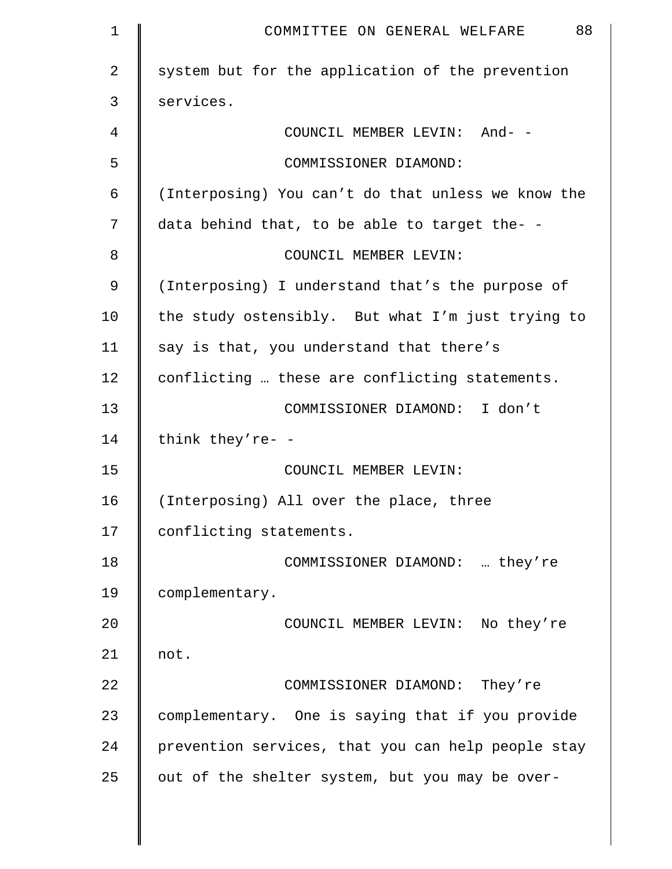| $\mathbf 1$    | 88<br>COMMITTEE ON GENERAL WELFARE                 |
|----------------|----------------------------------------------------|
| $\overline{a}$ | system but for the application of the prevention   |
| 3              | services.                                          |
| 4              | COUNCIL MEMBER LEVIN: And- -                       |
| 5              | COMMISSIONER DIAMOND:                              |
| 6              | (Interposing) You can't do that unless we know the |
| 7              | data behind that, to be able to target the- -      |
| 8              | COUNCIL MEMBER LEVIN:                              |
| 9              | (Interposing) I understand that's the purpose of   |
| 10             | the study ostensibly. But what I'm just trying to  |
| 11             | say is that, you understand that there's           |
| 12             | conflicting  these are conflicting statements.     |
| 13             | COMMISSIONER DIAMOND: I don't                      |
| 14             | think they're- -                                   |
| 15             | COUNCIL MEMBER LEVIN:                              |
| 16             | (Interposing) All over the place, three            |
| 17             | conflicting statements.                            |
| 18             | COMMISSIONER DIAMOND:  they're                     |
| 19             | complementary.                                     |
| 20             | COUNCIL MEMBER LEVIN: No they're                   |
| 21             | not.                                               |
| 22             | COMMISSIONER DIAMOND: They're                      |
| 23             | complementary. One is saying that if you provide   |
| 24             | prevention services, that you can help people stay |
| 25             | out of the shelter system, but you may be over-    |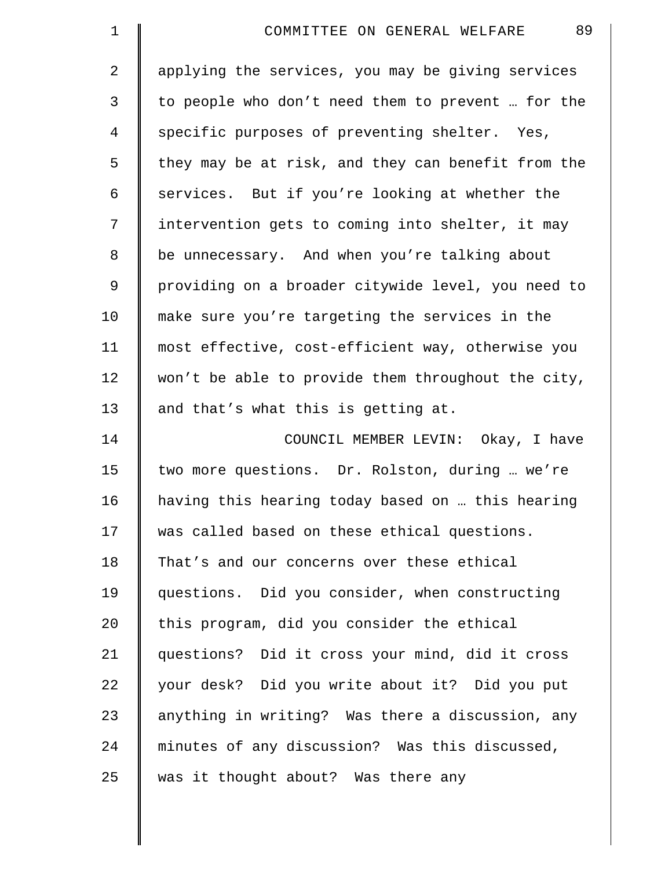| $\mathbf 1$    | 89<br>COMMITTEE ON GENERAL WELFARE                 |
|----------------|----------------------------------------------------|
| $\overline{a}$ | applying the services, you may be giving services  |
| 3              | to people who don't need them to prevent  for the  |
| 4              | specific purposes of preventing shelter. Yes,      |
| 5              | they may be at risk, and they can benefit from the |
| 6              | services. But if you're looking at whether the     |
| 7              | intervention gets to coming into shelter, it may   |
| $\,8\,$        | be unnecessary. And when you're talking about      |
| $\overline{9}$ | providing on a broader citywide level, you need to |
| 10             | make sure you're targeting the services in the     |
| 11             | most effective, cost-efficient way, otherwise you  |
| 12             | won't be able to provide them throughout the city, |
| 13             | and that's what this is getting at.                |
| 14             | COUNCIL MEMBER LEVIN: Okay, I have                 |
| 15             | two more questions. Dr. Rolston, during  we're     |
| 16             | having this hearing today based on  this hearing   |
| 17             | was called based on these ethical questions.       |
| 18             | That's and our concerns over these ethical         |
| 19             | questions. Did you consider, when constructing     |
| 20             | this program, did you consider the ethical         |
| 21             | questions? Did it cross your mind, did it cross    |
| 22             | your desk? Did you write about it? Did you put     |
| 23             | anything in writing? Was there a discussion, any   |
| 24             | minutes of any discussion? Was this discussed,     |
| 25             | was it thought about? Was there any                |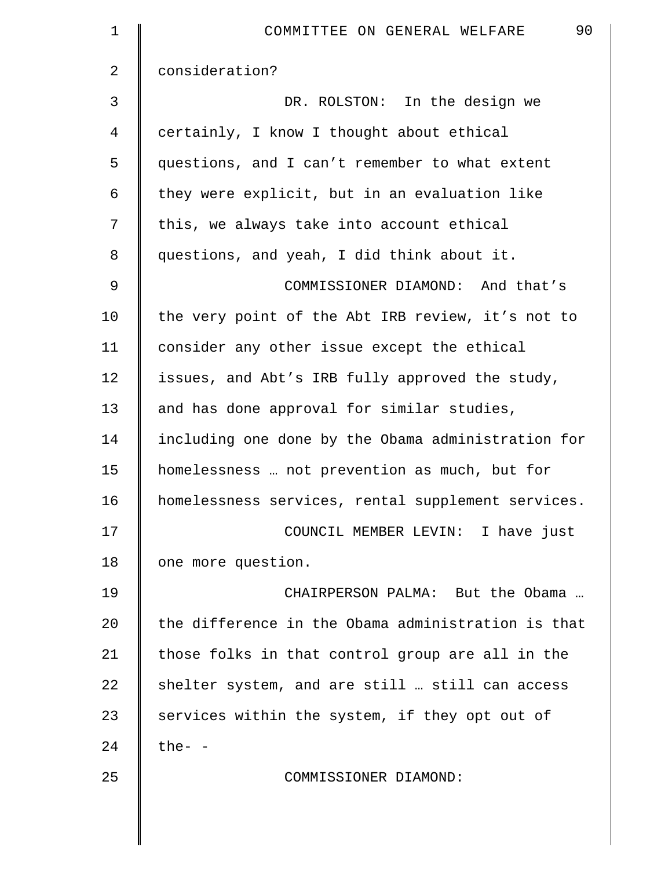| $\mathbf 1$ | 90<br>COMMITTEE ON GENERAL WELFARE                 |
|-------------|----------------------------------------------------|
| 2           | consideration?                                     |
| 3           | DR. ROLSTON: In the design we                      |
| 4           | certainly, I know I thought about ethical          |
| 5           | questions, and I can't remember to what extent     |
| 6           | they were explicit, but in an evaluation like      |
| 7           | this, we always take into account ethical          |
| 8           | questions, and yeah, I did think about it.         |
| 9           | COMMISSIONER DIAMOND: And that's                   |
| 10          | the very point of the Abt IRB review, it's not to  |
| 11          | consider any other issue except the ethical        |
| 12          | issues, and Abt's IRB fully approved the study,    |
| 13          | and has done approval for similar studies,         |
| 14          | including one done by the Obama administration for |
| 15          | homelessness  not prevention as much, but for      |
| 16          | homelessness services, rental supplement services. |
| 17          | COUNCIL MEMBER LEVIN: I have just                  |
| 18          | one more question.                                 |
| 19          | CHAIRPERSON PALMA: But the Obama                   |
| 20          | the difference in the Obama administration is that |
| 21          | those folks in that control group are all in the   |
| 22          | shelter system, and are still  still can access    |
| 23          | services within the system, if they opt out of     |
| 24          | $the-$                                             |
| 25          | COMMISSIONER DIAMOND:                              |
|             |                                                    |
|             |                                                    |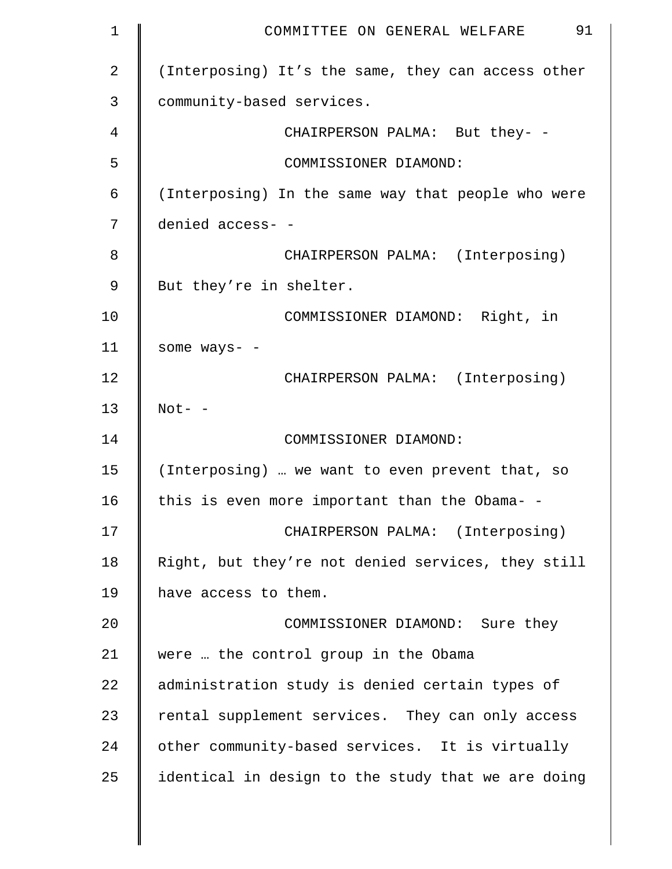| $\mathbf 1$ | 91<br>COMMITTEE ON GENERAL WELFARE                 |
|-------------|----------------------------------------------------|
| 2           | (Interposing) It's the same, they can access other |
| 3           | community-based services.                          |
| 4           | CHAIRPERSON PALMA: But they- -                     |
| 5           | COMMISSIONER DIAMOND:                              |
| 6           | (Interposing) In the same way that people who were |
| 7           | denied access- -                                   |
| 8           | CHAIRPERSON PALMA: (Interposing)                   |
| 9           | But they're in shelter.                            |
| 10          | COMMISSIONER DIAMOND: Right, in                    |
| 11          | some ways- -                                       |
| 12          | CHAIRPERSON PALMA: (Interposing)                   |
| 13          | $Not- -$                                           |
| 14          | COMMISSIONER DIAMOND:                              |
| 15          | (Interposing)  we want to even prevent that, so    |
| 16          | this is even more important than the Obama- -      |
| 17          | CHAIRPERSON PALMA: (Interposing)                   |
| 18          | Right, but they're not denied services, they still |
| 19          | have access to them.                               |
| 20          | COMMISSIONER DIAMOND: Sure they                    |
| 21          | were  the control group in the Obama               |
| 22          | administration study is denied certain types of    |
| 23          | rental supplement services. They can only access   |
| 24          | other community-based services. It is virtually    |
| 25          | identical in design to the study that we are doing |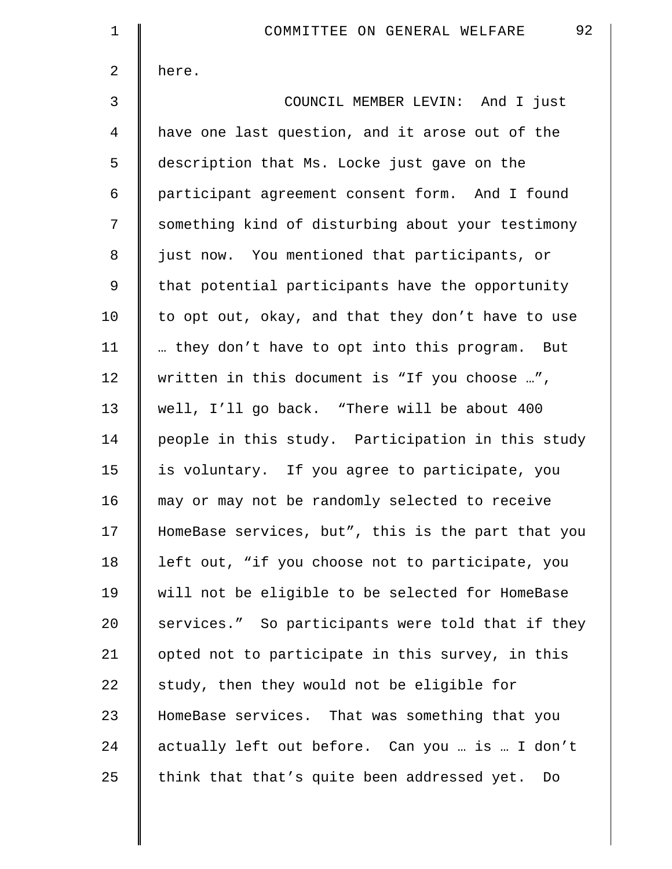| $\mathbf 1$ | 92<br>COMMITTEE ON GENERAL WELFARE                 |
|-------------|----------------------------------------------------|
| 2           | here.                                              |
| 3           | COUNCIL MEMBER LEVIN: And I just                   |
| 4           | have one last question, and it arose out of the    |
| 5           | description that Ms. Locke just gave on the        |
| 6           | participant agreement consent form. And I found    |
| 7           | something kind of disturbing about your testimony  |
| 8           | just now. You mentioned that participants, or      |
| 9           | that potential participants have the opportunity   |
| 10          | to opt out, okay, and that they don't have to use  |
| 11          | they don't have to opt into this program. But      |
| 12          | written in this document is "If you choose ",      |
| 13          | well, I'll go back. "There will be about 400       |
| 14          | people in this study. Participation in this study  |
| 15          | is voluntary. If you agree to participate, you     |
| 16          | may or may not be randomly selected to receive     |
| 17          | HomeBase services, but", this is the part that you |
| 18          | left out, "if you choose not to participate, you   |
| 19          | will not be eligible to be selected for HomeBase   |
| 20          | services." So participants were told that if they  |
| 21          | opted not to participate in this survey, in this   |
| 22          | study, then they would not be eligible for         |
| 23          | HomeBase services. That was something that you     |
| 24          | actually left out before. Can you  is  I don't     |
| 25          | think that that's quite been addressed yet. Do     |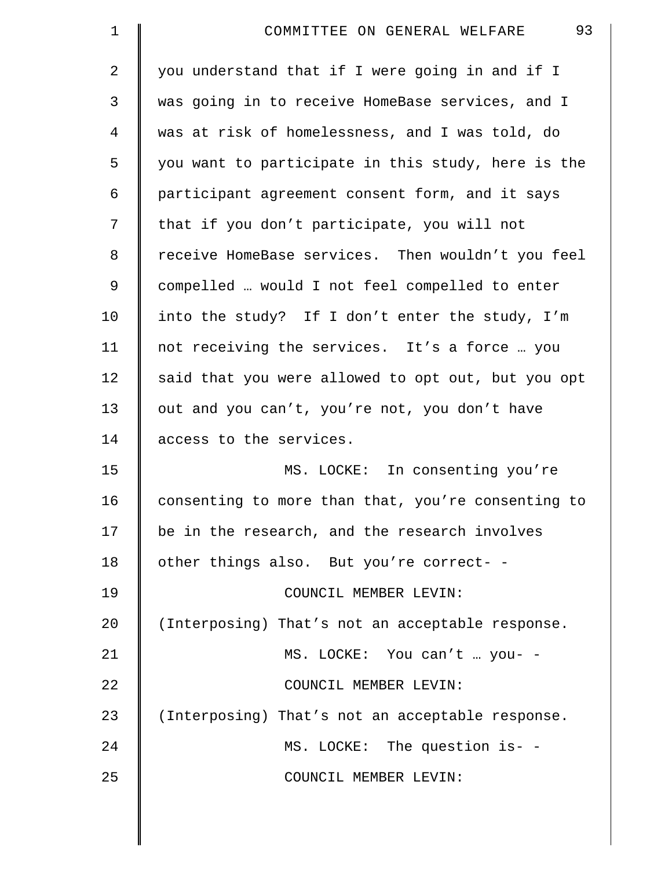| $\mathbf 1$    | 93<br>COMMITTEE ON GENERAL WELFARE                 |
|----------------|----------------------------------------------------|
| $\overline{2}$ | you understand that if I were going in and if I    |
| 3              | was going in to receive HomeBase services, and I   |
| 4              | was at risk of homelessness, and I was told, do    |
| 5              | you want to participate in this study, here is the |
| 6              | participant agreement consent form, and it says    |
| 7              | that if you don't participate, you will not        |
| 8              | receive HomeBase services. Then wouldn't you feel  |
| 9              | compelled  would I not feel compelled to enter     |
| 10             | into the study? If I don't enter the study, I'm    |
| 11             | not receiving the services. It's a force  you      |
| 12             | said that you were allowed to opt out, but you opt |
| 13             | out and you can't, you're not, you don't have      |
| 14             | access to the services.                            |
| 15             | MS. LOCKE: In consenting you're                    |
| 16             | consenting to more than that, you're consenting to |
| 17             | be in the research, and the research involves      |
| 18             | other things also. But you're correct- -           |
| 19             | COUNCIL MEMBER LEVIN:                              |
| 20             | (Interposing) That's not an acceptable response.   |
| 21             | MS. LOCKE: You can't  you- -                       |
| 22             | COUNCIL MEMBER LEVIN:                              |
| 23             | (Interposing) That's not an acceptable response.   |
| 24             | MS. LOCKE: The question is- -                      |
| 25             | COUNCIL MEMBER LEVIN:                              |
|                |                                                    |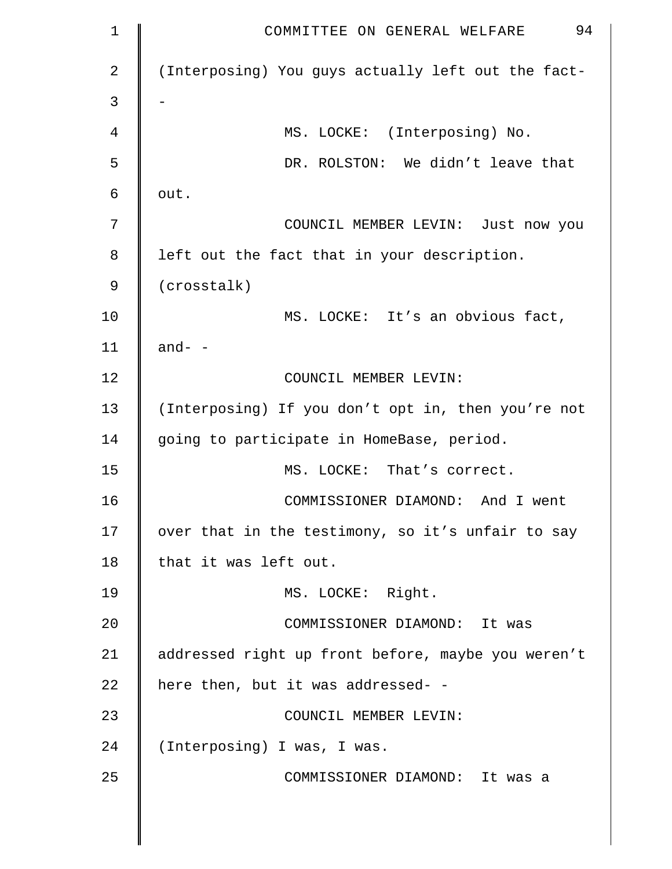| $\mathbf 1$ | 94<br>COMMITTEE ON GENERAL WELFARE                 |
|-------------|----------------------------------------------------|
| 2           | (Interposing) You guys actually left out the fact- |
| 3           |                                                    |
| 4           | MS. LOCKE: (Interposing) No.                       |
| 5           | DR. ROLSTON: We didn't leave that                  |
| 6           | out.                                               |
| 7           | COUNCIL MEMBER LEVIN: Just now you                 |
| 8           | left out the fact that in your description.        |
| 9           | (crosstalk)                                        |
| 10          | MS. LOCKE: It's an obvious fact,                   |
| 11          | and- $-$                                           |
| 12          | COUNCIL MEMBER LEVIN:                              |
| 13          | (Interposing) If you don't opt in, then you're not |
| 14          | going to participate in HomeBase, period.          |
| 15          | MS. LOCKE: That's correct.                         |
| 16          | COMMISSIONER DIAMOND: And I went                   |
| 17          | over that in the testimony, so it's unfair to say  |
| 18          | that it was left out.                              |
| 19          | MS. LOCKE: Right.                                  |
| 20          | COMMISSIONER DIAMOND: It was                       |
| 21          | addressed right up front before, maybe you weren't |
| 22          | here then, but it was addressed- -                 |
| 23          | COUNCIL MEMBER LEVIN:                              |
| 24          | (Interposing) I was, I was.                        |
| 25          | COMMISSIONER DIAMOND: It was a                     |
|             |                                                    |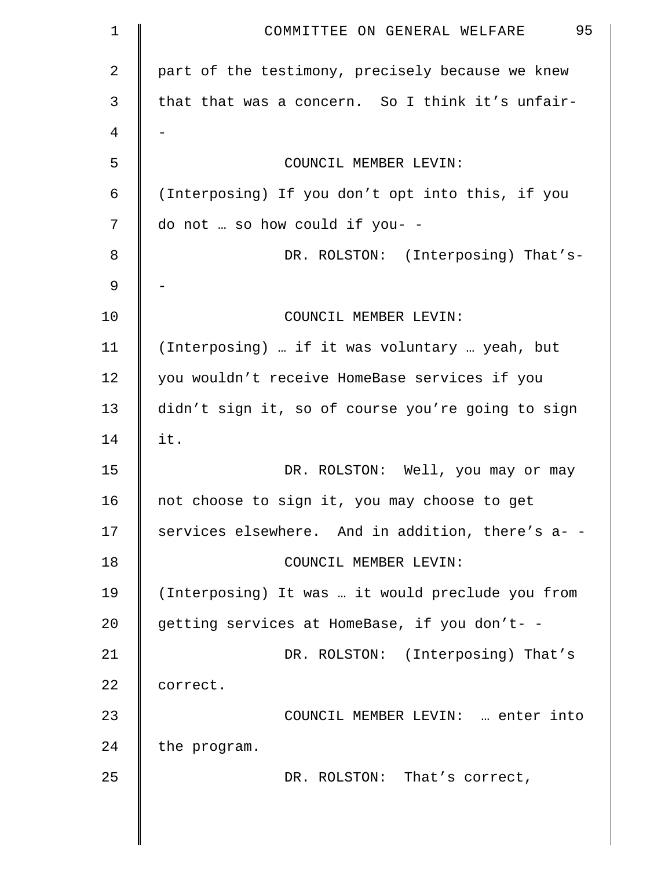| 1              | 95<br>COMMITTEE ON GENERAL WELFARE                |
|----------------|---------------------------------------------------|
| $\overline{a}$ | part of the testimony, precisely because we knew  |
| 3              | that that was a concern. So I think it's unfair-  |
| 4              |                                                   |
| 5              | COUNCIL MEMBER LEVIN:                             |
| 6              | (Interposing) If you don't opt into this, if you  |
| 7              | do not  so how could if you- -                    |
| 8              | DR. ROLSTON: (Interposing) That's-                |
| 9              |                                                   |
| 10             | COUNCIL MEMBER LEVIN:                             |
| 11             | (Interposing)  if it was voluntary  yeah, but     |
| 12             | you wouldn't receive HomeBase services if you     |
| 13             | didn't sign it, so of course you're going to sign |
| 14             | it.                                               |
| 15             | DR. ROLSTON: Well, you may or may                 |
| 16             | not choose to sign it, you may choose to get      |
| 17             | services elsewhere. And in addition, there's a- - |
| 18             | COUNCIL MEMBER LEVIN:                             |
| 19             | (Interposing) It was  it would preclude you from  |
| 20             | getting services at HomeBase, if you don't- -     |
| 21             | DR. ROLSTON: (Interposing) That's                 |
| 22             | correct.                                          |
| 23             | COUNCIL MEMBER LEVIN:  enter into                 |
| 24             | the program.                                      |
| 25             | DR. ROLSTON: That's correct,                      |
|                |                                                   |
|                |                                                   |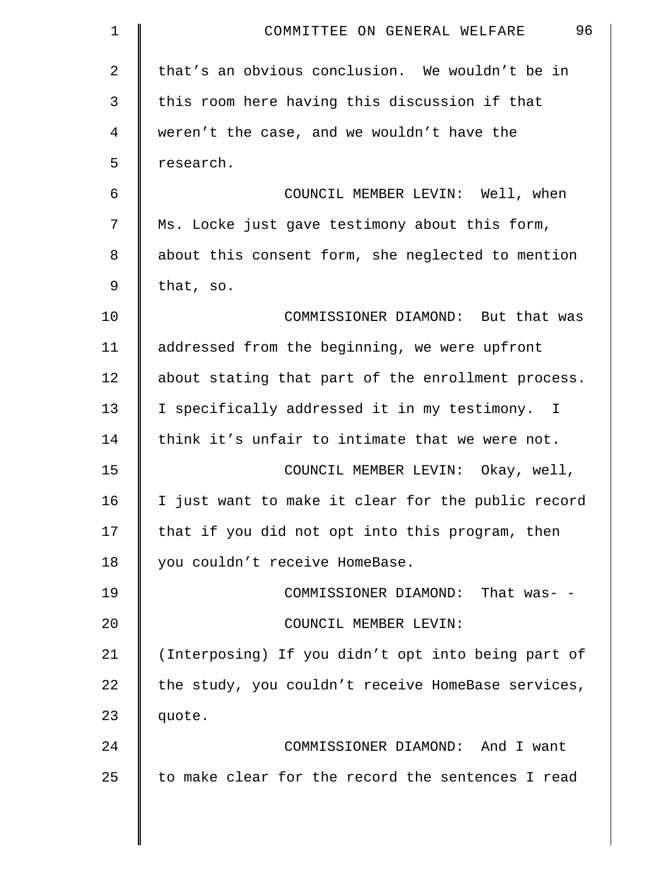| $\mathbf 1$ | 96<br>COMMITTEE ON GENERAL WELFARE                 |
|-------------|----------------------------------------------------|
| 2           | that's an obvious conclusion. We wouldn't be in    |
| 3           | this room here having this discussion if that      |
| 4           | weren't the case, and we wouldn't have the         |
| 5           | research.                                          |
| 6           | COUNCIL MEMBER LEVIN: Well, when                   |
| 7           | Ms. Locke just gave testimony about this form,     |
| 8           | about this consent form, she neglected to mention  |
| 9           | that, so.                                          |
| 10          | COMMISSIONER DIAMOND: But that was                 |
| 11          | addressed from the beginning, we were upfront      |
| 12          | about stating that part of the enrollment process. |
| 13          | I specifically addressed it in my testimony. I     |
| 14          | think it's unfair to intimate that we were not.    |
| 15          | COUNCIL MEMBER LEVIN: Okay, well,                  |
| 16          | I just want to make it clear for the public record |
| 17          | that if you did not opt into this program, then    |
| 18          | you couldn't receive HomeBase.                     |
| 19          | COMMISSIONER DIAMOND: That was- -                  |
| 20          | COUNCIL MEMBER LEVIN:                              |
| 21          | (Interposing) If you didn't opt into being part of |
| 22          | the study, you couldn't receive HomeBase services, |
| 23          | quote.                                             |
| 24          | COMMISSIONER DIAMOND: And I want                   |
| 25          | to make clear for the record the sentences I read  |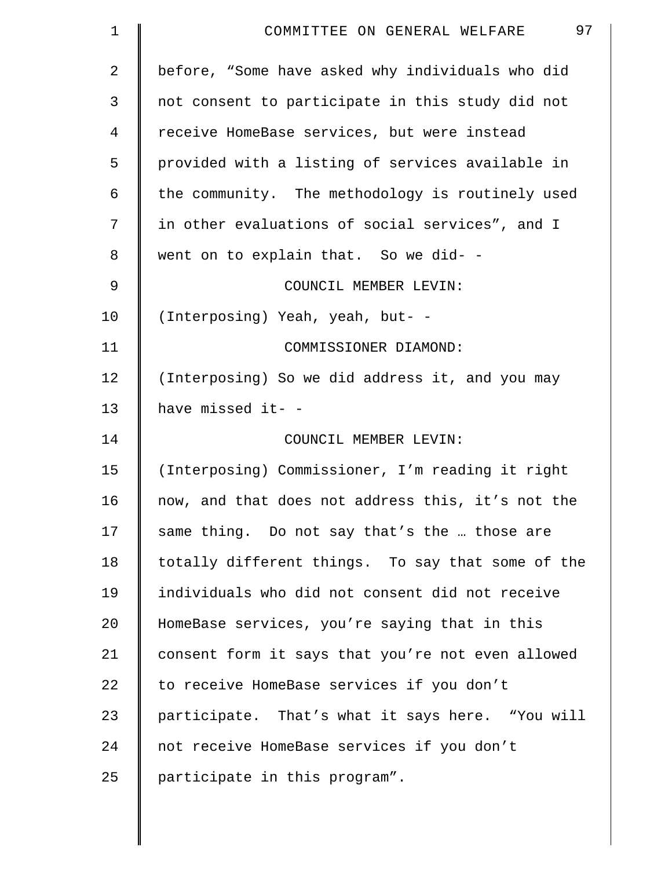| 1              | 97<br>COMMITTEE ON GENERAL WELFARE                |
|----------------|---------------------------------------------------|
| $\overline{a}$ | before, "Some have asked why individuals who did  |
| 3              | not consent to participate in this study did not  |
| 4              | receive HomeBase services, but were instead       |
| 5              | provided with a listing of services available in  |
| 6              | the community. The methodology is routinely used  |
| 7              | in other evaluations of social services", and I   |
| 8              | went on to explain that. So we did- -             |
| 9              | COUNCIL MEMBER LEVIN:                             |
| 10             | (Interposing) Yeah, yeah, but- -                  |
| 11             | COMMISSIONER DIAMOND:                             |
| 12             | (Interposing) So we did address it, and you may   |
| 13             | have missed it- -                                 |
| 14             | COUNCIL MEMBER LEVIN:                             |
| 15             | (Interposing) Commissioner, I'm reading it right  |
| 16             | now, and that does not address this, it's not the |
| 17             | same thing. Do not say that's the  those are      |
| 18             | totally different things. To say that some of the |
| 19             | individuals who did not consent did not receive   |
| 20             | HomeBase services, you're saying that in this     |
| 21             | consent form it says that you're not even allowed |
| 22             | to receive HomeBase services if you don't         |
| 23             | participate. That's what it says here. "You will  |
| 24             | not receive HomeBase services if you don't        |
| 25             | participate in this program".                     |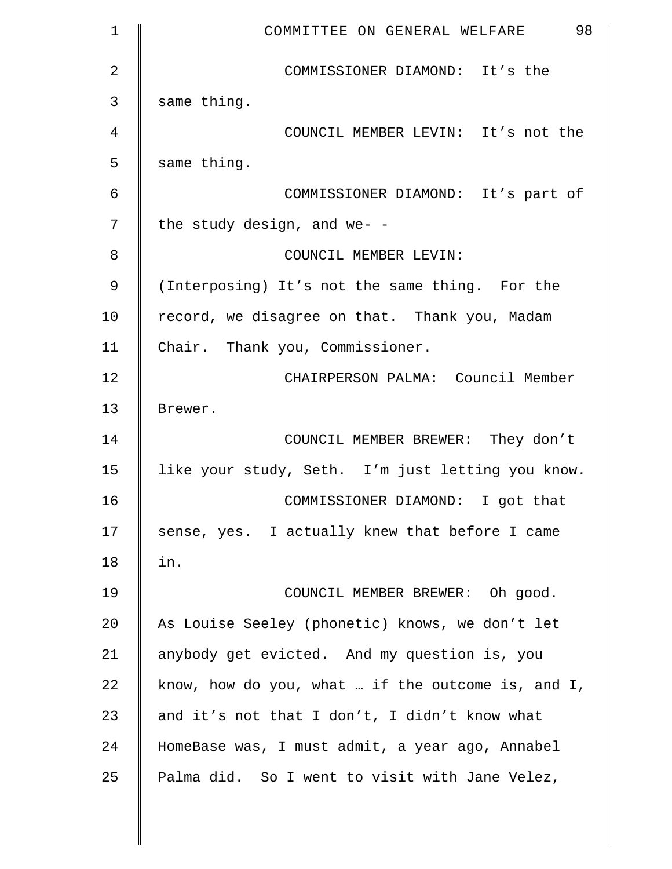| $\mathbf 1$ | 98<br>COMMITTEE ON GENERAL WELFARE                   |
|-------------|------------------------------------------------------|
| 2           | COMMISSIONER DIAMOND: It's the                       |
| 3           | same thing.                                          |
| 4           | COUNCIL MEMBER LEVIN: It's not the                   |
| 5           | same thing.                                          |
| 6           | COMMISSIONER DIAMOND: It's part of                   |
| 7           | the study design, and we- -                          |
| 8           | COUNCIL MEMBER LEVIN:                                |
| 9           | (Interposing) It's not the same thing. For the       |
| 10          | record, we disagree on that. Thank you, Madam        |
| 11          | Chair. Thank you, Commissioner.                      |
| 12          | CHAIRPERSON PALMA: Council Member                    |
| 13          | Brewer.                                              |
| 14          | COUNCIL MEMBER BREWER: They don't                    |
| 15          | like your study, Seth. I'm just letting you know.    |
| 16          | COMMISSIONER DIAMOND: I got that                     |
| 17          | sense, yes. I actually knew that before I came       |
| 18          | in.                                                  |
| 19          | COUNCIL MEMBER BREWER: Oh good.                      |
| 20          | As Louise Seeley (phonetic) knows, we don't let      |
| 21          | anybody get evicted. And my question is, you         |
| 22          | know, how do you, what  if the outcome is, and $I$ , |
| 23          | and it's not that I don't, I didn't know what        |
| 24          | HomeBase was, I must admit, a year ago, Annabel      |
| 25          | Palma did. So I went to visit with Jane Velez,       |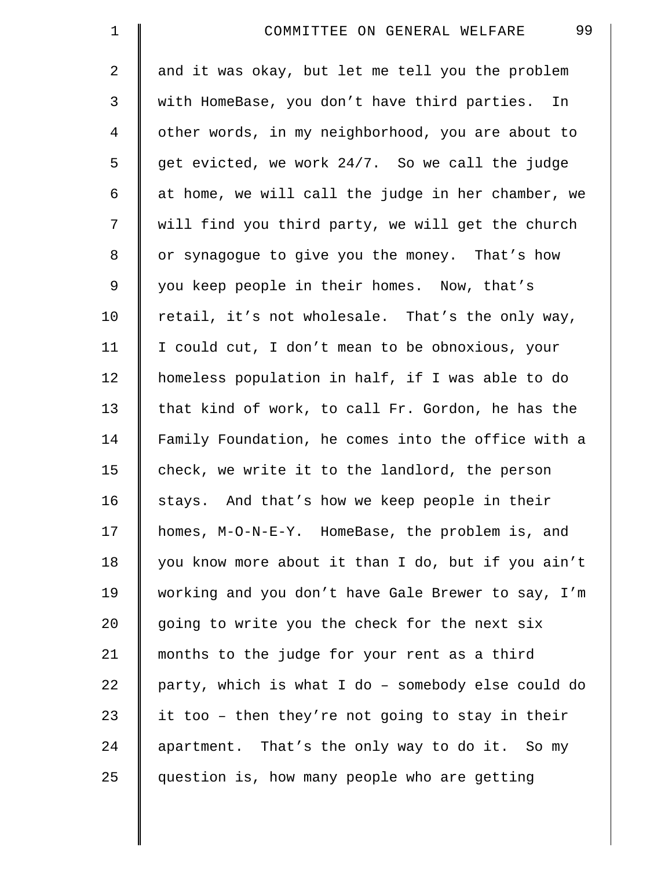| $\mathbf 1$    | 99<br>COMMITTEE ON GENERAL WELFARE                 |
|----------------|----------------------------------------------------|
| $\overline{2}$ | and it was okay, but let me tell you the problem   |
| 3              | with HomeBase, you don't have third parties. In    |
| 4              | other words, in my neighborhood, you are about to  |
| 5              | get evicted, we work 24/7. So we call the judge    |
| 6              | at home, we will call the judge in her chamber, we |
| 7              | will find you third party, we will get the church  |
| $8\,$          | or synagogue to give you the money. That's how     |
| 9              | you keep people in their homes. Now, that's        |
| 10             | retail, it's not wholesale. That's the only way,   |
| 11             | I could cut, I don't mean to be obnoxious, your    |
| 12             | homeless population in half, if I was able to do   |
| 13             | that kind of work, to call Fr. Gordon, he has the  |
| 14             | Family Foundation, he comes into the office with a |
| 15             | check, we write it to the landlord, the person     |
| 16             | stays. And that's how we keep people in their      |
| 17             | homes, M-O-N-E-Y. HomeBase, the problem is, and    |
| 18             | you know more about it than I do, but if you ain't |
| 19             | working and you don't have Gale Brewer to say, I'm |
| $20 \,$        | going to write you the check for the next six      |
| 21             | months to the judge for your rent as a third       |
| 22             | party, which is what I do - somebody else could do |
| 23             | it too - then they're not going to stay in their   |
| 24             | apartment. That's the only way to do it. So my     |
| 25             | question is, how many people who are getting       |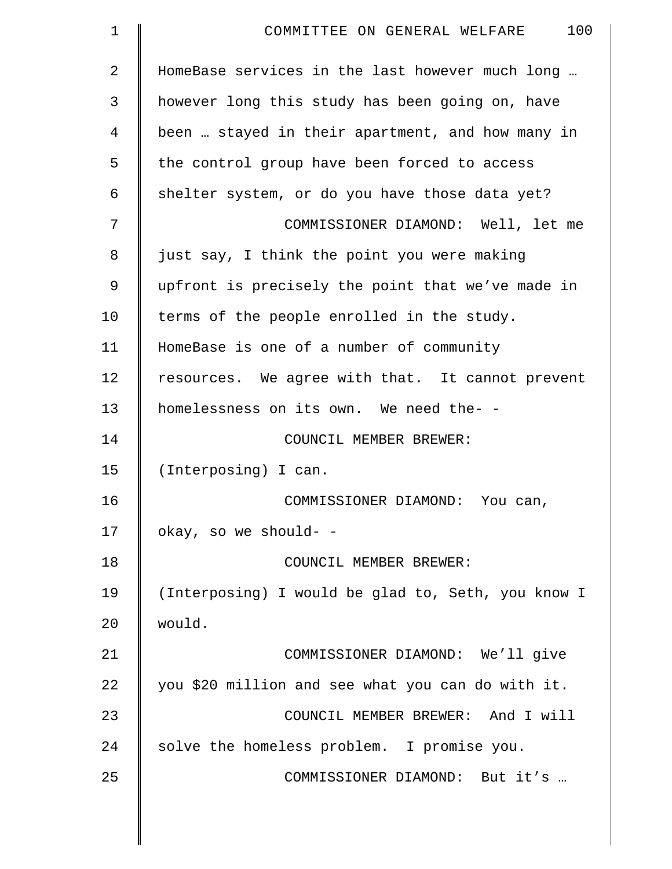| $\mathbf 1$    | 100<br>COMMITTEE ON GENERAL WELFARE                |
|----------------|----------------------------------------------------|
| $\overline{2}$ | HomeBase services in the last however much long    |
| 3              | however long this study has been going on, have    |
| $\overline{4}$ | been  stayed in their apartment, and how many in   |
| 5              | the control group have been forced to access       |
| 6              | shelter system, or do you have those data yet?     |
| 7              | COMMISSIONER DIAMOND: Well, let me                 |
| 8              | just say, I think the point you were making        |
| 9              | upfront is precisely the point that we've made in  |
| 10             | terms of the people enrolled in the study.         |
| 11             | HomeBase is one of a number of community           |
| 12             | resources. We agree with that. It cannot prevent   |
| 13             | homelessness on its own. We need the- -            |
| 14             | COUNCIL MEMBER BREWER:                             |
| 15             | (Interposing) I can.                               |
| 16             | COMMISSIONER DIAMOND: You can,                     |
| 17             | okay, so we should- -                              |
| 18             | COUNCIL MEMBER BREWER:                             |
| 19             | (Interposing) I would be glad to, Seth, you know I |
| 20             | would.                                             |
| 21             | COMMISSIONER DIAMOND: We'll give                   |
| 22             | you \$20 million and see what you can do with it.  |
| 23             | COUNCIL MEMBER BREWER: And I will                  |
| 24             | solve the homeless problem. I promise you.         |
| 25             | COMMISSIONER DIAMOND: But it's                     |
|                |                                                    |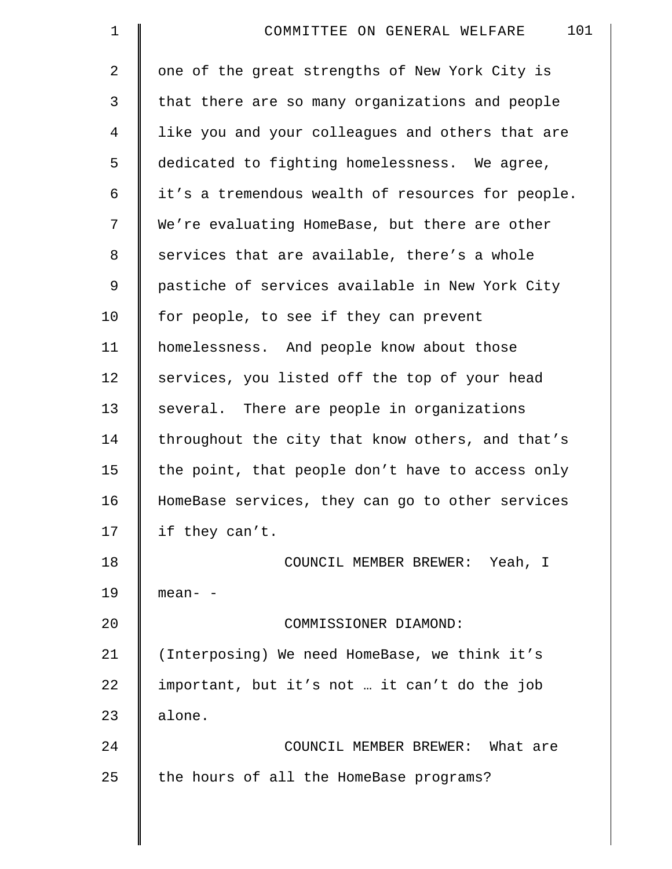| $\mathbf 1$    | 101<br>COMMITTEE ON GENERAL WELFARE               |
|----------------|---------------------------------------------------|
| $\overline{a}$ | one of the great strengths of New York City is    |
| 3              | that there are so many organizations and people   |
| 4              | like you and your colleagues and others that are  |
| 5              | dedicated to fighting homelessness. We agree,     |
| 6              | it's a tremendous wealth of resources for people. |
| 7              | We're evaluating HomeBase, but there are other    |
| 8              | services that are available, there's a whole      |
| 9              | pastiche of services available in New York City   |
| 10             | for people, to see if they can prevent            |
| 11             | homelessness. And people know about those         |
| 12             | services, you listed off the top of your head     |
| 13             | several. There are people in organizations        |
| 14             | throughout the city that know others, and that's  |
| 15             | the point, that people don't have to access only  |
| 16             | HomeBase services, they can go to other services  |
| 17             | if they can't.                                    |
| 18             | COUNCIL MEMBER BREWER: Yeah, I                    |
| 19             | mean- -                                           |
| 20             | COMMISSIONER DIAMOND:                             |
| 21             | (Interposing) We need HomeBase, we think it's     |
| 22             | important, but it's not  it can't do the job      |
| 23             | alone.                                            |
| 24             | COUNCIL MEMBER BREWER: What are                   |
| 25             | the hours of all the HomeBase programs?           |
|                |                                                   |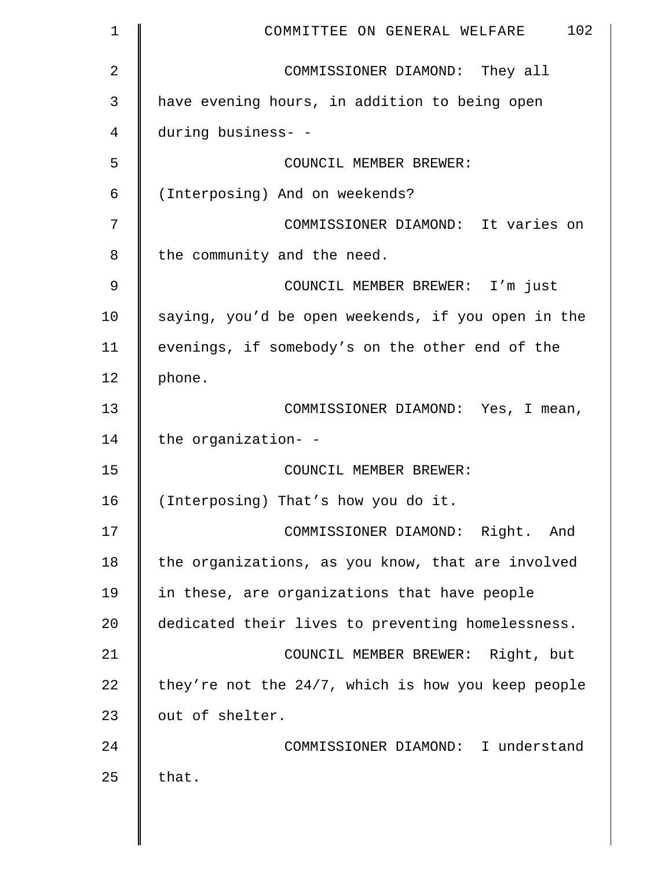| $\mathbf 1$    | 102<br>COMMITTEE ON GENERAL WELFARE                   |
|----------------|-------------------------------------------------------|
| $\overline{2}$ | COMMISSIONER DIAMOND: They all                        |
| 3              | have evening hours, in addition to being open         |
| 4              | during business- -                                    |
| 5              | COUNCIL MEMBER BREWER:                                |
| 6              | (Interposing) And on weekends?                        |
| 7              | COMMISSIONER DIAMOND: It varies on                    |
| 8              | the community and the need.                           |
| $\mathcal{G}$  | COUNCIL MEMBER BREWER: I'm just                       |
| 10             | saying, you'd be open weekends, if you open in the    |
| 11             | evenings, if somebody's on the other end of the       |
| 12             | phone.                                                |
| 13             | COMMISSIONER DIAMOND: Yes, I mean,                    |
| 14             | the organization- -                                   |
| 15             | COUNCIL MEMBER BREWER:                                |
| 16             | (Interposing) That's how you do it.                   |
| 17             | COMMISSIONER DIAMOND: Right. And                      |
| 18             | the organizations, as you know, that are involved     |
| 19             | in these, are organizations that have people          |
| 20             | dedicated their lives to preventing homelessness.     |
| 21             | COUNCIL MEMBER BREWER: Right, but                     |
| 22             | they're not the $24/7$ , which is how you keep people |
| 23             | out of shelter.                                       |
| 24             | COMMISSIONER DIAMOND: I understand                    |
| 25             | that.                                                 |
|                |                                                       |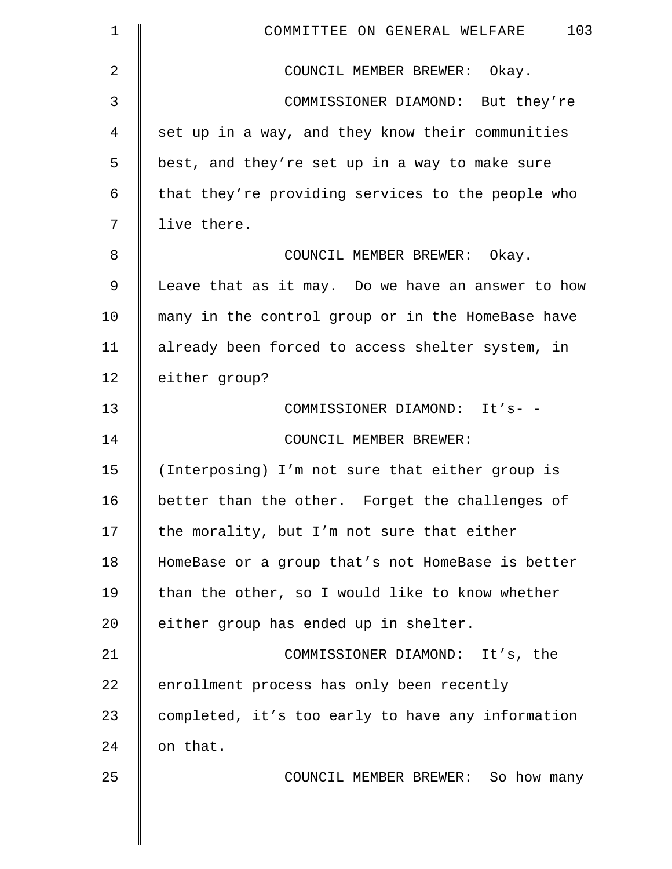| $\mathbf 1$    | 103<br>COMMITTEE ON GENERAL WELFARE               |
|----------------|---------------------------------------------------|
| $\overline{2}$ | COUNCIL MEMBER BREWER: Okay.                      |
| 3              | COMMISSIONER DIAMOND: But they're                 |
| 4              | set up in a way, and they know their communities  |
| 5              | best, and they're set up in a way to make sure    |
| 6              | that they're providing services to the people who |
| 7              | live there.                                       |
| 8              | COUNCIL MEMBER BREWER: Okay.                      |
| 9              | Leave that as it may. Do we have an answer to how |
| 10             | many in the control group or in the HomeBase have |
| 11             | already been forced to access shelter system, in  |
| 12             | either group?                                     |
| 13             | COMMISSIONER DIAMOND: It's- -                     |
| 14             | COUNCIL MEMBER BREWER:                            |
| 15             | (Interposing) I'm not sure that either group is   |
| 16             | better than the other. Forget the challenges of   |
| 17             | the morality, but I'm not sure that either        |
| 18             | HomeBase or a group that's not HomeBase is better |
| 19             | than the other, so I would like to know whether   |
| 20             | either group has ended up in shelter.             |
| 21             | COMMISSIONER DIAMOND: It's, the                   |
| 22             | enrollment process has only been recently         |
| 23             | completed, it's too early to have any information |
| 24             | on that.                                          |
| 25             | COUNCIL MEMBER BREWER: So how many                |
|                |                                                   |
|                |                                                   |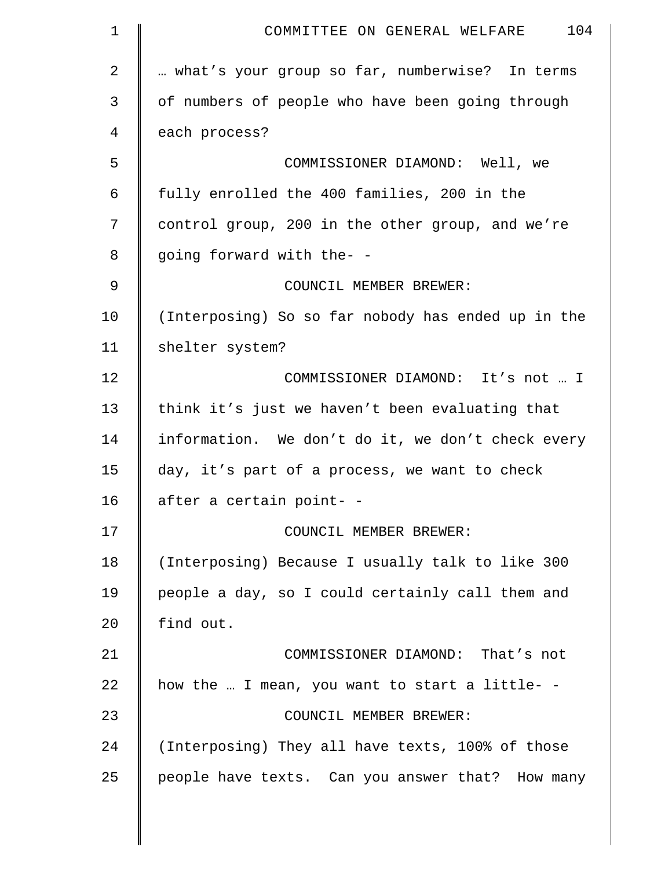| $\mathbf 1$  | 104<br>COMMITTEE ON GENERAL WELFARE                |
|--------------|----------------------------------------------------|
| $\mathbf{2}$ | what's your group so far, numberwise? In terms     |
| 3            | of numbers of people who have been going through   |
| 4            | each process?                                      |
| 5            | COMMISSIONER DIAMOND: Well, we                     |
| 6            | fully enrolled the 400 families, 200 in the        |
| 7            | control group, 200 in the other group, and we're   |
| 8            | going forward with the- -                          |
| $\mathsf 9$  | COUNCIL MEMBER BREWER:                             |
| 10           | (Interposing) So so far nobody has ended up in the |
| 11           | shelter system?                                    |
| 12           | COMMISSIONER DIAMOND: It's not  I                  |
| 13           | think it's just we haven't been evaluating that    |
| 14           | information. We don't do it, we don't check every  |
| 15           | day, it's part of a process, we want to check      |
| 16           | after a certain point- -                           |
| 17           | COUNCIL MEMBER BREWER:                             |
| 18           | (Interposing) Because I usually talk to like 300   |
| 19           | people a day, so I could certainly call them and   |
| 20           | find out.                                          |
| 21           | COMMISSIONER DIAMOND: That's not                   |
| 22           | how the  I mean, you want to start a little- -     |
| 23           | COUNCIL MEMBER BREWER:                             |
| 24           | (Interposing) They all have texts, 100% of those   |
| 25           | people have texts. Can you answer that? How many   |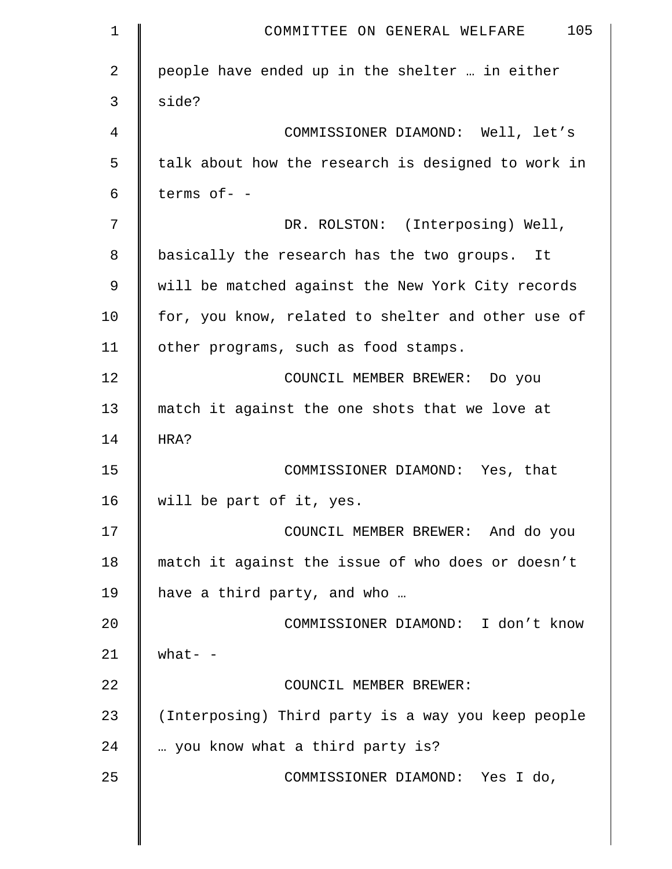| $\mathbf 1$ | 105<br>COMMITTEE ON GENERAL WELFARE                |
|-------------|----------------------------------------------------|
| 2           | people have ended up in the shelter  in either     |
| 3           | side?                                              |
| 4           | COMMISSIONER DIAMOND: Well, let's                  |
| 5           | talk about how the research is designed to work in |
| 6           | terms of- -                                        |
| 7           | DR. ROLSTON: (Interposing) Well,                   |
| 8           | basically the research has the two groups. It      |
| 9           | will be matched against the New York City records  |
| 10          | for, you know, related to shelter and other use of |
| 11          | other programs, such as food stamps.               |
| 12          | COUNCIL MEMBER BREWER: Do you                      |
| 13          | match it against the one shots that we love at     |
| 14          | HRA?                                               |
| 15          | COMMISSIONER DIAMOND: Yes, that                    |
| 16          | will be part of it, yes.                           |
| 17          | COUNCIL MEMBER BREWER: And do you                  |
| 18          | match it against the issue of who does or doesn't  |
| 19          | have a third party, and who                        |
| 20          | COMMISSIONER DIAMOND: I don't know                 |
| 21          | what- $-$                                          |
| 22          | COUNCIL MEMBER BREWER:                             |
| 23          | (Interposing) Third party is a way you keep people |
| 24          | you know what a third party is?                    |
| 25          | COMMISSIONER DIAMOND: Yes I do,                    |
|             |                                                    |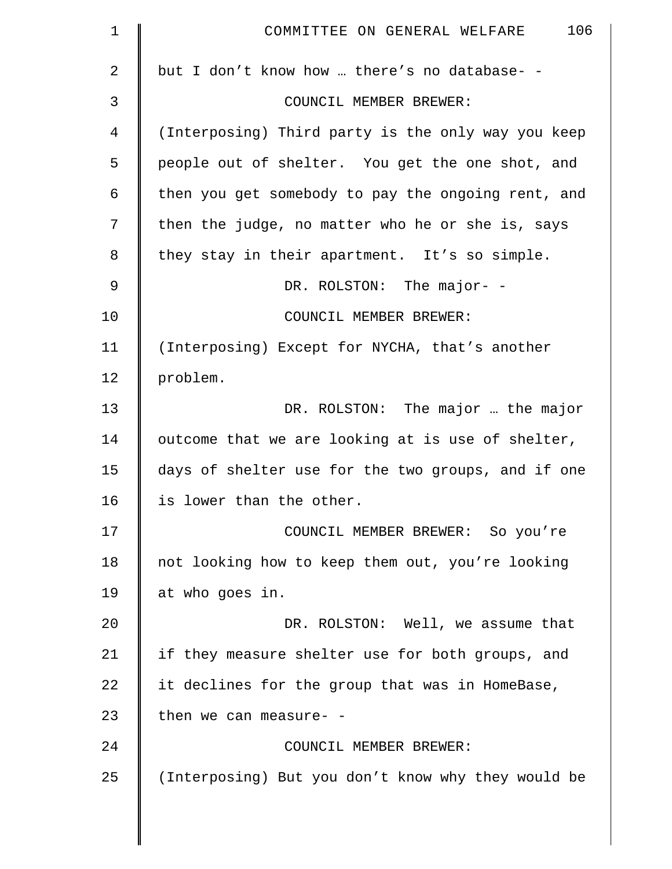| $\mathbf 1$    | 106<br>COMMITTEE ON GENERAL WELFARE                |
|----------------|----------------------------------------------------|
| $\overline{a}$ | but I don't know how  there's no database- -       |
| 3              | COUNCIL MEMBER BREWER:                             |
| 4              | (Interposing) Third party is the only way you keep |
| 5              | people out of shelter. You get the one shot, and   |
| 6              | then you get somebody to pay the ongoing rent, and |
| 7              | then the judge, no matter who he or she is, says   |
| 8              | they stay in their apartment. It's so simple.      |
| 9              | DR. ROLSTON: The major- -                          |
| 10             | COUNCIL MEMBER BREWER:                             |
| 11             | (Interposing) Except for NYCHA, that's another     |
| 12             | problem.                                           |
| 13             | DR. ROLSTON: The major  the major                  |
| 14             | outcome that we are looking at is use of shelter,  |
| 15             | days of shelter use for the two groups, and if one |
| 16             | is lower than the other.                           |
| 17             | COUNCIL MEMBER BREWER: So you're                   |
| 18             | not looking how to keep them out, you're looking   |
| 19             | at who goes in.                                    |
| 20             | DR. ROLSTON: Well, we assume that                  |
| 21             | if they measure shelter use for both groups, and   |
| 22             | it declines for the group that was in HomeBase,    |
| 23             | then we can measure- -                             |
| 24             | COUNCIL MEMBER BREWER:                             |
| 25             | (Interposing) But you don't know why they would be |
|                |                                                    |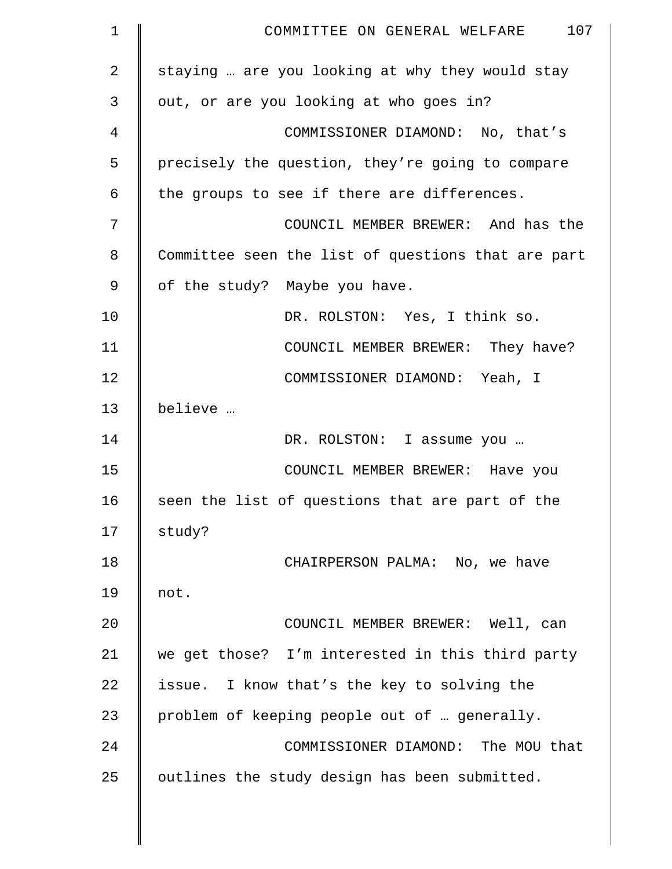| $\mathbf 1$ | 107<br>COMMITTEE ON GENERAL WELFARE                |
|-------------|----------------------------------------------------|
| 2           | staying  are you looking at why they would stay    |
| 3           | out, or are you looking at who goes in?            |
| 4           | COMMISSIONER DIAMOND: No, that's                   |
| 5           | precisely the question, they're going to compare   |
| 6           | the groups to see if there are differences.        |
| 7           | COUNCIL MEMBER BREWER: And has the                 |
| 8           | Committee seen the list of questions that are part |
| 9           | of the study? Maybe you have.                      |
| 10          | DR. ROLSTON: Yes, I think so.                      |
| 11          | COUNCIL MEMBER BREWER: They have?                  |
| 12          | COMMISSIONER DIAMOND: Yeah, I                      |
| 13          | believe                                            |
| 14          | DR. ROLSTON: I assume you                          |
| 15          | COUNCIL MEMBER BREWER: Have you                    |
| 16          | seen the list of questions that are part of the    |
| 17          | study?                                             |
| 18          | CHAIRPERSON PALMA: No, we have                     |
| 19          | not.                                               |
| 20          | COUNCIL MEMBER BREWER: Well, can                   |
| 21          | we get those? I'm interested in this third party   |
| 22          | issue. I know that's the key to solving the        |
| 23          | problem of keeping people out of  generally.       |
| 24          | COMMISSIONER DIAMOND: The MOU that                 |
| 25          | outlines the study design has been submitted.      |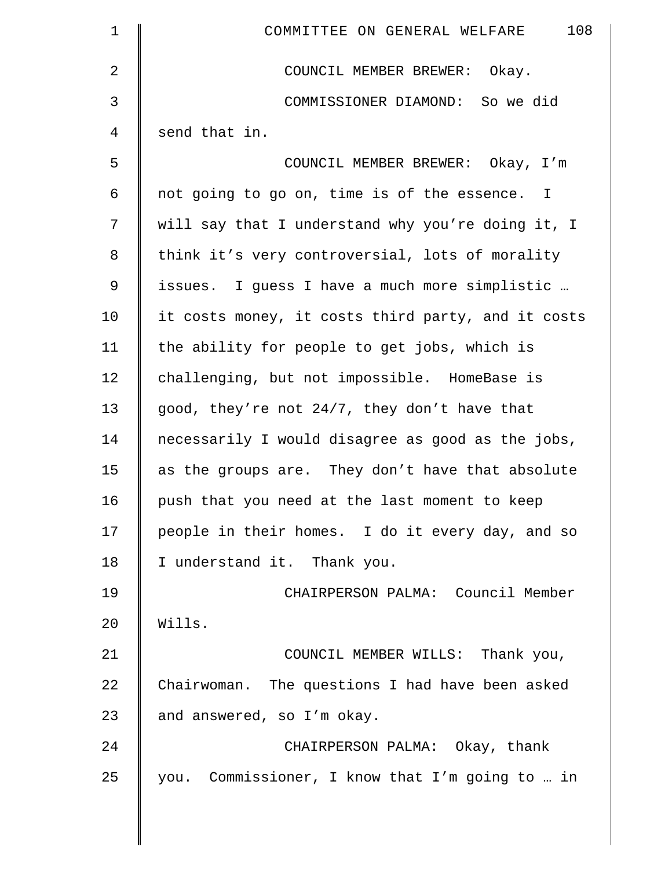| $\mathbf 1$    | 108<br>COMMITTEE ON GENERAL WELFARE                |
|----------------|----------------------------------------------------|
| $\overline{2}$ | COUNCIL MEMBER BREWER: Okay.                       |
| 3              | COMMISSIONER DIAMOND: So we did                    |
| $\overline{4}$ | send that in.                                      |
| 5              | COUNCIL MEMBER BREWER: Okay, I'm                   |
| 6              | not going to go on, time is of the essence. I      |
| 7              | will say that I understand why you're doing it, I  |
| $\,8\,$        | think it's very controversial, lots of morality    |
| 9              | issues. I guess I have a much more simplistic      |
| 10             | it costs money, it costs third party, and it costs |
| 11             | the ability for people to get jobs, which is       |
| 12             | challenging, but not impossible. HomeBase is       |
| 13             | good, they're not 24/7, they don't have that       |
| 14             | necessarily I would disagree as good as the jobs,  |
| 15             | as the groups are. They don't have that absolute   |
| 16             | push that you need at the last moment to keep      |
| 17             | people in their homes. I do it every day, and so   |
| 18             | I understand it. Thank you.                        |
| 19             | CHAIRPERSON PALMA: Council Member                  |
| 20             | Wills.                                             |
| 21             | COUNCIL MEMBER WILLS: Thank you,                   |
| 22             | Chairwoman. The questions I had have been asked    |
| 23             | and answered, so I'm okay.                         |
| 24             | CHAIRPERSON PALMA: Okay, thank                     |
| 25             | you. Commissioner, I know that I'm going to  in    |

║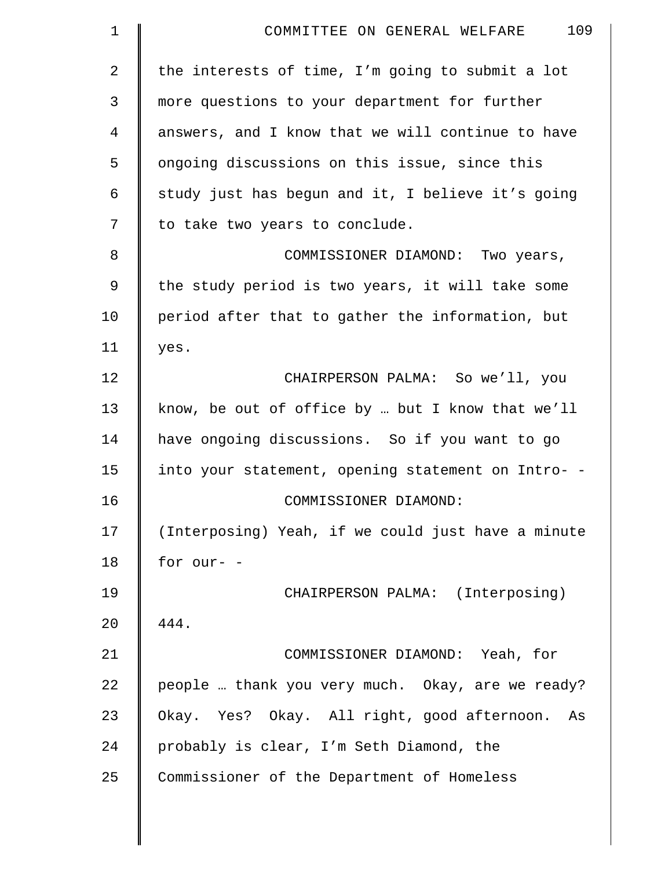| 109<br>COMMITTEE ON GENERAL WELFARE                |
|----------------------------------------------------|
| the interests of time, I'm going to submit a lot   |
| more questions to your department for further      |
| answers, and I know that we will continue to have  |
| ongoing discussions on this issue, since this      |
| study just has begun and it, I believe it's going  |
| to take two years to conclude.                     |
| COMMISSIONER DIAMOND: Two years,                   |
| the study period is two years, it will take some   |
| period after that to gather the information, but   |
| yes.                                               |
| CHAIRPERSON PALMA: So we'll, you                   |
| know, be out of office by  but I know that we'll   |
| have ongoing discussions. So if you want to go     |
| into your statement, opening statement on Intro- - |
| COMMISSIONER DIAMOND:                              |
| (Interposing) Yeah, if we could just have a minute |
| for our- -                                         |
| CHAIRPERSON PALMA: (Interposing)                   |
| 444.                                               |
| COMMISSIONER DIAMOND: Yeah, for                    |
| people  thank you very much. Okay, are we ready?   |
| Okay. Yes? Okay. All right, good afternoon.<br>As  |
| probably is clear, I'm Seth Diamond, the           |
| Commissioner of the Department of Homeless         |
|                                                    |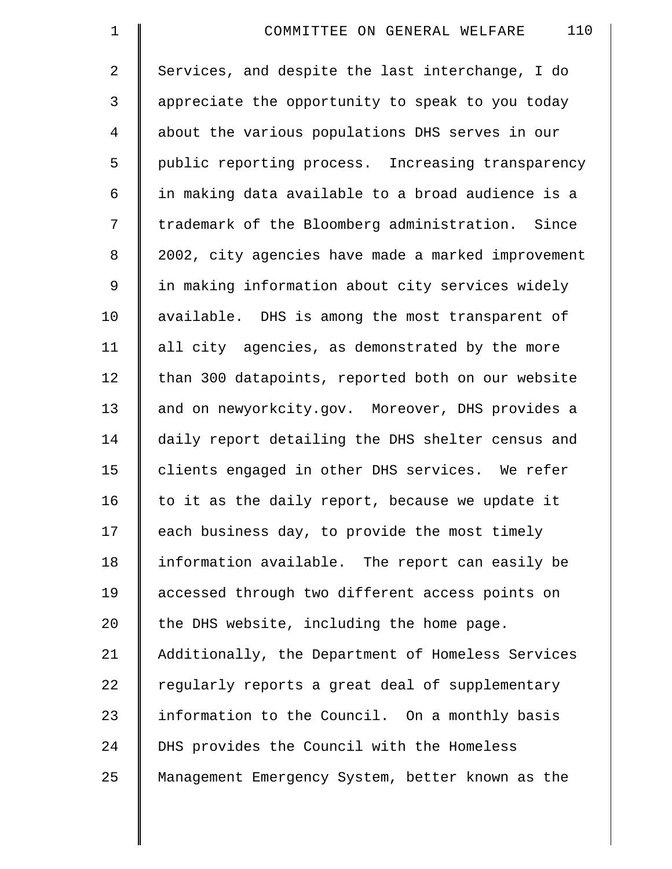| $\mathbf 1$    | 110<br>COMMITTEE ON GENERAL WELFARE                |
|----------------|----------------------------------------------------|
| $\overline{2}$ | Services, and despite the last interchange, I do   |
| 3              | appreciate the opportunity to speak to you today   |
| 4              | about the various populations DHS serves in our    |
| 5              | public reporting process. Increasing transparency  |
| 6              | in making data available to a broad audience is a  |
| 7              | trademark of the Bloomberg administration. Since   |
| 8              | 2002, city agencies have made a marked improvement |
| 9              | in making information about city services widely   |
| 10             | available. DHS is among the most transparent of    |
| 11             | all city agencies, as demonstrated by the more     |
| 12             | than 300 datapoints, reported both on our website  |
| 13             | and on newyorkcity.gov. Moreover, DHS provides a   |
| 14             | daily report detailing the DHS shelter census and  |
| 15             | clients engaged in other DHS services. We refer    |
| 16             | to it as the daily report, because we update it    |
| 17             | each business day, to provide the most timely      |
| 18             | information available. The report can easily be    |
| 19             | accessed through two different access points on    |
| 20             | the DHS website, including the home page.          |
| 21             | Additionally, the Department of Homeless Services  |
| 22             | regularly reports a great deal of supplementary    |
| 23             | information to the Council. On a monthly basis     |
| 24             | DHS provides the Council with the Homeless         |
| 25             | Management Emergency System, better known as the   |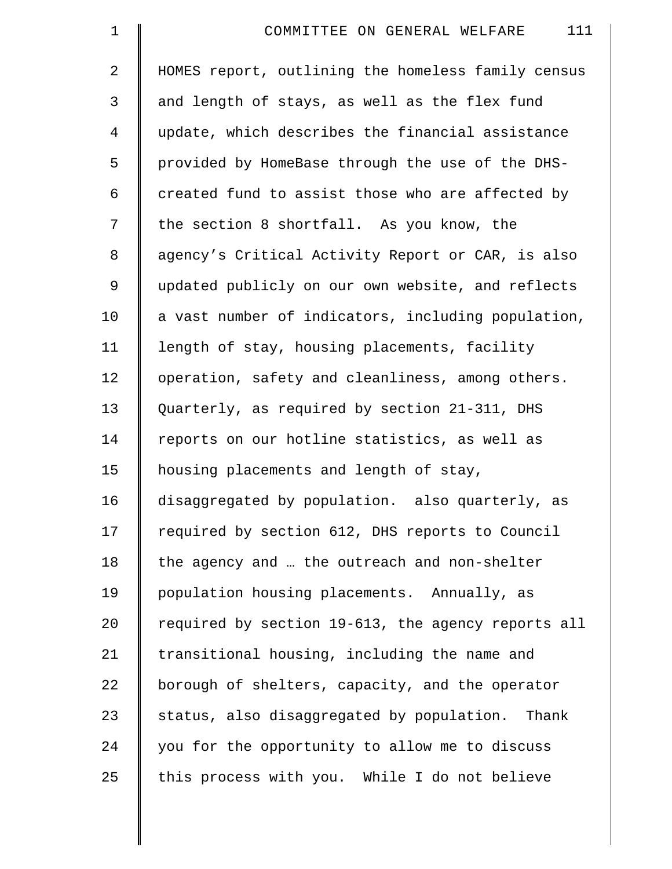| $\mathbf 1$    | 111<br>COMMITTEE ON GENERAL WELFARE                |
|----------------|----------------------------------------------------|
| $\overline{2}$ | HOMES report, outlining the homeless family census |
| 3              | and length of stays, as well as the flex fund      |
| $\overline{4}$ | update, which describes the financial assistance   |
| 5              | provided by HomeBase through the use of the DHS-   |
| 6              | created fund to assist those who are affected by   |
| 7              | the section 8 shortfall. As you know, the          |
| 8              | agency's Critical Activity Report or CAR, is also  |
| 9              | updated publicly on our own website, and reflects  |
| 10             | a vast number of indicators, including population, |
| 11             | length of stay, housing placements, facility       |
| 12             | operation, safety and cleanliness, among others.   |
| 13             | Quarterly, as required by section 21-311, DHS      |
| 14             | reports on our hotline statistics, as well as      |
| 15             | housing placements and length of stay,             |
| 16             | disaggregated by population. also quarterly, as    |
| 17             | required by section 612, DHS reports to Council    |
| 18             | the agency and  the outreach and non-shelter       |
| 19             | population housing placements. Annually, as        |
| 20             | required by section 19-613, the agency reports all |
| 21             | transitional housing, including the name and       |
| 22             | borough of shelters, capacity, and the operator    |
| 23             | status, also disaggregated by population. Thank    |
| 24             | you for the opportunity to allow me to discuss     |
| 25             | this process with you. While I do not believe      |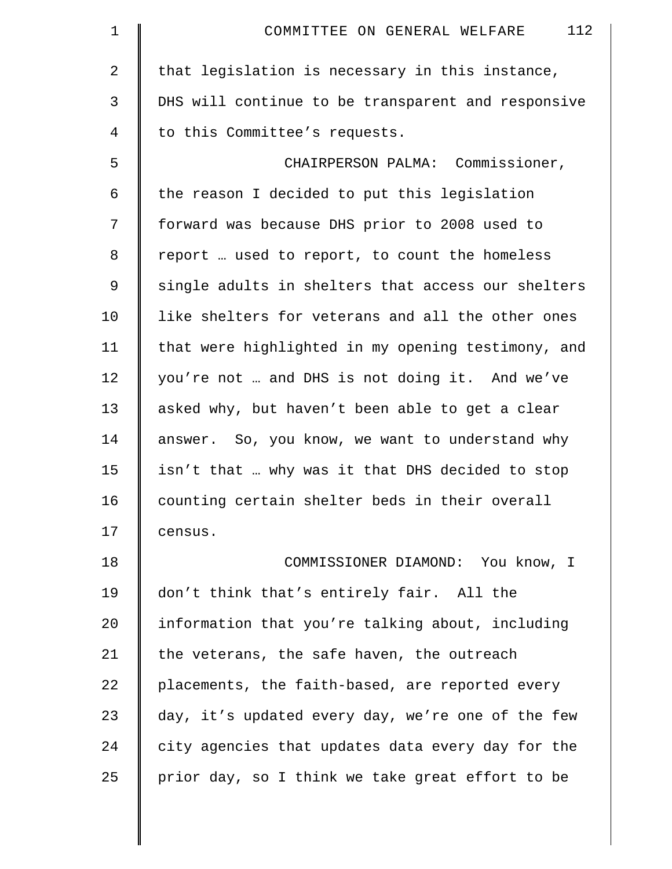| $\mathbf 1$    | 112<br>COMMITTEE ON GENERAL WELFARE                |
|----------------|----------------------------------------------------|
| $\overline{2}$ | that legislation is necessary in this instance,    |
| 3              | DHS will continue to be transparent and responsive |
| 4              | to this Committee's requests.                      |
| 5              | CHAIRPERSON PALMA: Commissioner,                   |
| 6              | the reason I decided to put this legislation       |
| 7              | forward was because DHS prior to 2008 used to      |
| 8              | report  used to report, to count the homeless      |
| 9              | single adults in shelters that access our shelters |
| 10             | like shelters for veterans and all the other ones  |
| 11             | that were highlighted in my opening testimony, and |
| 12             | you're not  and DHS is not doing it. And we've     |
| 13             | asked why, but haven't been able to get a clear    |
| 14             | answer. So, you know, we want to understand why    |
| 15             | isn't that  why was it that DHS decided to stop    |
| 16             | counting certain shelter beds in their overall     |
| 17             | census.                                            |
| 18             | COMMISSIONER DIAMOND: You know, I                  |
| 19             | don't think that's entirely fair. All the          |
| 20             | information that you're talking about, including   |
| 21             | the veterans, the safe haven, the outreach         |
| 22             | placements, the faith-based, are reported every    |
| 23             | day, it's updated every day, we're one of the few  |
| 24             | city agencies that updates data every day for the  |
| 25             | prior day, so I think we take great effort to be   |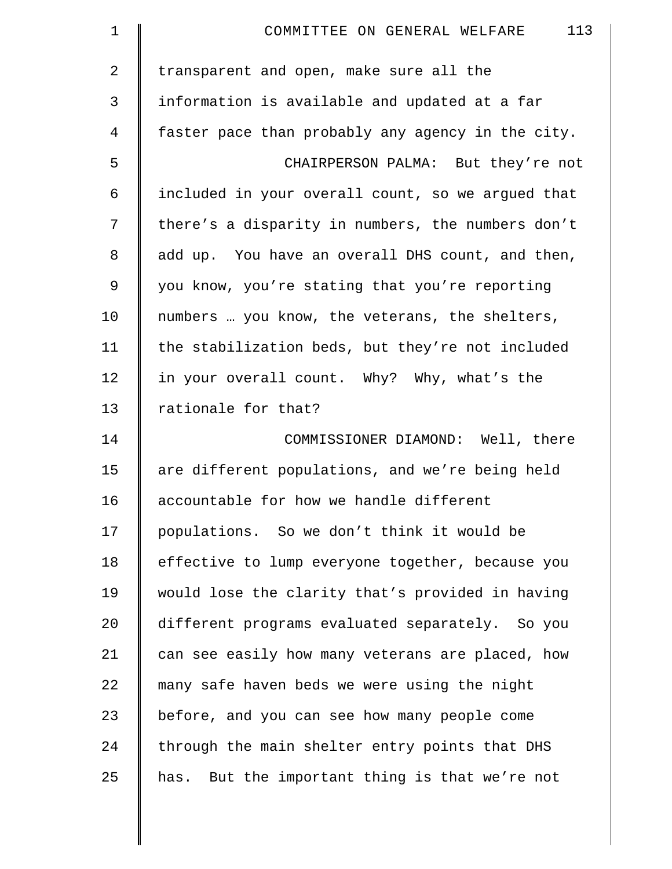| $\mathbf 1$ | 113<br>COMMITTEE ON GENERAL WELFARE               |
|-------------|---------------------------------------------------|
| 2           | transparent and open, make sure all the           |
| 3           | information is available and updated at a far     |
| 4           | faster pace than probably any agency in the city. |
| 5           | CHAIRPERSON PALMA: But they're not                |
| 6           | included in your overall count, so we argued that |
| 7           | there's a disparity in numbers, the numbers don't |
| 8           | add up. You have an overall DHS count, and then,  |
| 9           | you know, you're stating that you're reporting    |
| 10          | numbers  you know, the veterans, the shelters,    |
| 11          | the stabilization beds, but they're not included  |
| 12          | in your overall count. Why? Why, what's the       |
| 13          | rationale for that?                               |
| 14          | COMMISSIONER DIAMOND: Well, there                 |
| 15          | are different populations, and we're being held   |
| 16          | accountable for how we handle different           |
| 17          | populations. So we don't think it would be        |
| 18          | effective to lump everyone together, because you  |
| 19          | would lose the clarity that's provided in having  |
| 20          | different programs evaluated separately. So you   |
| 21          | can see easily how many veterans are placed, how  |
| 22          | many safe haven beds we were using the night      |
| 23          | before, and you can see how many people come      |
| 24          | through the main shelter entry points that DHS    |
| 25          | has. But the important thing is that we're not    |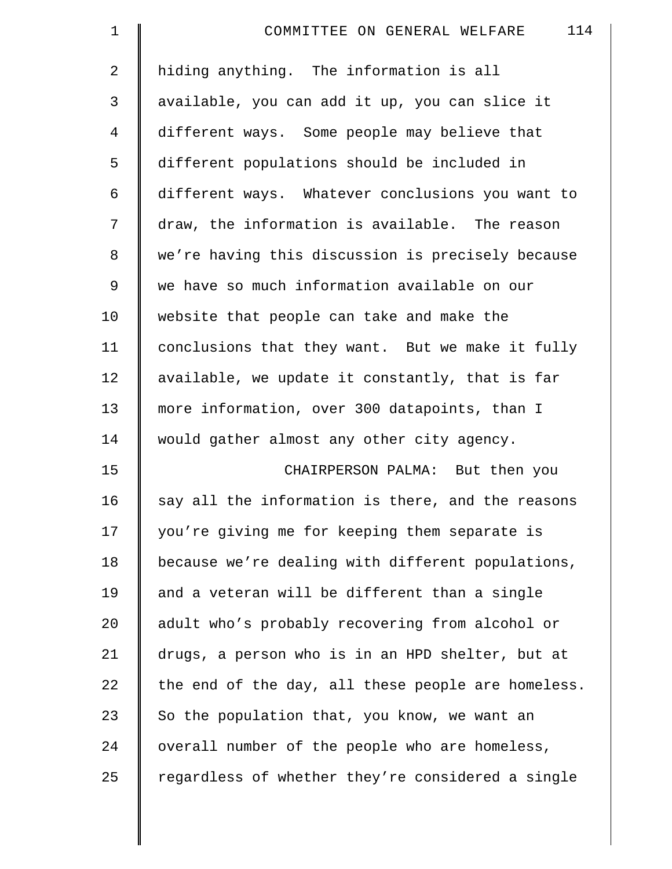| $\mathbf 1$ | 114<br>COMMITTEE ON GENERAL WELFARE                |
|-------------|----------------------------------------------------|
| 2           | hiding anything. The information is all            |
| 3           | available, you can add it up, you can slice it     |
| 4           | different ways. Some people may believe that       |
| 5           | different populations should be included in        |
| 6           | different ways. Whatever conclusions you want to   |
| 7           | draw, the information is available. The reason     |
| $\,8\,$     | we're having this discussion is precisely because  |
| 9           | we have so much information available on our       |
| 10          | website that people can take and make the          |
| 11          | conclusions that they want. But we make it fully   |
| 12          | available, we update it constantly, that is far    |
| 13          | more information, over 300 datapoints, than I      |
| 14          | would gather almost any other city agency.         |
| 15          | CHAIRPERSON PALMA: But then you                    |
| 16          | say all the information is there, and the reasons  |
| 17          | you're giving me for keeping them separate is      |
| 18          | because we're dealing with different populations,  |
| 19          | and a veteran will be different than a single      |
| 20          | adult who's probably recovering from alcohol or    |
| 21          | drugs, a person who is in an HPD shelter, but at   |
| 22          | the end of the day, all these people are homeless. |
| 23          | So the population that, you know, we want an       |
| 24          | overall number of the people who are homeless,     |
| 25          | regardless of whether they're considered a single  |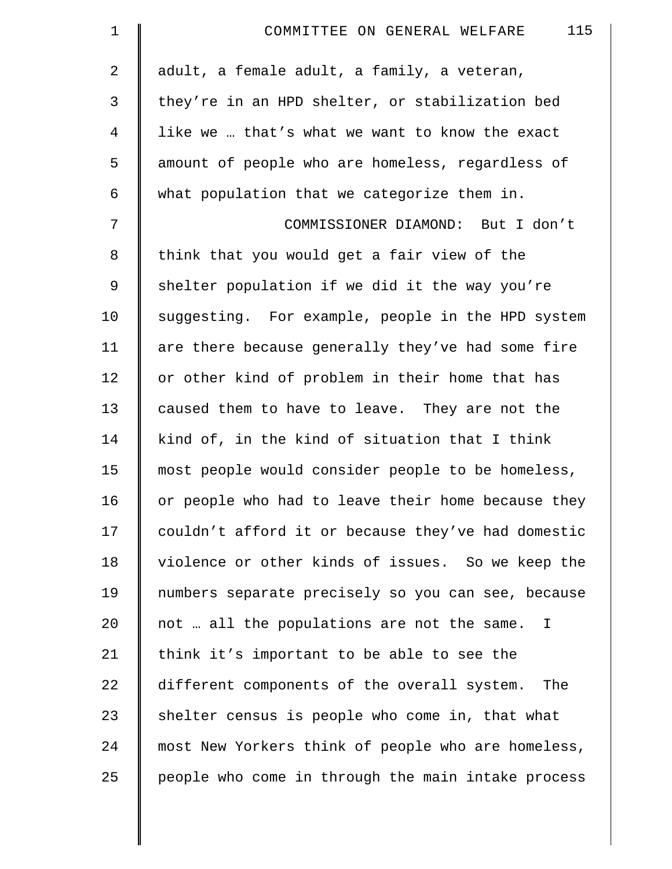| $\mathbf 1$    | 115<br>COMMITTEE ON GENERAL WELFARE                |
|----------------|----------------------------------------------------|
| 2              | adult, a female adult, a family, a veteran,        |
| 3              | they're in an HPD shelter, or stabilization bed    |
| $\overline{4}$ | like we  that's what we want to know the exact     |
| 5              | amount of people who are homeless, regardless of   |
| 6              | what population that we categorize them in.        |
| 7              | COMMISSIONER DIAMOND: But I don't                  |
| 8              | think that you would get a fair view of the        |
| 9              | shelter population if we did it the way you're     |
| 10             | suggesting. For example, people in the HPD system  |
| 11             | are there because generally they've had some fire  |
| 12             | or other kind of problem in their home that has    |
| 13             | caused them to have to leave. They are not the     |
| 14             | kind of, in the kind of situation that I think     |
| 15             | most people would consider people to be homeless,  |
| 16             | or people who had to leave their home because they |
| 17             | couldn't afford it or because they've had domestic |
| 18             | violence or other kinds of issues. So we keep the  |
| 19             | numbers separate precisely so you can see, because |
| 20             | not  all the populations are not the same. I       |
| 21             | think it's important to be able to see the         |
| 22             | different components of the overall system. The    |
| 23             | shelter census is people who come in, that what    |
| 24             | most New Yorkers think of people who are homeless, |
| 25             | people who come in through the main intake process |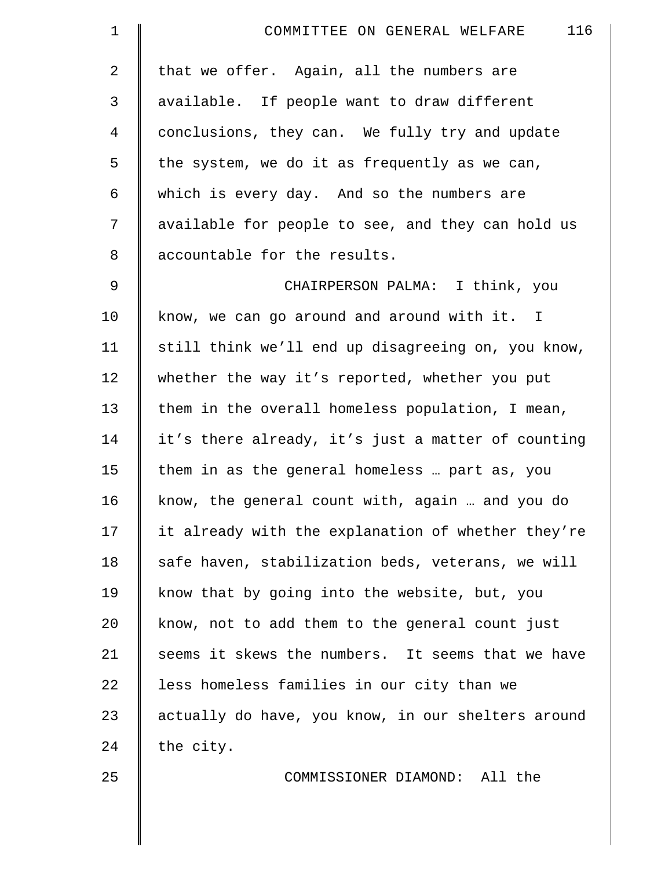| $\mathbf 1$    | 116<br>COMMITTEE ON GENERAL WELFARE                |
|----------------|----------------------------------------------------|
| 2              | that we offer. Again, all the numbers are          |
| 3              | available. If people want to draw different        |
| $\overline{4}$ | conclusions, they can. We fully try and update     |
| 5              | the system, we do it as frequently as we can,      |
| 6              | which is every day. And so the numbers are         |
| 7              | available for people to see, and they can hold us  |
| 8              | accountable for the results.                       |
| 9              | CHAIRPERSON PALMA: I think, you                    |
| 10             | know, we can go around and around with it. I       |
| 11             | still think we'll end up disagreeing on, you know, |
| 12             | whether the way it's reported, whether you put     |
| 13             | them in the overall homeless population, I mean,   |
| 14             | it's there already, it's just a matter of counting |
| 15             | them in as the general homeless  part as, you      |
| 16             | know, the general count with, again  and you do    |
| 17             | it already with the explanation of whether they're |
| 18             | safe haven, stabilization beds, veterans, we will  |
| 19             | know that by going into the website, but, you      |
| 20             | know, not to add them to the general count just    |
| 21             | seems it skews the numbers. It seems that we have  |
| 22             | less homeless families in our city than we         |
| 23             | actually do have, you know, in our shelters around |
| 24             | the city.                                          |
| 25             | COMMISSIONER DIAMOND: All the                      |
|                |                                                    |
|                |                                                    |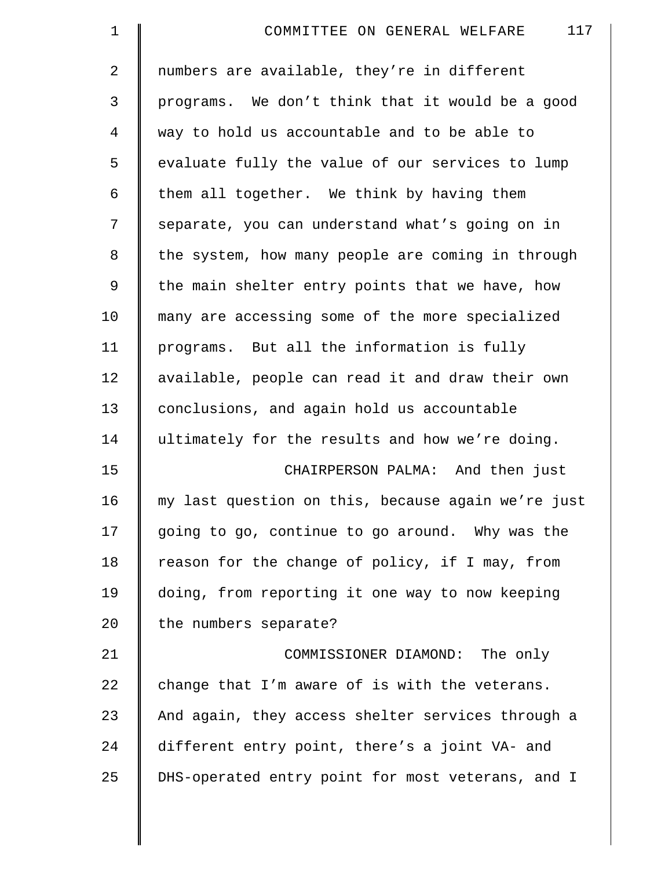| $\mathbf 1$    | 117<br>COMMITTEE ON GENERAL WELFARE                |
|----------------|----------------------------------------------------|
| $\overline{2}$ | numbers are available, they're in different        |
| 3              | programs. We don't think that it would be a good   |
| $\overline{4}$ | way to hold us accountable and to be able to       |
| 5              | evaluate fully the value of our services to lump   |
| 6              | them all together. We think by having them         |
| 7              | separate, you can understand what's going on in    |
| 8              | the system, how many people are coming in through  |
| 9              | the main shelter entry points that we have, how    |
| 10             | many are accessing some of the more specialized    |
| 11             | programs. But all the information is fully         |
| 12             | available, people can read it and draw their own   |
| 13             | conclusions, and again hold us accountable         |
| 14             | ultimately for the results and how we're doing.    |
| 15             | CHAIRPERSON PALMA: And then just                   |
| 16             | my last question on this, because again we're just |
| 17             | going to go, continue to go around. Why was the    |
| 18             | reason for the change of policy, if I may, from    |
| 19             | doing, from reporting it one way to now keeping    |
| 20             | the numbers separate?                              |
| 21             | COMMISSIONER DIAMOND: The only                     |
| 22             | change that I'm aware of is with the veterans.     |
| 23             | And again, they access shelter services through a  |
| 24             | different entry point, there's a joint VA- and     |
| 25             | DHS-operated entry point for most veterans, and I  |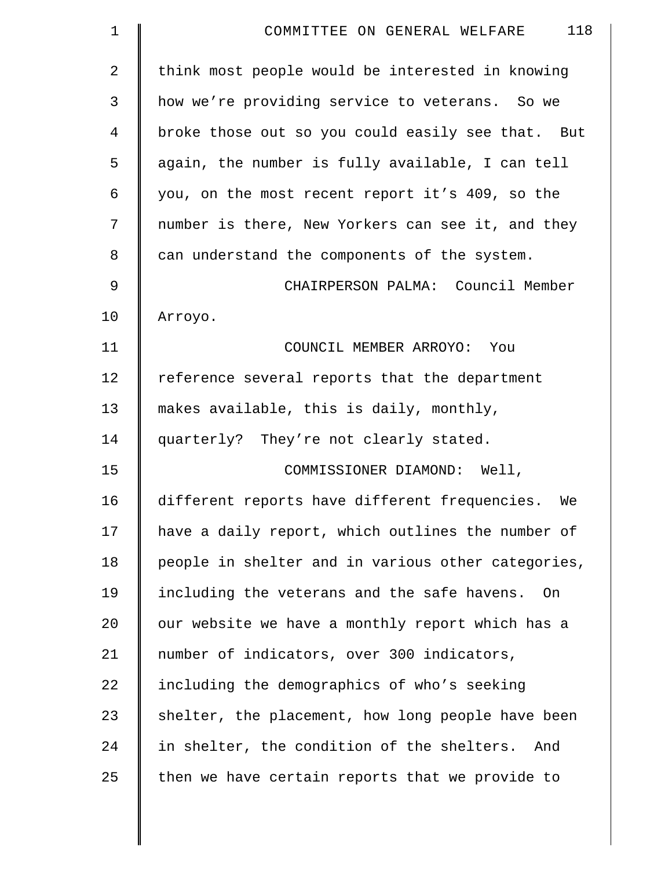| $\mathbf 1$    | 118<br>COMMITTEE ON GENERAL WELFARE                 |
|----------------|-----------------------------------------------------|
| $\overline{2}$ | think most people would be interested in knowing    |
| 3              | how we're providing service to veterans. So we      |
| 4              | broke those out so you could easily see that. But   |
| 5              | again, the number is fully available, I can tell    |
| 6              | you, on the most recent report it's 409, so the     |
| 7              | number is there, New Yorkers can see it, and they   |
| 8              | can understand the components of the system.        |
| 9              | CHAIRPERSON PALMA: Council Member                   |
| 10             | Arroyo.                                             |
| 11             | COUNCIL MEMBER ARROYO: You                          |
| 12             | reference several reports that the department       |
| 13             | makes available, this is daily, monthly,            |
| 14             | quarterly? They're not clearly stated.              |
| 15             | COMMISSIONER DIAMOND: Well,                         |
| 16             | different reports have different frequencies. We    |
| 17             | have a daily report, which outlines the number of   |
| 18             | people in shelter and in various other categories,  |
| 19             | including the veterans and the safe havens.<br>- On |
| 20             | our website we have a monthly report which has a    |
| 21             | number of indicators, over 300 indicators,          |
| 22             | including the demographics of who's seeking         |
| 23             | shelter, the placement, how long people have been   |
| 24             | in shelter, the condition of the shelters.<br>And   |
| 25             | then we have certain reports that we provide to     |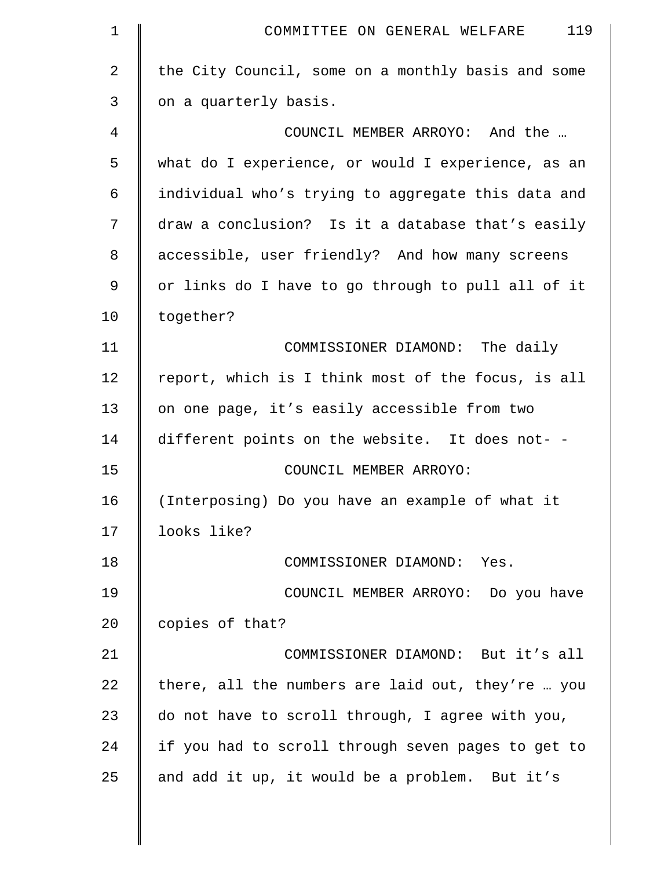| $\mathbf 1$    | 119<br>COMMITTEE ON GENERAL WELFARE                |
|----------------|----------------------------------------------------|
| $\overline{2}$ | the City Council, some on a monthly basis and some |
| 3              | on a quarterly basis.                              |
| 4              | COUNCIL MEMBER ARROYO: And the                     |
| 5              | what do I experience, or would I experience, as an |
| 6              | individual who's trying to aggregate this data and |
| 7              | draw a conclusion? Is it a database that's easily  |
| 8              | accessible, user friendly? And how many screens    |
| 9              | or links do I have to go through to pull all of it |
| 10             | together?                                          |
| 11             | COMMISSIONER DIAMOND: The daily                    |
| 12             | report, which is I think most of the focus, is all |
| 13             | on one page, it's easily accessible from two       |
| 14             | different points on the website. It does not- -    |
| 15             | COUNCIL MEMBER ARROYO:                             |
| 16             | (Interposing) Do you have an example of what it    |
| 17             | looks like?                                        |
| 18             | COMMISSIONER DIAMOND: Yes.                         |
| 19             | COUNCIL MEMBER ARROYO: Do you have                 |
| 20             | copies of that?                                    |
| 21             | COMMISSIONER DIAMOND: But it's all                 |
| 22             | there, all the numbers are laid out, they're  you  |
| 23             | do not have to scroll through, I agree with you,   |
| 24             | if you had to scroll through seven pages to get to |
| 25             | and add it up, it would be a problem. But it's     |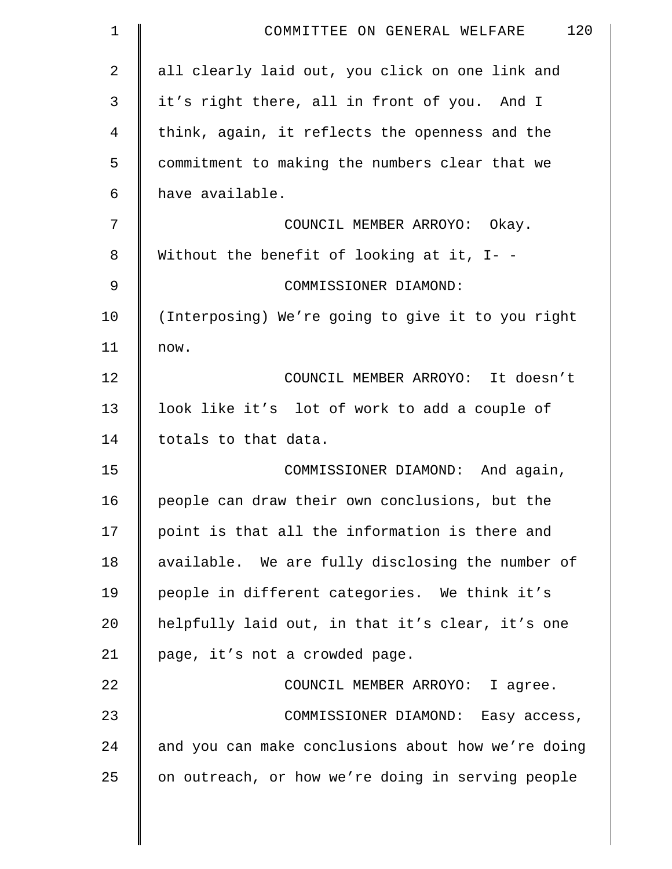| $\mathbf 1$    | 120<br>COMMITTEE ON GENERAL WELFARE                |
|----------------|----------------------------------------------------|
| $\overline{2}$ | all clearly laid out, you click on one link and    |
| 3              | it's right there, all in front of you. And I       |
| 4              | think, again, it reflects the openness and the     |
| 5              | commitment to making the numbers clear that we     |
| 6              | have available.                                    |
| 7              | COUNCIL MEMBER ARROYO: Okay.                       |
| 8              | Without the benefit of looking at it, $I -$        |
| 9              | COMMISSIONER DIAMOND:                              |
| 10             | (Interposing) We're going to give it to you right  |
| 11             | now.                                               |
| 12             | COUNCIL MEMBER ARROYO: It doesn't                  |
| 13             | look like it's lot of work to add a couple of      |
| 14             | totals to that data.                               |
| 15             | COMMISSIONER DIAMOND: And again,                   |
| 16             | people can draw their own conclusions, but the     |
| 17             | point is that all the information is there and     |
| 18             | available. We are fully disclosing the number of   |
| 19             | people in different categories. We think it's      |
| 20             | helpfully laid out, in that it's clear, it's one   |
| 21             | page, it's not a crowded page.                     |
| 22             | COUNCIL MEMBER ARROYO: I agree.                    |
| 23             | COMMISSIONER DIAMOND: Easy access,                 |
| 24             | and you can make conclusions about how we're doing |
| 25             | on outreach, or how we're doing in serving people  |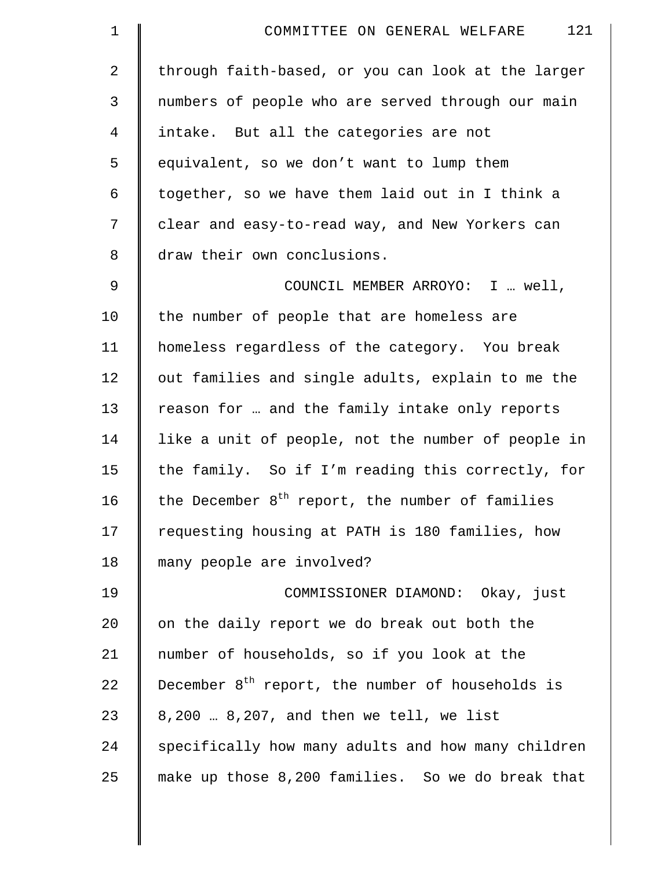| $\mathbf 1$    | 121<br>COMMITTEE ON GENERAL WELFARE                   |
|----------------|-------------------------------------------------------|
| $\overline{2}$ | through faith-based, or you can look at the larger    |
| $\mathsf{3}$   | numbers of people who are served through our main     |
| $\overline{4}$ | intake. But all the categories are not                |
| 5              | equivalent, so we don't want to lump them             |
| 6              | together, so we have them laid out in I think a       |
| 7              | clear and easy-to-read way, and New Yorkers can       |
| 8              | draw their own conclusions.                           |
| $\mathsf 9$    | COUNCIL MEMBER ARROYO: I  well,                       |
| 10             | the number of people that are homeless are            |
| 11             | homeless regardless of the category. You break        |
| 12             | out families and single adults, explain to me the     |
| 13             | reason for  and the family intake only reports        |
| 14             | like a unit of people, not the number of people in    |
| 15             | the family. So if I'm reading this correctly, for     |
| 16             | the December $8^{th}$ report, the number of families  |
| 17             | requesting housing at PATH is 180 families, how       |
| 18             | many people are involved?                             |
| 19             | COMMISSIONER DIAMOND: Okay, just                      |
| 20             | on the daily report we do break out both the          |
| 21             | number of households, so if you look at the           |
| 22             | December $8^{th}$ report, the number of households is |
| 23             | 8,200  8,207, and then we tell, we list               |
| 24             | specifically how many adults and how many children    |
| 25             | make up those 8,200 families. So we do break that     |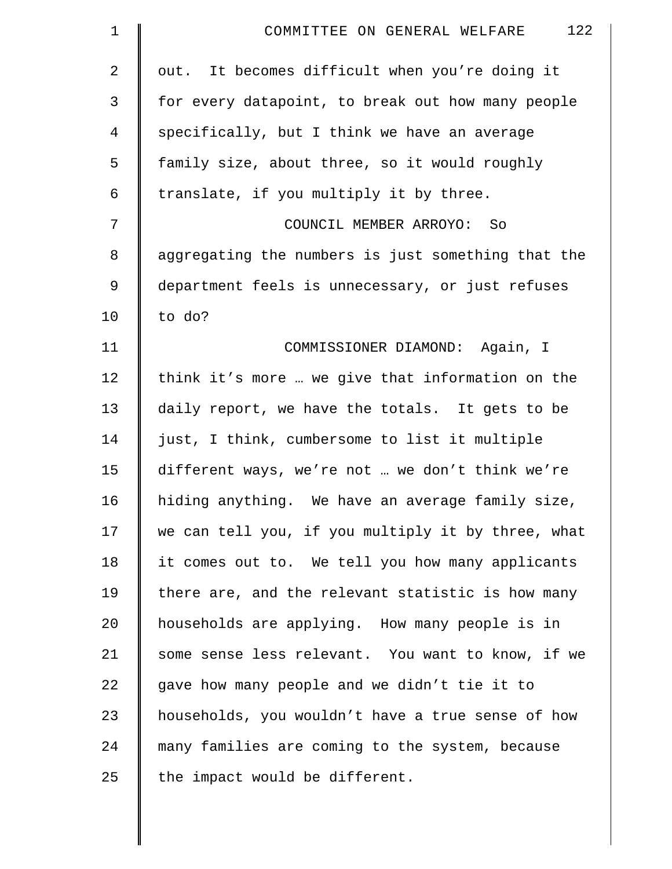| $\mathbf 1$    | 122<br>COMMITTEE ON GENERAL WELFARE                |
|----------------|----------------------------------------------------|
| $\overline{2}$ | out. It becomes difficult when you're doing it     |
| 3              | for every datapoint, to break out how many people  |
| $\overline{4}$ | specifically, but I think we have an average       |
| 5              | family size, about three, so it would roughly      |
| 6              | translate, if you multiply it by three.            |
| 7              | COUNCIL MEMBER ARROYO: So                          |
| $\,8\,$        | aggregating the numbers is just something that the |
| 9              | department feels is unnecessary, or just refuses   |
| 10             | to do?                                             |
| 11             | COMMISSIONER DIAMOND: Again, I                     |
| 12             | think it's more  we give that information on the   |
| 13             | daily report, we have the totals. It gets to be    |
| 14             | just, I think, cumbersome to list it multiple      |
| 15             | different ways, we're not  we don't think we're    |
| 16             | hiding anything. We have an average family size,   |
| 17             | we can tell you, if you multiply it by three, what |
| 18             | it comes out to. We tell you how many applicants   |
| 19             | there are, and the relevant statistic is how many  |
| 20             | households are applying. How many people is in     |
| 21             | some sense less relevant. You want to know, if we  |
| 22             | gave how many people and we didn't tie it to       |
| 23             | households, you wouldn't have a true sense of how  |
| 24             | many families are coming to the system, because    |
| 25             | the impact would be different.                     |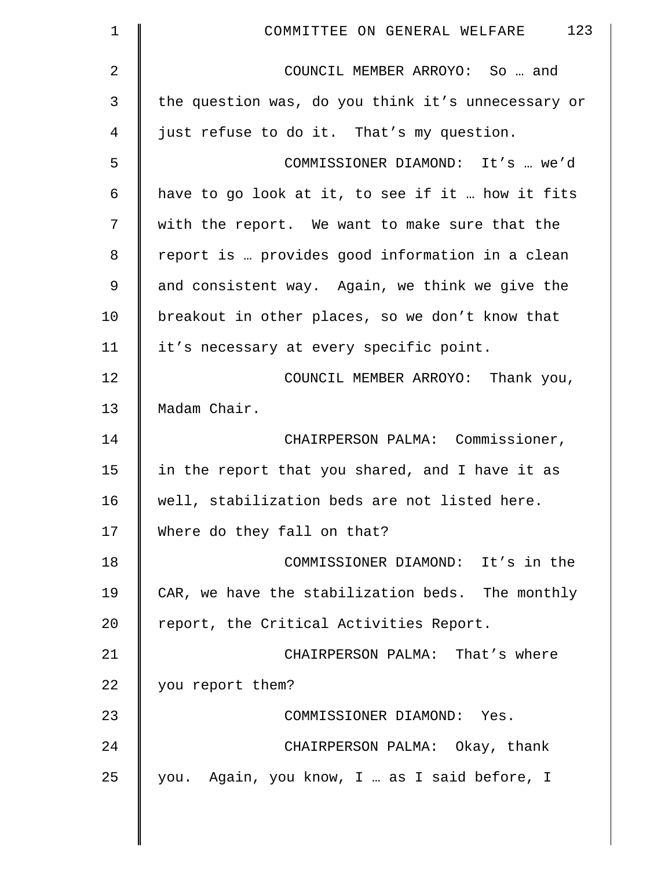| $\mathbf 1$    | 123<br>COMMITTEE ON GENERAL WELFARE                |
|----------------|----------------------------------------------------|
| $\overline{2}$ | COUNCIL MEMBER ARROYO: So  and                     |
| 3              | the question was, do you think it's unnecessary or |
| 4              | just refuse to do it. That's my question.          |
| 5              | COMMISSIONER DIAMOND: It's  we'd                   |
| 6              | have to go look at it, to see if it  how it fits   |
| 7              | with the report. We want to make sure that the     |
| 8              | report is  provides good information in a clean    |
| $\mathsf 9$    | and consistent way. Again, we think we give the    |
| 10             | breakout in other places, so we don't know that    |
| 11             | it's necessary at every specific point.            |
| 12             | COUNCIL MEMBER ARROYO: Thank you,                  |
| 13             | Madam Chair.                                       |
| 14             | CHAIRPERSON PALMA: Commissioner,                   |
| 15             | in the report that you shared, and I have it as    |
| 16             | well, stabilization beds are not listed here.      |
| 17             | Where do they fall on that?                        |
| 18             | COMMISSIONER DIAMOND: It's in the                  |
| 19             | CAR, we have the stabilization beds. The monthly   |
| 20             | report, the Critical Activities Report.            |
| 21             | CHAIRPERSON PALMA: That's where                    |
| 22             | you report them?                                   |
| 23             | COMMISSIONER DIAMOND: Yes.                         |
| 24             | CHAIRPERSON PALMA: Okay, thank                     |
| 25             | you. Again, you know, I  as I said before, I       |
|                |                                                    |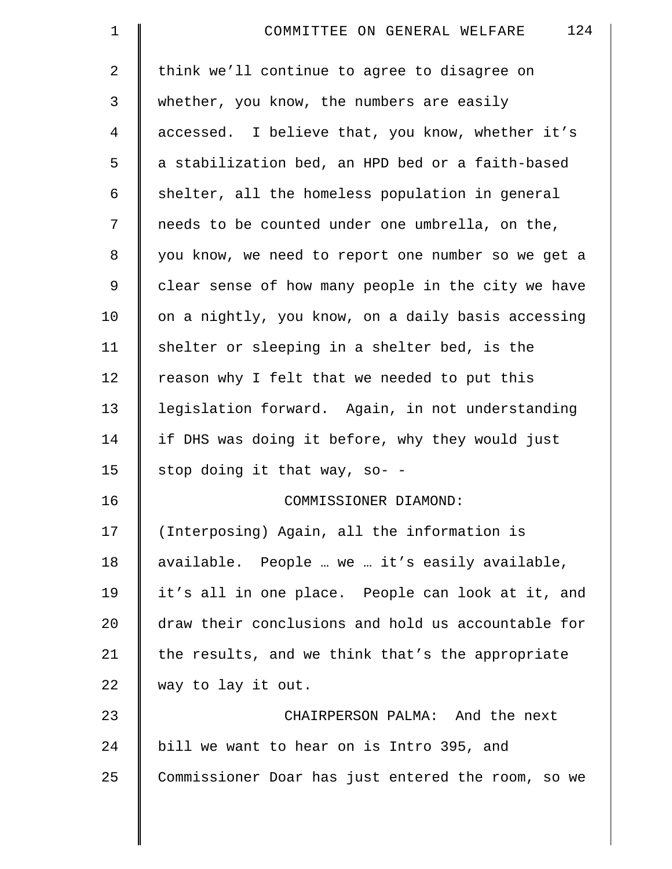| $\mathbf 1$    | 124<br>COMMITTEE ON GENERAL WELFARE                |
|----------------|----------------------------------------------------|
| $\overline{2}$ | think we'll continue to agree to disagree on       |
| 3              | whether, you know, the numbers are easily          |
| $\overline{4}$ | accessed. I believe that, you know, whether it's   |
| 5              | a stabilization bed, an HPD bed or a faith-based   |
| 6              | shelter, all the homeless population in general    |
| 7              | needs to be counted under one umbrella, on the,    |
| 8              | you know, we need to report one number so we get a |
| 9              | clear sense of how many people in the city we have |
| 10             | on a nightly, you know, on a daily basis accessing |
| 11             | shelter or sleeping in a shelter bed, is the       |
| 12             | reason why I felt that we needed to put this       |
| 13             | legislation forward. Again, in not understanding   |
| 14             | if DHS was doing it before, why they would just    |
| 15             | stop doing it that way, so- -                      |
| 16             | COMMISSIONER DIAMOND:                              |
| 17             | (Interposing) Again, all the information is        |
| 18             | available. People  we  it's easily available,      |
| 19             | it's all in one place. People can look at it, and  |
| 20             | draw their conclusions and hold us accountable for |
| 21             | the results, and we think that's the appropriate   |
| 22             | way to lay it out.                                 |
| 23             | CHAIRPERSON PALMA: And the next                    |
| 24             | bill we want to hear on is Intro 395, and          |
| 25             | Commissioner Doar has just entered the room, so we |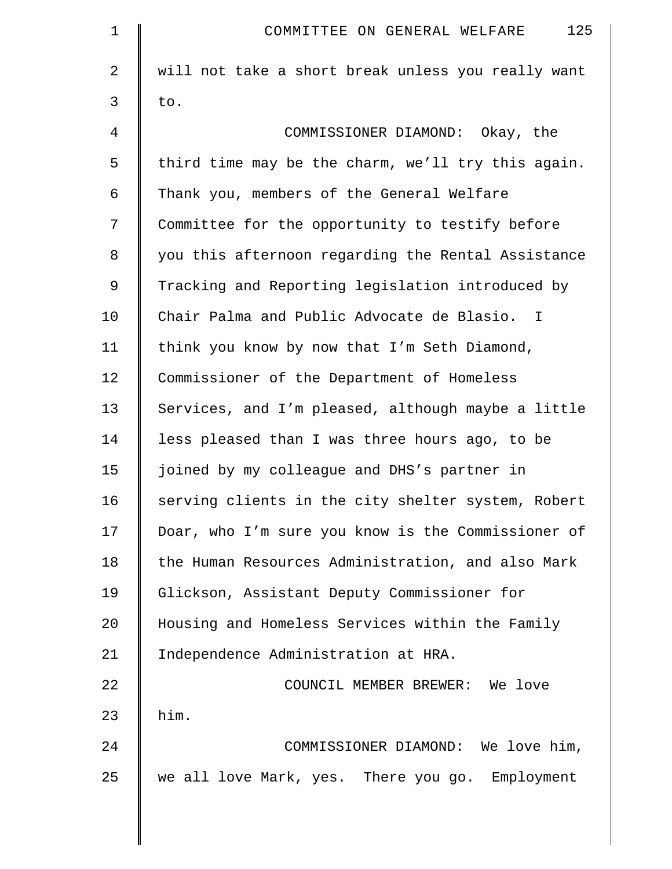| $\mathbf 1$    | 125<br>COMMITTEE ON GENERAL WELFARE                |
|----------------|----------------------------------------------------|
| 2              | will not take a short break unless you really want |
| 3              | to.                                                |
| $\overline{4}$ | COMMISSIONER DIAMOND: Okay, the                    |
| 5              | third time may be the charm, we'll try this again. |
| 6              | Thank you, members of the General Welfare          |
| 7              | Committee for the opportunity to testify before    |
| 8              | you this afternoon regarding the Rental Assistance |
| 9              | Tracking and Reporting legislation introduced by   |
| 10             | Chair Palma and Public Advocate de Blasio. I       |
| 11             | think you know by now that I'm Seth Diamond,       |
| 12             | Commissioner of the Department of Homeless         |
| 13             | Services, and I'm pleased, although maybe a little |
| 14             | less pleased than I was three hours ago, to be     |
| 15             | joined by my colleague and DHS's partner in        |
| 16             | serving clients in the city shelter system, Robert |
| 17             | Doar, who I'm sure you know is the Commissioner of |
| 18             | the Human Resources Administration, and also Mark  |
| 19             | Glickson, Assistant Deputy Commissioner for        |
| 20             | Housing and Homeless Services within the Family    |
| 21             | Independence Administration at HRA.                |
| 22             | COUNCIL MEMBER BREWER: We love                     |
| 23             | him.                                               |
| 24             | COMMISSIONER DIAMOND: We love him,                 |
| 25             | we all love Mark, yes. There you go. Employment    |
|                |                                                    |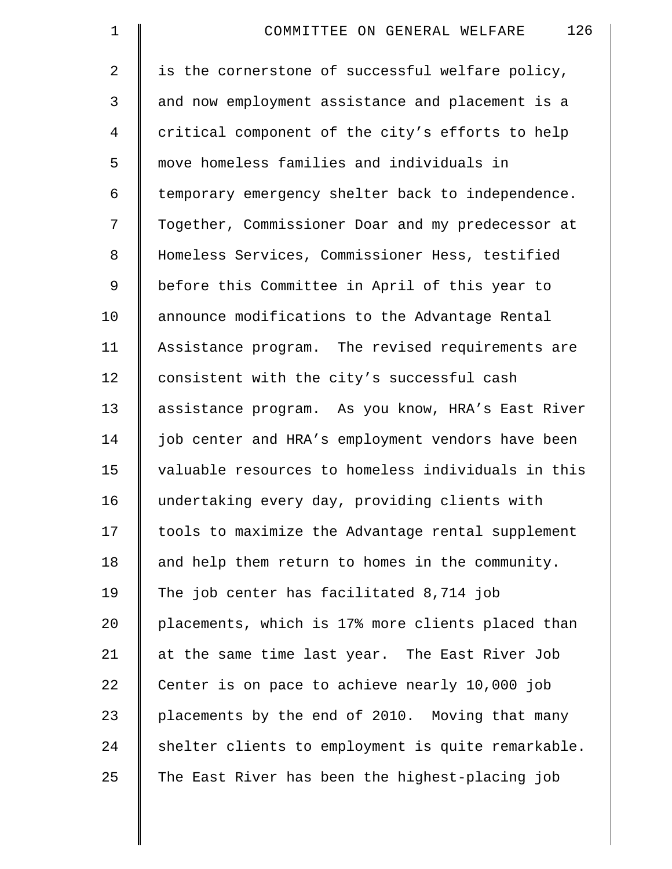| $\mathbf 1$    | 126<br>COMMITTEE ON GENERAL WELFARE                |
|----------------|----------------------------------------------------|
| $\overline{2}$ | is the cornerstone of successful welfare policy,   |
| 3              | and now employment assistance and placement is a   |
| 4              | critical component of the city's efforts to help   |
| 5              | move homeless families and individuals in          |
| 6              | temporary emergency shelter back to independence.  |
| 7              | Together, Commissioner Doar and my predecessor at  |
| 8              | Homeless Services, Commissioner Hess, testified    |
| 9              | before this Committee in April of this year to     |
| 10             | announce modifications to the Advantage Rental     |
| 11             | Assistance program. The revised requirements are   |
| 12             | consistent with the city's successful cash         |
| 13             | assistance program. As you know, HRA's East River  |
| 14             | job center and HRA's employment vendors have been  |
| 15             | valuable resources to homeless individuals in this |
| 16             | undertaking every day, providing clients with      |
| 17             | tools to maximize the Advantage rental supplement  |
| 18             | and help them return to homes in the community.    |
| 19             | The job center has facilitated 8,714 job           |
| 20             | placements, which is 17% more clients placed than  |
| 21             | at the same time last year. The East River Job     |
| 22             | Center is on pace to achieve nearly 10,000 job     |
| 23             | placements by the end of 2010. Moving that many    |
| 24             | shelter clients to employment is quite remarkable. |
| 25             | The East River has been the highest-placing job    |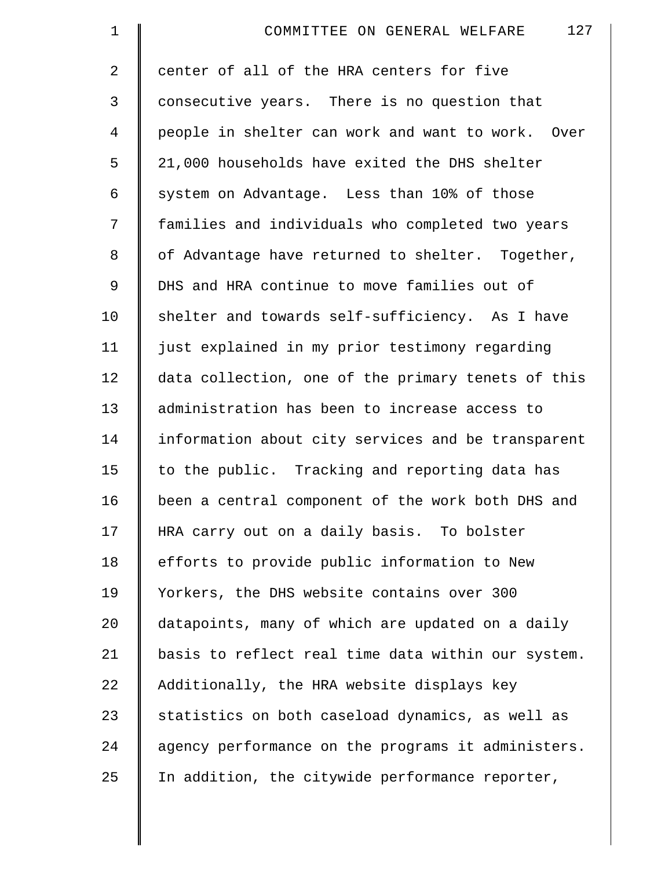| $\mathbf 1$    | 127<br>COMMITTEE ON GENERAL WELFARE                |
|----------------|----------------------------------------------------|
| $\overline{2}$ | center of all of the HRA centers for five          |
| 3              | consecutive years. There is no question that       |
| 4              | people in shelter can work and want to work. Over  |
| 5              | 21,000 households have exited the DHS shelter      |
| 6              | system on Advantage. Less than 10% of those        |
| 7              | families and individuals who completed two years   |
| 8              | of Advantage have returned to shelter. Together,   |
| 9              | DHS and HRA continue to move families out of       |
| 10             | shelter and towards self-sufficiency. As I have    |
| 11             | just explained in my prior testimony regarding     |
| 12             | data collection, one of the primary tenets of this |
| 13             | administration has been to increase access to      |
| 14             | information about city services and be transparent |
| 15             | to the public. Tracking and reporting data has     |
| 16             | been a central component of the work both DHS and  |
| 17             | HRA carry out on a daily basis. To bolster         |
| 18             | efforts to provide public information to New       |
| 19             | Yorkers, the DHS website contains over 300         |
| 20             | datapoints, many of which are updated on a daily   |
| 21             | basis to reflect real time data within our system. |
| 22             | Additionally, the HRA website displays key         |
| 23             | statistics on both caseload dynamics, as well as   |
| 24             | agency performance on the programs it administers. |
| 25             | In addition, the citywide performance reporter,    |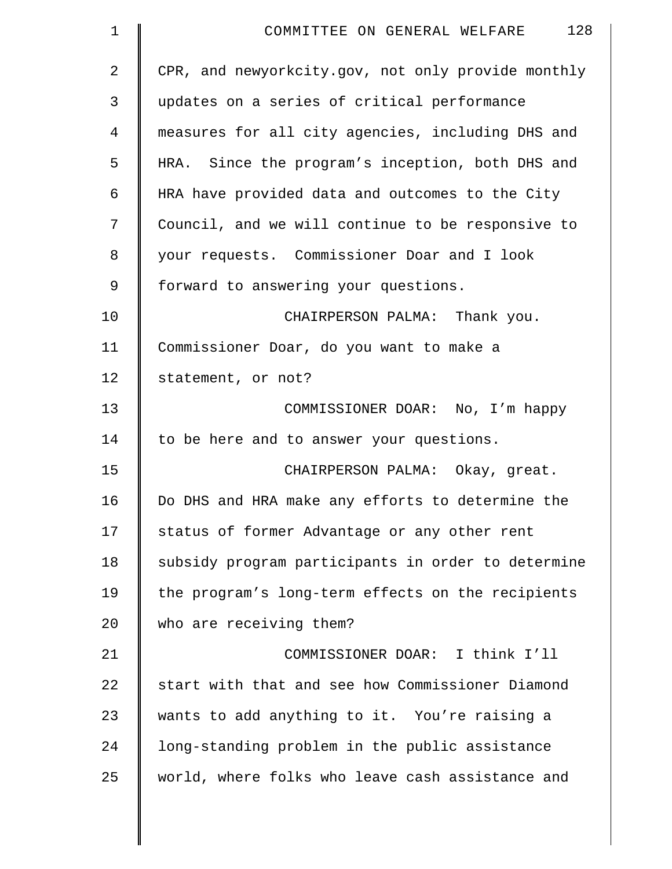| $\mathbf 1$    | 128<br>COMMITTEE ON GENERAL WELFARE                |
|----------------|----------------------------------------------------|
| $\overline{2}$ | CPR, and newyorkcity.gov, not only provide monthly |
| 3              | updates on a series of critical performance        |
| 4              | measures for all city agencies, including DHS and  |
| 5              | HRA. Since the program's inception, both DHS and   |
| 6              | HRA have provided data and outcomes to the City    |
| 7              | Council, and we will continue to be responsive to  |
| 8              | your requests. Commissioner Doar and I look        |
| 9              | forward to answering your questions.               |
| 10             | CHAIRPERSON PALMA: Thank you.                      |
| 11             | Commissioner Doar, do you want to make a           |
| 12             | statement, or not?                                 |
| 13             | COMMISSIONER DOAR: No, I'm happy                   |
| 14             | to be here and to answer your questions.           |
| 15             | CHAIRPERSON PALMA: Okay, great.                    |
| 16             | Do DHS and HRA make any efforts to determine the   |
| 17             | status of former Advantage or any other rent       |
| 18             | subsidy program participants in order to determine |
| 19             | the program's long-term effects on the recipients  |
| 20             | who are receiving them?                            |
| 21             | COMMISSIONER DOAR: I think I'll                    |
| 22             | start with that and see how Commissioner Diamond   |
| 23             | wants to add anything to it. You're raising a      |
| 24             | long-standing problem in the public assistance     |
| 25             | world, where folks who leave cash assistance and   |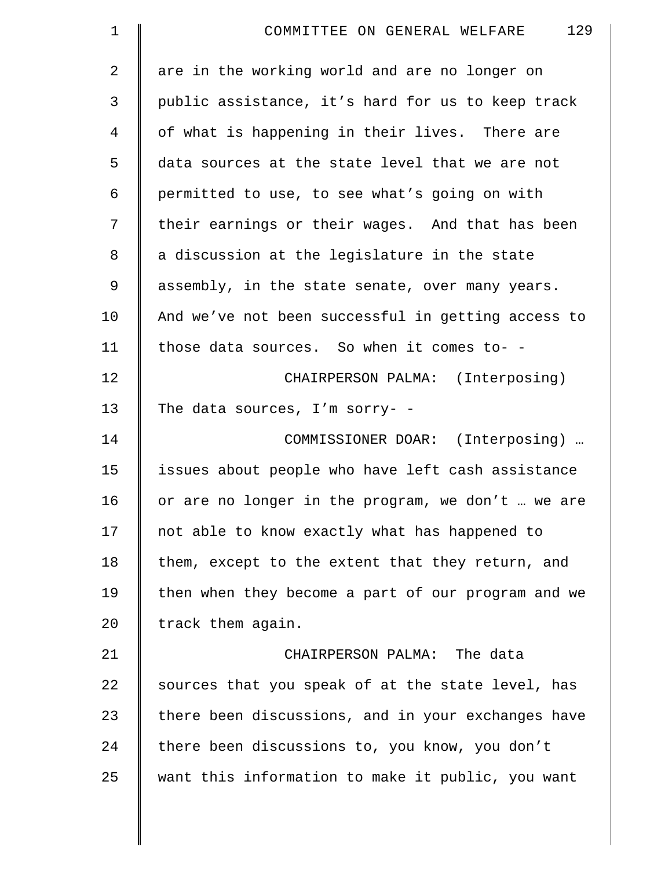| 1  | 129<br>COMMITTEE ON GENERAL WELFARE                |
|----|----------------------------------------------------|
| 2  | are in the working world and are no longer on      |
| 3  | public assistance, it's hard for us to keep track  |
| 4  | of what is happening in their lives. There are     |
| 5  | data sources at the state level that we are not    |
| 6  | permitted to use, to see what's going on with      |
| 7  | their earnings or their wages. And that has been   |
| 8  | a discussion at the legislature in the state       |
| 9  | assembly, in the state senate, over many years.    |
| 10 | And we've not been successful in getting access to |
| 11 | those data sources. So when it comes to- -         |
| 12 | CHAIRPERSON PALMA: (Interposing)                   |
| 13 | The data sources, I'm sorry- -                     |
| 14 | COMMISSIONER DOAR: (Interposing)                   |
| 15 | issues about people who have left cash assistance  |
| 16 | or are no longer in the program, we don't  we are  |
| 17 | not able to know exactly what has happened to      |
| 18 | them, except to the extent that they return, and   |
| 19 | then when they become a part of our program and we |
| 20 | track them again.                                  |
| 21 | CHAIRPERSON PALMA: The data                        |
| 22 | sources that you speak of at the state level, has  |
| 23 | there been discussions, and in your exchanges have |
| 24 | there been discussions to, you know, you don't     |
| 25 | want this information to make it public, you want  |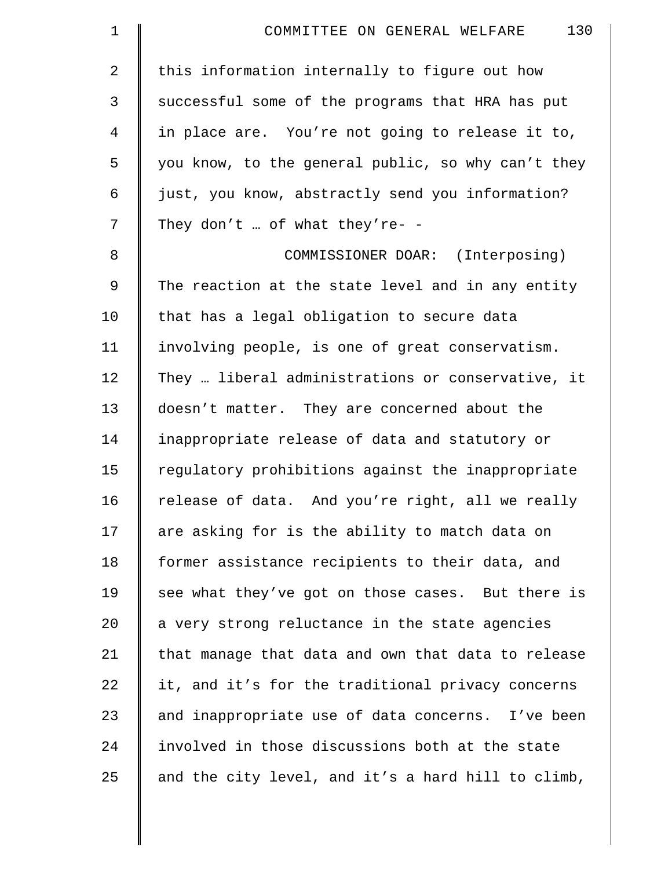| $\mathbf 1$    | 130<br>COMMITTEE ON GENERAL WELFARE                |
|----------------|----------------------------------------------------|
| $\overline{2}$ | this information internally to figure out how      |
| 3              | successful some of the programs that HRA has put   |
| 4              | in place are. You're not going to release it to,   |
| 5              | you know, to the general public, so why can't they |
| 6              | just, you know, abstractly send you information?   |
| 7              | They don't  of what they're- -                     |
| 8              | COMMISSIONER DOAR: (Interposing)                   |
| 9              | The reaction at the state level and in any entity  |
| 10             | that has a legal obligation to secure data         |
| 11             | involving people, is one of great conservatism.    |
| 12             | They  liberal administrations or conservative, it  |
| 13             | doesn't matter. They are concerned about the       |
| 14             | inappropriate release of data and statutory or     |
| 15             | regulatory prohibitions against the inappropriate  |
| 16             | release of data. And you're right, all we really   |
| 17             | are asking for is the ability to match data on     |
| 18             | former assistance recipients to their data, and    |
| 19             | see what they've got on those cases. But there is  |
| 20             | a very strong reluctance in the state agencies     |
| 21             | that manage that data and own that data to release |
| 22             | it, and it's for the traditional privacy concerns  |
| 23             | and inappropriate use of data concerns. I've been  |
| 24             | involved in those discussions both at the state    |
| 25             | and the city level, and it's a hard hill to climb, |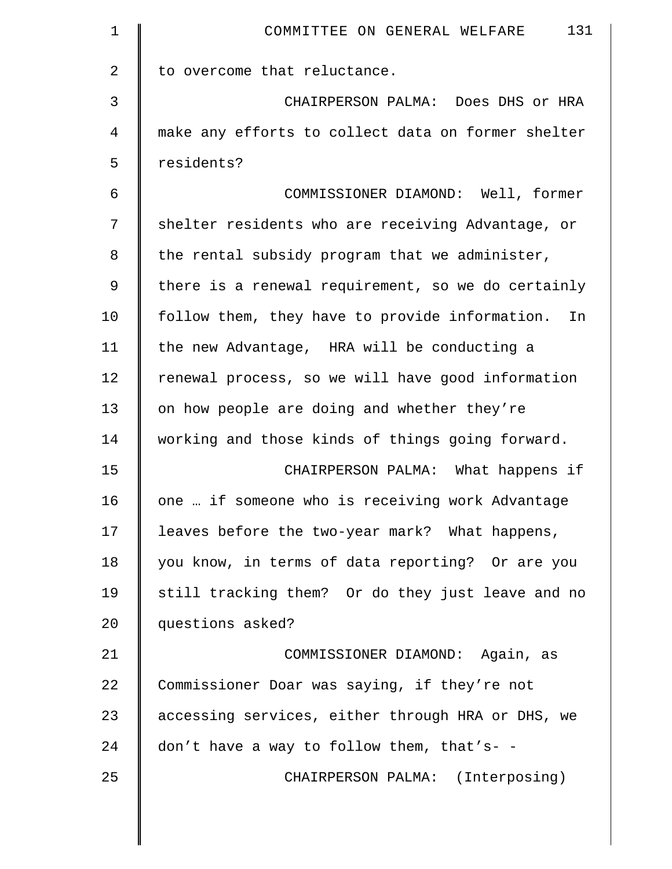| 1  | 131<br>COMMITTEE ON GENERAL WELFARE                  |
|----|------------------------------------------------------|
| 2  | to overcome that reluctance.                         |
| 3  | CHAIRPERSON PALMA: Does DHS or HRA                   |
| 4  | make any efforts to collect data on former shelter   |
| 5  | residents?                                           |
| 6  | COMMISSIONER DIAMOND: Well, former                   |
| 7  | shelter residents who are receiving Advantage, or    |
| 8  | the rental subsidy program that we administer,       |
| 9  | there is a renewal requirement, so we do certainly   |
| 10 | follow them, they have to provide information.<br>In |
| 11 | the new Advantage, HRA will be conducting a          |
| 12 | renewal process, so we will have good information    |
| 13 | on how people are doing and whether they're          |
| 14 | working and those kinds of things going forward.     |
| 15 | CHAIRPERSON PALMA: What happens if                   |
| 16 | one  if someone who is receiving work Advantage      |
| 17 | leaves before the two-year mark? What happens,       |
| 18 | you know, in terms of data reporting? Or are you     |
| 19 | still tracking them? Or do they just leave and no    |
| 20 | questions asked?                                     |
| 21 | COMMISSIONER DIAMOND: Again, as                      |
| 22 | Commissioner Doar was saying, if they're not         |
| 23 | accessing services, either through HRA or DHS, we    |
| 24 | don't have a way to follow them, that's- -           |
| 25 | CHAIRPERSON PALMA: (Interposing)                     |
|    |                                                      |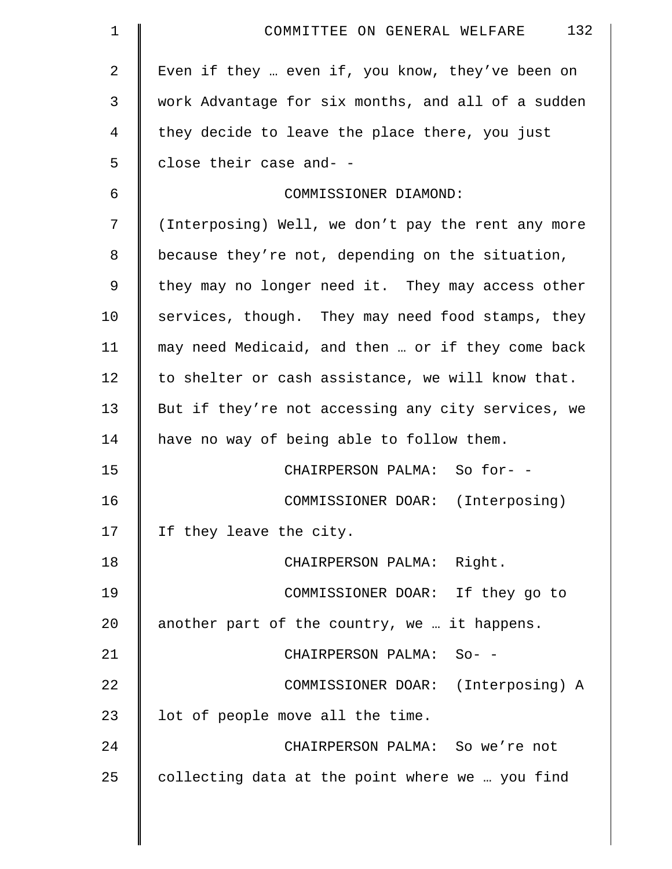| $\mathbf 1$ | 132<br>COMMITTEE ON GENERAL WELFARE                |
|-------------|----------------------------------------------------|
| 2           | Even if they  even if, you know, they've been on   |
| 3           | work Advantage for six months, and all of a sudden |
| 4           | they decide to leave the place there, you just     |
| 5           | close their case and- -                            |
| 6           | COMMISSIONER DIAMOND:                              |
| 7           | (Interposing) Well, we don't pay the rent any more |
| 8           | because they're not, depending on the situation,   |
| 9           | they may no longer need it. They may access other  |
| 10          | services, though. They may need food stamps, they  |
| 11          | may need Medicaid, and then  or if they come back  |
| 12          | to shelter or cash assistance, we will know that.  |
| 13          | But if they're not accessing any city services, we |
| 14          | have no way of being able to follow them.          |
| 15          | CHAIRPERSON PALMA: So for- -                       |
| 16          | COMMISSIONER DOAR: (Interposing)                   |
| 17          | If they leave the city.                            |
| 18          | CHAIRPERSON PALMA: Right.                          |
| 19          | COMMISSIONER DOAR: If they go to                   |
| 20          | another part of the country, we  it happens.       |
| 21          | CHAIRPERSON PALMA: So- -                           |
| 22          | COMMISSIONER DOAR: (Interposing) A                 |
| 23          | lot of people move all the time.                   |
| 24          | CHAIRPERSON PALMA: So we're not                    |
| 25          | collecting data at the point where we  you find    |
|             |                                                    |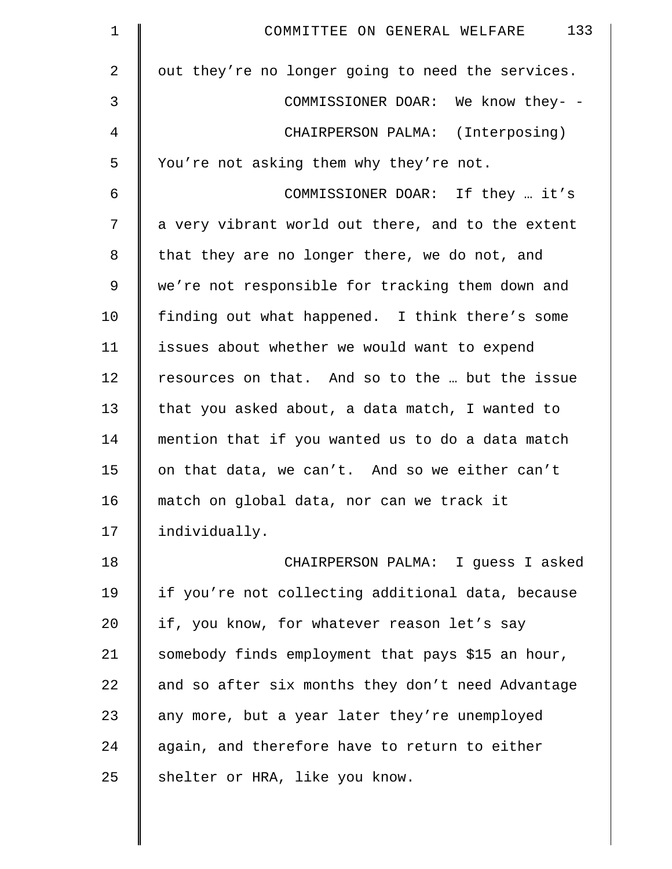| $\mathbf 1$    | 133<br>COMMITTEE ON GENERAL WELFARE               |
|----------------|---------------------------------------------------|
| $\overline{a}$ | out they're no longer going to need the services. |
| 3              | COMMISSIONER DOAR: We know they- -                |
| 4              | CHAIRPERSON PALMA: (Interposing)                  |
| 5              | You're not asking them why they're not.           |
| 6              | COMMISSIONER DOAR: If they  it's                  |
| 7              | a very vibrant world out there, and to the extent |
| 8              | that they are no longer there, we do not, and     |
| 9              | we're not responsible for tracking them down and  |
| 10             | finding out what happened. I think there's some   |
| 11             | issues about whether we would want to expend      |
| 12             | resources on that. And so to the  but the issue   |
| 13             | that you asked about, a data match, I wanted to   |
| 14             | mention that if you wanted us to do a data match  |
| 15             | on that data, we can't. And so we either can't    |
| 16             | match on global data, nor can we track it         |
| 17             | individually.                                     |
| 18             | CHAIRPERSON PALMA: I guess I asked                |
| 19             | if you're not collecting additional data, because |
| 20             | if, you know, for whatever reason let's say       |
| 21             | somebody finds employment that pays \$15 an hour, |
| 22             | and so after six months they don't need Advantage |
| 23             | any more, but a year later they're unemployed     |
| 24             | again, and therefore have to return to either     |
| 25             | shelter or HRA, like you know.                    |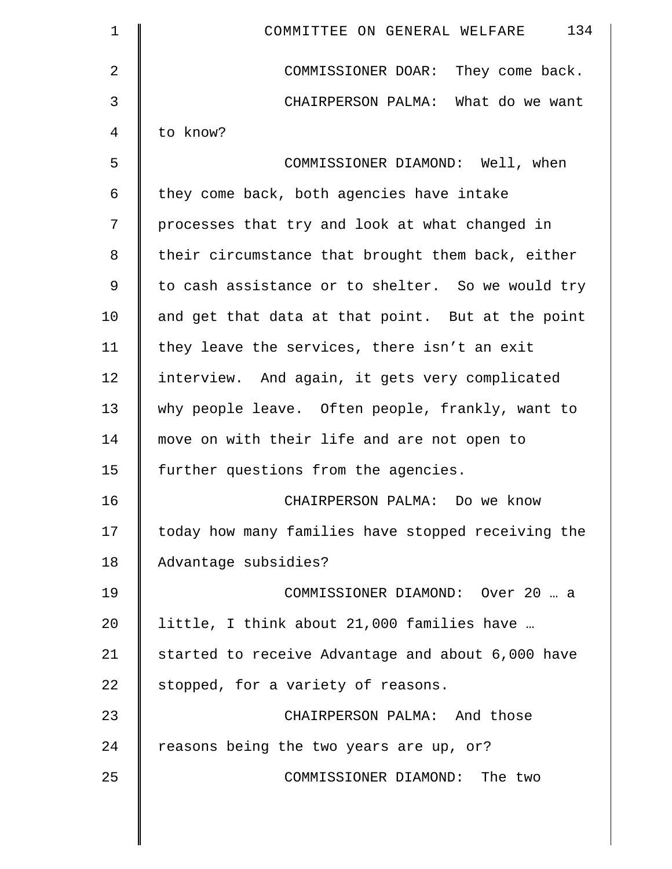| $\mathbf 1$ | 134<br>COMMITTEE ON GENERAL WELFARE                |
|-------------|----------------------------------------------------|
| 2           | COMMISSIONER DOAR: They come back.                 |
| 3           | CHAIRPERSON PALMA: What do we want                 |
| 4           | to know?                                           |
| 5           | COMMISSIONER DIAMOND: Well, when                   |
| 6           | they come back, both agencies have intake          |
| 7           | processes that try and look at what changed in     |
| 8           | their circumstance that brought them back, either  |
| 9           | to cash assistance or to shelter. So we would try  |
| 10          | and get that data at that point. But at the point  |
| 11          | they leave the services, there isn't an exit       |
| 12          | interview. And again, it gets very complicated     |
| 13          | why people leave. Often people, frankly, want to   |
| 14          | move on with their life and are not open to        |
| 15          | further questions from the agencies.               |
| 16          | CHAIRPERSON PALMA: Do we know                      |
| 17          | today how many families have stopped receiving the |
| 18          | Advantage subsidies?                               |
| 19          | COMMISSIONER DIAMOND: Over 20  a                   |
| 20          | little, I think about 21,000 families have         |
| 21          | started to receive Advantage and about 6,000 have  |
| 22          | stopped, for a variety of reasons.                 |
| 23          | CHAIRPERSON PALMA: And those                       |
| 24          | reasons being the two years are up, or?            |
| 25          | COMMISSIONER DIAMOND: The two                      |
|             |                                                    |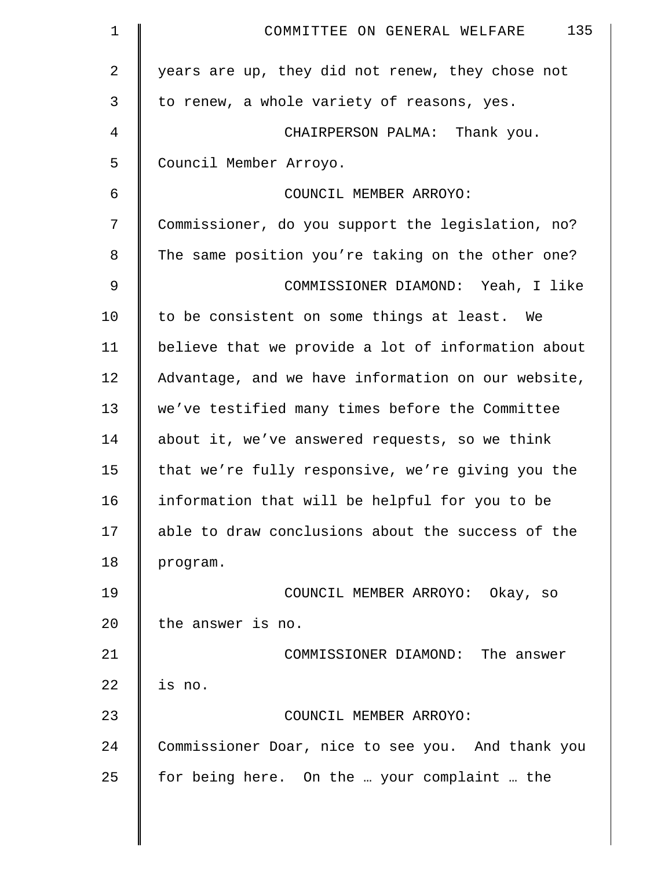| $\mathbf{1}$   | 135<br>COMMITTEE ON GENERAL WELFARE                |
|----------------|----------------------------------------------------|
| $\overline{2}$ | years are up, they did not renew, they chose not   |
| 3              | to renew, a whole variety of reasons, yes.         |
| 4              | CHAIRPERSON PALMA: Thank you.                      |
| 5              | Council Member Arroyo.                             |
| 6              | COUNCIL MEMBER ARROYO:                             |
| 7              | Commissioner, do you support the legislation, no?  |
| 8              | The same position you're taking on the other one?  |
| 9              | COMMISSIONER DIAMOND: Yeah, I like                 |
| 10             | to be consistent on some things at least. We       |
| 11             | believe that we provide a lot of information about |
| 12             | Advantage, and we have information on our website, |
| 13             | we've testified many times before the Committee    |
| 14             | about it, we've answered requests, so we think     |
| 15             | that we're fully responsive, we're giving you the  |
| 16             | information that will be helpful for you to be     |
| 17             | able to draw conclusions about the success of the  |
| 18             | program.                                           |
| 19             | COUNCIL MEMBER ARROYO: Okay, so                    |
| 20             | the answer is no.                                  |
| 21             | COMMISSIONER DIAMOND: The answer                   |
| 22             | is no.                                             |
| 23             | COUNCIL MEMBER ARROYO:                             |
| 24             | Commissioner Doar, nice to see you. And thank you  |
| 25             | for being here. On the  your complaint  the        |
|                |                                                    |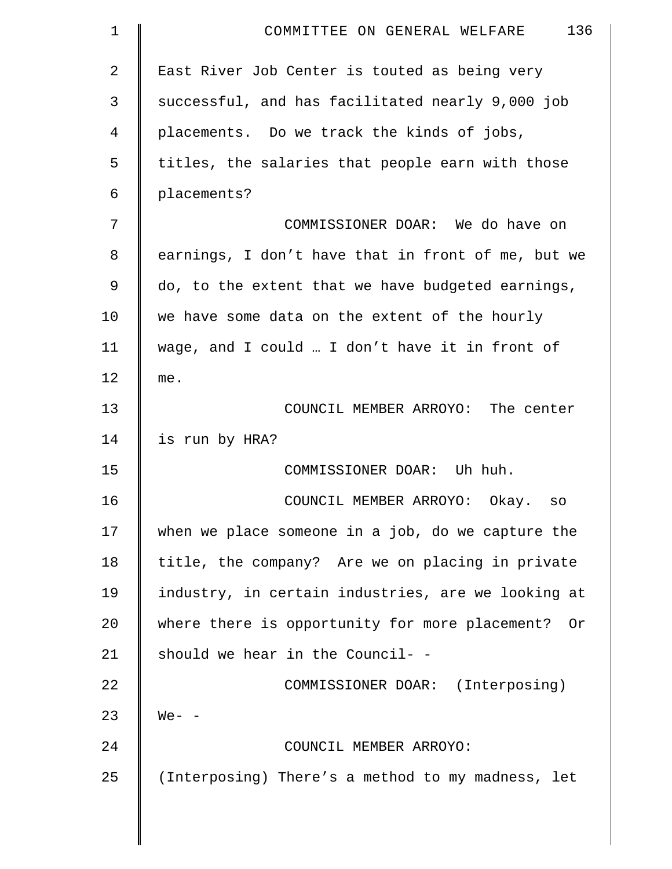| 1  | 136<br>COMMITTEE ON GENERAL WELFARE                |
|----|----------------------------------------------------|
| 2  | East River Job Center is touted as being very      |
| 3  | successful, and has facilitated nearly 9,000 job   |
| 4  | placements. Do we track the kinds of jobs,         |
| 5  | titles, the salaries that people earn with those   |
| 6  | placements?                                        |
| 7  | COMMISSIONER DOAR: We do have on                   |
| 8  | earnings, I don't have that in front of me, but we |
| 9  | do, to the extent that we have budgeted earnings,  |
| 10 | we have some data on the extent of the hourly      |
| 11 | wage, and I could  I don't have it in front of     |
| 12 | me.                                                |
| 13 | COUNCIL MEMBER ARROYO: The center                  |
| 14 | is run by HRA?                                     |
| 15 | COMMISSIONER DOAR: Uh huh.                         |
| 16 | COUNCIL MEMBER ARROYO: Okay.<br>SO                 |
| 17 | when we place someone in a job, do we capture the  |
| 18 | title, the company? Are we on placing in private   |
| 19 | industry, in certain industries, are we looking at |
| 20 | where there is opportunity for more placement? Or  |
| 21 | should we hear in the Council- -                   |
| 22 | COMMISSIONER DOAR: (Interposing)                   |
| 23 | $We- -$                                            |
| 24 | COUNCIL MEMBER ARROYO:                             |
| 25 | (Interposing) There's a method to my madness, let  |
|    |                                                    |
|    |                                                    |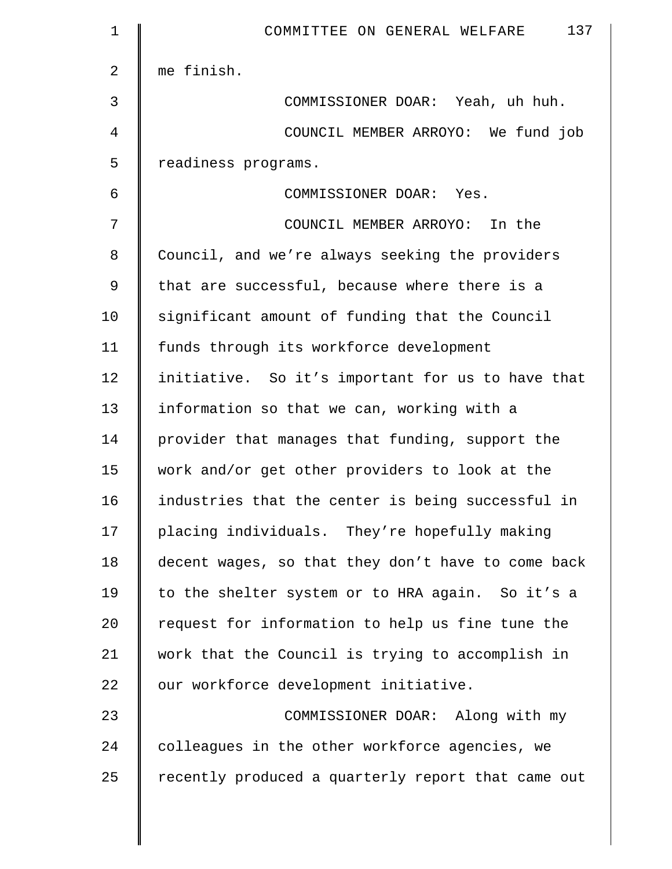| $\mathbf 1$ | 137<br>COMMITTEE ON GENERAL WELFARE                |
|-------------|----------------------------------------------------|
| 2           | me finish.                                         |
| 3           | COMMISSIONER DOAR: Yeah, uh huh.                   |
| 4           | COUNCIL MEMBER ARROYO: We fund job                 |
| 5           | readiness programs.                                |
| 6           | COMMISSIONER DOAR: Yes.                            |
| 7           | COUNCIL MEMBER ARROYO: In the                      |
| 8           | Council, and we're always seeking the providers    |
| 9           | that are successful, because where there is a      |
| 10          | significant amount of funding that the Council     |
| 11          | funds through its workforce development            |
| 12          | initiative. So it's important for us to have that  |
| 13          | information so that we can, working with a         |
| 14          | provider that manages that funding, support the    |
| 15          | work and/or get other providers to look at the     |
| 16          | industries that the center is being successful in  |
| 17          | placing individuals. They're hopefully making      |
| 18          | decent wages, so that they don't have to come back |
| 19          | to the shelter system or to HRA again. So it's a   |
| 20          | request for information to help us fine tune the   |
| 21          | work that the Council is trying to accomplish in   |
| 22          | our workforce development initiative.              |
| 23          | COMMISSIONER DOAR: Along with my                   |
| 24          | colleagues in the other workforce agencies, we     |
| 25          | recently produced a quarterly report that came out |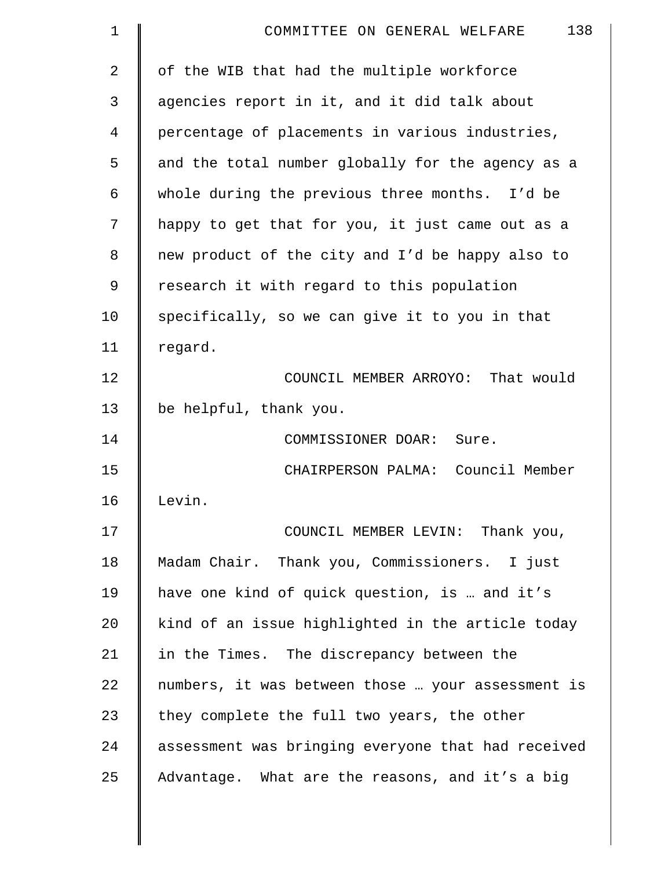| $\mathbf 1$    | 138<br>COMMITTEE ON GENERAL WELFARE                |
|----------------|----------------------------------------------------|
| $\overline{2}$ | of the WIB that had the multiple workforce         |
| 3              | agencies report in it, and it did talk about       |
| 4              | percentage of placements in various industries,    |
| 5              | and the total number globally for the agency as a  |
| 6              | whole during the previous three months. I'd be     |
| 7              | happy to get that for you, it just came out as a   |
| 8              | new product of the city and I'd be happy also to   |
| 9              | research it with regard to this population         |
| 10             | specifically, so we can give it to you in that     |
| 11             | regard.                                            |
| 12             | COUNCIL MEMBER ARROYO: That would                  |
| 13             | be helpful, thank you.                             |
| 14             | COMMISSIONER DOAR: Sure.                           |
| 15             | CHAIRPERSON PALMA: Council Member                  |
| 16             | Levin.                                             |
| 17             | COUNCIL MEMBER LEVIN: Thank you,                   |
| 18             | Madam Chair. Thank you, Commissioners. I just      |
| 19             | have one kind of quick question, is  and it's      |
| 20             | kind of an issue highlighted in the article today  |
| 21             | in the Times. The discrepancy between the          |
| 22             | numbers, it was between those  your assessment is  |
| 23             | they complete the full two years, the other        |
| 24             | assessment was bringing everyone that had received |
| 25             | Advantage. What are the reasons, and it's a big    |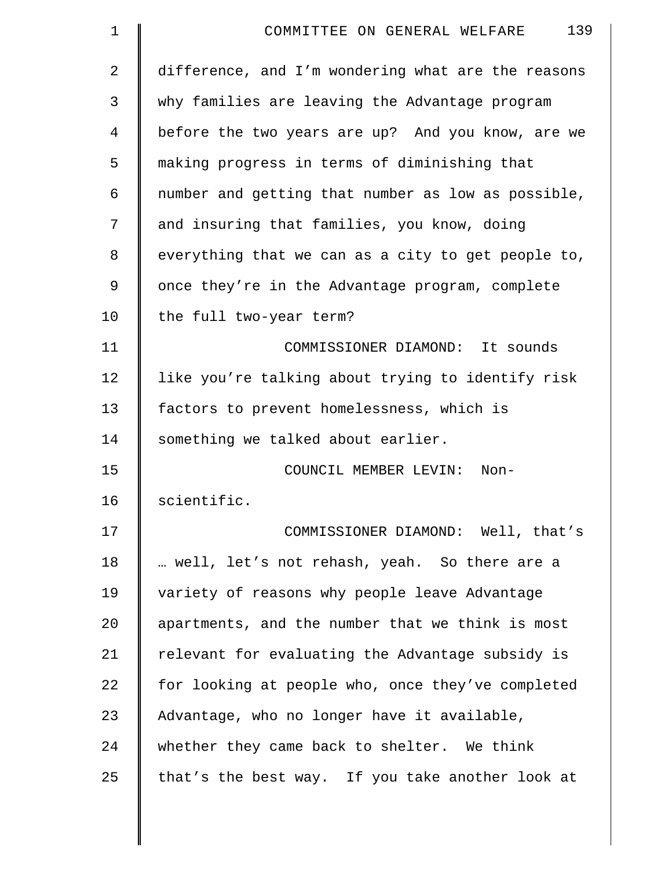| $\mathbf 1$    | 139<br>COMMITTEE ON GENERAL WELFARE                |
|----------------|----------------------------------------------------|
| $\overline{2}$ | difference, and I'm wondering what are the reasons |
| 3              | why families are leaving the Advantage program     |
| 4              | before the two years are up? And you know, are we  |
| 5              | making progress in terms of diminishing that       |
| 6              | number and getting that number as low as possible, |
| 7              | and insuring that families, you know, doing        |
| 8              | everything that we can as a city to get people to, |
| 9              | once they're in the Advantage program, complete    |
| 10             | the full two-year term?                            |
| 11             | COMMISSIONER DIAMOND: It sounds                    |
| 12             | like you're talking about trying to identify risk  |
| 13             | factors to prevent homelessness, which is          |
| 14             | something we talked about earlier.                 |
| 15             | COUNCIL MEMBER LEVIN:<br>Non-                      |
| 16             | scientific.                                        |
| 17             | COMMISSIONER DIAMOND: Well, that's                 |
| 18             | well, let's not rehash, yeah. So there are a       |
| 19             | variety of reasons why people leave Advantage      |
| 20             | apartments, and the number that we think is most   |
| 21             | relevant for evaluating the Advantage subsidy is   |
| 22             | for looking at people who, once they've completed  |
| 23             | Advantage, who no longer have it available,        |
| 24             | whether they came back to shelter. We think        |
| 25             | that's the best way. If you take another look at   |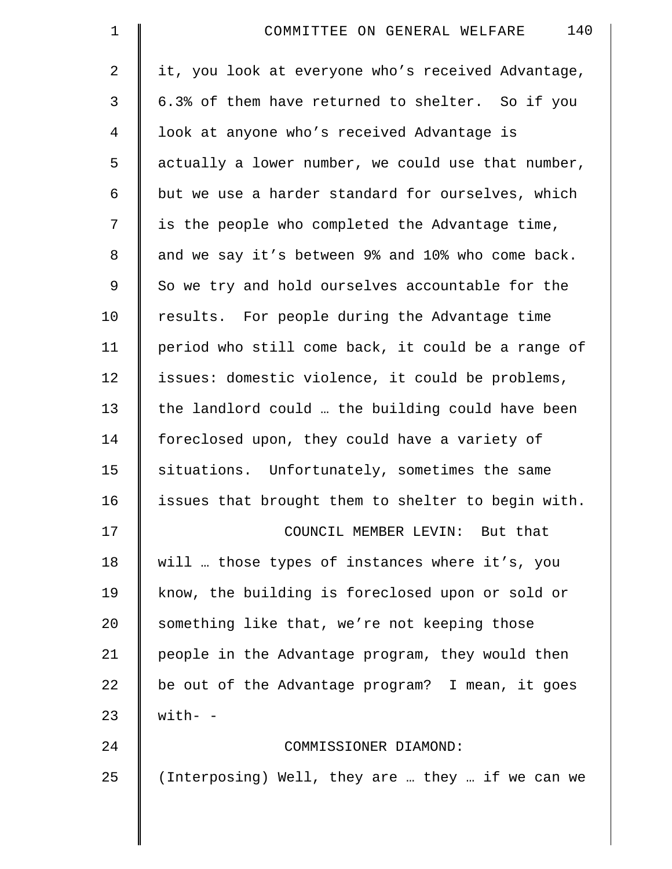| $\mathbf 1$    | 140<br>COMMITTEE ON GENERAL WELFARE                |
|----------------|----------------------------------------------------|
| $\overline{2}$ | it, you look at everyone who's received Advantage, |
| 3              | 6.3% of them have returned to shelter. So if you   |
| $\overline{4}$ | look at anyone who's received Advantage is         |
| 5              | actually a lower number, we could use that number, |
| 6              | but we use a harder standard for ourselves, which  |
| 7              | is the people who completed the Advantage time,    |
| 8              | and we say it's between 9% and 10% who come back.  |
| 9              | So we try and hold ourselves accountable for the   |
| 10             | results. For people during the Advantage time      |
| 11             | period who still come back, it could be a range of |
| 12             | issues: domestic violence, it could be problems,   |
| 13             | the landlord could  the building could have been   |
| 14             | foreclosed upon, they could have a variety of      |
| 15             | situations. Unfortunately, sometimes the same      |
| 16             | issues that brought them to shelter to begin with. |
| 17             | COUNCIL MEMBER LEVIN: But that                     |
| 18             | will  those types of instances where it's, you     |
| 19             | know, the building is foreclosed upon or sold or   |
| 20             | something like that, we're not keeping those       |
| 21             | people in the Advantage program, they would then   |
| 22             | be out of the Advantage program? I mean, it goes   |
| 23             | $with-$                                            |
| 24             | COMMISSIONER DIAMOND:                              |
| 25             | (Interposing) Well, they are  they  if we can we   |
|                |                                                    |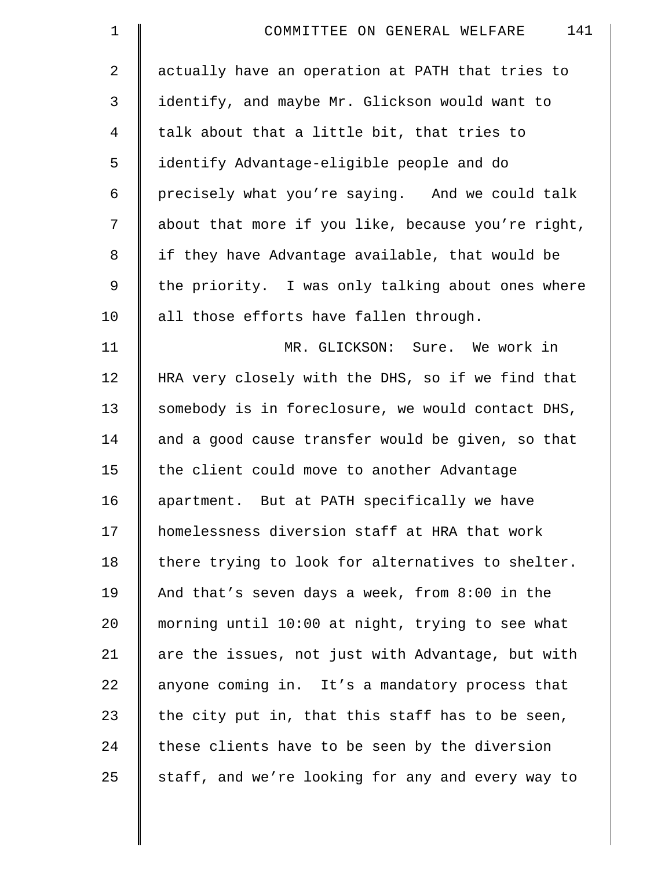| $\mathbf 1$ | 141<br>COMMITTEE ON GENERAL WELFARE                |
|-------------|----------------------------------------------------|
| 2           | actually have an operation at PATH that tries to   |
| 3           | identify, and maybe Mr. Glickson would want to     |
| 4           | talk about that a little bit, that tries to        |
| 5           | identify Advantage-eligible people and do          |
| 6           | precisely what you're saying. And we could talk    |
| 7           | about that more if you like, because you're right, |
| 8           | if they have Advantage available, that would be    |
| 9           | the priority. I was only talking about ones where  |
| 10          | all those efforts have fallen through.             |
| 11          | MR. GLICKSON: Sure. We work in                     |
| 12          | HRA very closely with the DHS, so if we find that  |
| 13          | somebody is in foreclosure, we would contact DHS,  |
| 14          | and a good cause transfer would be given, so that  |
| 15          | the client could move to another Advantage         |
| 16          | apartment. But at PATH specifically we have        |
| 17          | homelessness diversion staff at HRA that work      |
| 18          | there trying to look for alternatives to shelter.  |
| 19          | And that's seven days a week, from 8:00 in the     |
| 20          | morning until 10:00 at night, trying to see what   |
| 21          | are the issues, not just with Advantage, but with  |
| 22          | anyone coming in. It's a mandatory process that    |
| 23          | the city put in, that this staff has to be seen,   |
| 24          | these clients have to be seen by the diversion     |
| 25          | staff, and we're looking for any and every way to  |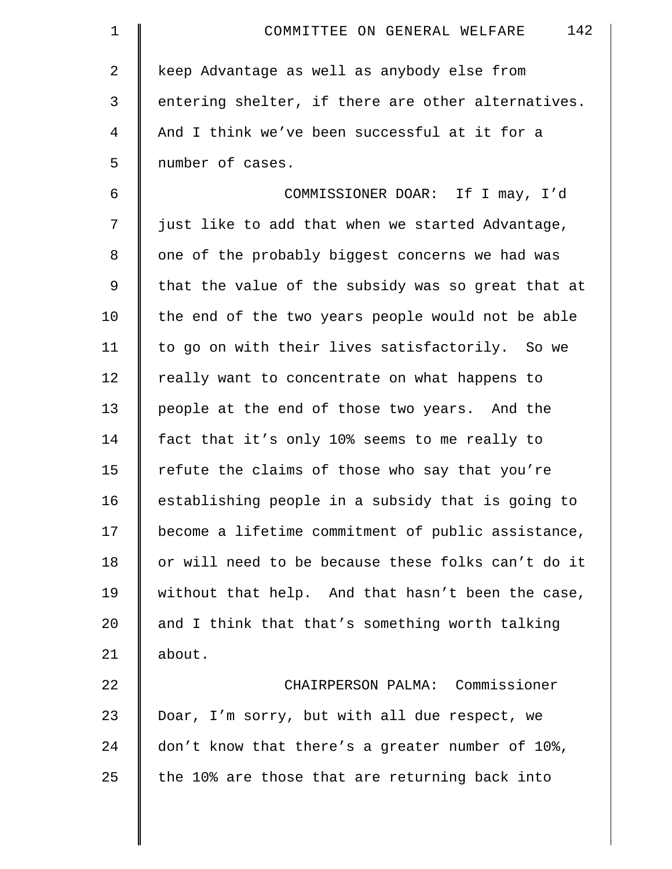| $\mathbf 1$    | 142<br>COMMITTEE ON GENERAL WELFARE                |
|----------------|----------------------------------------------------|
| $\overline{a}$ | keep Advantage as well as anybody else from        |
| 3              | entering shelter, if there are other alternatives. |
| $\overline{4}$ | And I think we've been successful at it for a      |
| 5              | number of cases.                                   |
| 6              | COMMISSIONER DOAR: If I may, I'd                   |
| 7              | just like to add that when we started Advantage,   |
| 8              | one of the probably biggest concerns we had was    |
| 9              | that the value of the subsidy was so great that at |
| 10             | the end of the two years people would not be able  |
| 11             | to go on with their lives satisfactorily. So we    |
| 12             | really want to concentrate on what happens to      |
| 13             | people at the end of those two years. And the      |
| 14             | fact that it's only 10% seems to me really to      |
| 15             | refute the claims of those who say that you're     |
| 16             | establishing people in a subsidy that is going to  |
| 17             | become a lifetime commitment of public assistance, |
| 18             | or will need to be because these folks can't do it |
| 19             | without that help. And that hasn't been the case,  |
| 20             | and I think that that's something worth talking    |
| 21             | about.                                             |
| 22             | CHAIRPERSON PALMA: Commissioner                    |
| 23             | Doar, I'm sorry, but with all due respect, we      |
| 24             | don't know that there's a greater number of 10%,   |
| 25             | the 10% are those that are returning back into     |
|                |                                                    |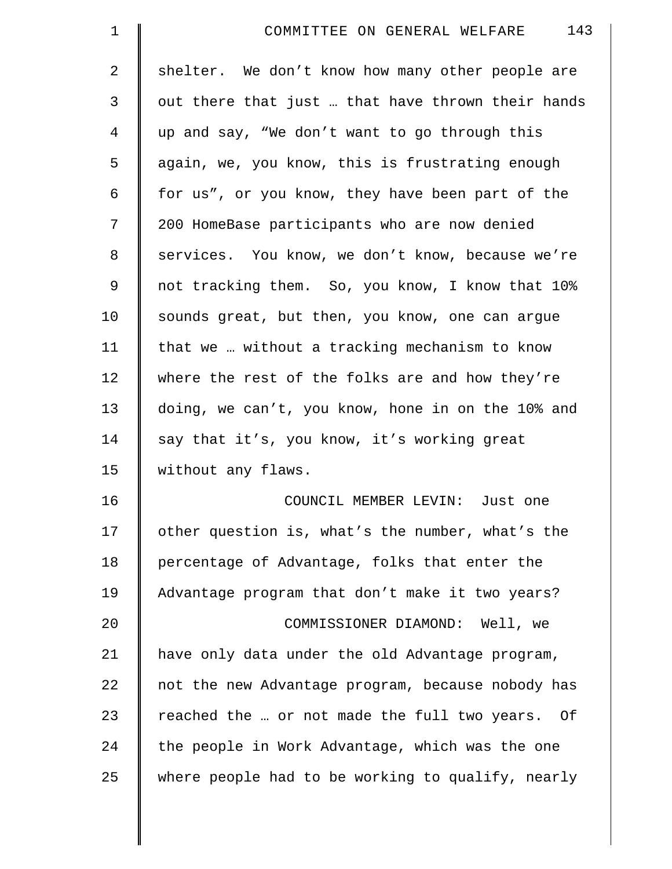| 143<br>COMMITTEE ON GENERAL WELFARE               |
|---------------------------------------------------|
| shelter. We don't know how many other people are  |
| out there that just  that have thrown their hands |
| up and say, "We don't want to go through this     |
| again, we, you know, this is frustrating enough   |
| for us", or you know, they have been part of the  |
| 200 HomeBase participants who are now denied      |
| services. You know, we don't know, because we're  |
| not tracking them. So, you know, I know that 10%  |
| sounds great, but then, you know, one can argue   |
| that we  without a tracking mechanism to know     |
| where the rest of the folks are and how they're   |
| doing, we can't, you know, hone in on the 10% and |
| say that it's, you know, it's working great       |
| without any flaws.                                |
| COUNCIL MEMBER LEVIN: Just one                    |
| other question is, what's the number, what's the  |
| percentage of Advantage, folks that enter the     |
| Advantage program that don't make it two years?   |
| COMMISSIONER DIAMOND: Well, we                    |
| have only data under the old Advantage program,   |
| not the new Advantage program, because nobody has |
| reached the  or not made the full two years. Of   |
| the people in Work Advantage, which was the one   |
| where people had to be working to qualify, nearly |
|                                                   |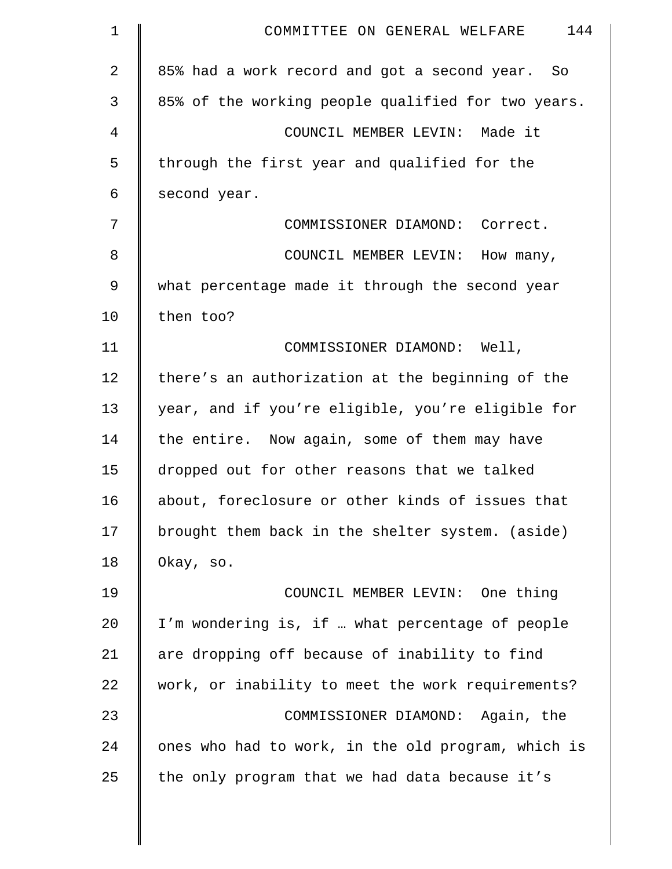| $\mathbf 1$ | 144<br>COMMITTEE ON GENERAL WELFARE                |
|-------------|----------------------------------------------------|
| 2           | 85% had a work record and got a second year. So    |
| 3           | 85% of the working people qualified for two years. |
| 4           | COUNCIL MEMBER LEVIN: Made it                      |
| 5           | through the first year and qualified for the       |
| 6           | second year.                                       |
| 7           | COMMISSIONER DIAMOND: Correct.                     |
| 8           | COUNCIL MEMBER LEVIN: How many,                    |
| 9           | what percentage made it through the second year    |
| 10          | then too?                                          |
| 11          | COMMISSIONER DIAMOND: Well,                        |
| 12          | there's an authorization at the beginning of the   |
| 13          | year, and if you're eligible, you're eligible for  |
| 14          | the entire. Now again, some of them may have       |
| 15          | dropped out for other reasons that we talked       |
| 16          | about, foreclosure or other kinds of issues that   |
| 17          | brought them back in the shelter system. (aside)   |
| 18          | Okay, so.                                          |
| 19          | COUNCIL MEMBER LEVIN: One thing                    |
| 20          | I'm wondering is, if  what percentage of people    |
| 21          | are dropping off because of inability to find      |
| 22          | work, or inability to meet the work requirements?  |
| 23          | COMMISSIONER DIAMOND: Again, the                   |
| 24          | ones who had to work, in the old program, which is |
| 25          | the only program that we had data because it's     |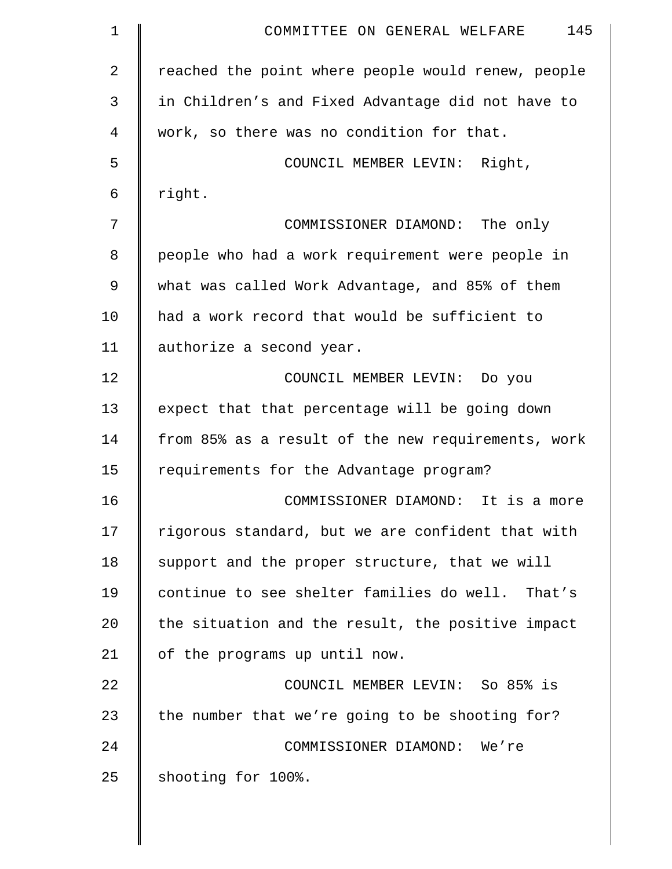| $\mathbf 1$ | 145<br>COMMITTEE ON GENERAL WELFARE                |
|-------------|----------------------------------------------------|
| 2           | reached the point where people would renew, people |
| 3           | in Children's and Fixed Advantage did not have to  |
| 4           | work, so there was no condition for that.          |
| 5           | COUNCIL MEMBER LEVIN: Right,                       |
| 6           | right.                                             |
| 7           | COMMISSIONER DIAMOND: The only                     |
| 8           | people who had a work requirement were people in   |
| 9           | what was called Work Advantage, and 85% of them    |
| 10          | had a work record that would be sufficient to      |
| 11          | authorize a second year.                           |
| 12          | COUNCIL MEMBER LEVIN: Do you                       |
| 13          | expect that that percentage will be going down     |
| 14          | from 85% as a result of the new requirements, work |
| 15          | requirements for the Advantage program?            |
| 16          | COMMISSIONER DIAMOND: It is a more                 |
| 17          | rigorous standard, but we are confident that with  |
| 18          | support and the proper structure, that we will     |
| 19          | continue to see shelter families do well. That's   |
| 20          | the situation and the result, the positive impact  |
| 21          | of the programs up until now.                      |
| 22          | COUNCIL MEMBER LEVIN: So 85% is                    |
| 23          | the number that we're going to be shooting for?    |
| 24          | COMMISSIONER DIAMOND: We're                        |
| 25          | shooting for 100%.                                 |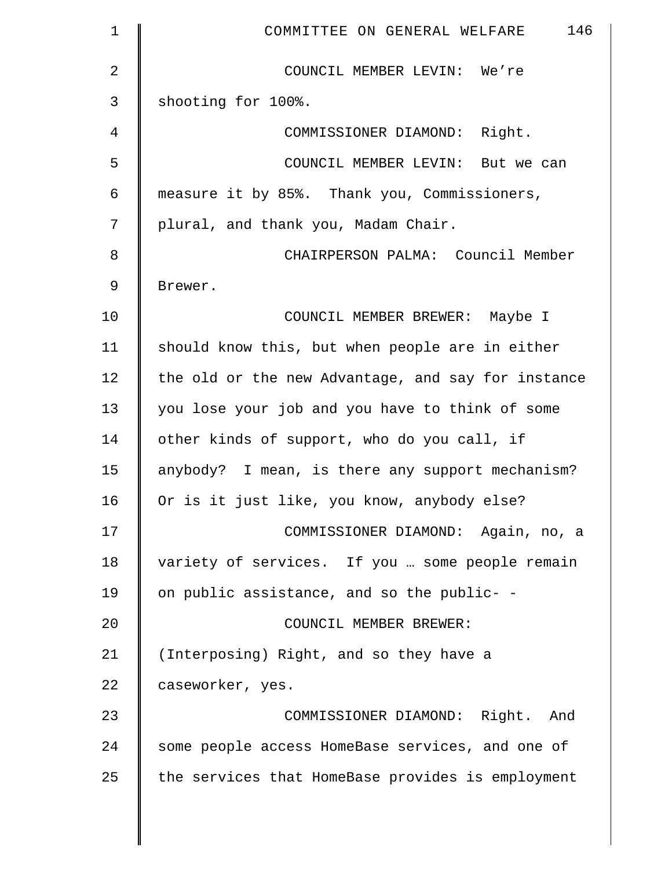| 1  | 146<br>COMMITTEE ON GENERAL WELFARE                |
|----|----------------------------------------------------|
| 2  | COUNCIL MEMBER LEVIN: We're                        |
| 3  | shooting for 100%.                                 |
| 4  | COMMISSIONER DIAMOND: Right.                       |
| 5  | COUNCIL MEMBER LEVIN: But we can                   |
| 6  | measure it by 85%. Thank you, Commissioners,       |
| 7  | plural, and thank you, Madam Chair.                |
| 8  | CHAIRPERSON PALMA: Council Member                  |
| 9  | Brewer.                                            |
| 10 | COUNCIL MEMBER BREWER: Maybe I                     |
| 11 | should know this, but when people are in either    |
| 12 | the old or the new Advantage, and say for instance |
| 13 | you lose your job and you have to think of some    |
| 14 | other kinds of support, who do you call, if        |
| 15 | anybody? I mean, is there any support mechanism?   |
| 16 | Or is it just like, you know, anybody else?        |
| 17 | COMMISSIONER DIAMOND: Again, no, a                 |
| 18 | variety of services. If you  some people remain    |
| 19 | on public assistance, and so the public- -         |
| 20 | COUNCIL MEMBER BREWER:                             |
| 21 | (Interposing) Right, and so they have a            |
| 22 | caseworker, yes.                                   |
| 23 | COMMISSIONER DIAMOND: Right. And                   |
| 24 | some people access HomeBase services, and one of   |
| 25 | the services that HomeBase provides is employment  |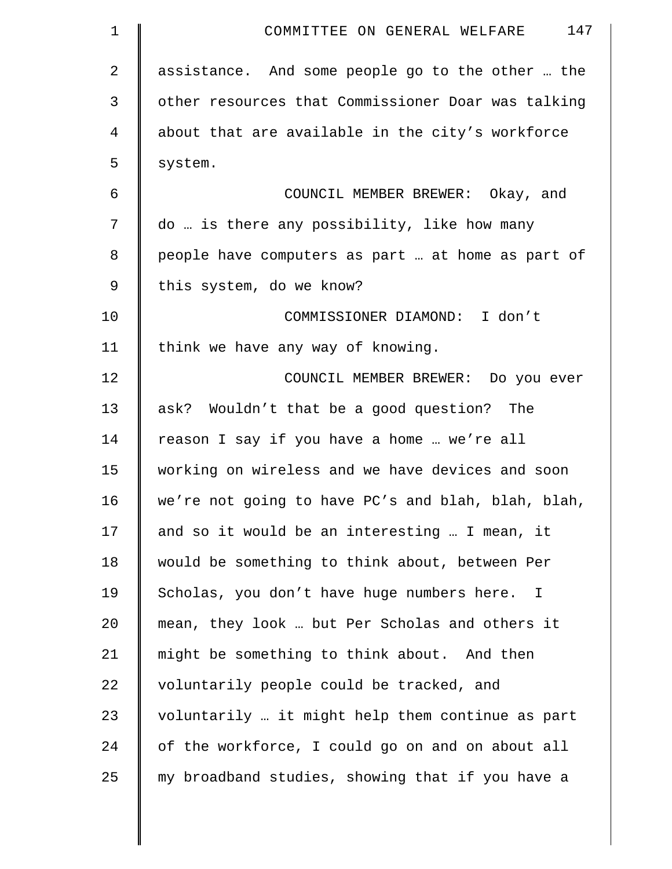| $\mathbf 1$ | 147<br>COMMITTEE ON GENERAL WELFARE                |
|-------------|----------------------------------------------------|
| 2           | assistance. And some people go to the other  the   |
| 3           | other resources that Commissioner Doar was talking |
| 4           | about that are available in the city's workforce   |
| 5           | system.                                            |
| 6           | COUNCIL MEMBER BREWER: Okay, and                   |
| 7           | do  is there any possibility, like how many        |
| 8           | people have computers as part  at home as part of  |
| 9           | this system, do we know?                           |
| 10          | COMMISSIONER DIAMOND: I don't                      |
| 11          | think we have any way of knowing.                  |
| 12          | COUNCIL MEMBER BREWER: Do you ever                 |
| 13          | ask? Wouldn't that be a good question? The         |
| 14          | reason I say if you have a home  we're all         |
| 15          | working on wireless and we have devices and soon   |
| 16          | we're not going to have PC's and blah, blah, blah, |
| 17          | and so it would be an interesting  I mean, it      |
| 18          | would be something to think about, between Per     |
| 19          | Scholas, you don't have huge numbers here. I       |
| 20          | mean, they look  but Per Scholas and others it     |
| 21          | might be something to think about. And then        |
| 22          | voluntarily people could be tracked, and           |
| 23          | voluntarily  it might help them continue as part   |
| 24          | of the workforce, I could go on and on about all   |
| 25          | my broadband studies, showing that if you have a   |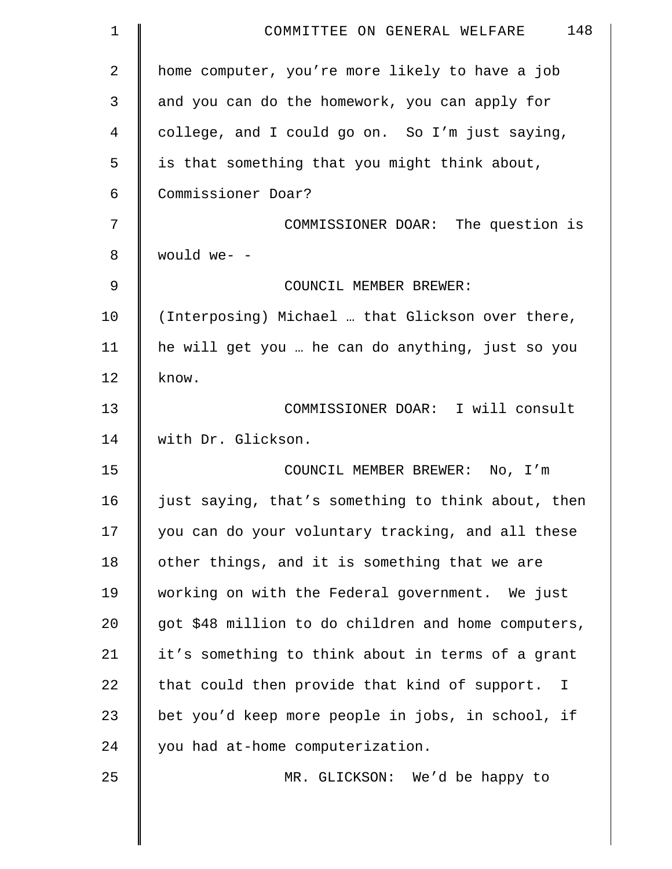| $\mathbf 1$    | 148<br>COMMITTEE ON GENERAL WELFARE                 |
|----------------|-----------------------------------------------------|
| $\overline{2}$ | home computer, you're more likely to have a job     |
| 3              | and you can do the homework, you can apply for      |
| 4              | college, and I could go on. So I'm just saying,     |
| 5              | is that something that you might think about,       |
| 6              | Commissioner Doar?                                  |
| 7              | COMMISSIONER DOAR: The question is                  |
| 8              | would we- -                                         |
| $\mathcal{G}$  | COUNCIL MEMBER BREWER:                              |
| 10             | (Interposing) Michael  that Glickson over there,    |
| 11             | he will get you  he can do anything, just so you    |
| 12             | know.                                               |
| 13             | COMMISSIONER DOAR: I will consult                   |
| 14             | with Dr. Glickson.                                  |
| 15             | COUNCIL MEMBER BREWER: No, I'm                      |
| 16             | just saying, that's something to think about, then  |
| 17             | you can do your voluntary tracking, and all these   |
| 18             | other things, and it is something that we are       |
| 19             | working on with the Federal government. We just     |
| 20             | got \$48 million to do children and home computers, |
| 21             | it's something to think about in terms of a grant   |
| 22             | that could then provide that kind of support.<br>I  |
| 23             | bet you'd keep more people in jobs, in school, if   |
| 24             | you had at-home computerization.                    |
| 25             | MR. GLICKSON: We'd be happy to                      |
|                |                                                     |
|                |                                                     |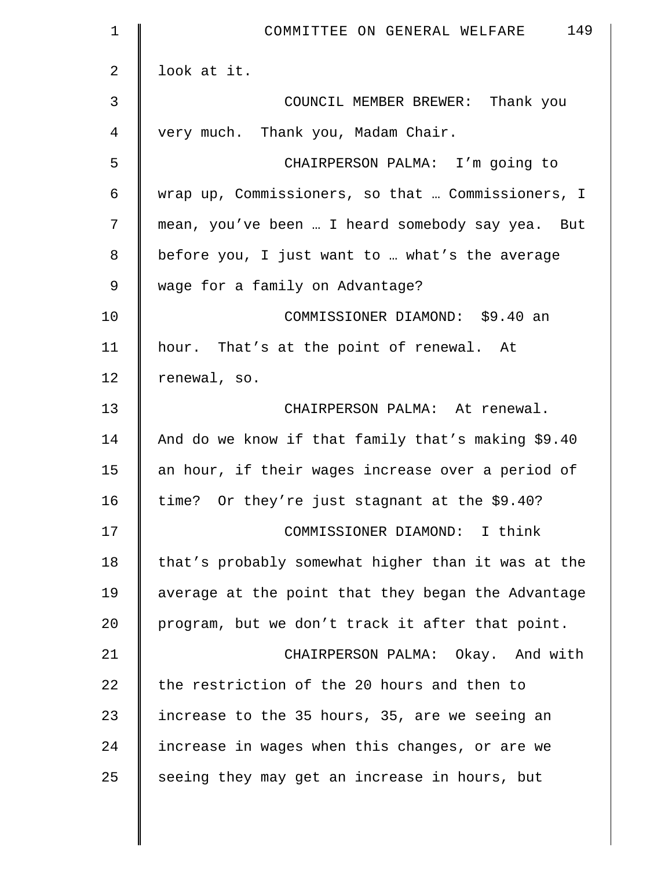| $\mathbf 1$ | 149<br>COMMITTEE ON GENERAL WELFARE                |
|-------------|----------------------------------------------------|
| 2           | look at it.                                        |
| 3           | COUNCIL MEMBER BREWER: Thank you                   |
| 4           | very much. Thank you, Madam Chair.                 |
| 5           | CHAIRPERSON PALMA: I'm going to                    |
| 6           | wrap up, Commissioners, so that  Commissioners, I  |
| 7           | mean, you've been  I heard somebody say yea. But   |
| 8           | before you, I just want to  what's the average     |
| $\mathsf 9$ | wage for a family on Advantage?                    |
| 10          | COMMISSIONER DIAMOND: \$9.40 an                    |
| 11          | hour. That's at the point of renewal. At           |
| 12          | renewal, so.                                       |
| 13          | CHAIRPERSON PALMA: At renewal.                     |
| 14          | And do we know if that family that's making \$9.40 |
| 15          | an hour, if their wages increase over a period of  |
| 16          | time? Or they're just stagnant at the \$9.40?      |
| 17          | COMMISSIONER DIAMOND: I think                      |
| 18          | that's probably somewhat higher than it was at the |
| 19          | average at the point that they began the Advantage |
| 20          | program, but we don't track it after that point.   |
| 21          | CHAIRPERSON PALMA: Okay. And with                  |
| 22          | the restriction of the 20 hours and then to        |
| 23          | increase to the 35 hours, 35, are we seeing an     |
| 24          | increase in wages when this changes, or are we     |
| 25          | seeing they may get an increase in hours, but      |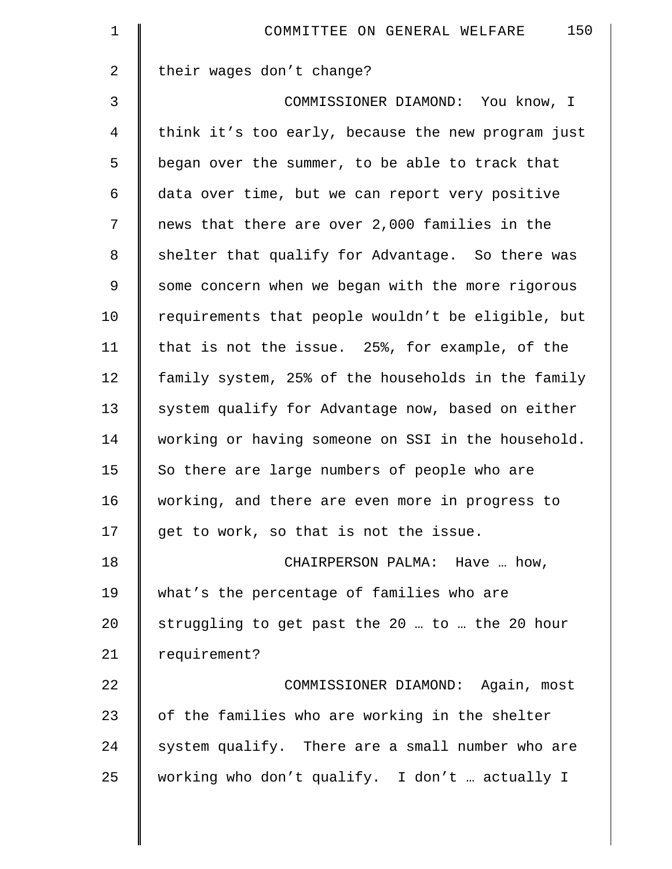| $\mathbf 1$    | 150<br>COMMITTEE ON GENERAL WELFARE                |
|----------------|----------------------------------------------------|
| $\overline{2}$ | their wages don't change?                          |
| 3              | COMMISSIONER DIAMOND: You know, I                  |
| $\overline{4}$ | think it's too early, because the new program just |
| 5              | began over the summer, to be able to track that    |
| 6              | data over time, but we can report very positive    |
| 7              | news that there are over 2,000 families in the     |
| 8              | shelter that qualify for Advantage. So there was   |
| 9              | some concern when we began with the more rigorous  |
| 10             | requirements that people wouldn't be eligible, but |
| 11             | that is not the issue. 25%, for example, of the    |
| 12             | family system, 25% of the households in the family |
| 13             | system qualify for Advantage now, based on either  |
| 14             | working or having someone on SSI in the household. |
| 15             | So there are large numbers of people who are       |
| 16             | working, and there are even more in progress to    |
| 17             | get to work, so that is not the issue.             |
| 18             | CHAIRPERSON PALMA: Have  how,                      |
| 19             | what's the percentage of families who are          |
| 20             | struggling to get past the 20  to  the 20 hour     |
| 21             | requirement?                                       |
| 22             | COMMISSIONER DIAMOND: Again, most                  |
| 23             | of the families who are working in the shelter     |
| 24             | system qualify. There are a small number who are   |
| 25             | working who don't qualify. I don't  actually I     |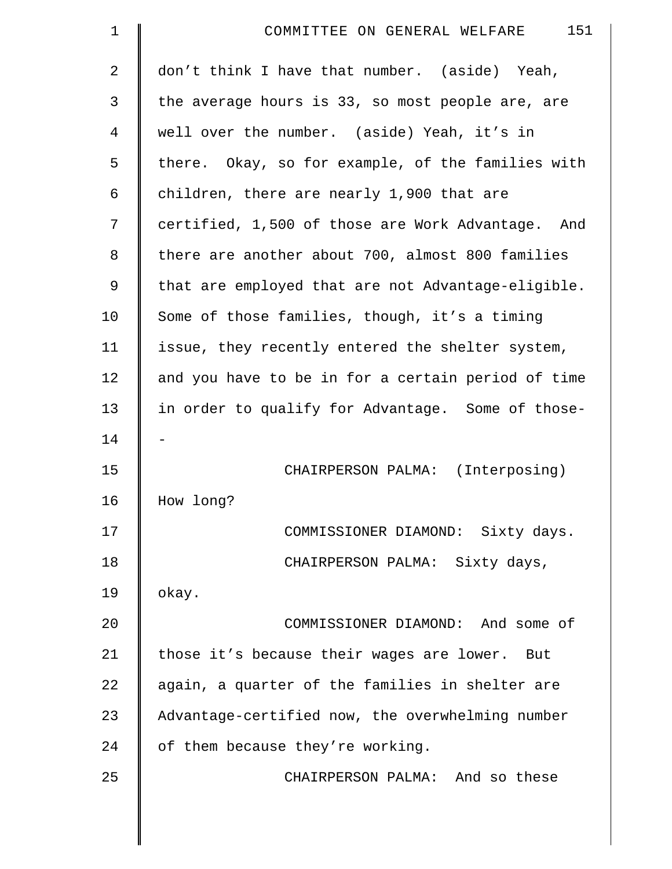| $\mathbf 1$    | 151<br>COMMITTEE ON GENERAL WELFARE                |
|----------------|----------------------------------------------------|
| $\overline{2}$ | don't think I have that number. (aside) Yeah,      |
| 3              | the average hours is 33, so most people are, are   |
| $\overline{4}$ | well over the number. (aside) Yeah, it's in        |
| 5              | there. Okay, so for example, of the families with  |
| 6              | children, there are nearly 1,900 that are          |
| 7              | certified, 1,500 of those are Work Advantage. And  |
| 8              | there are another about 700, almost 800 families   |
| 9              | that are employed that are not Advantage-eligible. |
| 10             | Some of those families, though, it's a timing      |
| 11             | issue, they recently entered the shelter system,   |
| 12             | and you have to be in for a certain period of time |
| 13             | in order to qualify for Advantage. Some of those-  |
| 14             |                                                    |
| 15             | CHAIRPERSON PALMA: (Interposing)                   |
| 16             | How long?                                          |
| 17             | COMMISSIONER DIAMOND: Sixty days.                  |
| 18             | CHAIRPERSON PALMA: Sixty days,                     |
| 19             | okay.                                              |
| 20             | COMMISSIONER DIAMOND: And some of                  |
| 21             | those it's because their wages are lower. But      |
| 22             | again, a quarter of the families in shelter are    |
| 23             | Advantage-certified now, the overwhelming number   |
| 24             | of them because they're working.                   |
| 25             | CHAIRPERSON PALMA: And so these                    |
|                |                                                    |
|                |                                                    |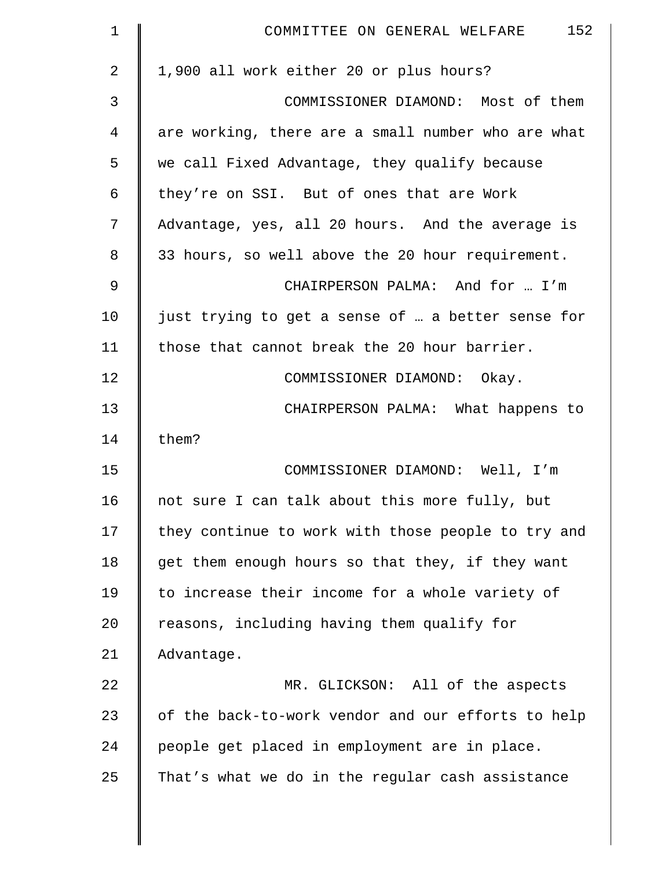| $\mathbf 1$ | 152<br>COMMITTEE ON GENERAL WELFARE                |
|-------------|----------------------------------------------------|
| 2           | 1,900 all work either 20 or plus hours?            |
| 3           | COMMISSIONER DIAMOND: Most of them                 |
| 4           | are working, there are a small number who are what |
| 5           | we call Fixed Advantage, they qualify because      |
| 6           | they're on SSI. But of ones that are Work          |
| 7           | Advantage, yes, all 20 hours. And the average is   |
| 8           | 33 hours, so well above the 20 hour requirement.   |
| 9           | CHAIRPERSON PALMA: And for  I'm                    |
| 10          | just trying to get a sense of  a better sense for  |
| 11          | those that cannot break the 20 hour barrier.       |
| 12          | COMMISSIONER DIAMOND: Okay.                        |
| 13          | CHAIRPERSON PALMA: What happens to                 |
| 14          | them?                                              |
| 15          | COMMISSIONER DIAMOND: Well, I'm                    |
| 16          | not sure I can talk about this more fully, but     |
| 17          | they continue to work with those people to try and |
| 18          | get them enough hours so that they, if they want   |
| 19          | to increase their income for a whole variety of    |
| 20          | reasons, including having them qualify for         |
| 21          | Advantage.                                         |
| 22          | MR. GLICKSON: All of the aspects                   |
| 23          | of the back-to-work vendor and our efforts to help |
| 24          | people get placed in employment are in place.      |
| 25          | That's what we do in the regular cash assistance   |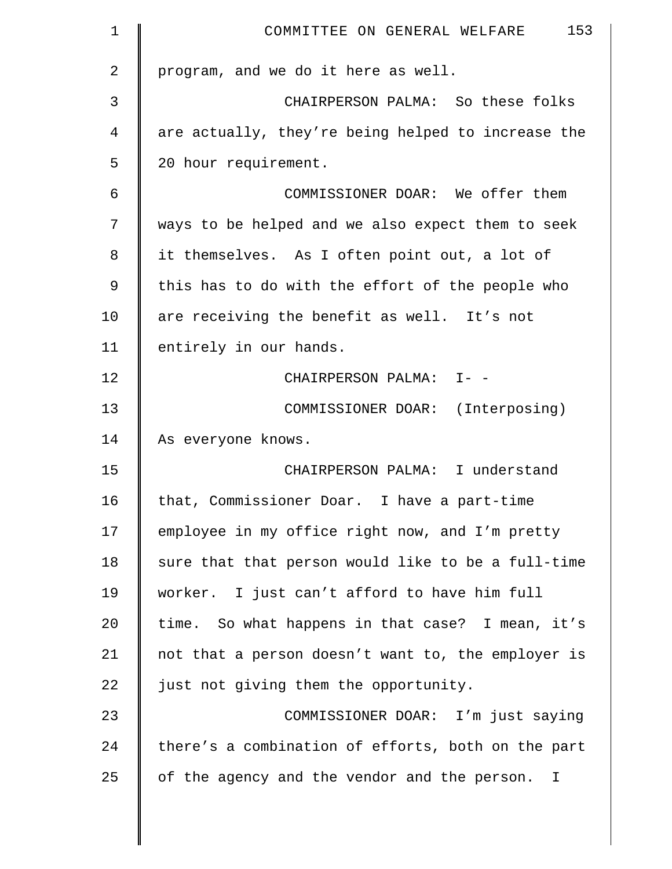| $\mathbf 1$    | 153<br>COMMITTEE ON GENERAL WELFARE                |
|----------------|----------------------------------------------------|
| $\overline{2}$ | program, and we do it here as well.                |
| 3              | CHAIRPERSON PALMA: So these folks                  |
| 4              | are actually, they're being helped to increase the |
| 5              | 20 hour requirement.                               |
| 6              | COMMISSIONER DOAR: We offer them                   |
| 7              | ways to be helped and we also expect them to seek  |
| 8              | it themselves. As I often point out, a lot of      |
| 9              | this has to do with the effort of the people who   |
| 10             | are receiving the benefit as well. It's not        |
| 11             | entirely in our hands.                             |
| 12             | CHAIRPERSON PALMA: I- -                            |
| 13             | COMMISSIONER DOAR: (Interposing)                   |
| 14             | As everyone knows.                                 |
| 15             | CHAIRPERSON PALMA: I understand                    |
| 16             | that, Commissioner Doar. I have a part-time        |
| 17             | employee in my office right now, and I'm pretty    |
| 18             | sure that that person would like to be a full-time |
| 19             | worker. I just can't afford to have him full       |
| 20             | time. So what happens in that case? I mean, it's   |
| 21             | not that a person doesn't want to, the employer is |
| 22             | just not giving them the opportunity.              |
| 23             | COMMISSIONER DOAR: I'm just saying                 |
| 24             | there's a combination of efforts, both on the part |
| 25             | of the agency and the vendor and the person.<br>I  |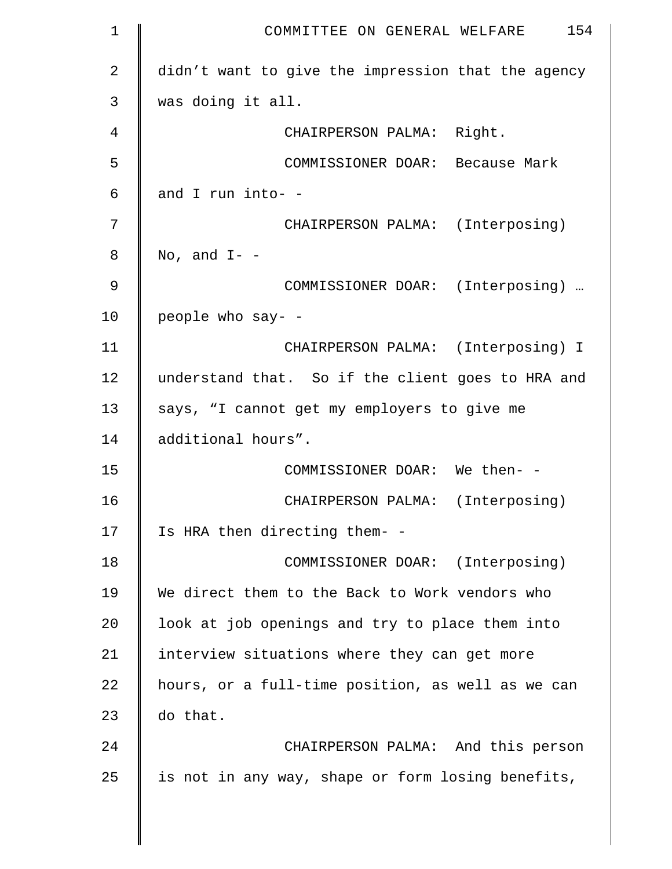| $\mathbf 1$    | 154<br>COMMITTEE ON GENERAL WELFARE                |
|----------------|----------------------------------------------------|
| $\overline{2}$ | didn't want to give the impression that the agency |
| 3              | was doing it all.                                  |
| 4              | CHAIRPERSON PALMA: Right.                          |
| 5              | COMMISSIONER DOAR: Because Mark                    |
| 6              | and I run into- -                                  |
| 7              | CHAIRPERSON PALMA: (Interposing)                   |
| 8              | No, and $I-$ -                                     |
| 9              | COMMISSIONER DOAR: (Interposing)                   |
| 10             | people who say- -                                  |
| 11             | CHAIRPERSON PALMA: (Interposing) I                 |
| 12             | understand that. So if the client goes to HRA and  |
| 13             | says, "I cannot get my employers to give me        |
| 14             | additional hours".                                 |
| 15             | COMMISSIONER DOAR: We then- -                      |
| 16             | CHAIRPERSON PALMA: (Interposing)                   |
| 17             | Is HRA then directing them- -                      |
| 18             | COMMISSIONER DOAR: (Interposing)                   |
| 19             | We direct them to the Back to Work vendors who     |
| 20             | look at job openings and try to place them into    |
| 21             | interview situations where they can get more       |
| 22             | hours, or a full-time position, as well as we can  |
| 23             | do that.                                           |
| 24             | CHAIRPERSON PALMA: And this person                 |
| 25             | is not in any way, shape or form losing benefits,  |
|                |                                                    |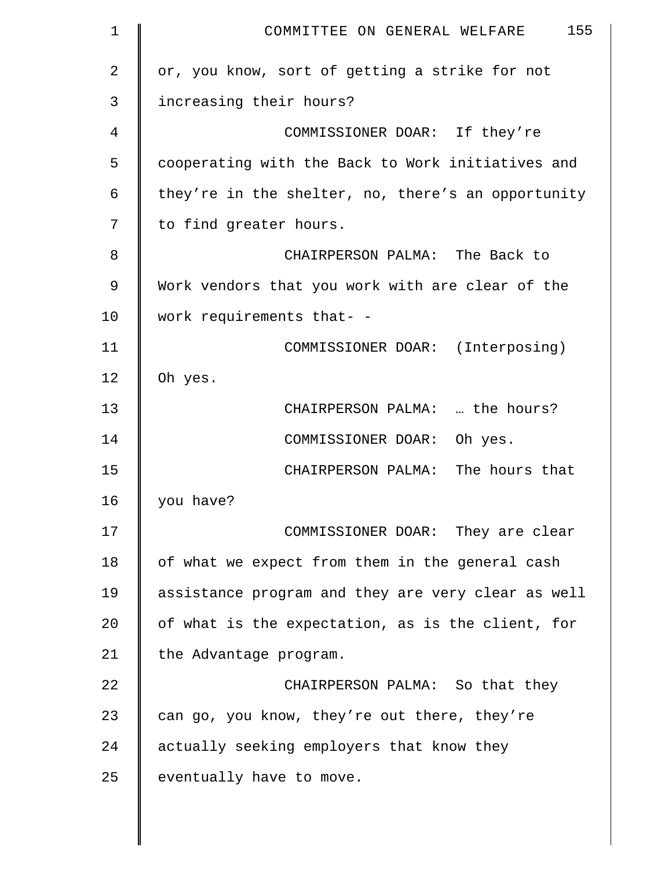| 1  | 155<br>COMMITTEE ON GENERAL WELFARE                |
|----|----------------------------------------------------|
| 2  | or, you know, sort of getting a strike for not     |
| 3  | increasing their hours?                            |
| 4  | COMMISSIONER DOAR: If they're                      |
| 5  | cooperating with the Back to Work initiatives and  |
| 6  | they're in the shelter, no, there's an opportunity |
| 7  | to find greater hours.                             |
| 8  | CHAIRPERSON PALMA: The Back to                     |
| 9  | Work vendors that you work with are clear of the   |
| 10 | work requirements that- -                          |
| 11 | COMMISSIONER DOAR: (Interposing)                   |
| 12 | Oh yes.                                            |
| 13 | CHAIRPERSON PALMA:  the hours?                     |
| 14 | COMMISSIONER DOAR: Oh yes.                         |
| 15 | CHAIRPERSON PALMA: The hours that                  |
| 16 | you have?                                          |
| 17 | COMMISSIONER DOAR: They are clear                  |
| 18 | of what we expect from them in the general cash    |
| 19 | assistance program and they are very clear as well |
| 20 | of what is the expectation, as is the client, for  |
| 21 | the Advantage program.                             |
| 22 | CHAIRPERSON PALMA: So that they                    |
| 23 | can go, you know, they're out there, they're       |
| 24 | actually seeking employers that know they          |
| 25 | eventually have to move.                           |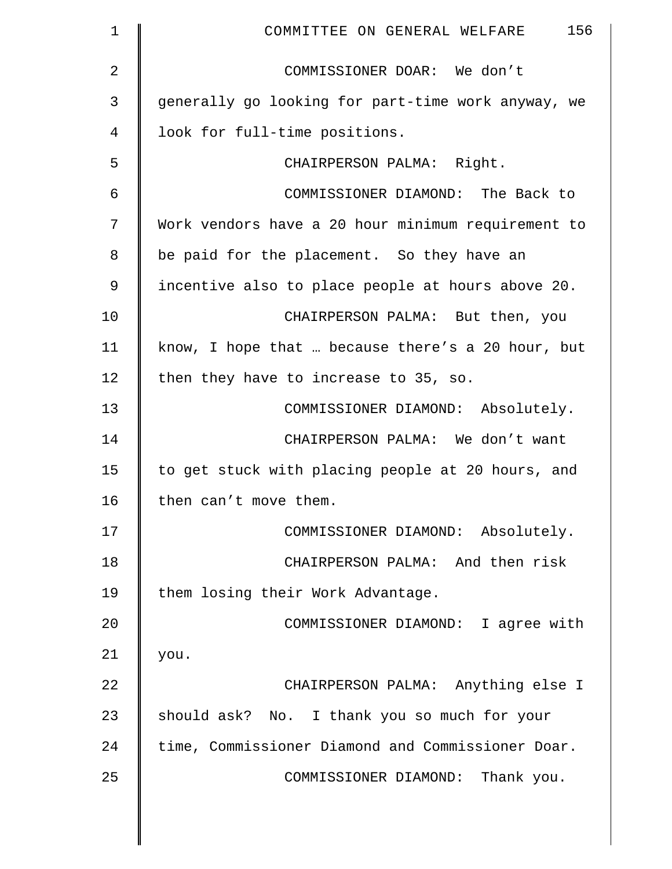| $\mathbf 1$    | 156<br>COMMITTEE ON GENERAL WELFARE                |
|----------------|----------------------------------------------------|
| $\overline{a}$ | COMMISSIONER DOAR: We don't                        |
| 3              | generally go looking for part-time work anyway, we |
| 4              | look for full-time positions.                      |
| 5              | CHAIRPERSON PALMA: Right.                          |
| 6              | COMMISSIONER DIAMOND: The Back to                  |
| 7              | Work vendors have a 20 hour minimum requirement to |
| 8              | be paid for the placement. So they have an         |
| 9              | incentive also to place people at hours above 20.  |
| 10             | CHAIRPERSON PALMA: But then, you                   |
| 11             | know, I hope that  because there's a 20 hour, but  |
| 12             | then they have to increase to 35, so.              |
| 13             | COMMISSIONER DIAMOND: Absolutely.                  |
| 14             | CHAIRPERSON PALMA: We don't want                   |
| 15             | to get stuck with placing people at 20 hours, and  |
| 16             | then can't move them.                              |
| 17             | COMMISSIONER DIAMOND: Absolutely.                  |
| 18             | CHAIRPERSON PALMA: And then risk                   |
| 19             | them losing their Work Advantage.                  |
| 20             | COMMISSIONER DIAMOND: I agree with                 |
| 21             | you.                                               |
| 22             | CHAIRPERSON PALMA: Anything else I                 |
| 23             | should ask? No. I thank you so much for your       |
| 24             | time, Commissioner Diamond and Commissioner Doar.  |
| 25             | COMMISSIONER DIAMOND: Thank you.                   |
|                |                                                    |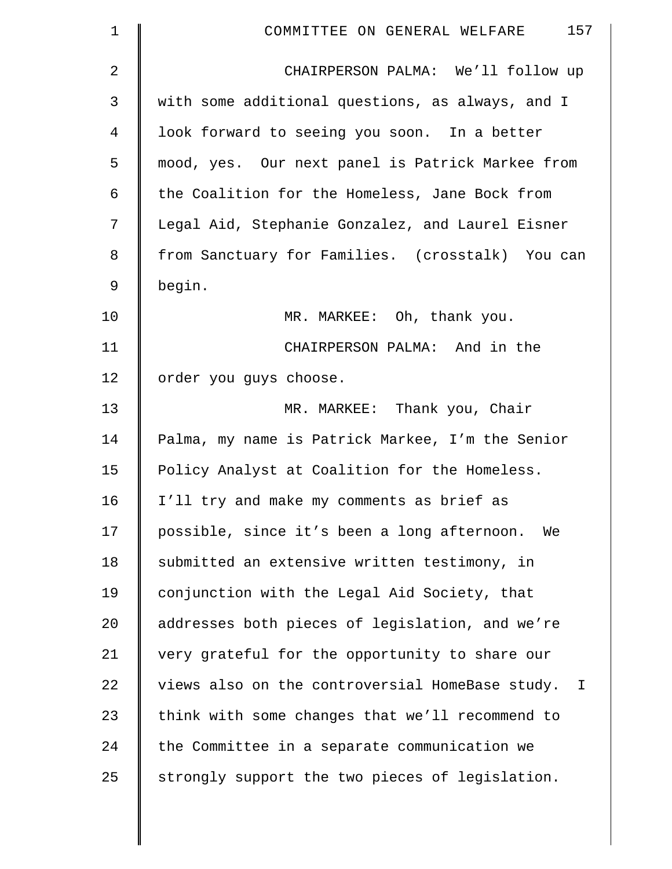| 1           | 157<br>COMMITTEE ON GENERAL WELFARE                             |
|-------------|-----------------------------------------------------------------|
| 2           | CHAIRPERSON PALMA: We'll follow up                              |
| 3           | with some additional questions, as always, and I                |
| 4           | look forward to seeing you soon. In a better                    |
| 5           | mood, yes. Our next panel is Patrick Markee from                |
| 6           | the Coalition for the Homeless, Jane Bock from                  |
| 7           | Legal Aid, Stephanie Gonzalez, and Laurel Eisner                |
| 8           | from Sanctuary for Families. (crosstalk) You can                |
| $\mathsf 9$ | begin.                                                          |
| 10          | MR. MARKEE: Oh, thank you.                                      |
| 11          | CHAIRPERSON PALMA: And in the                                   |
| 12          | order you guys choose.                                          |
| 13          | MR. MARKEE: Thank you, Chair                                    |
| 14          | Palma, my name is Patrick Markee, I'm the Senior                |
| 15          | Policy Analyst at Coalition for the Homeless.                   |
| 16          | I'll try and make my comments as brief as                       |
| 17          | possible, since it's been a long afternoon.<br>We               |
| 18          | submitted an extensive written testimony, in                    |
| 19          | conjunction with the Legal Aid Society, that                    |
| 20          | addresses both pieces of legislation, and we're                 |
| 21          | very grateful for the opportunity to share our                  |
| 22          | views also on the controversial HomeBase study.<br>$\mathbf{I}$ |
| 23          | think with some changes that we'll recommend to                 |
| 24          | the Committee in a separate communication we                    |
| 25          | strongly support the two pieces of legislation.                 |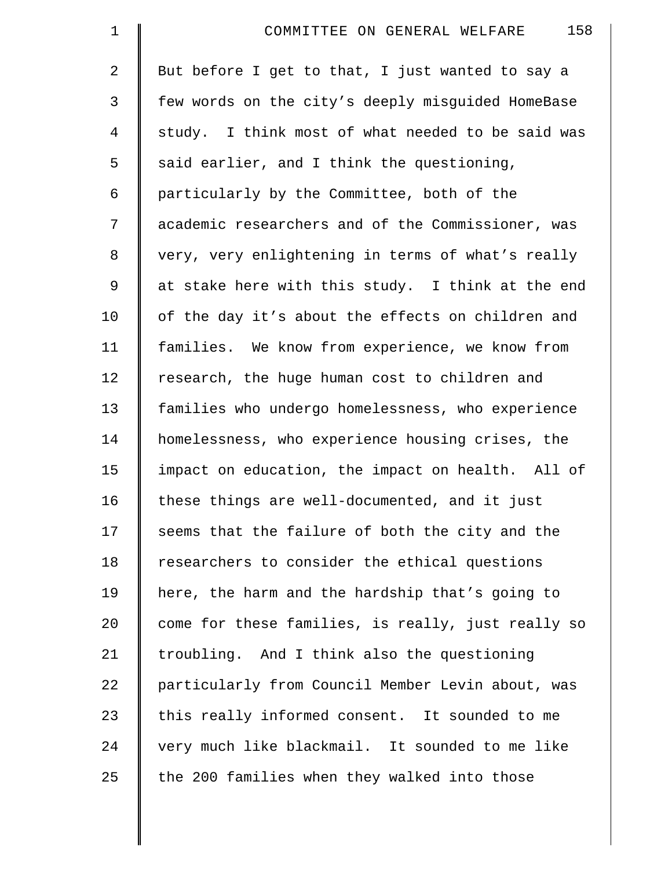| $\mathbf 1$    | 158<br>COMMITTEE ON GENERAL WELFARE                |
|----------------|----------------------------------------------------|
| $\overline{a}$ | But before I get to that, I just wanted to say a   |
| 3              | few words on the city's deeply misguided HomeBase  |
| $\overline{4}$ | study. I think most of what needed to be said was  |
| 5              | said earlier, and I think the questioning,         |
| 6              | particularly by the Committee, both of the         |
| 7              | academic researchers and of the Commissioner, was  |
| 8              | very, very enlightening in terms of what's really  |
| 9              | at stake here with this study. I think at the end  |
| 10             | of the day it's about the effects on children and  |
| 11             | families. We know from experience, we know from    |
| 12             | research, the huge human cost to children and      |
| 13             | families who undergo homelessness, who experience  |
| 14             | homelessness, who experience housing crises, the   |
| 15             | impact on education, the impact on health. All of  |
| 16             | these things are well-documented, and it just      |
| 17             | seems that the failure of both the city and the    |
| 18             | researchers to consider the ethical questions      |
| 19             | here, the harm and the hardship that's going to    |
| 20             | come for these families, is really, just really so |
| 21             | troubling. And I think also the questioning        |
| 22             | particularly from Council Member Levin about, was  |
| 23             | this really informed consent. It sounded to me     |
| 24             | very much like blackmail. It sounded to me like    |
| 25             | the 200 families when they walked into those       |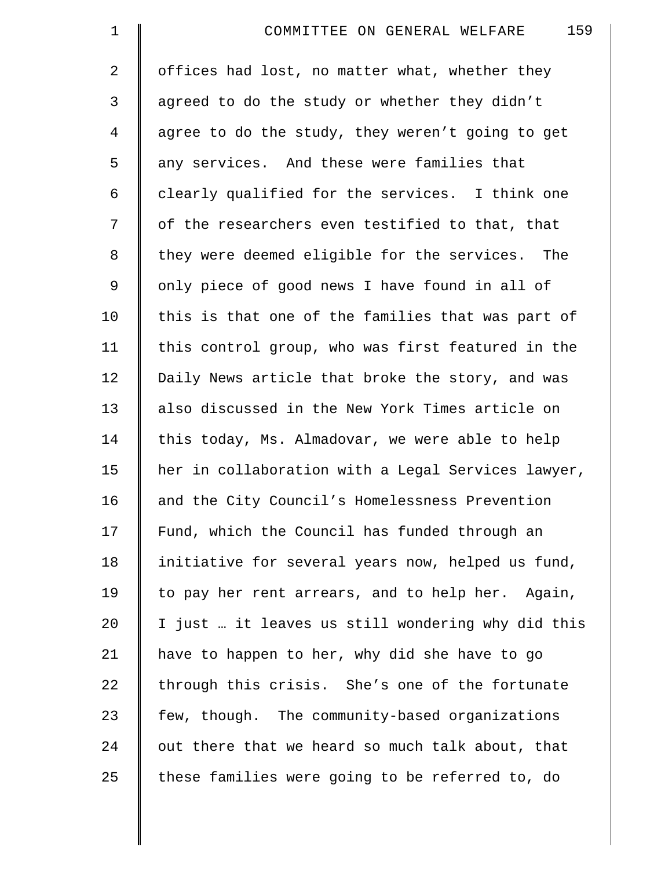| $\mathbf 1$    | 159<br>COMMITTEE ON GENERAL WELFARE                |
|----------------|----------------------------------------------------|
| $\overline{2}$ | offices had lost, no matter what, whether they     |
| 3              | agreed to do the study or whether they didn't      |
| $\overline{4}$ | agree to do the study, they weren't going to get   |
| 5              | any services. And these were families that         |
| 6              | clearly qualified for the services. I think one    |
| 7              | of the researchers even testified to that, that    |
| 8              | they were deemed eligible for the services. The    |
| $\mathsf 9$    | only piece of good news I have found in all of     |
| 10             | this is that one of the families that was part of  |
| 11             | this control group, who was first featured in the  |
| 12             | Daily News article that broke the story, and was   |
| 13             | also discussed in the New York Times article on    |
| 14             | this today, Ms. Almadovar, we were able to help    |
| 15             | her in collaboration with a Legal Services lawyer, |
| 16             | and the City Council's Homelessness Prevention     |
| 17             | Fund, which the Council has funded through an      |
| 18             | initiative for several years now, helped us fund,  |
| 19             | to pay her rent arrears, and to help her. Again,   |
| 20             | I just  it leaves us still wondering why did this  |
| 21             | have to happen to her, why did she have to go      |
| 22             | through this crisis. She's one of the fortunate    |
| 23             | few, though. The community-based organizations     |
| 24             | out there that we heard so much talk about, that   |
| 25             | these families were going to be referred to, do    |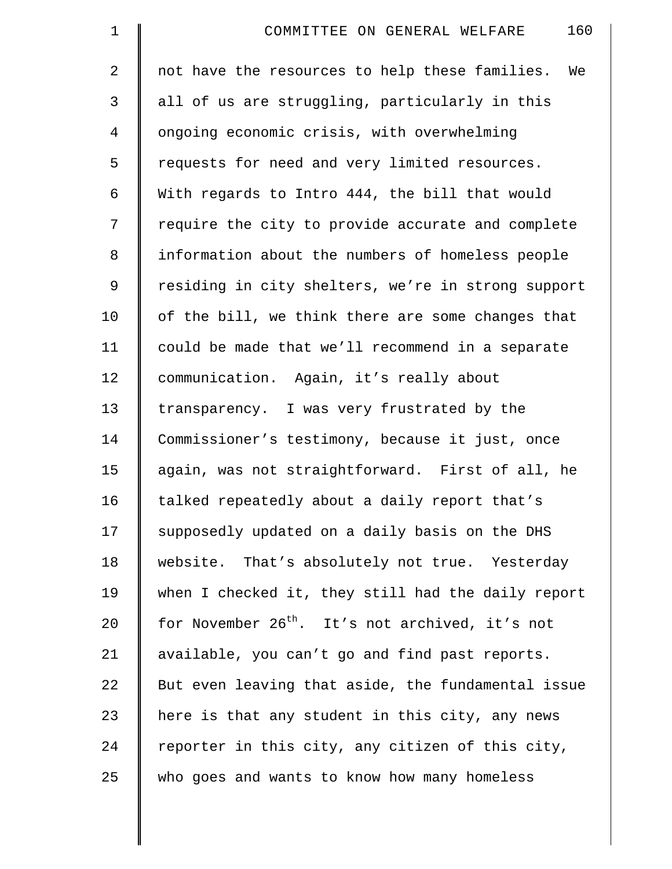| $\mathbf 1$    | 160<br>COMMITTEE ON GENERAL WELFARE                         |
|----------------|-------------------------------------------------------------|
| $\overline{a}$ | not have the resources to help these families.<br>We        |
| 3              | all of us are struggling, particularly in this              |
| 4              | ongoing economic crisis, with overwhelming                  |
| 5              | requests for need and very limited resources.               |
| 6              | With regards to Intro 444, the bill that would              |
| 7              | require the city to provide accurate and complete           |
| 8              | information about the numbers of homeless people            |
| 9              | residing in city shelters, we're in strong support          |
| 10             | of the bill, we think there are some changes that           |
| 11             | could be made that we'll recommend in a separate            |
| 12             | communication. Again, it's really about                     |
| 13             | transparency. I was very frustrated by the                  |
| 14             | Commissioner's testimony, because it just, once             |
| 15             | again, was not straightforward. First of all, he            |
| 16             | talked repeatedly about a daily report that's               |
| 17             | supposedly updated on a daily basis on the DHS              |
| 18             | website. That's absolutely not true. Yesterday              |
| 19             | when I checked it, they still had the daily report          |
| 20             | for November 26 <sup>th</sup> . It's not archived, it's not |
| 21             | available, you can't go and find past reports.              |
| 22             | But even leaving that aside, the fundamental issue          |
| 23             | here is that any student in this city, any news             |
| 24             | reporter in this city, any citizen of this city,            |
| 25             | who goes and wants to know how many homeless                |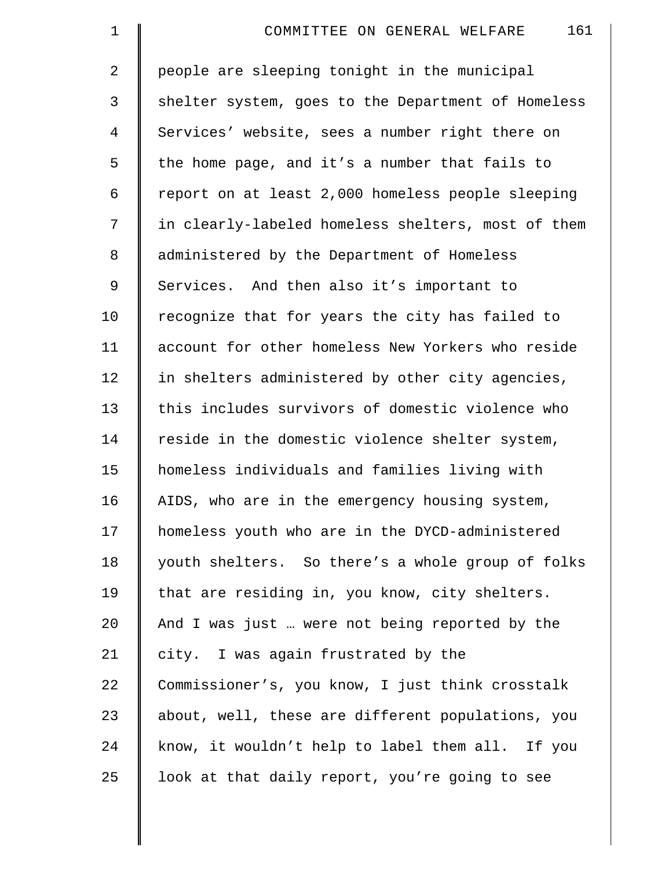| $\mathbf 1$    | 161<br>COMMITTEE ON GENERAL WELFARE                |
|----------------|----------------------------------------------------|
| $\overline{2}$ | people are sleeping tonight in the municipal       |
| 3              | shelter system, goes to the Department of Homeless |
| $\overline{4}$ | Services' website, sees a number right there on    |
| 5              | the home page, and it's a number that fails to     |
| 6              | report on at least 2,000 homeless people sleeping  |
| 7              | in clearly-labeled homeless shelters, most of them |
| 8              | administered by the Department of Homeless         |
| $\mathsf 9$    | Services. And then also it's important to          |
| 10             | recognize that for years the city has failed to    |
| 11             | account for other homeless New Yorkers who reside  |
| 12             | in shelters administered by other city agencies,   |
| 13             | this includes survivors of domestic violence who   |
| 14             | reside in the domestic violence shelter system,    |
| 15             | homeless individuals and families living with      |
| 16             | AIDS, who are in the emergency housing system,     |
| 17             | homeless youth who are in the DYCD-administered    |
| 18             | youth shelters. So there's a whole group of folks  |
| 19             | that are residing in, you know, city shelters.     |
| 20             | And I was just  were not being reported by the     |
| 21             | city. I was again frustrated by the                |
| 22             | Commissioner's, you know, I just think crosstalk   |
| 23             | about, well, these are different populations, you  |
| 24             | know, it wouldn't help to label them all. If you   |
| 25             | look at that daily report, you're going to see     |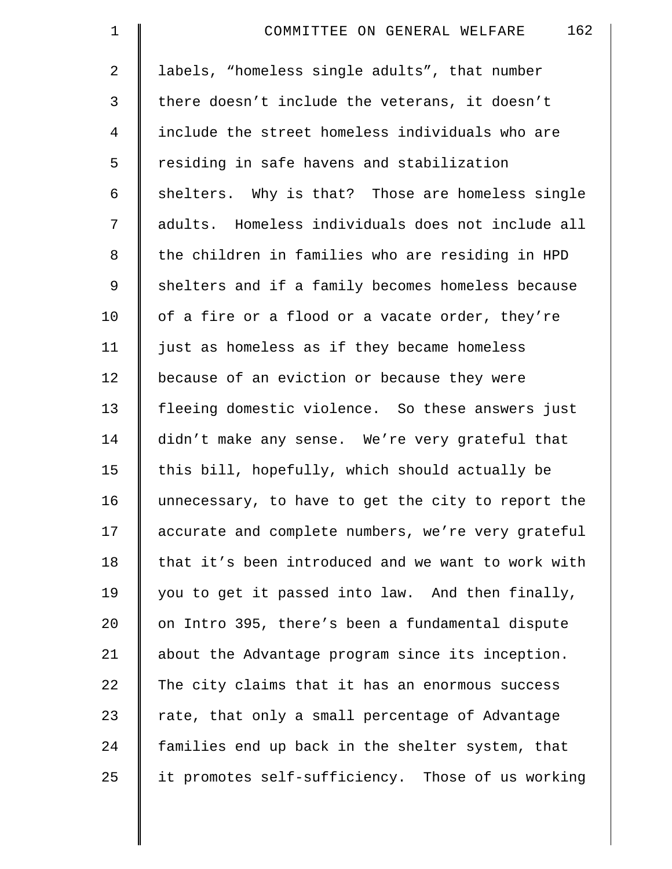| $\mathbf 1$    | 162<br>COMMITTEE ON GENERAL WELFARE                |
|----------------|----------------------------------------------------|
| 2              | labels, "homeless single adults", that number      |
| 3              | there doesn't include the veterans, it doesn't     |
| $\overline{4}$ | include the street homeless individuals who are    |
| 5              | residing in safe havens and stabilization          |
| 6              | shelters. Why is that? Those are homeless single   |
| 7              | adults. Homeless individuals does not include all  |
| 8              | the children in families who are residing in HPD   |
| 9              | shelters and if a family becomes homeless because  |
| 10             | of a fire or a flood or a vacate order, they're    |
| 11             | just as homeless as if they became homeless        |
| 12             | because of an eviction or because they were        |
| 13             | fleeing domestic violence. So these answers just   |
| 14             | didn't make any sense. We're very grateful that    |
| 15             | this bill, hopefully, which should actually be     |
| 16             | unnecessary, to have to get the city to report the |
| 17             | accurate and complete numbers, we're very grateful |
| 18             | that it's been introduced and we want to work with |
| 19             | you to get it passed into law. And then finally,   |
| 20             | on Intro 395, there's been a fundamental dispute   |
| 21             | about the Advantage program since its inception.   |
| 22             | The city claims that it has an enormous success    |
| 23             | rate, that only a small percentage of Advantage    |
| 24             | families end up back in the shelter system, that   |
| 25             | it promotes self-sufficiency. Those of us working  |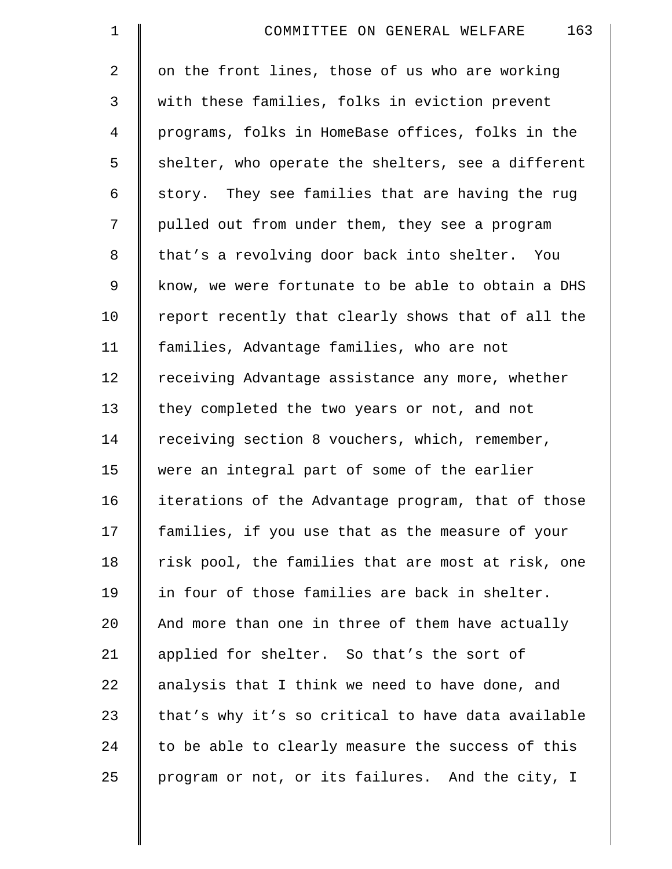| $\mathbf 1$    | 163<br>COMMITTEE ON GENERAL WELFARE                |
|----------------|----------------------------------------------------|
| $\overline{2}$ | on the front lines, those of us who are working    |
| 3              | with these families, folks in eviction prevent     |
| $\overline{4}$ | programs, folks in HomeBase offices, folks in the  |
| 5              | shelter, who operate the shelters, see a different |
| 6              | story. They see families that are having the rug   |
| 7              | pulled out from under them, they see a program     |
| 8              | that's a revolving door back into shelter. You     |
| 9              | know, we were fortunate to be able to obtain a DHS |
| 10             | report recently that clearly shows that of all the |
| 11             | families, Advantage families, who are not          |
| 12             | receiving Advantage assistance any more, whether   |
| 13             | they completed the two years or not, and not       |
| 14             | receiving section 8 vouchers, which, remember,     |
| 15             | were an integral part of some of the earlier       |
| 16             | iterations of the Advantage program, that of those |
| 17             | families, if you use that as the measure of your   |
| 18             | risk pool, the families that are most at risk, one |
| 19             | in four of those families are back in shelter.     |
| 20             | And more than one in three of them have actually   |
| 21             | applied for shelter. So that's the sort of         |
| 22             | analysis that I think we need to have done, and    |
| 23             | that's why it's so critical to have data available |
| 24             | to be able to clearly measure the success of this  |
| 25             | program or not, or its failures. And the city, I   |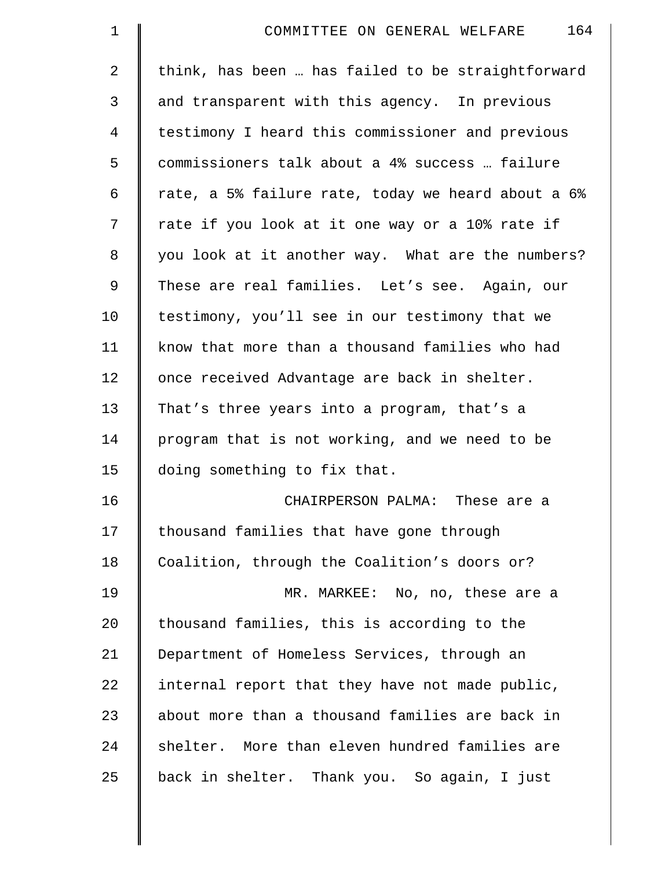| $\mathbf 1$    | 164<br>COMMITTEE ON GENERAL WELFARE                |
|----------------|----------------------------------------------------|
| $\overline{2}$ | think, has been  has failed to be straightforward  |
| 3              | and transparent with this agency. In previous      |
| $\overline{4}$ | testimony I heard this commissioner and previous   |
| 5              | commissioners talk about a 4% success  failure     |
| 6              | rate, a 5% failure rate, today we heard about a 6% |
| 7              | rate if you look at it one way or a 10% rate if    |
| 8              | you look at it another way. What are the numbers?  |
| 9              | These are real families. Let's see. Again, our     |
| 10             | testimony, you'll see in our testimony that we     |
| 11             | know that more than a thousand families who had    |
| 12             | once received Advantage are back in shelter.       |
| 13             | That's three years into a program, that's a        |
| 14             | program that is not working, and we need to be     |
| 15             | doing something to fix that.                       |
| 16             | CHAIRPERSON PALMA: These are a                     |
| 17             | thousand families that have gone through           |
| 18             | Coalition, through the Coalition's doors or?       |
| 19             | MR. MARKEE: No, no, these are a                    |
| 20             | thousand families, this is according to the        |
| 21             | Department of Homeless Services, through an        |
| 22             | internal report that they have not made public,    |
| 23             | about more than a thousand families are back in    |
| 24             | shelter. More than eleven hundred families are     |
| 25             | back in shelter. Thank you. So again, I just       |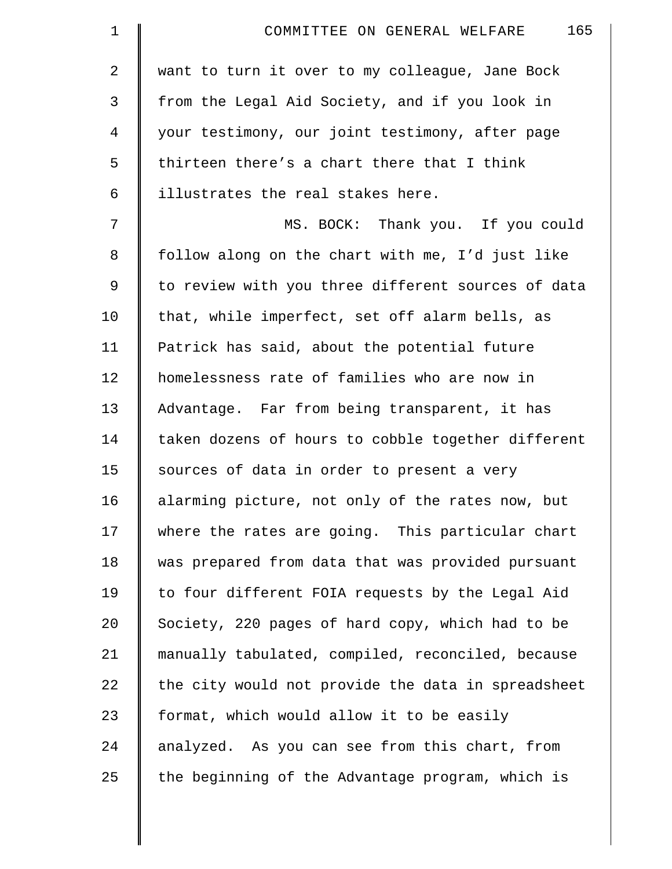| $\mathbf 1$    | 165<br>COMMITTEE ON GENERAL WELFARE                |
|----------------|----------------------------------------------------|
| 2              | want to turn it over to my colleague, Jane Bock    |
| 3              | from the Legal Aid Society, and if you look in     |
| $\overline{4}$ | your testimony, our joint testimony, after page    |
| 5              | thirteen there's a chart there that I think        |
| 6              | illustrates the real stakes here.                  |
| 7              | MS. BOCK: Thank you. If you could                  |
| 8              | follow along on the chart with me, I'd just like   |
| 9              | to review with you three different sources of data |
| 10             | that, while imperfect, set off alarm bells, as     |
| 11             | Patrick has said, about the potential future       |
| 12             | homelessness rate of families who are now in       |
| 13             | Advantage. Far from being transparent, it has      |
| 14             | taken dozens of hours to cobble together different |
| 15             | sources of data in order to present a very         |
| 16             | alarming picture, not only of the rates now, but   |
| 17             | where the rates are going. This particular chart   |
| 18             | was prepared from data that was provided pursuant  |
| 19             | to four different FOIA requests by the Legal Aid   |
| 20             | Society, 220 pages of hard copy, which had to be   |
| 21             | manually tabulated, compiled, reconciled, because  |
| 22             | the city would not provide the data in spreadsheet |
| 23             | format, which would allow it to be easily          |
| 24             | analyzed. As you can see from this chart, from     |
| 25             | the beginning of the Advantage program, which is   |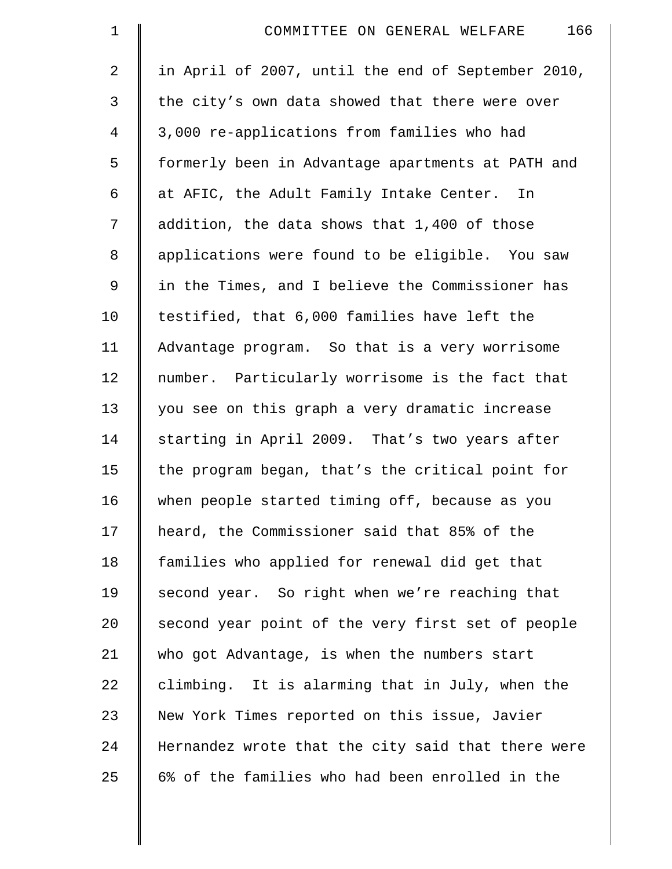| $\mathbf 1$    | 166<br>COMMITTEE ON GENERAL WELFARE                |
|----------------|----------------------------------------------------|
| $\overline{2}$ | in April of 2007, until the end of September 2010, |
| 3              | the city's own data showed that there were over    |
| 4              | 3,000 re-applications from families who had        |
| 5              | formerly been in Advantage apartments at PATH and  |
| 6              | at AFIC, the Adult Family Intake Center. In        |
| 7              | addition, the data shows that 1,400 of those       |
| 8              | applications were found to be eligible. You saw    |
| 9              | in the Times, and I believe the Commissioner has   |
| 10             | testified, that 6,000 families have left the       |
| 11             | Advantage program. So that is a very worrisome     |
| 12             | number. Particularly worrisome is the fact that    |
| 13             | you see on this graph a very dramatic increase     |
| 14             | starting in April 2009. That's two years after     |
| 15             | the program began, that's the critical point for   |
| 16             | when people started timing off, because as you     |
| 17             | heard, the Commissioner said that 85% of the       |
| 18             | families who applied for renewal did get that      |
| 19             | second year. So right when we're reaching that     |
| 20             | second year point of the very first set of people  |
| 21             | who got Advantage, is when the numbers start       |
| 22             | climbing. It is alarming that in July, when the    |
| 23             | New York Times reported on this issue, Javier      |
| 24             | Hernandez wrote that the city said that there were |
| 25             | 6% of the families who had been enrolled in the    |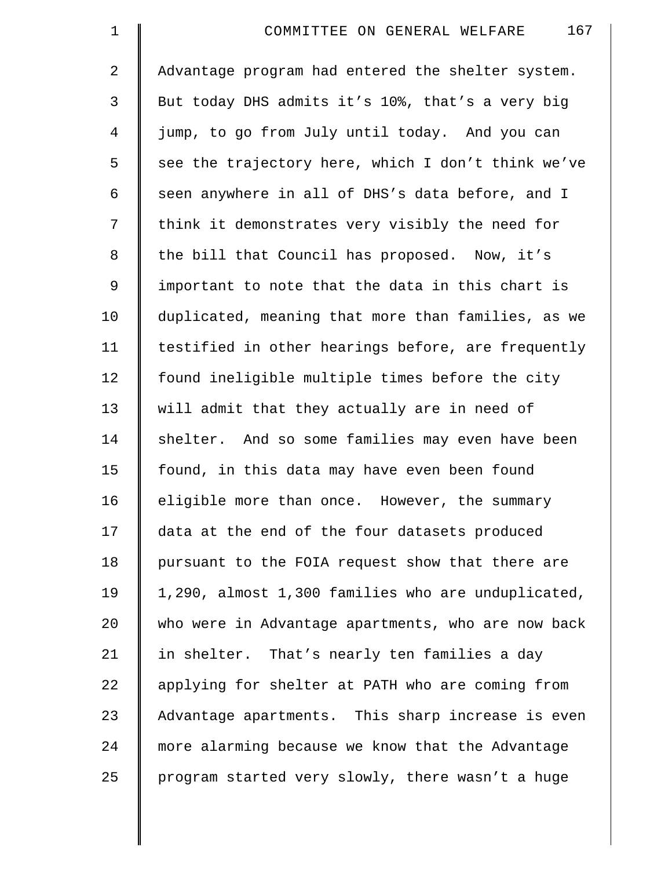| $\mathbf 1$    | 167<br>COMMITTEE ON GENERAL WELFARE                |
|----------------|----------------------------------------------------|
| $\overline{a}$ | Advantage program had entered the shelter system.  |
| $\mathfrak{Z}$ | But today DHS admits it's 10%, that's a very big   |
| 4              | jump, to go from July until today. And you can     |
| 5              | see the trajectory here, which I don't think we've |
| 6              | seen anywhere in all of DHS's data before, and I   |
| 7              | think it demonstrates very visibly the need for    |
| $\,8\,$        | the bill that Council has proposed. Now, it's      |
| $\mathsf 9$    | important to note that the data in this chart is   |
| 10             | duplicated, meaning that more than families, as we |
| 11             | testified in other hearings before, are frequently |
| 12             | found ineligible multiple times before the city    |
| 13             | will admit that they actually are in need of       |
| 14             | shelter. And so some families may even have been   |
| 15             | found, in this data may have even been found       |
| 16             | eligible more than once. However, the summary      |
| 17             | data at the end of the four datasets produced      |
| 18             | pursuant to the FOIA request show that there are   |
| 19             | 1,290, almost 1,300 families who are unduplicated, |
| 20             | who were in Advantage apartments, who are now back |
| 21             | in shelter. That's nearly ten families a day       |
| 22             | applying for shelter at PATH who are coming from   |
| 23             | Advantage apartments. This sharp increase is even  |
| 24             | more alarming because we know that the Advantage   |
| 25             | program started very slowly, there wasn't a huge   |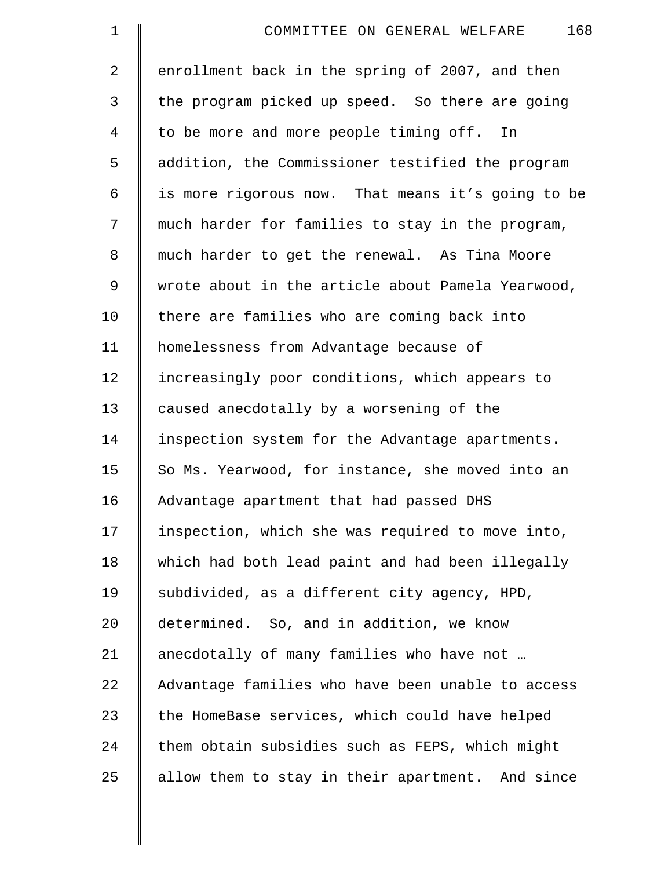| $\mathbf 1$    | 168<br>COMMITTEE ON GENERAL WELFARE               |
|----------------|---------------------------------------------------|
| $\overline{2}$ | enrollment back in the spring of 2007, and then   |
| 3              | the program picked up speed. So there are going   |
| $\overline{4}$ | to be more and more people timing off. In         |
| 5              | addition, the Commissioner testified the program  |
| 6              | is more rigorous now. That means it's going to be |
| 7              | much harder for families to stay in the program,  |
| 8              | much harder to get the renewal. As Tina Moore     |
| 9              | wrote about in the article about Pamela Yearwood, |
| 10             | there are families who are coming back into       |
| 11             | homelessness from Advantage because of            |
| 12             | increasingly poor conditions, which appears to    |
| 13             | caused anecdotally by a worsening of the          |
| 14             | inspection system for the Advantage apartments.   |
| 15             | So Ms. Yearwood, for instance, she moved into an  |
| 16             | Advantage apartment that had passed DHS           |
| 17             | inspection, which she was required to move into,  |
| 18             | which had both lead paint and had been illegally  |
| 19             | subdivided, as a different city agency, HPD,      |
| 20             | determined. So, and in addition, we know          |
| 21             | anecdotally of many families who have not         |
| 22             | Advantage families who have been unable to access |
| 23             | the HomeBase services, which could have helped    |
| 24             | them obtain subsidies such as FEPS, which might   |
| 25             | allow them to stay in their apartment. And since  |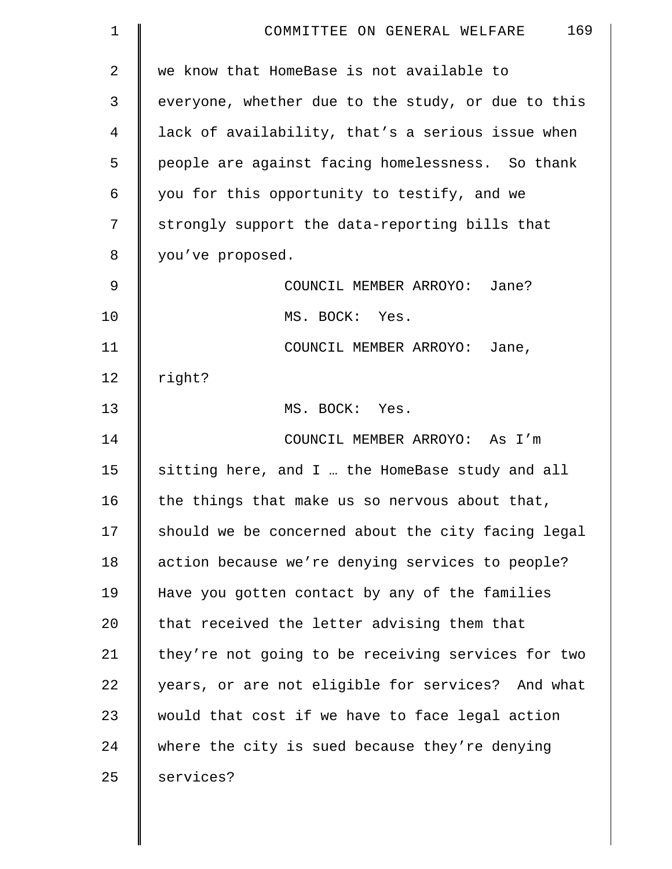| $\mathbf 1$    | 169<br>COMMITTEE ON GENERAL WELFARE                |
|----------------|----------------------------------------------------|
| $\overline{2}$ | we know that HomeBase is not available to          |
| 3              | everyone, whether due to the study, or due to this |
| 4              | lack of availability, that's a serious issue when  |
| 5              | people are against facing homelessness. So thank   |
| 6              | you for this opportunity to testify, and we        |
| 7              | strongly support the data-reporting bills that     |
| 8              | you've proposed.                                   |
| 9              | COUNCIL MEMBER ARROYO: Jane?                       |
| 10             | MS. BOCK: Yes.                                     |
| 11             | COUNCIL MEMBER ARROYO: Jane,                       |
| 12             | right?                                             |
| 13             | MS. BOCK: Yes.                                     |
| 14             | COUNCIL MEMBER ARROYO: As I'm                      |
| 15             | sitting here, and I  the HomeBase study and all    |
| 16             | the things that make us so nervous about that,     |
| 17             | should we be concerned about the city facing legal |
| 18             | action because we're denying services to people?   |
| 19             | Have you gotten contact by any of the families     |
| 20             | that received the letter advising them that        |
| 21             | they're not going to be receiving services for two |
| 22             | years, or are not eligible for services? And what  |
| 23             | would that cost if we have to face legal action    |
| 24             | where the city is sued because they're denying     |
| 25             | services?                                          |
|                |                                                    |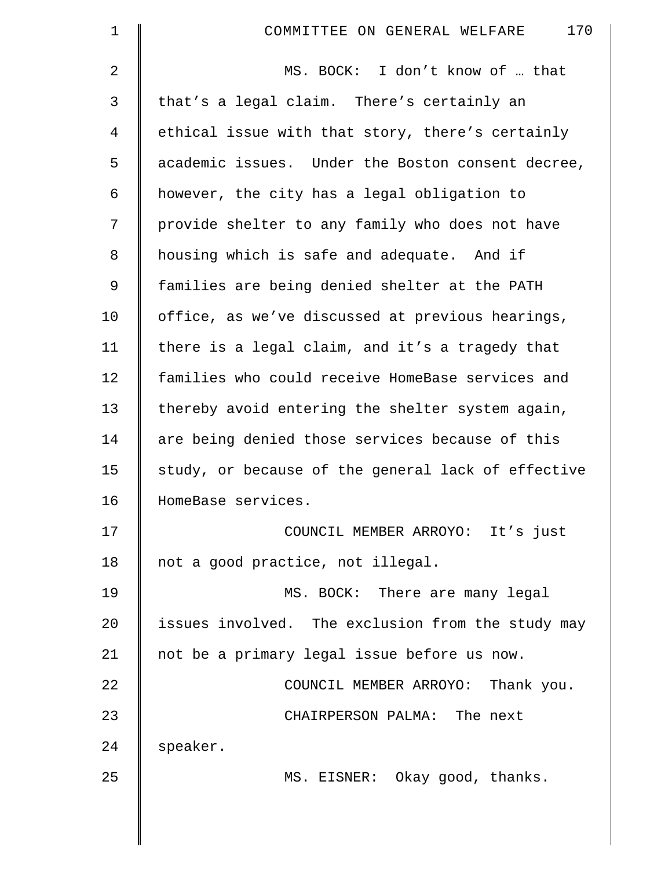| $\mathbf 1$ | 170<br>COMMITTEE ON GENERAL WELFARE                |
|-------------|----------------------------------------------------|
| 2           | MS. BOCK: I don't know of  that                    |
| 3           | that's a legal claim. There's certainly an         |
| 4           | ethical issue with that story, there's certainly   |
| 5           | academic issues. Under the Boston consent decree,  |
| 6           | however, the city has a legal obligation to        |
| 7           | provide shelter to any family who does not have    |
| 8           | housing which is safe and adequate. And if         |
| $\mathsf 9$ | families are being denied shelter at the PATH      |
| 10          | office, as we've discussed at previous hearings,   |
| 11          | there is a legal claim, and it's a tragedy that    |
| 12          | families who could receive HomeBase services and   |
| 13          | thereby avoid entering the shelter system again,   |
| 14          | are being denied those services because of this    |
| 15          | study, or because of the general lack of effective |
| 16          | HomeBase services.                                 |
| 17          | COUNCIL MEMBER ARROYO: It's just                   |
| 18          | not a good practice, not illegal.                  |
| 19          | MS. BOCK: There are many legal                     |
| 20          | issues involved. The exclusion from the study may  |
| 21          | not be a primary legal issue before us now.        |
| 22          | COUNCIL MEMBER ARROYO: Thank you.                  |
| 23          | CHAIRPERSON PALMA: The next                        |
| 24          | speaker.                                           |
| 25          | MS. EISNER: Okay good, thanks.                     |
|             |                                                    |
|             |                                                    |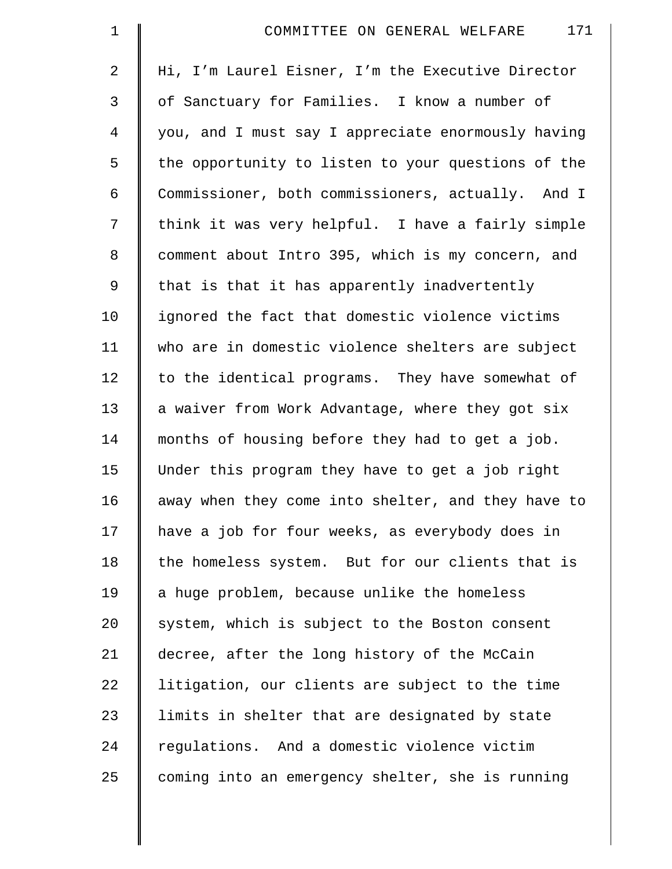| $\mathbf 1$    | 171<br>COMMITTEE ON GENERAL WELFARE                |
|----------------|----------------------------------------------------|
| $\overline{a}$ | Hi, I'm Laurel Eisner, I'm the Executive Director  |
| 3              | of Sanctuary for Families. I know a number of      |
| $\overline{4}$ | you, and I must say I appreciate enormously having |
| 5              | the opportunity to listen to your questions of the |
| 6              | Commissioner, both commissioners, actually. And I  |
| 7              | think it was very helpful. I have a fairly simple  |
| 8              | comment about Intro 395, which is my concern, and  |
| 9              | that is that it has apparently inadvertently       |
| 10             | ignored the fact that domestic violence victims    |
| 11             | who are in domestic violence shelters are subject  |
| 12             | to the identical programs. They have somewhat of   |
| 13             | a waiver from Work Advantage, where they got six   |
| 14             | months of housing before they had to get a job.    |
| 15             | Under this program they have to get a job right    |
| 16             | away when they come into shelter, and they have to |
| 17             | have a job for four weeks, as everybody does in    |
| 18             | the homeless system. But for our clients that is   |
| 19             | a huge problem, because unlike the homeless        |
| 20             | system, which is subject to the Boston consent     |
| 21             | decree, after the long history of the McCain       |
| 22             | litigation, our clients are subject to the time    |
| 23             | limits in shelter that are designated by state     |
| 24             | regulations. And a domestic violence victim        |
| 25             | coming into an emergency shelter, she is running   |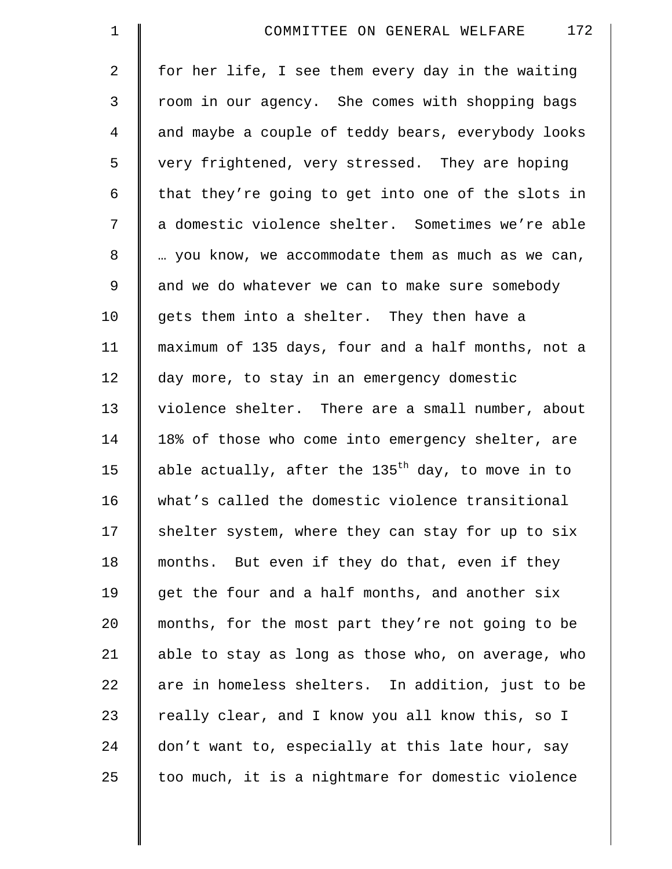| $\mathbf 1$    | 172<br>COMMITTEE ON GENERAL WELFARE                 |
|----------------|-----------------------------------------------------|
| $\overline{2}$ | for her life, I see them every day in the waiting   |
| 3              | room in our agency. She comes with shopping bags    |
| 4              | and maybe a couple of teddy bears, everybody looks  |
| 5              | very frightened, very stressed. They are hoping     |
| 6              | that they're going to get into one of the slots in  |
| 7              | a domestic violence shelter. Sometimes we're able   |
| 8              | you know, we accommodate them as much as we can,    |
| $\mathsf 9$    | and we do whatever we can to make sure somebody     |
| 10             | gets them into a shelter. They then have a          |
| 11             | maximum of 135 days, four and a half months, not a  |
| 12             | day more, to stay in an emergency domestic          |
| 13             | violence shelter. There are a small number, about   |
| 14             | 18% of those who come into emergency shelter, are   |
| 15             | able actually, after the $135th$ day, to move in to |
| 16             | what's called the domestic violence transitional    |
| 17             | shelter system, where they can stay for up to six   |
| 18             | months. But even if they do that, even if they      |
| 19             | get the four and a half months, and another six     |
| 20             | months, for the most part they're not going to be   |
| 21             | able to stay as long as those who, on average, who  |
| 22             | are in homeless shelters. In addition, just to be   |
| 23             | really clear, and I know you all know this, so I    |
| 24             | don't want to, especially at this late hour, say    |
| 25             | too much, it is a nightmare for domestic violence   |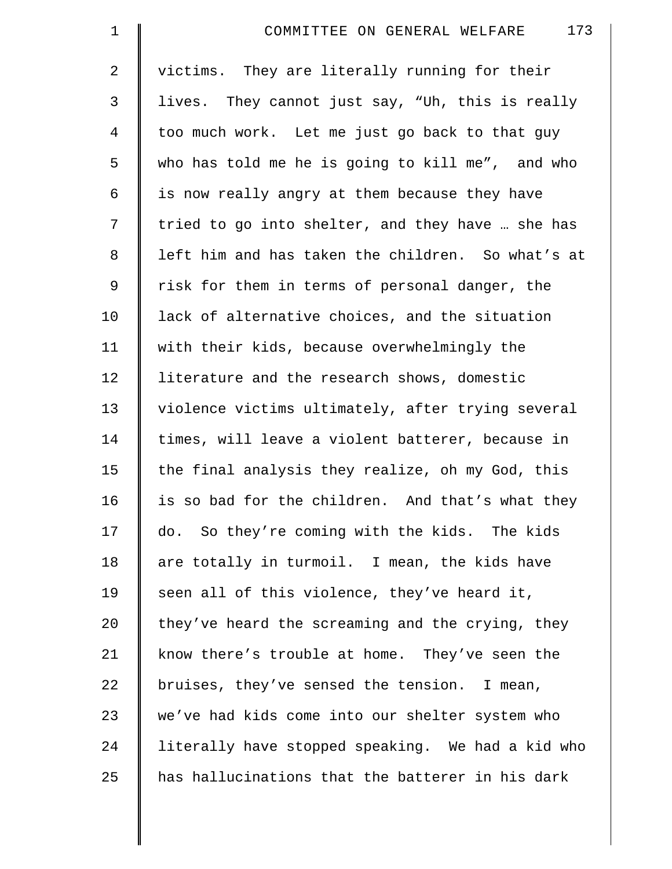| $\mathbf 1$ | 173<br>COMMITTEE ON GENERAL WELFARE               |
|-------------|---------------------------------------------------|
| 2           | victims. They are literally running for their     |
| 3           | lives. They cannot just say, "Uh, this is really  |
| 4           | too much work. Let me just go back to that guy    |
| 5           | who has told me he is going to kill me", and who  |
| 6           | is now really angry at them because they have     |
| 7           | tried to go into shelter, and they have  she has  |
| 8           | left him and has taken the children. So what's at |
| 9           | risk for them in terms of personal danger, the    |
| 10          | lack of alternative choices, and the situation    |
| 11          | with their kids, because overwhelmingly the       |
| 12          | literature and the research shows, domestic       |
| 13          | violence victims ultimately, after trying several |
| 14          | times, will leave a violent batterer, because in  |
| 15          | the final analysis they realize, oh my God, this  |
| 16          | is so bad for the children. And that's what they  |
| 17          | do. So they're coming with the kids. The kids     |
| 18          | are totally in turmoil. I mean, the kids have     |
| 19          | seen all of this violence, they've heard it,      |
| 20          | they've heard the screaming and the crying, they  |
| 21          | know there's trouble at home. They've seen the    |
| 22          | bruises, they've sensed the tension. I mean,      |
| 23          | we've had kids come into our shelter system who   |
| 24          | literally have stopped speaking. We had a kid who |
| 25          | has hallucinations that the batterer in his dark  |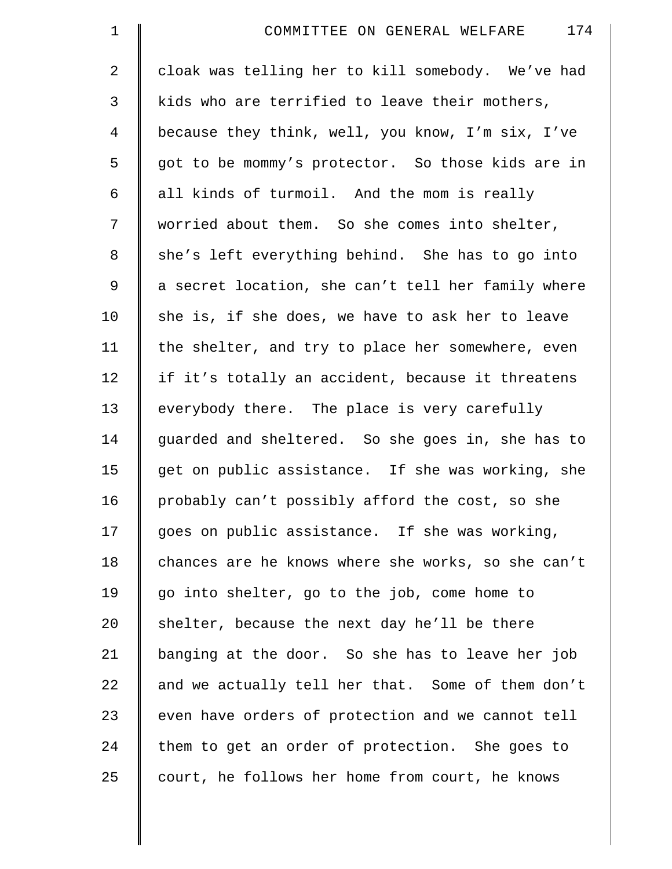| $\mathbf 1$    | 174<br>COMMITTEE ON GENERAL WELFARE                |
|----------------|----------------------------------------------------|
| 2              | cloak was telling her to kill somebody. We've had  |
| 3              | kids who are terrified to leave their mothers,     |
| $\overline{4}$ | because they think, well, you know, I'm six, I've  |
| 5              | got to be mommy's protector. So those kids are in  |
| 6              | all kinds of turmoil. And the mom is really        |
| 7              | worried about them. So she comes into shelter,     |
| $\,8\,$        | she's left everything behind. She has to go into   |
| 9              | a secret location, she can't tell her family where |
| 10             | she is, if she does, we have to ask her to leave   |
| 11             | the shelter, and try to place her somewhere, even  |
| 12             | if it's totally an accident, because it threatens  |
| 13             | everybody there. The place is very carefully       |
| 14             | guarded and sheltered. So she goes in, she has to  |
| 15             | get on public assistance. If she was working, she  |
| 16             | probably can't possibly afford the cost, so she    |
| 17             | goes on public assistance. If she was working,     |
| 18             | chances are he knows where she works, so she can't |
| 19             | go into shelter, go to the job, come home to       |
| 20             | shelter, because the next day he'll be there       |
| 21             | banging at the door. So she has to leave her job   |
| 22             | and we actually tell her that. Some of them don't  |
| 23             | even have orders of protection and we cannot tell  |
| 24             | them to get an order of protection. She goes to    |
| 25             | court, he follows her home from court, he knows    |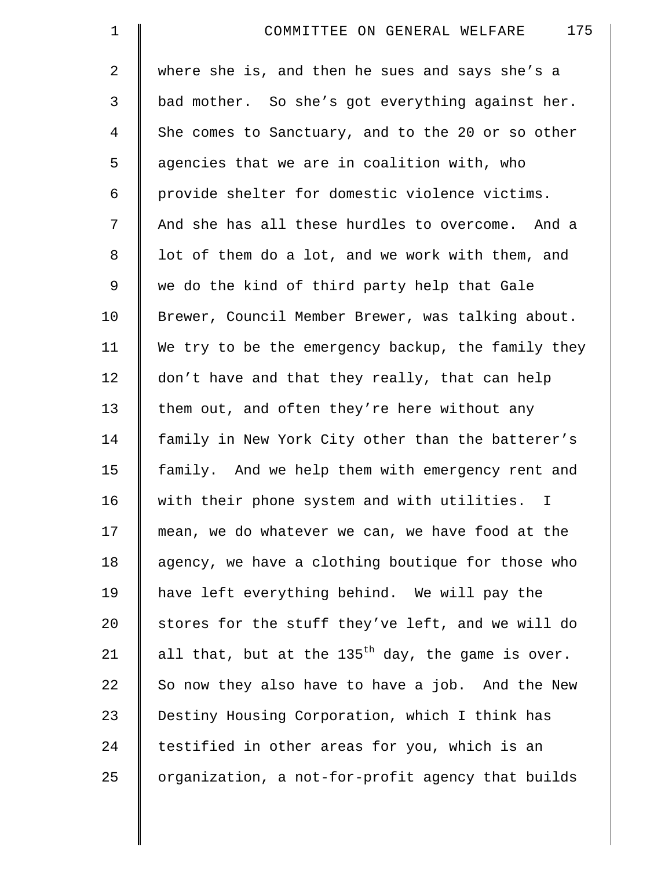| $\mathbf 1$    | 175<br>COMMITTEE ON GENERAL WELFARE                 |
|----------------|-----------------------------------------------------|
| $\overline{a}$ | where she is, and then he sues and says she's a     |
| 3              | bad mother. So she's got everything against her.    |
| $\overline{4}$ | She comes to Sanctuary, and to the 20 or so other   |
| 5              | agencies that we are in coalition with, who         |
| 6              | provide shelter for domestic violence victims.      |
| 7              | And she has all these hurdles to overcome. And a    |
| 8              | lot of them do a lot, and we work with them, and    |
| 9              | we do the kind of third party help that Gale        |
| 10             | Brewer, Council Member Brewer, was talking about.   |
| 11             | We try to be the emergency backup, the family they  |
| 12             | don't have and that they really, that can help      |
| 13             | them out, and often they're here without any        |
| 14             | family in New York City other than the batterer's   |
| 15             | family. And we help them with emergency rent and    |
| 16             | with their phone system and with utilities. I       |
| 17             | mean, we do whatever we can, we have food at the    |
| 18             | agency, we have a clothing boutique for those who   |
| 19             | have left everything behind. We will pay the        |
| 20             | stores for the stuff they've left, and we will do   |
| 21             | all that, but at the $135th$ day, the game is over. |
| 22             | So now they also have to have a job. And the New    |
| 23             | Destiny Housing Corporation, which I think has      |
| 24             | testified in other areas for you, which is an       |
| 25             | organization, a not-for-profit agency that builds   |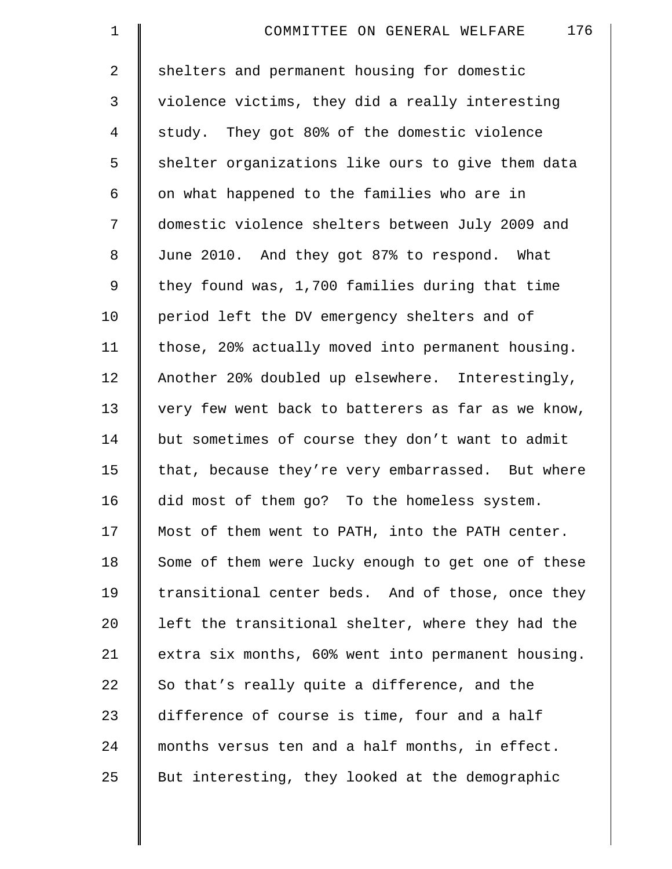| $\mathbf 1$    | 176<br>COMMITTEE ON GENERAL WELFARE                |
|----------------|----------------------------------------------------|
| $\overline{a}$ | shelters and permanent housing for domestic        |
| 3              | violence victims, they did a really interesting    |
| 4              | study. They got 80% of the domestic violence       |
| 5              | shelter organizations like ours to give them data  |
| 6              | on what happened to the families who are in        |
| 7              | domestic violence shelters between July 2009 and   |
| 8              | June 2010. And they got 87% to respond. What       |
| 9              | they found was, 1,700 families during that time    |
| 10             | period left the DV emergency shelters and of       |
| 11             | those, 20% actually moved into permanent housing.  |
| 12             | Another 20% doubled up elsewhere. Interestingly,   |
| 13             | very few went back to batterers as far as we know, |
| 14             | but sometimes of course they don't want to admit   |
| 15             | that, because they're very embarrassed. But where  |
| 16             | did most of them go? To the homeless system.       |
| 17             | Most of them went to PATH, into the PATH center.   |
| 18             | Some of them were lucky enough to get one of these |
| 19             | transitional center beds. And of those, once they  |
| 20             | left the transitional shelter, where they had the  |
| 21             | extra six months, 60% went into permanent housing. |
| 22             | So that's really quite a difference, and the       |
| 23             | difference of course is time, four and a half      |
| 24             | months versus ten and a half months, in effect.    |
| 25             | But interesting, they looked at the demographic    |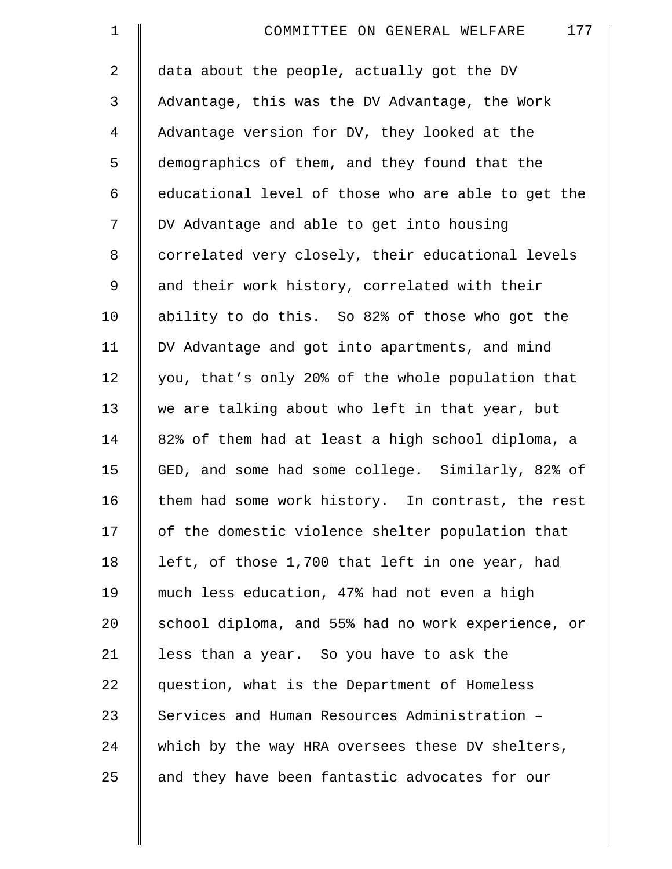| $\mathbf 1$     | 177<br>COMMITTEE ON GENERAL WELFARE                |
|-----------------|----------------------------------------------------|
| 2               | data about the people, actually got the DV         |
| 3               | Advantage, this was the DV Advantage, the Work     |
| 4               | Advantage version for DV, they looked at the       |
| 5               | demographics of them, and they found that the      |
| 6               | educational level of those who are able to get the |
| 7               | DV Advantage and able to get into housing          |
| $\,8\,$         | correlated very closely, their educational levels  |
| 9               | and their work history, correlated with their      |
| 10              | ability to do this. So 82% of those who got the    |
| 11              | DV Advantage and got into apartments, and mind     |
| 12              | you, that's only 20% of the whole population that  |
| 13              | we are talking about who left in that year, but    |
| 14              | 82% of them had at least a high school diploma, a  |
| 15              | GED, and some had some college. Similarly, 82% of  |
| 16              | them had some work history. In contrast, the rest  |
| 17              | of the domestic violence shelter population that   |
| 18              | left, of those 1,700 that left in one year, had    |
| 19              | much less education, 47% had not even a high       |
| 20 <sub>o</sub> | school diploma, and 55% had no work experience, or |
| 21              | less than a year. So you have to ask the           |
| 22              | question, what is the Department of Homeless       |
| 23              | Services and Human Resources Administration -      |
| 24              | which by the way HRA oversees these DV shelters,   |
| 25              | and they have been fantastic advocates for our     |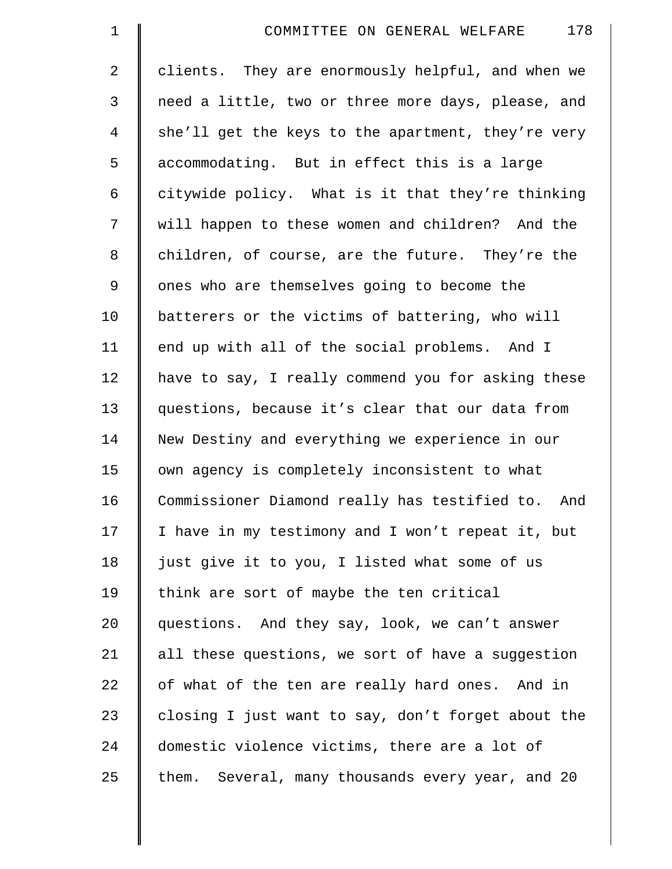| $\mathbf 1$    | 178<br>COMMITTEE ON GENERAL WELFARE                  |
|----------------|------------------------------------------------------|
| $\overline{a}$ | clients. They are enormously helpful, and when we    |
| 3              | need a little, two or three more days, please, and   |
| 4              | she'll get the keys to the apartment, they're very   |
| 5              | accommodating. But in effect this is a large         |
| 6              | citywide policy. What is it that they're thinking    |
| 7              | will happen to these women and children? And the     |
| 8              | children, of course, are the future. They're the     |
| $\mathsf 9$    | ones who are themselves going to become the          |
| 10             | batterers or the victims of battering, who will      |
| 11             | end up with all of the social problems. And I        |
| 12             | have to say, I really commend you for asking these   |
| 13             | questions, because it's clear that our data from     |
| 14             | New Destiny and everything we experience in our      |
| 15             | own agency is completely inconsistent to what        |
| 16             | Commissioner Diamond really has testified to.<br>And |
| 17             | I have in my testimony and I won't repeat it, but    |
| 18             | just give it to you, I listed what some of us        |
| 19             | think are sort of maybe the ten critical             |
| 20             | questions. And they say, look, we can't answer       |
| 21             | all these questions, we sort of have a suggestion    |
| 22             | of what of the ten are really hard ones. And in      |
| 23             | closing I just want to say, don't forget about the   |
| 24             | domestic violence victims, there are a lot of        |
| 25             | them. Several, many thousands every year, and 20     |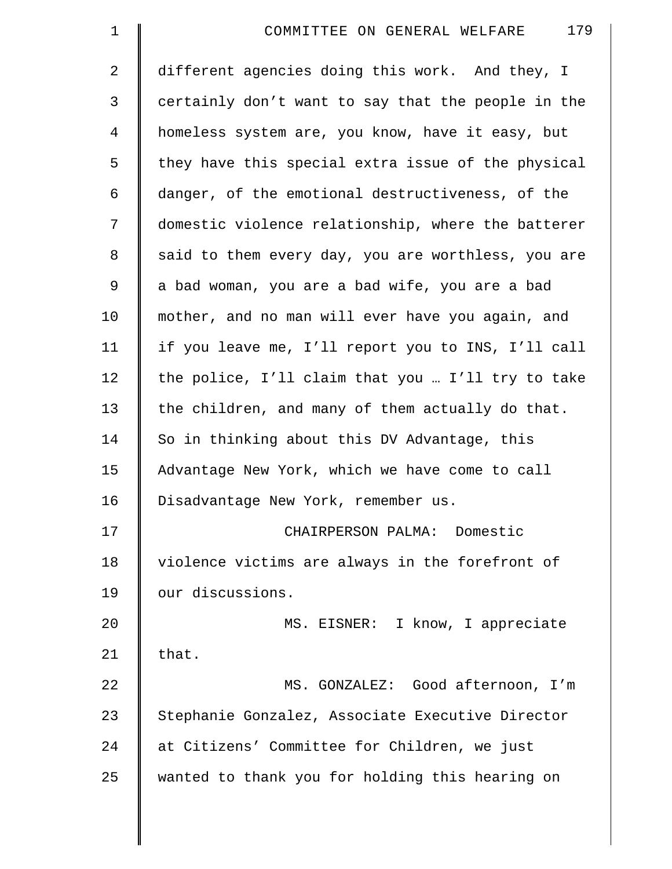| $\mathbf 1$    | 179<br>COMMITTEE ON GENERAL WELFARE                |
|----------------|----------------------------------------------------|
| $\overline{2}$ | different agencies doing this work. And they, I    |
| 3              | certainly don't want to say that the people in the |
| $\overline{4}$ | homeless system are, you know, have it easy, but   |
| 5              | they have this special extra issue of the physical |
| 6              | danger, of the emotional destructiveness, of the   |
| 7              | domestic violence relationship, where the batterer |
| 8              | said to them every day, you are worthless, you are |
| 9              | a bad woman, you are a bad wife, you are a bad     |
| 10             | mother, and no man will ever have you again, and   |
| 11             | if you leave me, I'll report you to INS, I'll call |
| 12             | the police, I'll claim that you  I'll try to take  |
| 13             | the children, and many of them actually do that.   |
| 14             | So in thinking about this DV Advantage, this       |
| 15             | Advantage New York, which we have come to call     |
| 16             | Disadvantage New York, remember us.                |
| 17             | CHAIRPERSON PALMA: Domestic                        |
| 18             | violence victims are always in the forefront of    |
| 19             | our discussions.                                   |
| 20             | MS. EISNER: I know, I appreciate                   |
| 21             | that.                                              |
| 22             | MS. GONZALEZ: Good afternoon, I'm                  |
| 23             | Stephanie Gonzalez, Associate Executive Director   |
| 24             | at Citizens' Committee for Children, we just       |
| 25             | wanted to thank you for holding this hearing on    |
|                |                                                    |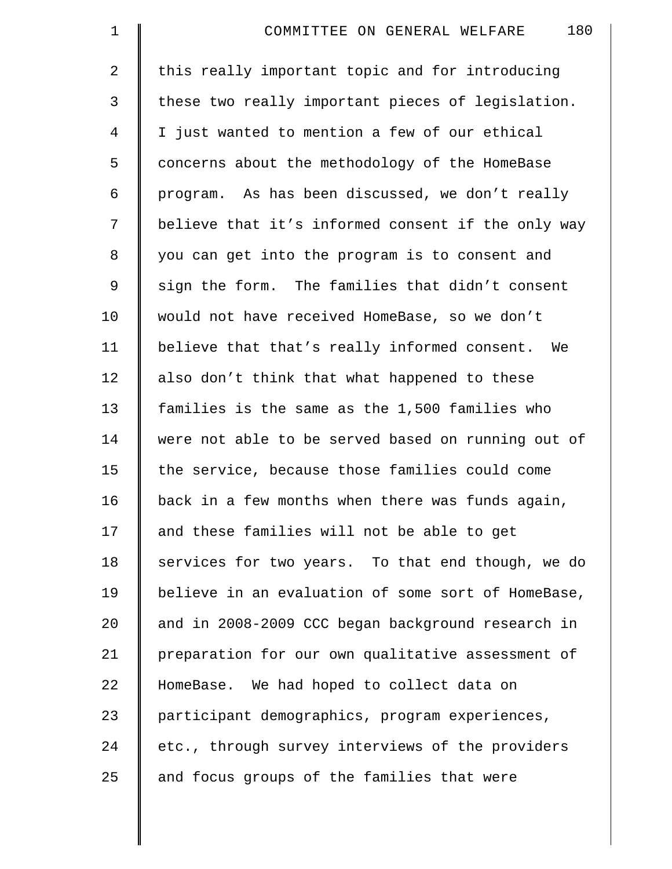| $\mathbf 1$ | 180<br>COMMITTEE ON GENERAL WELFARE                |
|-------------|----------------------------------------------------|
| 2           | this really important topic and for introducing    |
| 3           | these two really important pieces of legislation.  |
| 4           | I just wanted to mention a few of our ethical      |
| 5           | concerns about the methodology of the HomeBase     |
| 6           | program. As has been discussed, we don't really    |
| 7           | believe that it's informed consent if the only way |
| 8           | you can get into the program is to consent and     |
| $\mathsf 9$ | sign the form. The families that didn't consent    |
| 10          | would not have received HomeBase, so we don't      |
| 11          | believe that that's really informed consent. We    |
| 12          | also don't think that what happened to these       |
| 13          | families is the same as the 1,500 families who     |
| 14          | were not able to be served based on running out of |
| 15          | the service, because those families could come     |
| 16          | back in a few months when there was funds again,   |
| 17          | and these families will not be able to get         |
| 18          | services for two years. To that end though, we do  |
| 19          | believe in an evaluation of some sort of HomeBase, |
| 20          | and in 2008-2009 CCC began background research in  |
| 21          | preparation for our own qualitative assessment of  |
| 22          | HomeBase. We had hoped to collect data on          |
| 23          | participant demographics, program experiences,     |
| 24          | etc., through survey interviews of the providers   |
| 25          | and focus groups of the families that were         |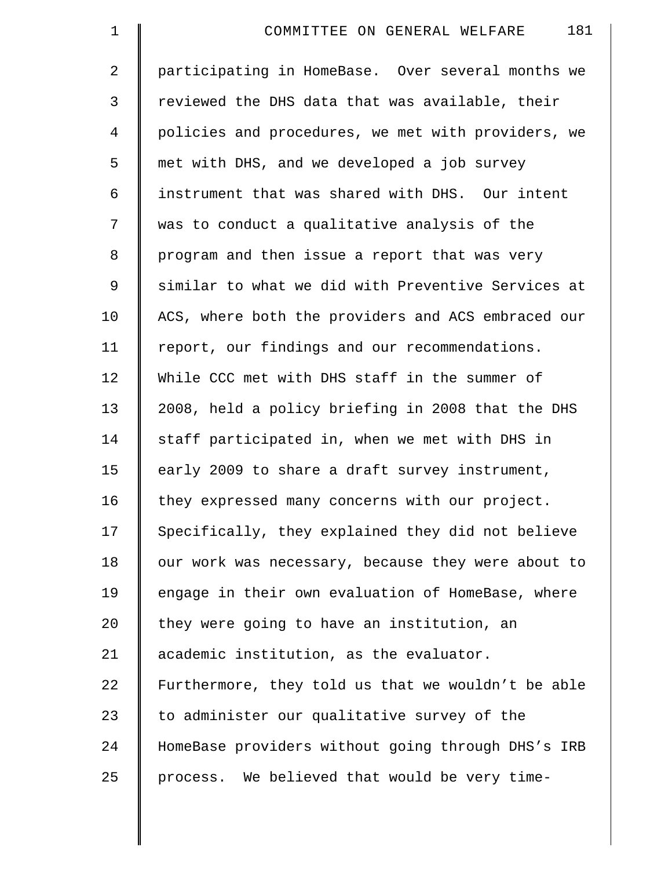2 participating in HomeBase. Over several months we 3 | reviewed the DHS data that was available, their 4 policies and procedures, we met with providers, we 5 met with DHS, and we developed a job survey 6 instrument that was shared with DHS. Our intent 7 was to conduct a qualitative analysis of the 8 program and then issue a report that was very 9 similar to what we did with Preventive Services at 10 | ACS, where both the providers and ACS embraced our 11 | report, our findings and our recommendations. 12 While CCC met with DHS staff in the summer of 13 | 2008, held a policy briefing in 2008 that the DHS 14 Staff participated in, when we met with DHS in 15 | early 2009 to share a draft survey instrument, 16 | they expressed many concerns with our project. 17 Specifically, they explained they did not believe 18 | our work was necessary, because they were about to 19 | engage in their own evaluation of HomeBase, where  $20$  | they were going to have an institution, an 21 academic institution, as the evaluator. 22 Furthermore, they told us that we wouldn't be able 23  $\parallel$  to administer our qualitative survey of the 24 HomeBase providers without going through DHS's IRB  $25$  | process. We believed that would be very time-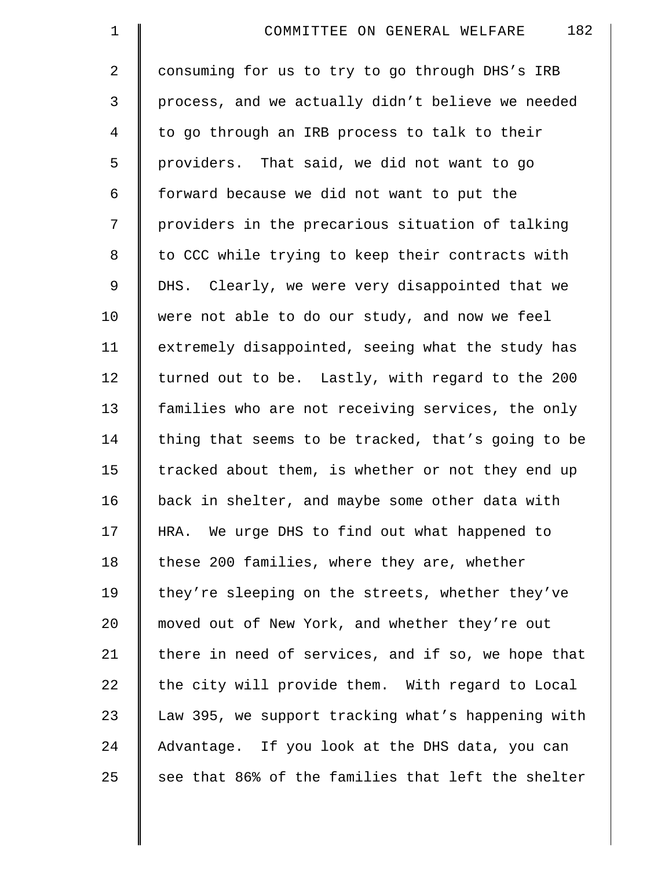2 | consuming for us to try to go through DHS's IRB 3 process, and we actually didn't believe we needed 4 | to go through an IRB process to talk to their 5 providers. That said, we did not want to go  $6 \parallel$  forward because we did not want to put the 7 | providers in the precarious situation of talking 8 | to CCC while trying to keep their contracts with 9 DHS. Clearly, we were very disappointed that we 10 | were not able to do our study, and now we feel 11 extremely disappointed, seeing what the study has 12 | turned out to be. Lastly, with regard to the 200 13 | families who are not receiving services, the only 14  $\parallel$  thing that seems to be tracked, that's going to be 15 | tracked about them, is whether or not they end up 16 | back in shelter, and maybe some other data with 17 | HRA. We urge DHS to find out what happened to 18 | these 200 families, where they are, whether 19 they're sleeping on the streets, whether they've 20 | moved out of New York, and whether they're out 21 there in need of services, and if so, we hope that  $22$  the city will provide them. With regard to Local 23 Law 395, we support tracking what's happening with 24 Advantage. If you look at the DHS data, you can  $25$  see that 86% of the families that left the shelter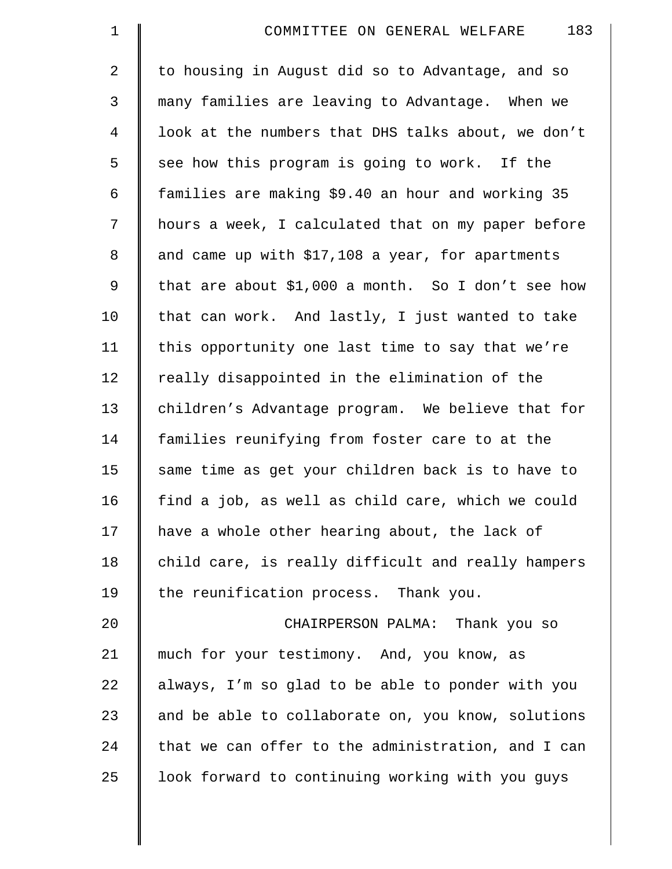| $\mathbf 1$    | 183<br>COMMITTEE ON GENERAL WELFARE                |
|----------------|----------------------------------------------------|
| $\overline{2}$ | to housing in August did so to Advantage, and so   |
| 3              | many families are leaving to Advantage. When we    |
| $\overline{4}$ | look at the numbers that DHS talks about, we don't |
| 5              | see how this program is going to work. If the      |
| 6              | families are making \$9.40 an hour and working 35  |
| 7              | hours a week, I calculated that on my paper before |
| 8              | and came up with \$17,108 a year, for apartments   |
| 9              | that are about \$1,000 a month. So I don't see how |
| 10             | that can work. And lastly, I just wanted to take   |
| 11             | this opportunity one last time to say that we're   |
| 12             | really disappointed in the elimination of the      |
| 13             | children's Advantage program. We believe that for  |
| 14             | families reunifying from foster care to at the     |
| 15             | same time as get your children back is to have to  |
| 16             | find a job, as well as child care, which we could  |
| 17             | have a whole other hearing about, the lack of      |
| 18             | child care, is really difficult and really hampers |
| 19             | the reunification process. Thank you.              |
| 20             | CHAIRPERSON PALMA: Thank you so                    |
| 21             | much for your testimony. And, you know, as         |
| 22             | always, I'm so glad to be able to ponder with you  |
| 23             | and be able to collaborate on, you know, solutions |
| 24             | that we can offer to the administration, and I can |
| 25             | look forward to continuing working with you guys   |
|                |                                                    |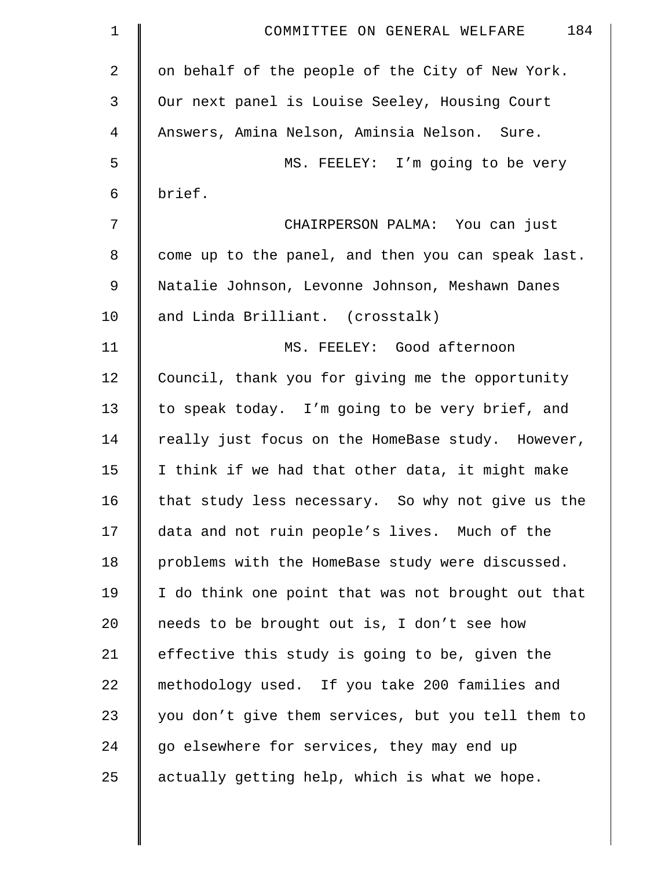| $\mathbf 1$    | 184<br>COMMITTEE ON GENERAL WELFARE                |
|----------------|----------------------------------------------------|
| $\overline{2}$ | on behalf of the people of the City of New York.   |
| 3              | Our next panel is Louise Seeley, Housing Court     |
| 4              | Answers, Amina Nelson, Aminsia Nelson. Sure.       |
| 5              | MS. FEELEY: I'm going to be very                   |
| 6              | brief.                                             |
| 7              | CHAIRPERSON PALMA: You can just                    |
| 8              | come up to the panel, and then you can speak last. |
| 9              | Natalie Johnson, Levonne Johnson, Meshawn Danes    |
| 10             | and Linda Brilliant. (crosstalk)                   |
| 11             | MS. FEELEY: Good afternoon                         |
| 12             | Council, thank you for giving me the opportunity   |
| 13             | to speak today. I'm going to be very brief, and    |
| 14             | really just focus on the HomeBase study. However,  |
| 15             | I think if we had that other data, it might make   |
| 16             | that study less necessary. So why not give us the  |
| 17             | data and not ruin people's lives. Much of the      |
| 18             | problems with the HomeBase study were discussed.   |
| 19             | I do think one point that was not brought out that |
| 20             | needs to be brought out is, I don't see how        |
| 21             | effective this study is going to be, given the     |
| 22             | methodology used. If you take 200 families and     |
| 23             | you don't give them services, but you tell them to |
| 24             | go elsewhere for services, they may end up         |
| 25             | actually getting help, which is what we hope.      |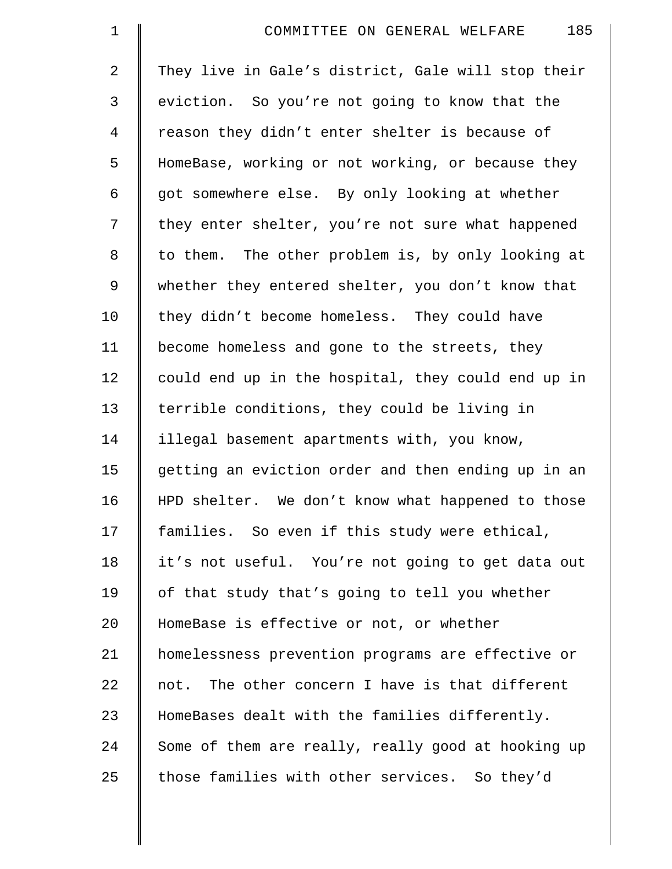| $\mathbf 1$    | 185<br>COMMITTEE ON GENERAL WELFARE                |
|----------------|----------------------------------------------------|
| $\overline{2}$ | They live in Gale's district, Gale will stop their |
| 3              | eviction. So you're not going to know that the     |
| $\overline{4}$ | reason they didn't enter shelter is because of     |
| 5              | HomeBase, working or not working, or because they  |
| 6              | got somewhere else. By only looking at whether     |
| 7              | they enter shelter, you're not sure what happened  |
| 8              | to them. The other problem is, by only looking at  |
| $\mathsf 9$    | whether they entered shelter, you don't know that  |
| 10             | they didn't become homeless. They could have       |
| 11             | become homeless and gone to the streets, they      |
| 12             | could end up in the hospital, they could end up in |
| 13             | terrible conditions, they could be living in       |
| 14             | illegal basement apartments with, you know,        |
| 15             | getting an eviction order and then ending up in an |
| 16             | HPD shelter. We don't know what happened to those  |
| 17             | families. So even if this study were ethical,      |
| 18             | it's not useful. You're not going to get data out  |
| 19             | of that study that's going to tell you whether     |
| 20             | HomeBase is effective or not, or whether           |
| 21             | homelessness prevention programs are effective or  |
| 22             | not. The other concern I have is that different    |
| 23             | HomeBases dealt with the families differently.     |
| 24             | Some of them are really, really good at hooking up |
| 25             | those families with other services. So they'd      |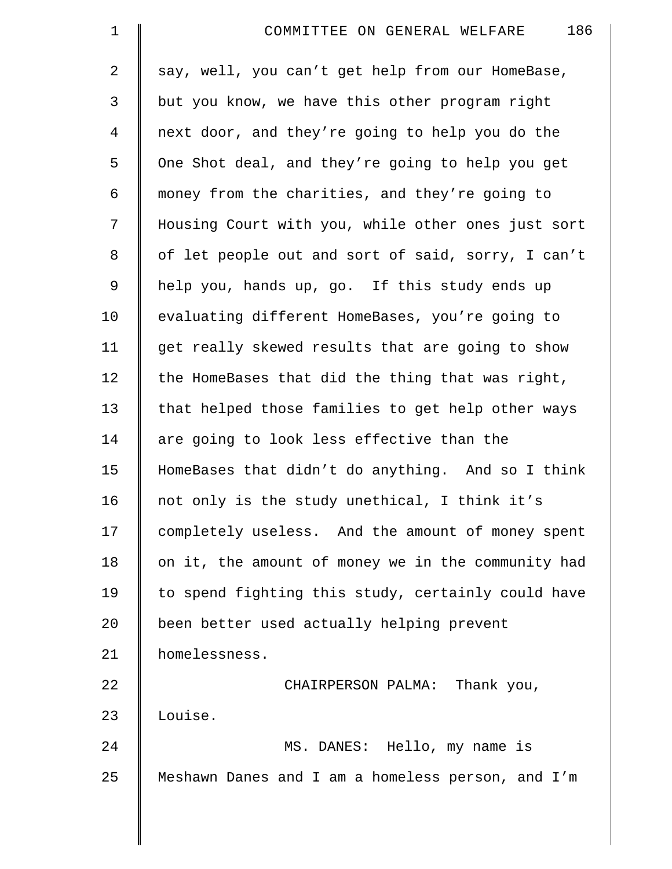| $\mathbf 1$    | 186<br>COMMITTEE ON GENERAL WELFARE                |
|----------------|----------------------------------------------------|
| $\overline{a}$ | say, well, you can't get help from our HomeBase,   |
| 3              | but you know, we have this other program right     |
| 4              | next door, and they're going to help you do the    |
| 5              | One Shot deal, and they're going to help you get   |
| 6              | money from the charities, and they're going to     |
| 7              | Housing Court with you, while other ones just sort |
| $\,8\,$        | of let people out and sort of said, sorry, I can't |
| 9              | help you, hands up, go. If this study ends up      |
| 10             | evaluating different HomeBases, you're going to    |
| 11             | get really skewed results that are going to show   |
| 12             | the HomeBases that did the thing that was right,   |
| 13             | that helped those families to get help other ways  |
| 14             | are going to look less effective than the          |
| 15             | HomeBases that didn't do anything. And so I think  |
| 16             | not only is the study unethical, I think it's      |
| 17             | completely useless. And the amount of money spent  |
| 18             | on it, the amount of money we in the community had |
| 19             | to spend fighting this study, certainly could have |
| 20             | been better used actually helping prevent          |
| 21             | homelessness.                                      |
| 22             | CHAIRPERSON PALMA: Thank you,                      |
| 23             | Louise.                                            |
| 24             | MS. DANES: Hello, my name is                       |
| 25             | Meshawn Danes and I am a homeless person, and I'm  |
|                |                                                    |

 $\parallel$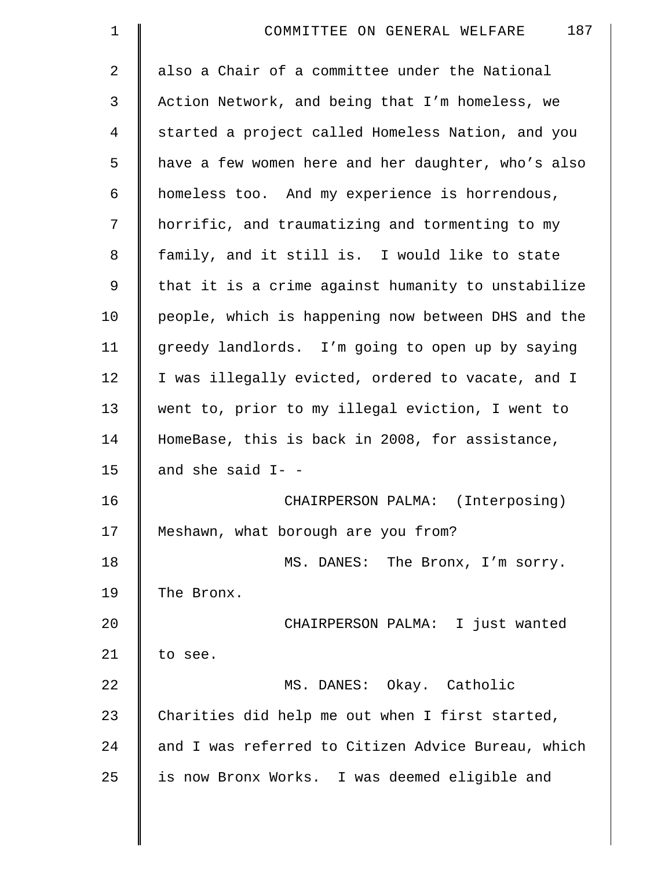| $\mathbf 1$    | 187<br>COMMITTEE ON GENERAL WELFARE                |
|----------------|----------------------------------------------------|
| $\overline{2}$ | also a Chair of a committee under the National     |
| 3              | Action Network, and being that I'm homeless, we    |
| $\overline{4}$ | started a project called Homeless Nation, and you  |
| 5              | have a few women here and her daughter, who's also |
| 6              | homeless too. And my experience is horrendous,     |
| 7              | horrific, and traumatizing and tormenting to my    |
| 8              | family, and it still is. I would like to state     |
| 9              | that it is a crime against humanity to unstabilize |
| 10             | people, which is happening now between DHS and the |
| 11             | greedy landlords. I'm going to open up by saying   |
| 12             | I was illegally evicted, ordered to vacate, and I  |
| 13             | went to, prior to my illegal eviction, I went to   |
| 14             | HomeBase, this is back in 2008, for assistance,    |
| 15             | and she said I- -                                  |
| 16             | CHAIRPERSON PALMA: (Interposing)                   |
| 17             | Meshawn, what borough are you from?                |
| 18             | MS. DANES: The Bronx, I'm sorry.                   |
| 19             | The Bronx.                                         |
| 20             | CHAIRPERSON PALMA: I just wanted                   |
| 21             | to see.                                            |
| 22             | MS. DANES: Okay. Catholic                          |
| 23             | Charities did help me out when I first started,    |
| 24             | and I was referred to Citizen Advice Bureau, which |
| 25             | is now Bronx Works. I was deemed eligible and      |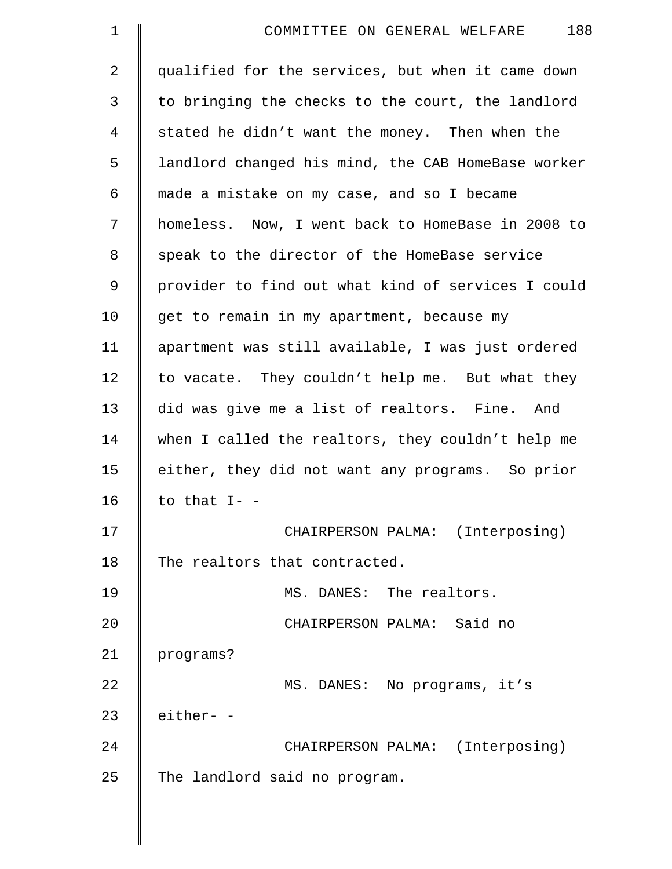| $\mathbf 1$    | 188<br>COMMITTEE ON GENERAL WELFARE                |
|----------------|----------------------------------------------------|
| $\overline{a}$ | qualified for the services, but when it came down  |
| 3              | to bringing the checks to the court, the landlord  |
| 4              | stated he didn't want the money. Then when the     |
| 5              | landlord changed his mind, the CAB HomeBase worker |
| 6              | made a mistake on my case, and so I became         |
| 7              | homeless. Now, I went back to HomeBase in 2008 to  |
| 8              | speak to the director of the HomeBase service      |
| 9              | provider to find out what kind of services I could |
| 10             | get to remain in my apartment, because my          |
| 11             | apartment was still available, I was just ordered  |
| 12             | to vacate. They couldn't help me. But what they    |
| 13             | did was give me a list of realtors. Fine. And      |
| 14             | when I called the realtors, they couldn't help me  |
| 15             | either, they did not want any programs. So prior   |
| 16             | to that $I - -$                                    |
| 17             | CHAIRPERSON PALMA: (Interposing)                   |
| 18             | The realtors that contracted.                      |
| 19             | MS. DANES: The realtors.                           |
| 20             | CHAIRPERSON PALMA: Said no                         |
| 21             | programs?                                          |
| 22             | MS. DANES: No programs, it's                       |
| 23             | either- -                                          |
| 24             | CHAIRPERSON PALMA: (Interposing)                   |
| 25             | The landlord said no program.                      |
|                |                                                    |

 $\parallel$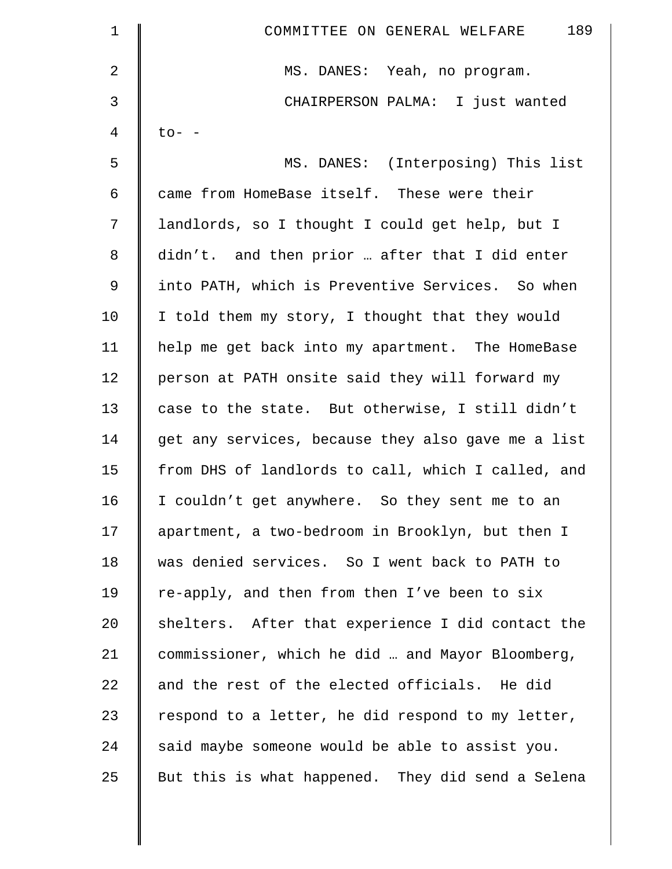| $\mathbf 1$ | 189<br>COMMITTEE ON GENERAL WELFARE                |
|-------------|----------------------------------------------------|
| 2           | MS. DANES: Yeah, no program.                       |
| 3           | CHAIRPERSON PALMA: I just wanted                   |
| 4           | $\text{to}-$ -                                     |
| 5           | MS. DANES: (Interposing) This list                 |
| 6           | came from HomeBase itself. These were their        |
| 7           | landlords, so I thought I could get help, but I    |
| 8           | didn't. and then prior  after that I did enter     |
| 9           | into PATH, which is Preventive Services. So when   |
| 10          | I told them my story, I thought that they would    |
| 11          | help me get back into my apartment. The HomeBase   |
| 12          | person at PATH onsite said they will forward my    |
| 13          | case to the state. But otherwise, I still didn't   |
| 14          | get any services, because they also gave me a list |
| 15          | from DHS of landlords to call, which I called, and |
| 16          | I couldn't get anywhere. So they sent me to an     |
| 17          | apartment, a two-bedroom in Brooklyn, but then I   |
| 18          | was denied services. So I went back to PATH to     |
| 19          | re-apply, and then from then I've been to six      |
| 20          | shelters. After that experience I did contact the  |
| 21          | commissioner, which he did  and Mayor Bloomberg,   |
| 22          | and the rest of the elected officials. He did      |
| 23          | respond to a letter, he did respond to my letter,  |
| 24          | said maybe someone would be able to assist you.    |
| 25          | But this is what happened. They did send a Selena  |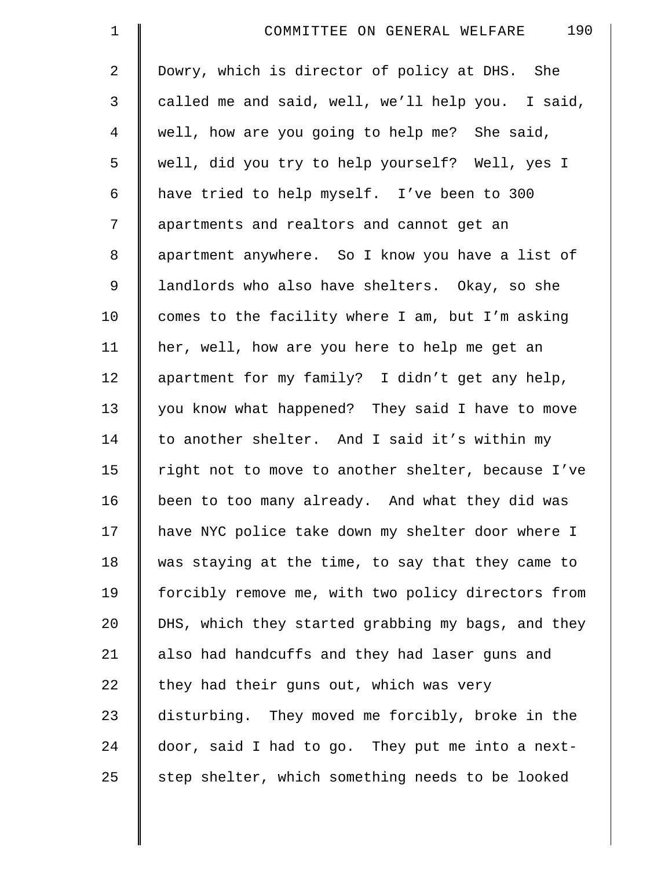| $\mathbf 1$    | 190<br>COMMITTEE ON GENERAL WELFARE                |
|----------------|----------------------------------------------------|
| 2              | Dowry, which is director of policy at DHS. She     |
| 3              | called me and said, well, we'll help you. I said,  |
| $\overline{4}$ | well, how are you going to help me? She said,      |
| 5              | well, did you try to help yourself? Well, yes I    |
| 6              | have tried to help myself. I've been to 300        |
| 7              | apartments and realtors and cannot get an          |
| 8              | apartment anywhere. So I know you have a list of   |
| 9              | landlords who also have shelters. Okay, so she     |
| 10             | comes to the facility where I am, but I'm asking   |
| 11             | her, well, how are you here to help me get an      |
| 12             | apartment for my family? I didn't get any help,    |
| 13             | you know what happened? They said I have to move   |
| 14             | to another shelter. And I said it's within my      |
| 15             | right not to move to another shelter, because I've |
| 16             | been to too many already. And what they did was    |
| 17             | have NYC police take down my shelter door where I  |
| 18             | was staying at the time, to say that they came to  |
| 19             | forcibly remove me, with two policy directors from |
| 20             | DHS, which they started grabbing my bags, and they |
| 21             | also had handcuffs and they had laser guns and     |
| 22             | they had their guns out, which was very            |
| 23             | disturbing. They moved me forcibly, broke in the   |
| 24             | door, said I had to go. They put me into a next-   |
| 25             | step shelter, which something needs to be looked   |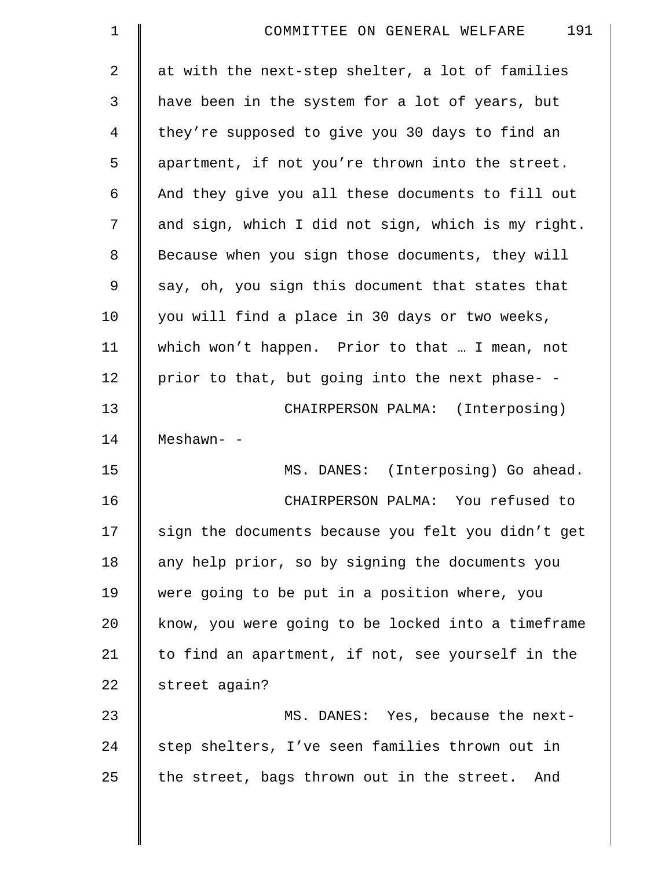| $\mathbf 1$    | 191<br>COMMITTEE ON GENERAL WELFARE                |
|----------------|----------------------------------------------------|
| $\overline{2}$ | at with the next-step shelter, a lot of families   |
| 3              | have been in the system for a lot of years, but    |
| 4              | they're supposed to give you 30 days to find an    |
| 5              | apartment, if not you're thrown into the street.   |
| 6              | And they give you all these documents to fill out  |
| 7              | and sign, which I did not sign, which is my right. |
| 8              | Because when you sign those documents, they will   |
| 9              | say, oh, you sign this document that states that   |
| 10             | you will find a place in 30 days or two weeks,     |
| 11             | which won't happen. Prior to that  I mean, not     |
| 12             | prior to that, but going into the next phase- -    |
| 13             | CHAIRPERSON PALMA: (Interposing)                   |
| 14             | Meshawn- -                                         |
| 15             | MS. DANES: (Interposing) Go ahead.                 |
| 16             | CHAIRPERSON PALMA: You refused to                  |
| 17             | sign the documents because you felt you didn't get |
| 18             | any help prior, so by signing the documents you    |
| 19             | were going to be put in a position where, you      |
| 20             | know, you were going to be locked into a timeframe |
| 21             | to find an apartment, if not, see yourself in the  |
| 22             | street again?                                      |
| 23             | MS. DANES: Yes, because the next-                  |
| 24             | step shelters, I've seen families thrown out in    |
| 25             | the street, bags thrown out in the street. And     |
|                |                                                    |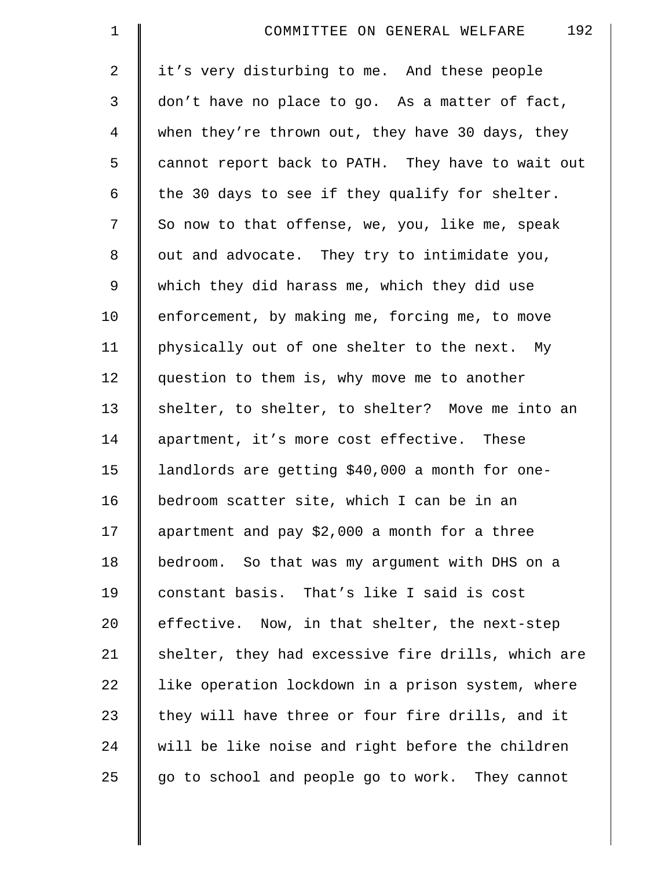| $\mathbf 1$    | 192<br>COMMITTEE ON GENERAL WELFARE                |
|----------------|----------------------------------------------------|
| 2              | it's very disturbing to me. And these people       |
| 3              | don't have no place to go. As a matter of fact,    |
| $\overline{4}$ | when they're thrown out, they have 30 days, they   |
| 5              | cannot report back to PATH. They have to wait out  |
| 6              | the 30 days to see if they qualify for shelter.    |
| 7              | So now to that offense, we, you, like me, speak    |
| $\,8\,$        | out and advocate. They try to intimidate you,      |
| 9              | which they did harass me, which they did use       |
| 10             | enforcement, by making me, forcing me, to move     |
| 11             | physically out of one shelter to the next. My      |
| 12             | question to them is, why move me to another        |
| 13             | shelter, to shelter, to shelter? Move me into an   |
| 14             | apartment, it's more cost effective. These         |
| 15             | landlords are getting \$40,000 a month for one-    |
| 16             | bedroom scatter site, which I can be in an         |
| 17             | apartment and pay \$2,000 a month for a three      |
| 18             | bedroom. So that was my argument with DHS on a     |
| 19             | constant basis. That's like I said is cost         |
| 20             | effective. Now, in that shelter, the next-step     |
| 21             | shelter, they had excessive fire drills, which are |
| 22             | like operation lockdown in a prison system, where  |
| 23             | they will have three or four fire drills, and it   |
| 24             | will be like noise and right before the children   |
| 25             | go to school and people go to work. They cannot    |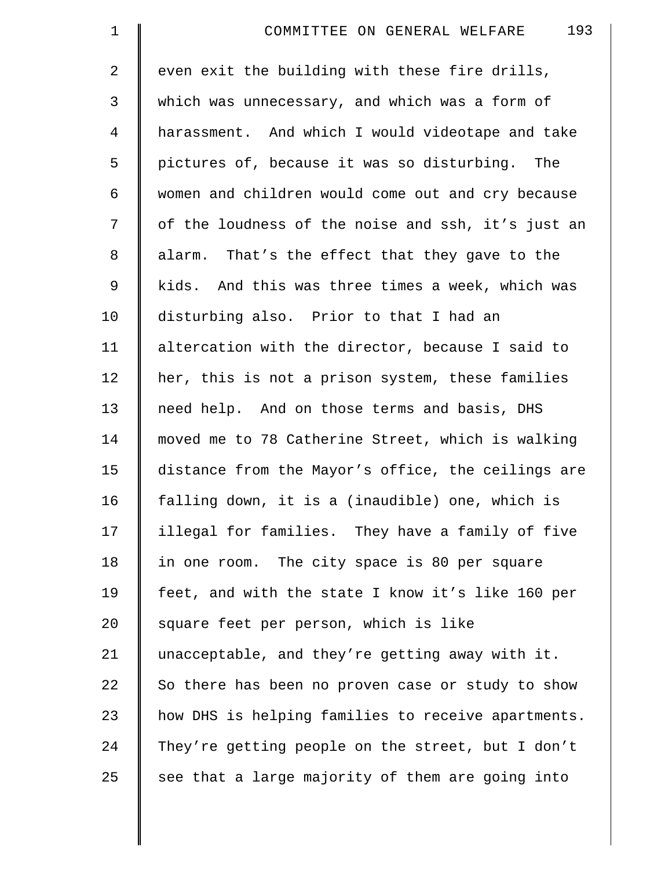| $\mathbf 1$    | 193<br>COMMITTEE ON GENERAL WELFARE                |
|----------------|----------------------------------------------------|
| $\overline{a}$ | even exit the building with these fire drills,     |
| 3              | which was unnecessary, and which was a form of     |
| $\overline{4}$ | harassment. And which I would videotape and take   |
| 5              | pictures of, because it was so disturbing. The     |
| 6              | women and children would come out and cry because  |
| 7              | of the loudness of the noise and ssh, it's just an |
| 8              | alarm. That's the effect that they gave to the     |
| $\mathsf 9$    | kids. And this was three times a week, which was   |
| 10             | disturbing also. Prior to that I had an            |
| 11             | altercation with the director, because I said to   |
| 12             | her, this is not a prison system, these families   |
| 13             | need help. And on those terms and basis, DHS       |
| 14             | moved me to 78 Catherine Street, which is walking  |
| 15             | distance from the Mayor's office, the ceilings are |
| 16             | falling down, it is a (inaudible) one, which is    |
| 17             | illegal for families. They have a family of five   |
| 18             | in one room. The city space is 80 per square       |
| 19             | feet, and with the state I know it's like 160 per  |
| 20             | square feet per person, which is like              |
| 21             | unacceptable, and they're getting away with it.    |
| 22             | So there has been no proven case or study to show  |
| 23             | how DHS is helping families to receive apartments. |
| 24             | They're getting people on the street, but I don't  |
| 25             | see that a large majority of them are going into   |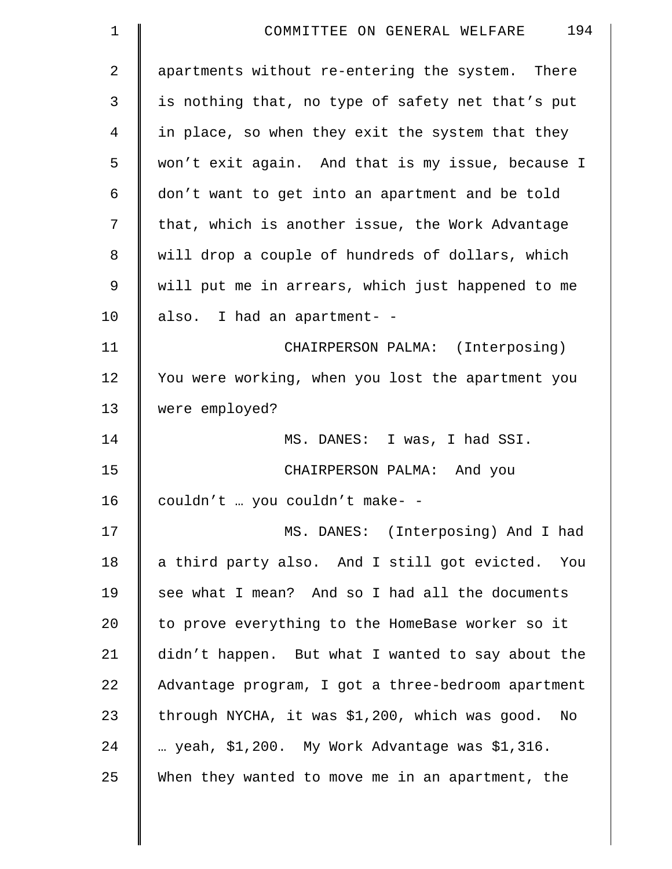| $\mathbf 1$    | 194<br>COMMITTEE ON GENERAL WELFARE                |
|----------------|----------------------------------------------------|
| $\overline{2}$ | apartments without re-entering the system. There   |
| 3              | is nothing that, no type of safety net that's put  |
| $\overline{4}$ | in place, so when they exit the system that they   |
| 5              | won't exit again. And that is my issue, because I  |
| 6              | don't want to get into an apartment and be told    |
| 7              | that, which is another issue, the Work Advantage   |
| 8              | will drop a couple of hundreds of dollars, which   |
| 9              | will put me in arrears, which just happened to me  |
| 10             | also. I had an apartment- -                        |
| 11             | CHAIRPERSON PALMA: (Interposing)                   |
| 12             | You were working, when you lost the apartment you  |
| 13             | were employed?                                     |
| 14             | MS. DANES: I was, I had SSI.                       |
| 15             | CHAIRPERSON PALMA: And you                         |
| 16             | couldn't  you couldn't make- -                     |
| 17             | MS. DANES: (Interposing) And I had                 |
| 18             | a third party also. And I still got evicted. You   |
| 19             | see what I mean? And so I had all the documents    |
| 20             | to prove everything to the HomeBase worker so it   |
| 21             | didn't happen. But what I wanted to say about the  |
| 22             | Advantage program, I got a three-bedroom apartment |
| 23             | through NYCHA, it was \$1,200, which was good. No  |
| 24             | yeah, \$1,200. My Work Advantage was \$1,316.      |
| 25             | When they wanted to move me in an apartment, the   |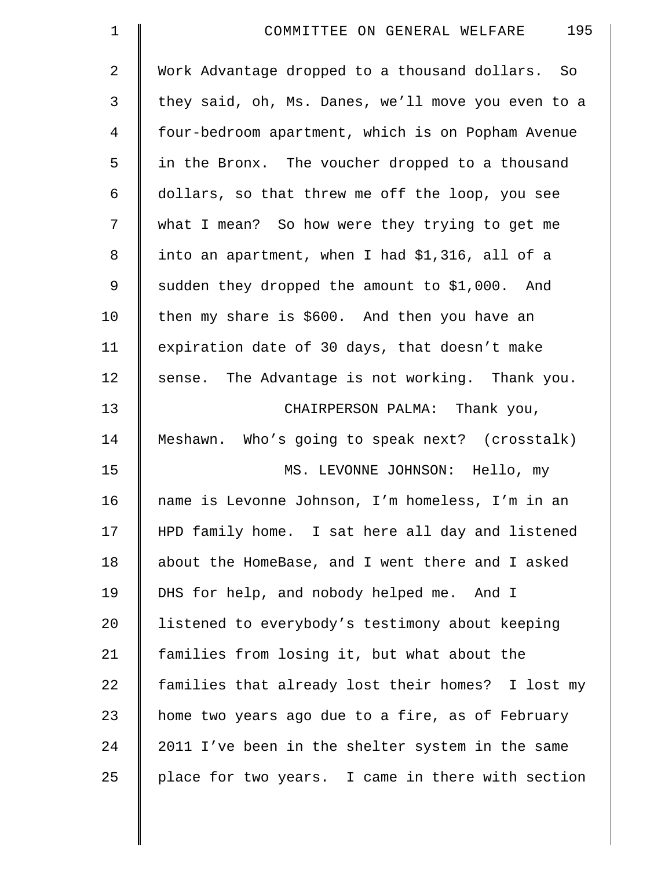| $\mathbf 1$ | 195<br>COMMITTEE ON GENERAL WELFARE                |
|-------------|----------------------------------------------------|
| 2           | Work Advantage dropped to a thousand dollars. So   |
| 3           | they said, oh, Ms. Danes, we'll move you even to a |
| 4           | four-bedroom apartment, which is on Popham Avenue  |
| 5           | in the Bronx. The voucher dropped to a thousand    |
| 6           | dollars, so that threw me off the loop, you see    |
| 7           | what I mean? So how were they trying to get me     |
| 8           | into an apartment, when I had \$1,316, all of a    |
| 9           | sudden they dropped the amount to \$1,000. And     |
| 10          | then my share is \$600. And then you have an       |
| 11          | expiration date of 30 days, that doesn't make      |
| 12          | sense. The Advantage is not working. Thank you.    |
| 13          | CHAIRPERSON PALMA: Thank you,                      |
| 14          | Meshawn. Who's going to speak next? (crosstalk)    |
| 15          | MS. LEVONNE JOHNSON: Hello, my                     |
| 16          | name is Levonne Johnson, I'm homeless, I'm in an   |
| 17          | HPD family home. I sat here all day and listened   |
| 18          | about the HomeBase, and I went there and I asked   |
| 19          | DHS for help, and nobody helped me. And I          |
| 20          | listened to everybody's testimony about keeping    |
| 21          | families from losing it, but what about the        |
| 22          | families that already lost their homes? I lost my  |
| 23          | home two years ago due to a fire, as of February   |
| 24          | 2011 I've been in the shelter system in the same   |
| 25          | place for two years. I came in there with section  |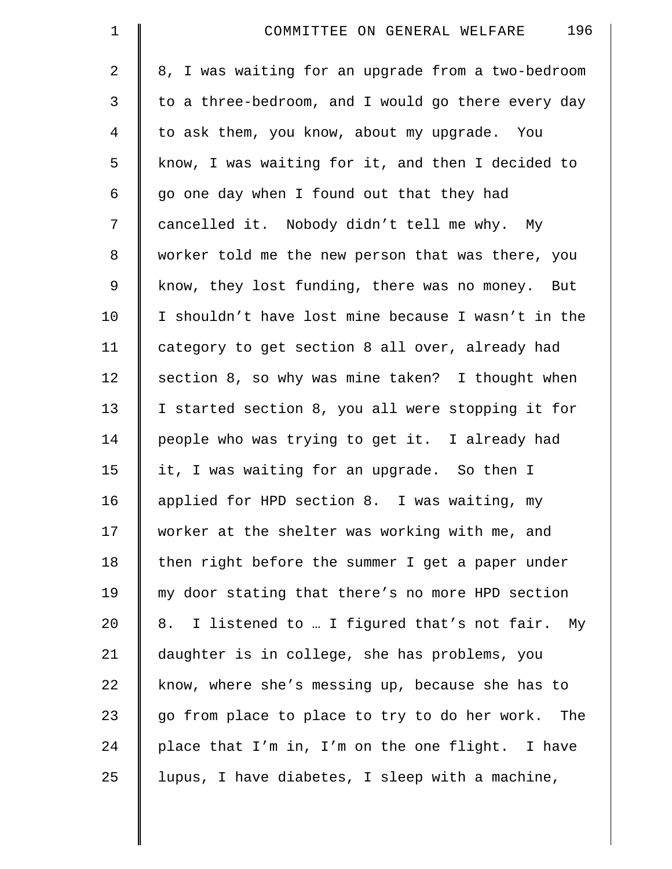| $\mathbf 1$    | 196<br>COMMITTEE ON GENERAL WELFARE                |
|----------------|----------------------------------------------------|
| $\overline{2}$ | 8, I was waiting for an upgrade from a two-bedroom |
| 3              | to a three-bedroom, and I would go there every day |
| $\overline{4}$ | to ask them, you know, about my upgrade. You       |
| 5              | know, I was waiting for it, and then I decided to  |
| 6              | go one day when I found out that they had          |
| 7              | cancelled it. Nobody didn't tell me why. My        |
| $\,8\,$        | worker told me the new person that was there, you  |
| 9              | know, they lost funding, there was no money. But   |
| 10             | I shouldn't have lost mine because I wasn't in the |
| 11             | category to get section 8 all over, already had    |
| 12             | section 8, so why was mine taken? I thought when   |
| 13             | I started section 8, you all were stopping it for  |
| 14             | people who was trying to get it. I already had     |
| 15             | it, I was waiting for an upgrade. So then I        |
| 16             | applied for HPD section 8. I was waiting, my       |
| 17             | worker at the shelter was working with me, and     |
| 18             | then right before the summer I get a paper under   |
| 19             | my door stating that there's no more HPD section   |
| 20             | 8. I listened to  I figured that's not fair. My    |
| 21             | daughter is in college, she has problems, you      |
| 22             | know, where she's messing up, because she has to   |
| 23             | go from place to place to try to do her work. The  |
| 24             | place that I'm in, I'm on the one flight. I have   |
| 25             | lupus, I have diabetes, I sleep with a machine,    |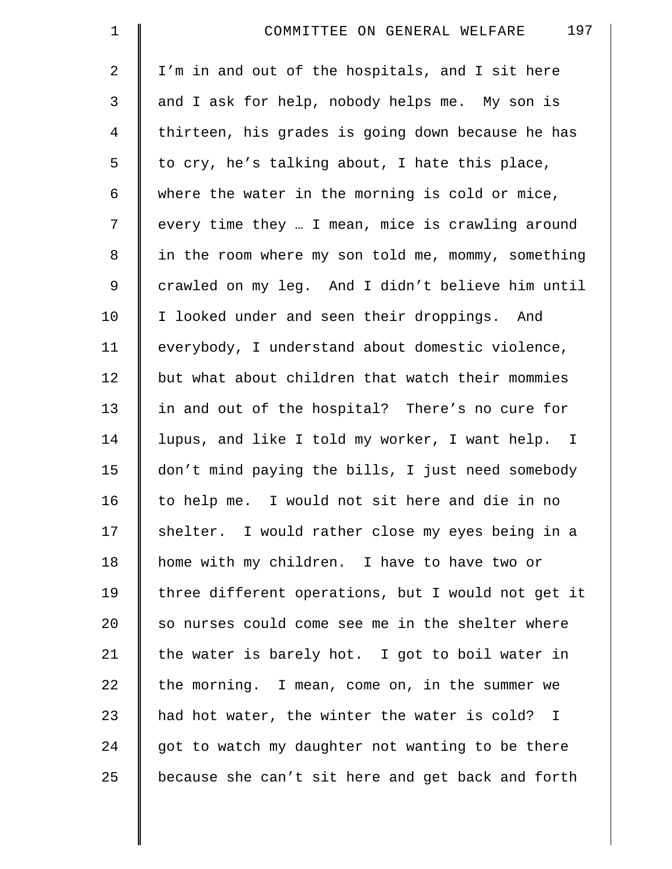| $\mathbf 1$    | 197<br>COMMITTEE ON GENERAL WELFARE                |
|----------------|----------------------------------------------------|
| 2              | I'm in and out of the hospitals, and I sit here    |
| 3              | and I ask for help, nobody helps me. My son is     |
| $\overline{4}$ | thirteen, his grades is going down because he has  |
| 5              | to cry, he's talking about, I hate this place,     |
| 6              | where the water in the morning is cold or mice,    |
| 7              | every time they  I mean, mice is crawling around   |
| 8              | in the room where my son told me, mommy, something |
| $\mathsf 9$    | crawled on my leg. And I didn't believe him until  |
| 10             | I looked under and seen their droppings. And       |
| 11             | everybody, I understand about domestic violence,   |
| 12             | but what about children that watch their mommies   |
| 13             | in and out of the hospital? There's no cure for    |
| 14             | lupus, and like I told my worker, I want help. I   |
| 15             | don't mind paying the bills, I just need somebody  |
| 16             | to help me. I would not sit here and die in no     |
| 17             | shelter. I would rather close my eyes being in a   |
| 18             | home with my children. I have to have two or       |
| 19             | three different operations, but I would not get it |
| 20             | so nurses could come see me in the shelter where   |
| 21             | the water is barely hot. I got to boil water in    |
| 22             | the morning. I mean, come on, in the summer we     |
| 23             | had hot water, the winter the water is cold? I     |
| 24             | got to watch my daughter not wanting to be there   |
| 25             | because she can't sit here and get back and forth  |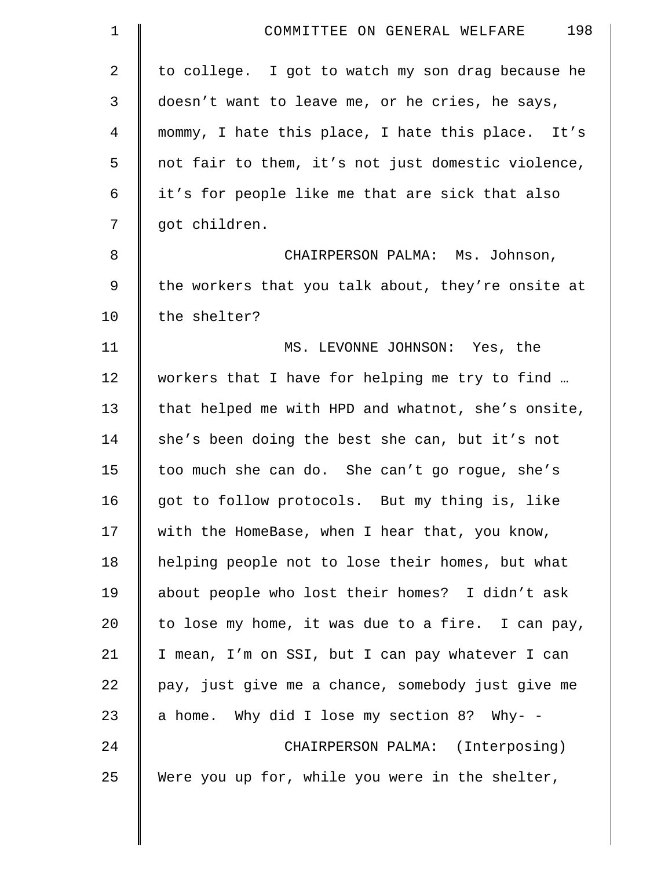| $\mathbf 1$ | 198<br>COMMITTEE ON GENERAL WELFARE                |
|-------------|----------------------------------------------------|
| 2           | to college. I got to watch my son drag because he  |
| 3           | doesn't want to leave me, or he cries, he says,    |
| 4           | mommy, I hate this place, I hate this place. It's  |
| 5           | not fair to them, it's not just domestic violence, |
| 6           | it's for people like me that are sick that also    |
| 7           | got children.                                      |
| 8           | CHAIRPERSON PALMA: Ms. Johnson,                    |
| 9           | the workers that you talk about, they're onsite at |
| 10          | the shelter?                                       |
| 11          | MS. LEVONNE JOHNSON: Yes, the                      |
| 12          | workers that I have for helping me try to find     |
| 13          | that helped me with HPD and whatnot, she's onsite, |
| 14          | she's been doing the best she can, but it's not    |
| 15          | too much she can do. She can't go rogue, she's     |
| 16          | got to follow protocols. But my thing is, like     |
| 17          | with the HomeBase, when I hear that, you know,     |
| 18          | helping people not to lose their homes, but what   |
| 19          | about people who lost their homes? I didn't ask    |
| 20          | to lose my home, it was due to a fire. I can pay,  |
| 21          | I mean, I'm on SSI, but I can pay whatever I can   |
| 22          | pay, just give me a chance, somebody just give me  |
| 23          | a home. Why did I lose my section 8? Why- -        |
| 24          | CHAIRPERSON PALMA: (Interposing)                   |
| 25          | Were you up for, while you were in the shelter,    |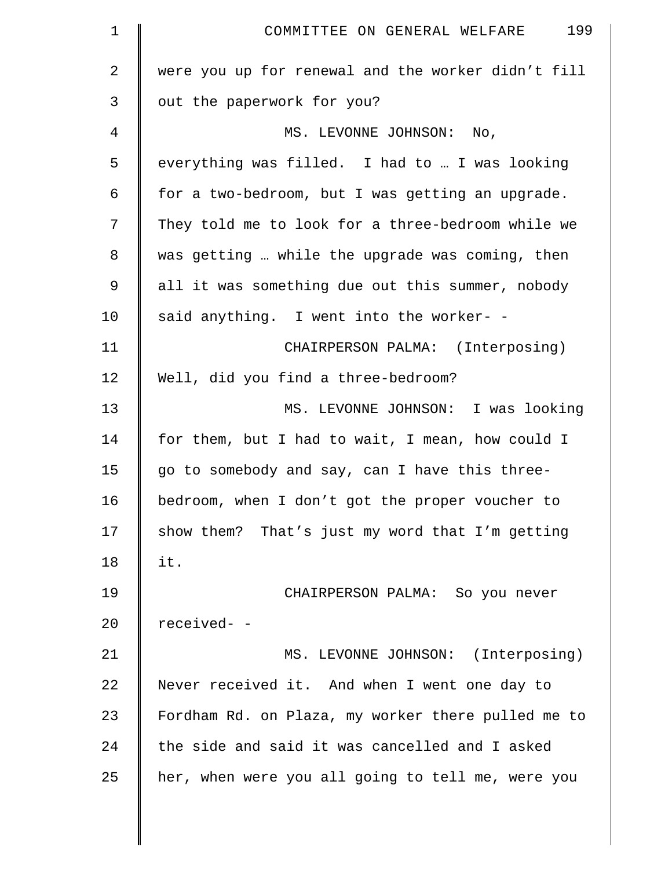| $\mathbf 1$  | 199<br>COMMITTEE ON GENERAL WELFARE                |
|--------------|----------------------------------------------------|
| $\mathbf{2}$ | were you up for renewal and the worker didn't fill |
| 3            | out the paperwork for you?                         |
| 4            | MS. LEVONNE JOHNSON: No,                           |
| 5            | everything was filled. I had to  I was looking     |
| 6            | for a two-bedroom, but I was getting an upgrade.   |
| 7            | They told me to look for a three-bedroom while we  |
| 8            | was getting  while the upgrade was coming, then    |
| $\mathsf 9$  | all it was something due out this summer, nobody   |
| 10           | said anything. I went into the worker- -           |
| 11           | CHAIRPERSON PALMA: (Interposing)                   |
| 12           | Well, did you find a three-bedroom?                |
| 13           | MS. LEVONNE JOHNSON: I was looking                 |
| 14           | for them, but I had to wait, I mean, how could I   |
| 15           | go to somebody and say, can I have this three-     |
| 16           | bedroom, when I don't got the proper voucher to    |
| 17           | show them? That's just my word that I'm getting    |
| 18           | it.                                                |
| 19           | CHAIRPERSON PALMA: So you never                    |
| 20           | received- -                                        |
| 21           | MS. LEVONNE JOHNSON: (Interposing)                 |
| 22           | Never received it. And when I went one day to      |
| 23           | Fordham Rd. on Plaza, my worker there pulled me to |
| 24           | the side and said it was cancelled and I asked     |
| 25           | her, when were you all going to tell me, were you  |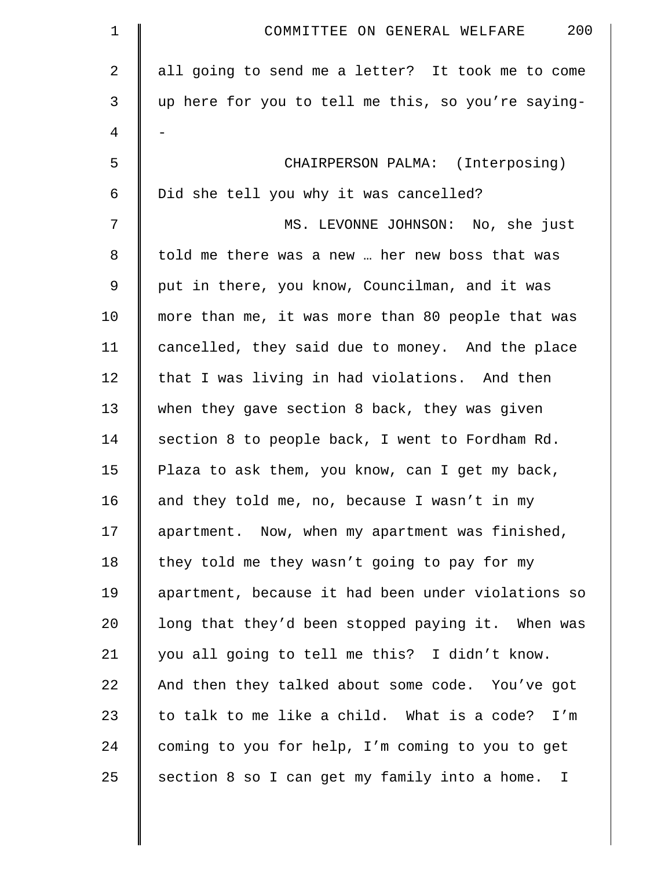| $\mathbf 1$    | 200<br>COMMITTEE ON GENERAL WELFARE                |
|----------------|----------------------------------------------------|
| $\overline{2}$ | all going to send me a letter? It took me to come  |
| 3              | up here for you to tell me this, so you're saying- |
| 4              |                                                    |
| 5              | CHAIRPERSON PALMA: (Interposing)                   |
| 6              | Did she tell you why it was cancelled?             |
| 7              | MS. LEVONNE JOHNSON: No, she just                  |
| 8              | told me there was a new  her new boss that was     |
| 9              | put in there, you know, Councilman, and it was     |
| 10             | more than me, it was more than 80 people that was  |
| 11             | cancelled, they said due to money. And the place   |
| 12             | that I was living in had violations. And then      |
| 13             | when they gave section 8 back, they was given      |
| 14             | section 8 to people back, I went to Fordham Rd.    |
| 15             | Plaza to ask them, you know, can I get my back,    |
| 16             | and they told me, no, because I wasn't in my       |
| 17             | apartment. Now, when my apartment was finished,    |
| 18             | they told me they wasn't going to pay for my       |
| 19             | apartment, because it had been under violations so |
| 20             | long that they'd been stopped paying it. When was  |
| 21             | you all going to tell me this? I didn't know.      |
| 22             | And then they talked about some code. You've got   |
| 23             | to talk to me like a child. What is a code? I'm    |
| 24             | coming to you for help, I'm coming to you to get   |
| 25             | section 8 so I can get my family into a home. I    |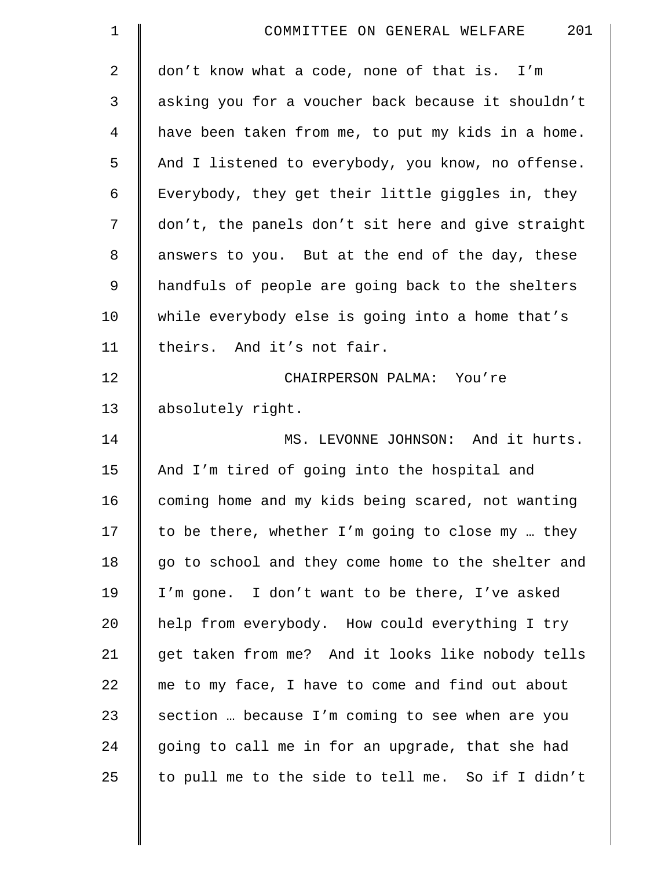| $\mathbf 1$    | 201<br>COMMITTEE ON GENERAL WELFARE                |
|----------------|----------------------------------------------------|
| 2              | don't know what a code, none of that is. I'm       |
| 3              | asking you for a voucher back because it shouldn't |
| $\overline{4}$ | have been taken from me, to put my kids in a home. |
| 5              | And I listened to everybody, you know, no offense. |
| 6              | Everybody, they get their little giggles in, they  |
| 7              | don't, the panels don't sit here and give straight |
| $\,8\,$        | answers to you. But at the end of the day, these   |
| 9              | handfuls of people are going back to the shelters  |
| 10             | while everybody else is going into a home that's   |
| 11             | theirs. And it's not fair.                         |
| 12             | CHAIRPERSON PALMA: You're                          |
| 13             | absolutely right.                                  |
| 14             | MS. LEVONNE JOHNSON: And it hurts.                 |
| 15             | And I'm tired of going into the hospital and       |
| 16             | coming home and my kids being scared, not wanting  |
| 17             | to be there, whether I'm going to close my  they   |
| 18             | go to school and they come home to the shelter and |
| 19             | I'm gone. I don't want to be there, I've asked     |
| 20             | help from everybody. How could everything I try    |
| 21             | get taken from me? And it looks like nobody tells  |
| 22             | me to my face, I have to come and find out about   |
| 23             | section  because I'm coming to see when are you    |
| 24             | going to call me in for an upgrade, that she had   |
| 25             | to pull me to the side to tell me. So if I didn't  |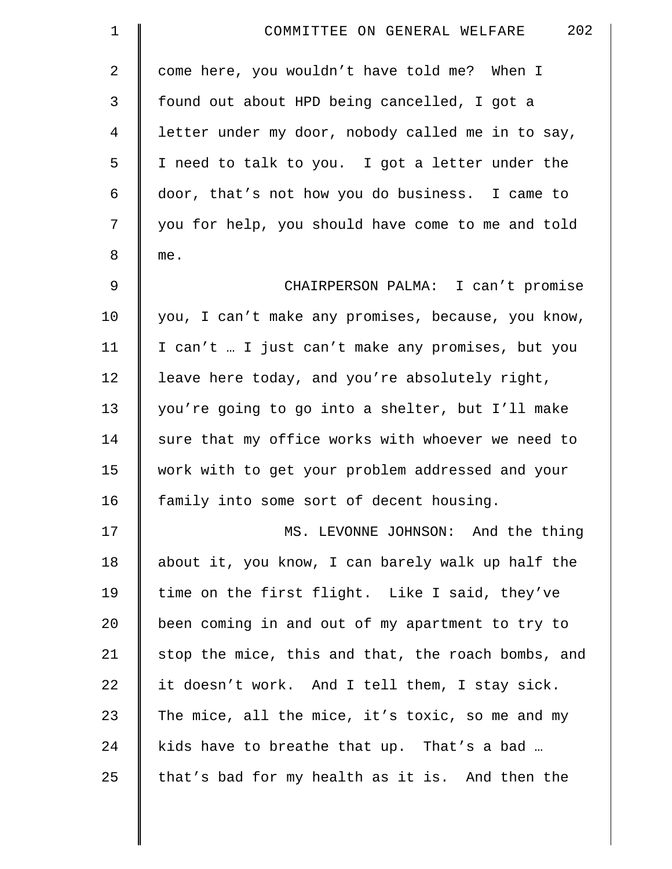| $\mathbf 1$    | 202<br>COMMITTEE ON GENERAL WELFARE                |
|----------------|----------------------------------------------------|
| $\overline{2}$ | come here, you wouldn't have told me? When I       |
| 3              | found out about HPD being cancelled, I got a       |
| 4              | letter under my door, nobody called me in to say,  |
| 5              | I need to talk to you. I got a letter under the    |
| 6              | door, that's not how you do business. I came to    |
| 7              | you for help, you should have come to me and told  |
| 8              | me.                                                |
| $\mathsf 9$    | CHAIRPERSON PALMA: I can't promise                 |
| 10             | you, I can't make any promises, because, you know, |
| 11             | I can't  I just can't make any promises, but you   |
| 12             | leave here today, and you're absolutely right,     |
| 13             | you're going to go into a shelter, but I'll make   |
| 14             | sure that my office works with whoever we need to  |
| 15             | work with to get your problem addressed and your   |
| 16             | family into some sort of decent housing.           |
| 17             | MS. LEVONNE JOHNSON: And the thing                 |
| 18             | about it, you know, I can barely walk up half the  |
| 19             | time on the first flight. Like I said, they've     |
| 20             | been coming in and out of my apartment to try to   |
| 21             | stop the mice, this and that, the roach bombs, and |
| 22             | it doesn't work. And I tell them, I stay sick.     |
| 23             | The mice, all the mice, it's toxic, so me and my   |
| 24             | kids have to breathe that up. That's a bad         |
| 25             | that's bad for my health as it is. And then the    |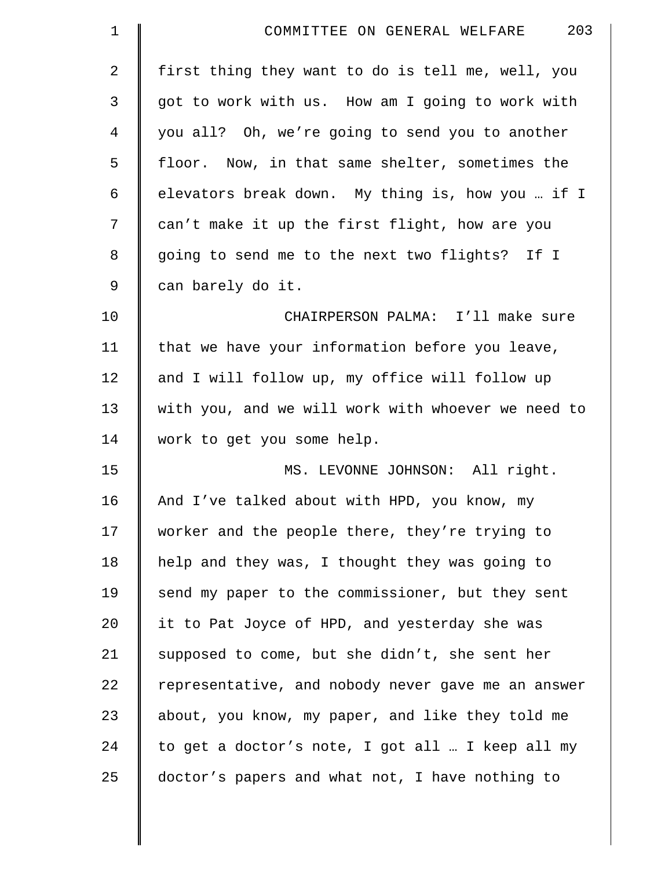| $\mathbf 1$  | 203<br>COMMITTEE ON GENERAL WELFARE                |
|--------------|----------------------------------------------------|
| $\mathbf{2}$ | first thing they want to do is tell me, well, you  |
| 3            | got to work with us. How am I going to work with   |
| 4            | you all? Oh, we're going to send you to another    |
| 5            | floor. Now, in that same shelter, sometimes the    |
| 6            | elevators break down. My thing is, how you  if I   |
| 7            | can't make it up the first flight, how are you     |
| 8            | going to send me to the next two flights? If I     |
| 9            | can barely do it.                                  |
| 10           | CHAIRPERSON PALMA: I'll make sure                  |
| 11           | that we have your information before you leave,    |
| 12           | and I will follow up, my office will follow up     |
| 13           | with you, and we will work with whoever we need to |
| 14           | work to get you some help.                         |
| 15           | MS. LEVONNE JOHNSON: All right.                    |
| 16           | And I've talked about with HPD, you know, my       |
| 17           | worker and the people there, they're trying to     |
| 18           | help and they was, I thought they was going to     |
| 19           | send my paper to the commissioner, but they sent   |
| 20           | it to Pat Joyce of HPD, and yesterday she was      |
| 21           | supposed to come, but she didn't, she sent her     |
| 22           | representative, and nobody never gave me an answer |
| 23           | about, you know, my paper, and like they told me   |
| 24           | to get a doctor's note, I got all  I keep all my   |
| 25           | doctor's papers and what not, I have nothing to    |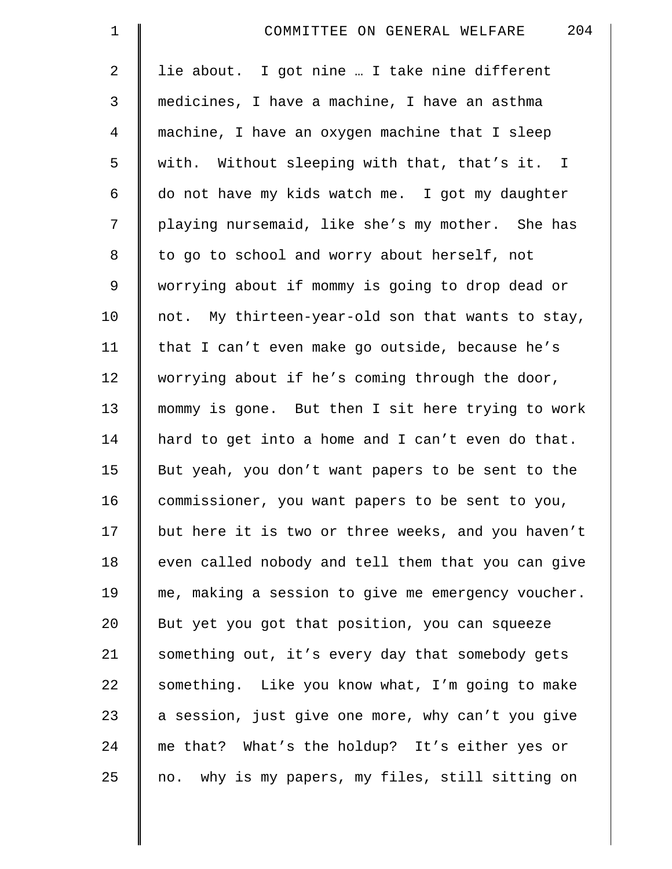| $\mathbf 1$    | 204<br>COMMITTEE ON GENERAL WELFARE                |
|----------------|----------------------------------------------------|
| $\overline{a}$ | lie about. I got nine  I take nine different       |
| 3              | medicines, I have a machine, I have an asthma      |
| $\overline{4}$ | machine, I have an oxygen machine that I sleep     |
| 5              | with. Without sleeping with that, that's it. I     |
| 6              | do not have my kids watch me. I got my daughter    |
| 7              | playing nursemaid, like she's my mother. She has   |
| 8              | to go to school and worry about herself, not       |
| 9              | worrying about if mommy is going to drop dead or   |
| 10             | not. My thirteen-year-old son that wants to stay,  |
| 11             | that I can't even make go outside, because he's    |
| 12             | worrying about if he's coming through the door,    |
| 13             | mommy is gone. But then I sit here trying to work  |
| 14             | hard to get into a home and I can't even do that.  |
| 15             | But yeah, you don't want papers to be sent to the  |
| 16             | commissioner, you want papers to be sent to you,   |
| 17             | but here it is two or three weeks, and you haven't |
| 18             | even called nobody and tell them that you can give |
| 19             | me, making a session to give me emergency voucher. |
| 20             | But yet you got that position, you can squeeze     |
| 21             | something out, it's every day that somebody gets   |
| 22             | something. Like you know what, I'm going to make   |
| 23             | a session, just give one more, why can't you give  |
| 24             | me that? What's the holdup? It's either yes or     |
| 25             | no. why is my papers, my files, still sitting on   |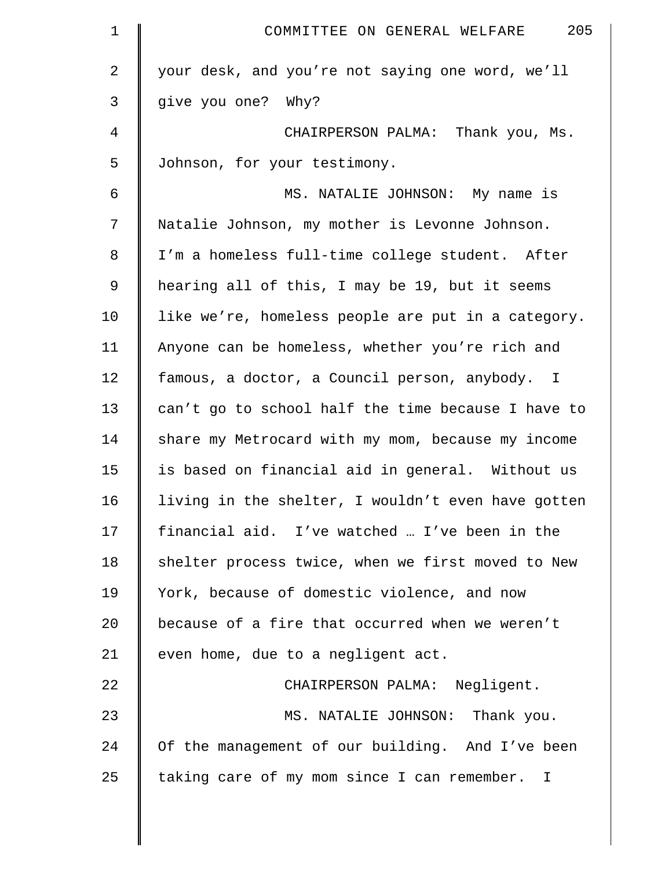| 205<br>COMMITTEE ON GENERAL WELFARE                |
|----------------------------------------------------|
| your desk, and you're not saying one word, we'll   |
| give you one? Why?                                 |
| CHAIRPERSON PALMA: Thank you, Ms.                  |
| Johnson, for your testimony.                       |
| MS. NATALIE JOHNSON: My name is                    |
| Natalie Johnson, my mother is Levonne Johnson.     |
| I'm a homeless full-time college student. After    |
| hearing all of this, I may be 19, but it seems     |
| like we're, homeless people are put in a category. |
| Anyone can be homeless, whether you're rich and    |
| famous, a doctor, a Council person, anybody. I     |
| can't go to school half the time because I have to |
| share my Metrocard with my mom, because my income  |
| is based on financial aid in general. Without us   |
| living in the shelter, I wouldn't even have gotten |
| financial aid. I've watched  I've been in the      |
| shelter process twice, when we first moved to New  |
| York, because of domestic violence, and now        |
| because of a fire that occurred when we weren't    |
| even home, due to a negligent act.                 |
| CHAIRPERSON PALMA: Negligent.                      |
| MS. NATALIE JOHNSON: Thank you.                    |
| Of the management of our building. And I've been   |
| taking care of my mom since I can remember. I      |
|                                                    |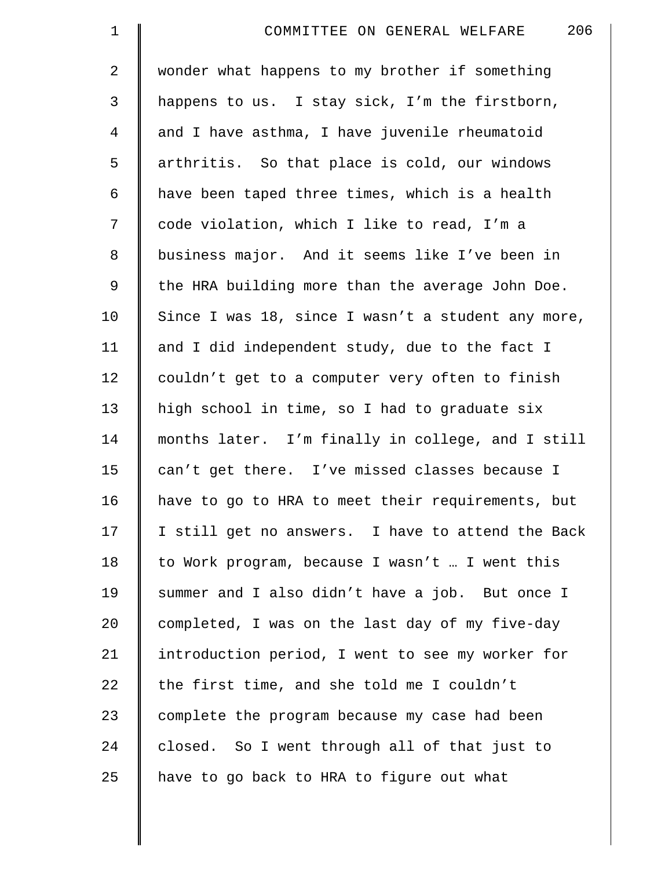| $\mathbf 1$    | 206<br>COMMITTEE ON GENERAL WELFARE                |
|----------------|----------------------------------------------------|
| $\overline{a}$ | wonder what happens to my brother if something     |
| 3              | happens to us. I stay sick, I'm the firstborn,     |
| $\overline{4}$ | and I have asthma, I have juvenile rheumatoid      |
| 5              | arthritis. So that place is cold, our windows      |
| 6              | have been taped three times, which is a health     |
| 7              | code violation, which I like to read, I'm a        |
| 8              | business major. And it seems like I've been in     |
| 9              | the HRA building more than the average John Doe.   |
| 10             | Since I was 18, since I wasn't a student any more, |
| 11             | and I did independent study, due to the fact I     |
| 12             | couldn't get to a computer very often to finish    |
| 13             | high school in time, so I had to graduate six      |
| 14             | months later. I'm finally in college, and I still  |
| 15             | can't get there. I've missed classes because I     |
| 16             | have to go to HRA to meet their requirements, but  |
| 17             | I still get no answers. I have to attend the Back  |
| 18             | to Work program, because I wasn't  I went this     |
| 19             | summer and I also didn't have a job. But once I    |
| 20             | completed, I was on the last day of my five-day    |
| 21             | introduction period, I went to see my worker for   |
| 22             | the first time, and she told me I couldn't         |
| 23             | complete the program because my case had been      |
| 24             | closed. So I went through all of that just to      |
| 25             | have to go back to HRA to figure out what          |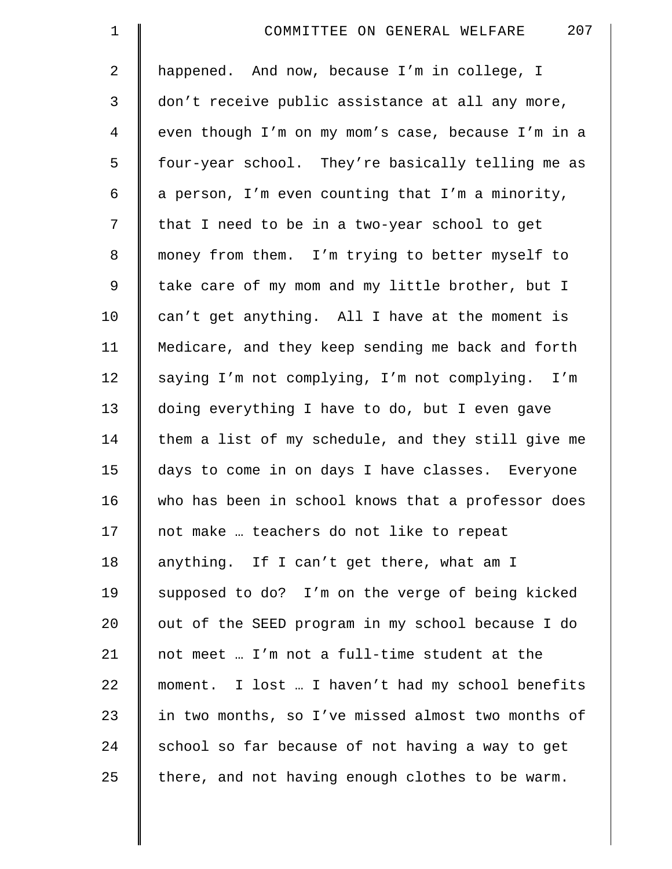| $\mathbf 1$    | 207<br>COMMITTEE ON GENERAL WELFARE                |
|----------------|----------------------------------------------------|
| $\overline{2}$ | happened. And now, because I'm in college, I       |
| 3              | don't receive public assistance at all any more,   |
| $\overline{4}$ | even though I'm on my mom's case, because I'm in a |
| 5              | four-year school. They're basically telling me as  |
| 6              | a person, I'm even counting that I'm a minority,   |
| 7              | that I need to be in a two-year school to get      |
| 8              | money from them. I'm trying to better myself to    |
| 9              | take care of my mom and my little brother, but I   |
| 10             | can't get anything. All I have at the moment is    |
| 11             | Medicare, and they keep sending me back and forth  |
| 12             | saying I'm not complying, I'm not complying. I'm   |
| 13             | doing everything I have to do, but I even gave     |
| 14             | them a list of my schedule, and they still give me |
| 15             | days to come in on days I have classes. Everyone   |
| 16             | who has been in school knows that a professor does |
| 17             | not make  teachers do not like to repeat           |
| 18             | anything. If I can't get there, what am I          |
| 19             | supposed to do? I'm on the verge of being kicked   |
| 20             | out of the SEED program in my school because I do  |
| 21             | not meet  I'm not a full-time student at the       |
| 22             | moment. I lost  I haven't had my school benefits   |
| 23             | in two months, so I've missed almost two months of |
| 24             | school so far because of not having a way to get   |
| 25             | there, and not having enough clothes to be warm.   |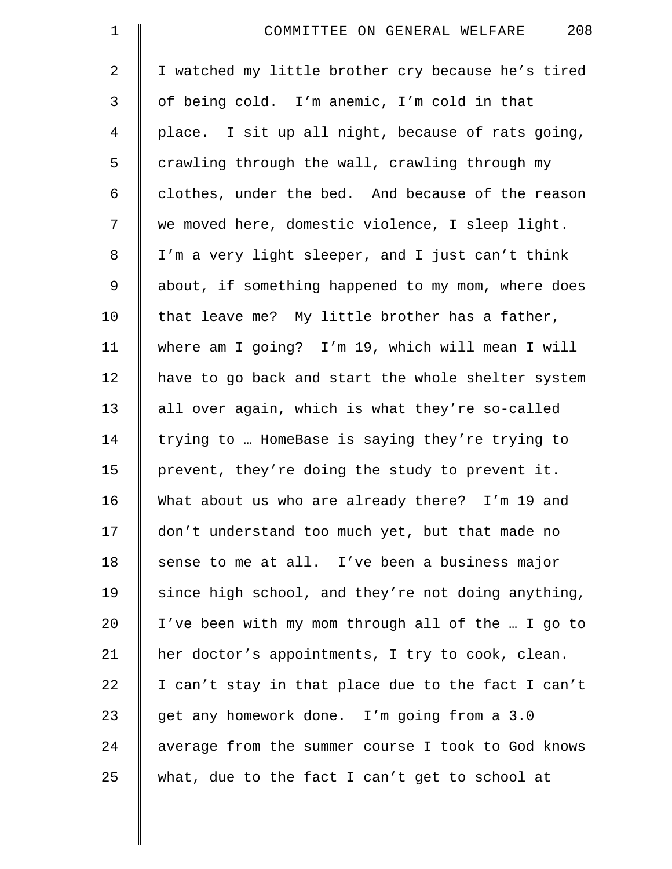| $\mathbf 1$    | 208<br>COMMITTEE ON GENERAL WELFARE                |
|----------------|----------------------------------------------------|
| $\overline{2}$ | I watched my little brother cry because he's tired |
| 3              | of being cold. I'm anemic, I'm cold in that        |
| 4              | place. I sit up all night, because of rats going,  |
| 5              | crawling through the wall, crawling through my     |
| 6              | clothes, under the bed. And because of the reason  |
| 7              | we moved here, domestic violence, I sleep light.   |
| $\,8\,$        | I'm a very light sleeper, and I just can't think   |
| 9              | about, if something happened to my mom, where does |
| 10             | that leave me? My little brother has a father,     |
| 11             | where am I going? I'm 19, which will mean I will   |
| 12             | have to go back and start the whole shelter system |
| 13             | all over again, which is what they're so-called    |
| 14             | trying to  HomeBase is saying they're trying to    |
| 15             | prevent, they're doing the study to prevent it.    |
| 16             | What about us who are already there? I'm 19 and    |
| 17             | don't understand too much yet, but that made no    |
| 18             | sense to me at all. I've been a business major     |
| 19             | since high school, and they're not doing anything, |
| 20             | I've been with my mom through all of the  I go to  |
| 21             | her doctor's appointments, I try to cook, clean.   |
| 22             | I can't stay in that place due to the fact I can't |
| 23             | get any homework done. I'm going from a 3.0        |
| 24             | average from the summer course I took to God knows |
| 25             | what, due to the fact I can't get to school at     |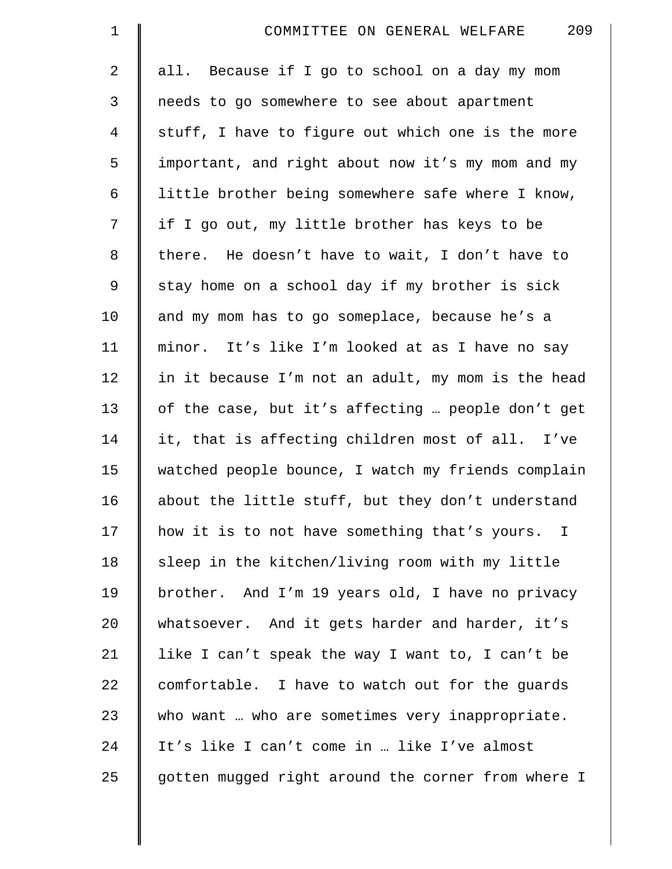| $\mathbf 1$    | 209<br>COMMITTEE ON GENERAL WELFARE                |
|----------------|----------------------------------------------------|
| $\overline{2}$ | all. Because if I go to school on a day my mom     |
| 3              | needs to go somewhere to see about apartment       |
| 4              | stuff, I have to figure out which one is the more  |
| 5              | important, and right about now it's my mom and my  |
| 6              | little brother being somewhere safe where I know,  |
| 7              | if I go out, my little brother has keys to be      |
| 8              | there. He doesn't have to wait, I don't have to    |
| 9              | stay home on a school day if my brother is sick    |
| 10             | and my mom has to go someplace, because he's a     |
| 11             | minor. It's like I'm looked at as I have no say    |
| 12             | in it because I'm not an adult, my mom is the head |
| 13             | of the case, but it's affecting  people don't get  |
| 14             | it, that is affecting children most of all. I've   |
| 15             | watched people bounce, I watch my friends complain |
| 16             | about the little stuff, but they don't understand  |
| 17             | how it is to not have something that's yours. I    |
| 18             | sleep in the kitchen/living room with my little    |
| 19             | brother. And I'm 19 years old, I have no privacy   |
| 20             | whatsoever. And it gets harder and harder, it's    |
| 21             | like I can't speak the way I want to, I can't be   |
| 22             | comfortable. I have to watch out for the guards    |
| 23             | who want  who are sometimes very inappropriate.    |
| 24             | It's like I can't come in  like I've almost        |
| 25             | gotten mugged right around the corner from where I |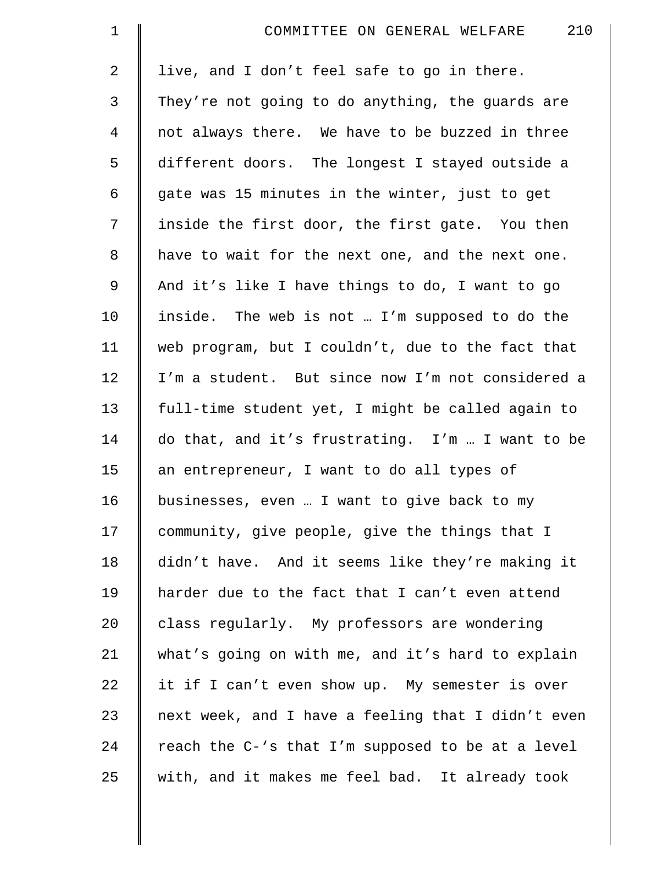| $\mathbf 1$    | 210<br>COMMITTEE ON GENERAL WELFARE                |
|----------------|----------------------------------------------------|
| $\overline{a}$ | live, and I don't feel safe to go in there.        |
| 3              | They're not going to do anything, the guards are   |
| 4              | not always there. We have to be buzzed in three    |
| 5              | different doors. The longest I stayed outside a    |
| 6              | gate was 15 minutes in the winter, just to get     |
| 7              | inside the first door, the first gate. You then    |
| 8              | have to wait for the next one, and the next one.   |
| 9              | And it's like I have things to do, I want to go    |
| 10             | inside. The web is not  I'm supposed to do the     |
| 11             | web program, but I couldn't, due to the fact that  |
| 12             | I'm a student. But since now I'm not considered a  |
| 13             | full-time student yet, I might be called again to  |
| 14             | do that, and it's frustrating. I'm  I want to be   |
| 15             | an entrepreneur, I want to do all types of         |
| 16             | businesses, even  I want to give back to my        |
| 17             | community, give people, give the things that I     |
| 18             | didn't have. And it seems like they're making it   |
| 19             | harder due to the fact that I can't even attend    |
| 20             | class regularly. My professors are wondering       |
| 21             | what's going on with me, and it's hard to explain  |
| 22             | it if I can't even show up. My semester is over    |
| 23             | next week, and I have a feeling that I didn't even |
| 24             | reach the C-'s that I'm supposed to be at a level  |
| 25             | with, and it makes me feel bad. It already took    |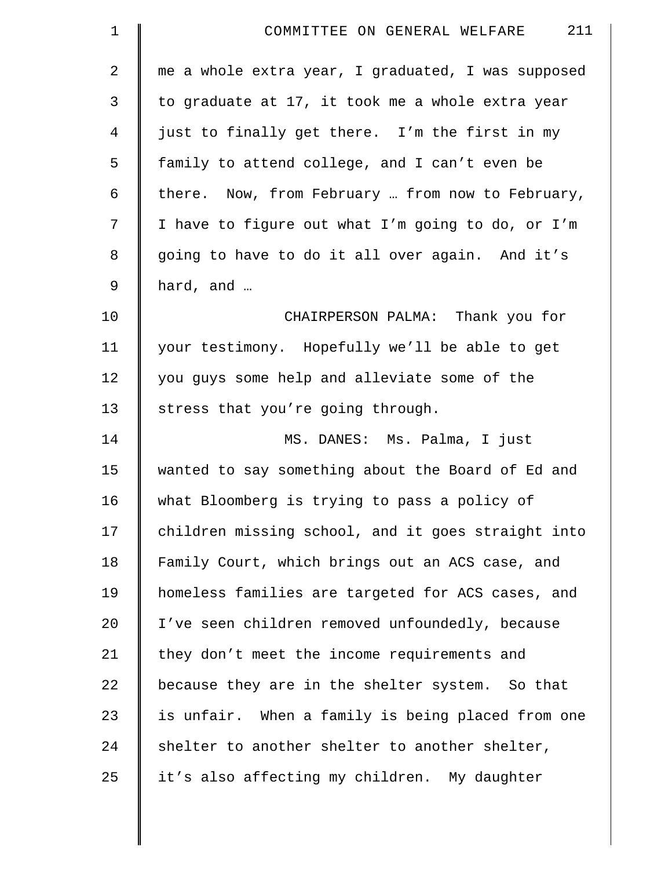| $\mathbf 1$    | 211<br>COMMITTEE ON GENERAL WELFARE                |
|----------------|----------------------------------------------------|
| $\overline{2}$ | me a whole extra year, I graduated, I was supposed |
| 3              | to graduate at 17, it took me a whole extra year   |
| 4              | just to finally get there. I'm the first in my     |
| 5              | family to attend college, and I can't even be      |
| 6              | there. Now, from February  from now to February,   |
| 7              | I have to figure out what I'm going to do, or I'm  |
| 8              | going to have to do it all over again. And it's    |
| 9              | hard, and                                          |
| 10             | CHAIRPERSON PALMA: Thank you for                   |
| 11             | your testimony. Hopefully we'll be able to get     |
| 12             | you guys some help and alleviate some of the       |
| 13             | stress that you're going through.                  |
| 14             | MS. DANES: Ms. Palma, I just                       |
| 15             | wanted to say something about the Board of Ed and  |
| 16             | what Bloomberg is trying to pass a policy of       |
| 17             | children missing school, and it goes straight into |
| 18             | Family Court, which brings out an ACS case, and    |
| 19             | homeless families are targeted for ACS cases, and  |
| $20 \,$        | I've seen children removed unfoundedly, because    |
| 21             | they don't meet the income requirements and        |
| 22             | because they are in the shelter system. So that    |
| 23             | is unfair. When a family is being placed from one  |
| 24             | shelter to another shelter to another shelter,     |
| 25             | it's also affecting my children. My daughter       |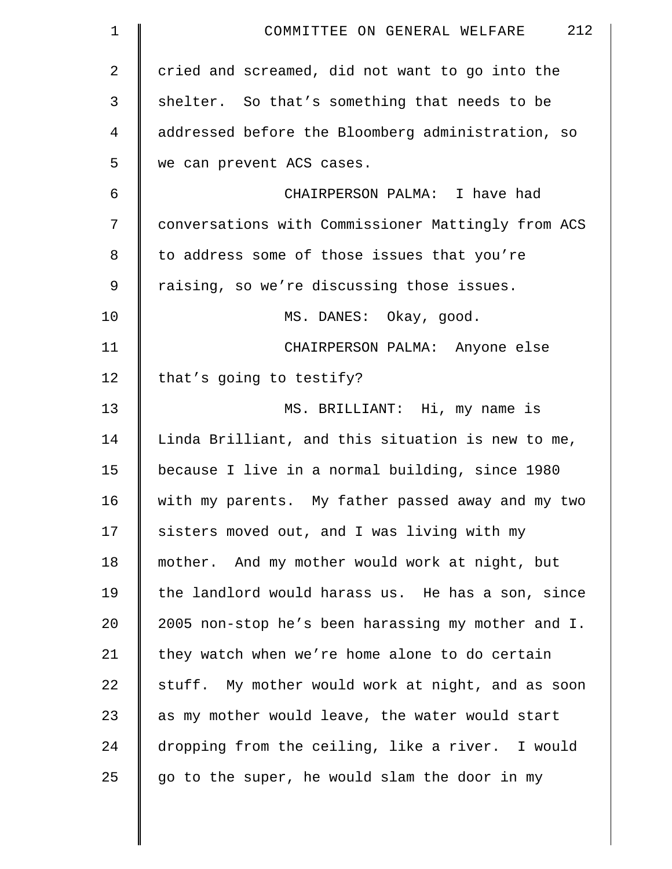| $\mathbf 1$ | 212<br>COMMITTEE ON GENERAL WELFARE                |
|-------------|----------------------------------------------------|
| 2           | cried and screamed, did not want to go into the    |
| 3           | shelter. So that's something that needs to be      |
| 4           | addressed before the Bloomberg administration, so  |
| 5           | we can prevent ACS cases.                          |
| 6           | CHAIRPERSON PALMA: I have had                      |
| 7           | conversations with Commissioner Mattingly from ACS |
| 8           | to address some of those issues that you're        |
| 9           | raising, so we're discussing those issues.         |
| 10          | MS. DANES: Okay, good.                             |
| 11          | CHAIRPERSON PALMA: Anyone else                     |
| 12          | that's going to testify?                           |
| 13          | MS. BRILLIANT: Hi, my name is                      |
| 14          | Linda Brilliant, and this situation is new to me,  |
| 15          | because I live in a normal building, since 1980    |
| 16          | with my parents. My father passed away and my two  |
| 17          | sisters moved out, and I was living with my        |
| 18          | mother. And my mother would work at night, but     |
| 19          | the landlord would harass us. He has a son, since  |
| 20          | 2005 non-stop he's been harassing my mother and I. |
| 21          | they watch when we're home alone to do certain     |
| 22          | stuff. My mother would work at night, and as soon  |
| 23          | as my mother would leave, the water would start    |
| 24          | dropping from the ceiling, like a river. I would   |
| 25          | go to the super, he would slam the door in my      |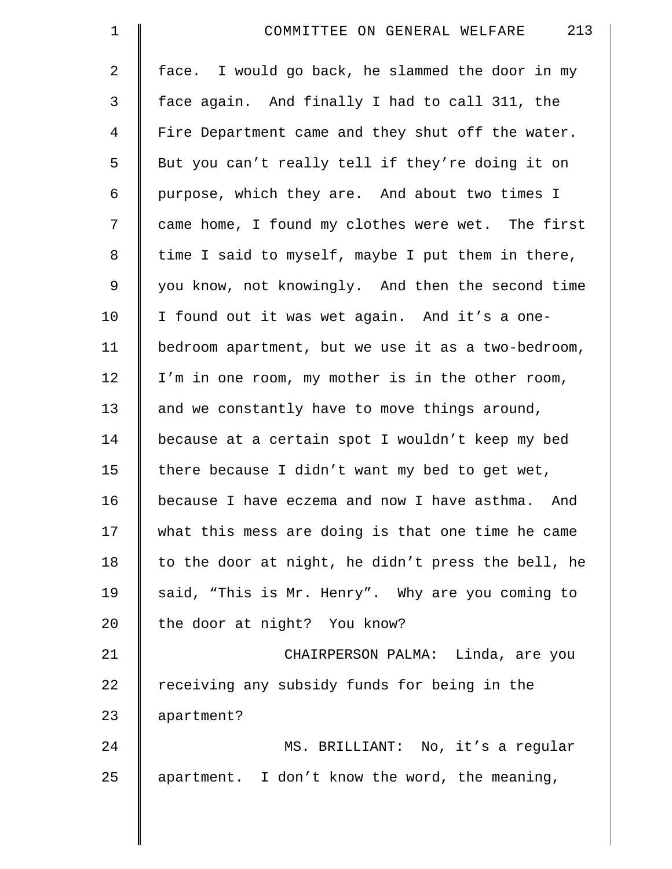| $\mathbf 1$    | 213<br>COMMITTEE ON GENERAL WELFARE                 |
|----------------|-----------------------------------------------------|
| $\overline{2}$ | face. I would go back, he slammed the door in my    |
| $\mathfrak{Z}$ | face again. And finally I had to call 311, the      |
| $\overline{4}$ | Fire Department came and they shut off the water.   |
| 5              | But you can't really tell if they're doing it on    |
| 6              | purpose, which they are. And about two times I      |
| 7              | came home, I found my clothes were wet. The first   |
| 8              | time I said to myself, maybe I put them in there,   |
| $\mathsf 9$    | you know, not knowingly. And then the second time   |
| 10             | I found out it was wet again. And it's a one-       |
| 11             | bedroom apartment, but we use it as a two-bedroom,  |
| 12             | I'm in one room, my mother is in the other room,    |
| 13             | and we constantly have to move things around,       |
| 14             | because at a certain spot I wouldn't keep my bed    |
| 15             | there because I didn't want my bed to get wet,      |
| 16             | because I have eczema and now I have asthma.<br>And |
| 17             | what this mess are doing is that one time he came   |
| 18             | to the door at night, he didn't press the bell, he  |
| 19             | said, "This is Mr. Henry". Why are you coming to    |
| 20             | the door at night? You know?                        |
| 21             | CHAIRPERSON PALMA: Linda, are you                   |
| 22             | receiving any subsidy funds for being in the        |
| 23             | apartment?                                          |
| 24             | MS. BRILLIANT: No, it's a regular                   |
| 25             | apartment. I don't know the word, the meaning,      |
|                |                                                     |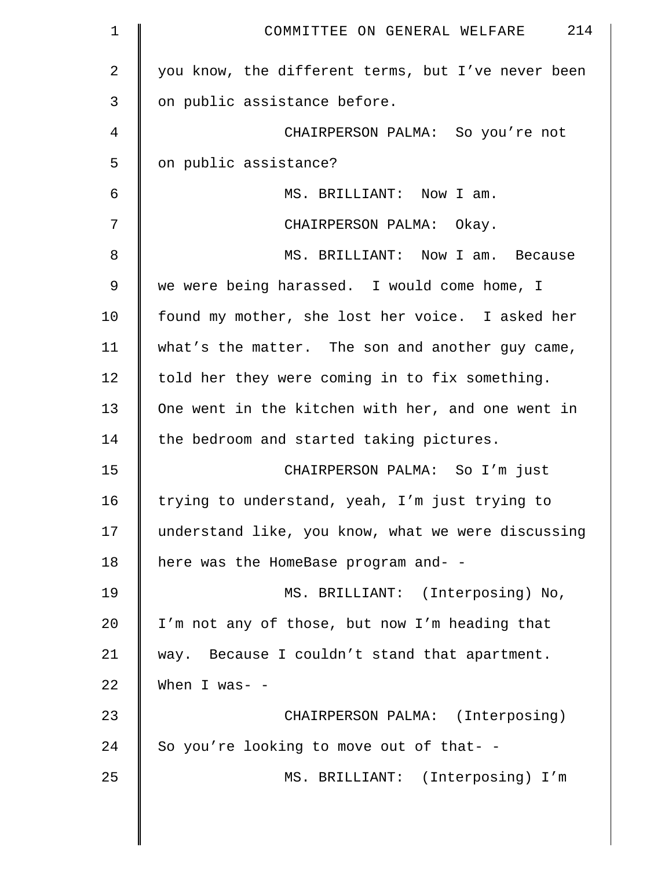| 1           | 214<br>COMMITTEE ON GENERAL WELFARE                |
|-------------|----------------------------------------------------|
| 2           | you know, the different terms, but I've never been |
| 3           | on public assistance before.                       |
| 4           | CHAIRPERSON PALMA: So you're not                   |
| 5           | on public assistance?                              |
| 6           | MS. BRILLIANT: Now I am.                           |
| 7           | CHAIRPERSON PALMA: Okay.                           |
| 8           | MS. BRILLIANT: Now I am. Because                   |
| $\mathsf 9$ | we were being harassed. I would come home, I       |
| 10          | found my mother, she lost her voice. I asked her   |
| 11          | what's the matter. The son and another guy came,   |
| 12          | told her they were coming in to fix something.     |
| 13          | One went in the kitchen with her, and one went in  |
| 14          | the bedroom and started taking pictures.           |
| 15          | CHAIRPERSON PALMA: So I'm just                     |
| 16          | trying to understand, yeah, I'm just trying to     |
| 17          | understand like, you know, what we were discussing |
| 18          | here was the HomeBase program and- -               |
| 19          | MS. BRILLIANT: (Interposing) No,                   |
| 20          | I'm not any of those, but now I'm heading that     |
| 21          | way. Because I couldn't stand that apartment.      |
| 22          | When I was- $-$                                    |
| 23          | CHAIRPERSON PALMA: (Interposing)                   |
| 24          | So you're looking to move out of that- -           |
| 25          | MS. BRILLIANT: (Interposing) I'm                   |
|             |                                                    |

║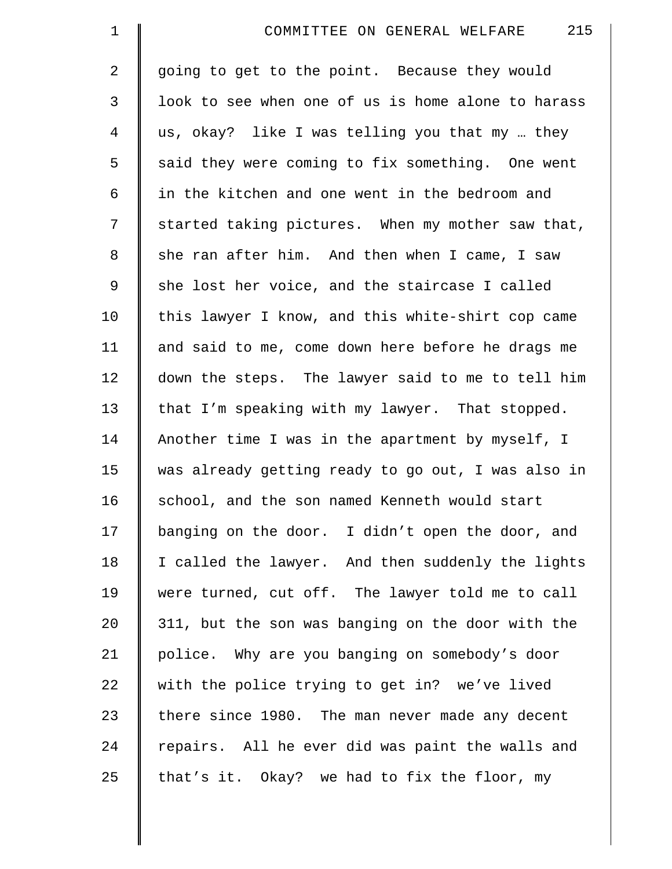| $\mathbf 1$    | 215<br>COMMITTEE ON GENERAL WELFARE                |
|----------------|----------------------------------------------------|
| 2              | going to get to the point. Because they would      |
| $\mathfrak{Z}$ | look to see when one of us is home alone to harass |
| 4              | us, okay? like I was telling you that my  they     |
| 5              | said they were coming to fix something. One went   |
| 6              | in the kitchen and one went in the bedroom and     |
| 7              | started taking pictures. When my mother saw that,  |
| 8              | she ran after him. And then when I came, I saw     |
| $\mathsf 9$    | she lost her voice, and the staircase I called     |
| 10             | this lawyer I know, and this white-shirt cop came  |
| 11             | and said to me, come down here before he drags me  |
| 12             | down the steps. The lawyer said to me to tell him  |
| 13             | that I'm speaking with my lawyer. That stopped.    |
| 14             | Another time I was in the apartment by myself, I   |
| 15             | was already getting ready to go out, I was also in |
| 16             | school, and the son named Kenneth would start      |
| 17             | banging on the door. I didn't open the door, and   |
| 18             | I called the lawyer. And then suddenly the lights  |
| 19             | were turned, cut off. The lawyer told me to call   |
| 20             | 311, but the son was banging on the door with the  |
| 21             | police. Why are you banging on somebody's door     |
| 22             | with the police trying to get in? we've lived      |
| 23             | there since 1980. The man never made any decent    |
| 24             | repairs. All he ever did was paint the walls and   |
| 25             | that's it. Okay? we had to fix the floor, my       |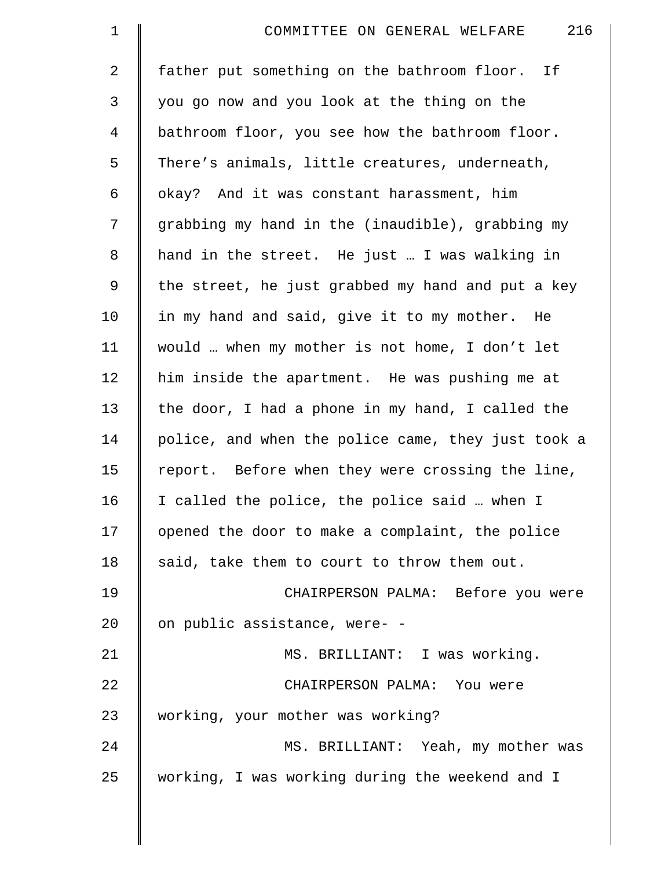| $\mathbf 1$    | 216<br>COMMITTEE ON GENERAL WELFARE                |
|----------------|----------------------------------------------------|
| $\overline{a}$ | father put something on the bathroom floor. If     |
| 3              | you go now and you look at the thing on the        |
| $\overline{4}$ | bathroom floor, you see how the bathroom floor.    |
| 5              | There's animals, little creatures, underneath,     |
| 6              | okay? And it was constant harassment, him          |
| 7              | grabbing my hand in the (inaudible), grabbing my   |
| 8              | hand in the street. He just  I was walking in      |
| 9              | the street, he just grabbed my hand and put a key  |
| 10             | in my hand and said, give it to my mother. He      |
| 11             | would  when my mother is not home, I don't let     |
| 12             | him inside the apartment. He was pushing me at     |
| 13             | the door, I had a phone in my hand, I called the   |
| 14             | police, and when the police came, they just took a |
| 15             | report. Before when they were crossing the line,   |
| 16             | I called the police, the police said  when I       |
| 17             | opened the door to make a complaint, the police    |
| 18             | said, take them to court to throw them out.        |
| 19             | CHAIRPERSON PALMA: Before you were                 |
| 20             | on public assistance, were- -                      |
| 21             | MS. BRILLIANT: I was working.                      |
| 22             | CHAIRPERSON PALMA: You were                        |
| 23             | working, your mother was working?                  |
| 24             | MS. BRILLIANT: Yeah, my mother was                 |
| 25             | working, I was working during the weekend and I    |
|                |                                                    |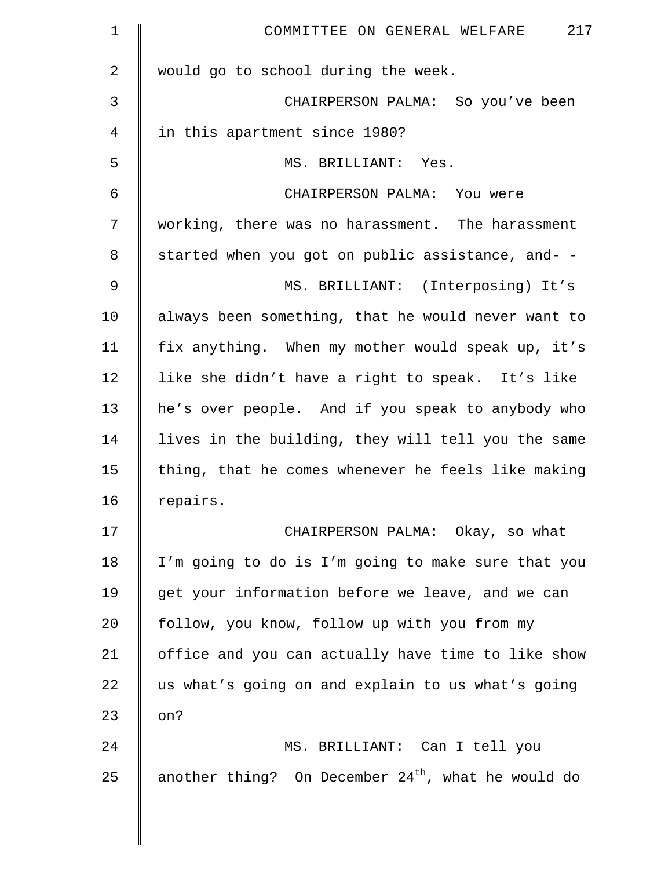| $\mathbf 1$    | 217<br>COMMITTEE ON GENERAL WELFARE                  |
|----------------|------------------------------------------------------|
| $\overline{2}$ | would go to school during the week.                  |
| 3              | CHAIRPERSON PALMA: So you've been                    |
| 4              | in this apartment since 1980?                        |
| 5              | MS. BRILLIANT: Yes.                                  |
| 6              | CHAIRPERSON PALMA: You were                          |
| 7              | working, there was no harassment. The harassment     |
| 8              | started when you got on public assistance, and- -    |
| 9              | MS. BRILLIANT: (Interposing) It's                    |
| 10             | always been something, that he would never want to   |
| 11             | fix anything. When my mother would speak up, it's    |
| 12             | like she didn't have a right to speak. It's like     |
| 13             | he's over people. And if you speak to anybody who    |
| 14             | lives in the building, they will tell you the same   |
| 15             | thing, that he comes whenever he feels like making   |
| 16             | repairs.                                             |
| 17             | CHAIRPERSON PALMA: Okay, so what                     |
| 18             | I'm going to do is I'm going to make sure that you   |
| 19             | get your information before we leave, and we can     |
| 20             | follow, you know, follow up with you from my         |
| 21             | office and you can actually have time to like show   |
| 22             | us what's going on and explain to us what's going    |
| 23             | on?                                                  |
| 24             | MS. BRILLIANT: Can I tell you                        |
| 25             | another thing? On December $24th$ , what he would do |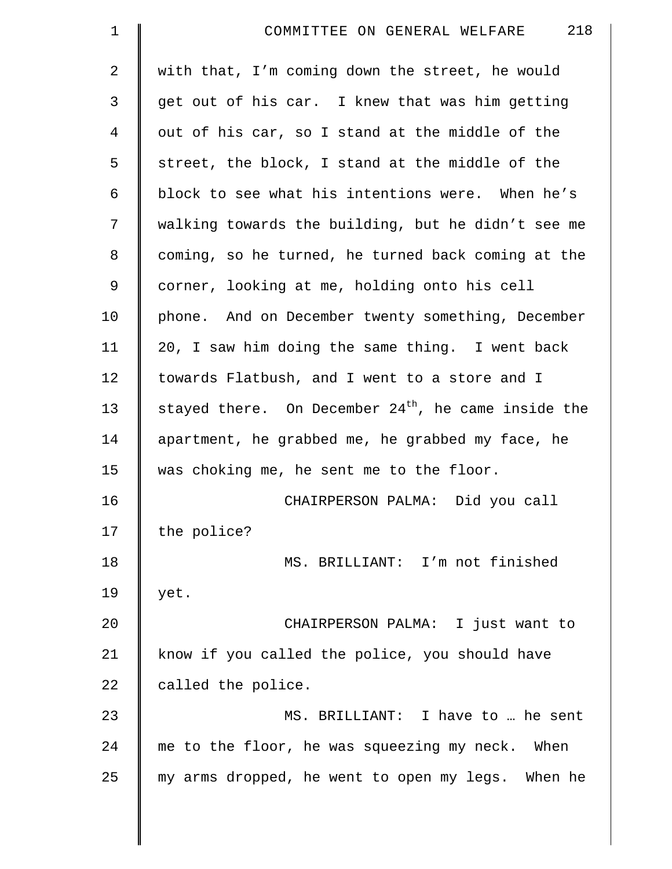| $\mathbf 1$    | 218<br>COMMITTEE ON GENERAL WELFARE                   |
|----------------|-------------------------------------------------------|
| 2              | with that, I'm coming down the street, he would       |
| 3              | get out of his car. I knew that was him getting       |
| $\overline{4}$ | out of his car, so I stand at the middle of the       |
| 5              | street, the block, I stand at the middle of the       |
| 6              | block to see what his intentions were. When he's      |
| 7              | walking towards the building, but he didn't see me    |
| 8              | coming, so he turned, he turned back coming at the    |
| 9              | corner, looking at me, holding onto his cell          |
| 10             | phone. And on December twenty something, December     |
| 11             | 20, I saw him doing the same thing. I went back       |
| 12             | towards Flatbush, and I went to a store and I         |
| 13             | stayed there. On December $24th$ , he came inside the |
| 14             | apartment, he grabbed me, he grabbed my face, he      |
| 15             | was choking me, he sent me to the floor.              |
| 16             | CHAIRPERSON PALMA: Did you call                       |
| 17             | the police?                                           |
| 18             | MS. BRILLIANT: I'm not finished                       |
| 19             | yet.                                                  |
| 20             | CHAIRPERSON PALMA: I just want to                     |
| 21             | know if you called the police, you should have        |
| 22             | called the police.                                    |
| 23             | MS. BRILLIANT: I have to  he sent                     |
| 24             | me to the floor, he was squeezing my neck. When       |
| 25             | my arms dropped, he went to open my legs. When he     |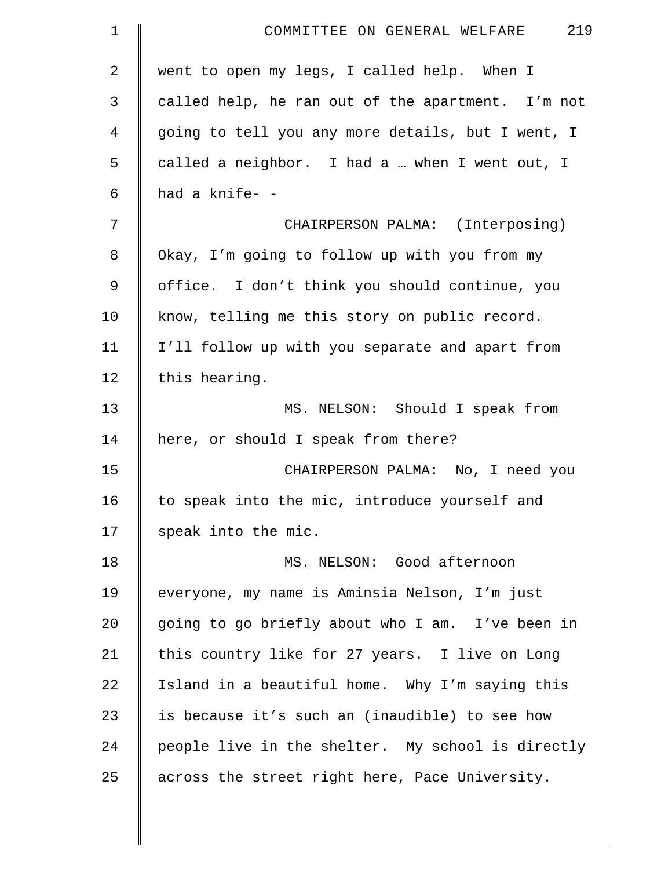| $\mathbf 1$    | 219<br>COMMITTEE ON GENERAL WELFARE               |
|----------------|---------------------------------------------------|
| $\overline{2}$ | went to open my legs, I called help. When I       |
| 3              | called help, he ran out of the apartment. I'm not |
| $\overline{4}$ | going to tell you any more details, but I went, I |
| 5              | called a neighbor. I had a  when I went out, I    |
| 6              | had a knife- -                                    |
| 7              | CHAIRPERSON PALMA: (Interposing)                  |
| 8              | Okay, I'm going to follow up with you from my     |
| 9              | office. I don't think you should continue, you    |
| 10             | know, telling me this story on public record.     |
| 11             | I'll follow up with you separate and apart from   |
| 12             | this hearing.                                     |
| 13             | MS. NELSON: Should I speak from                   |
| 14             | here, or should I speak from there?               |
| 15             | CHAIRPERSON PALMA: No, I need you                 |
| 16             | to speak into the mic, introduce yourself and     |
| 17             | speak into the mic.                               |
| 18             | MS. NELSON: Good afternoon                        |
| 19             | everyone, my name is Aminsia Nelson, I'm just     |
| 20             | going to go briefly about who I am. I've been in  |
| 21             | this country like for 27 years. I live on Long    |
| 22             | Island in a beautiful home. Why I'm saying this   |
| 23             | is because it's such an (inaudible) to see how    |
| 24             | people live in the shelter. My school is directly |
| 25             | across the street right here, Pace University.    |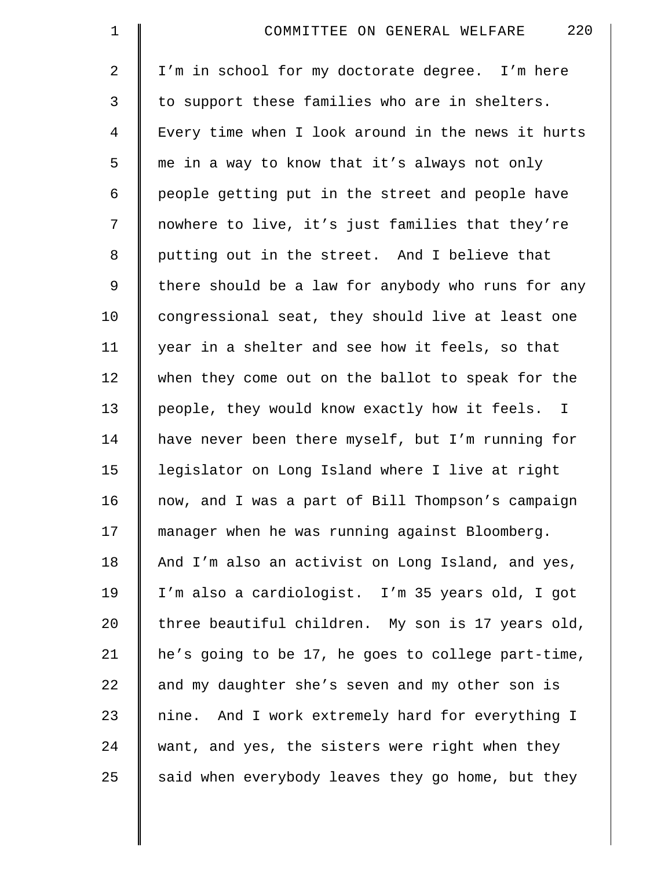| $\mathbf 1$    | 220<br>COMMITTEE ON GENERAL WELFARE                |
|----------------|----------------------------------------------------|
| $\overline{2}$ | I'm in school for my doctorate degree. I'm here    |
| 3              | to support these families who are in shelters.     |
| $\overline{4}$ | Every time when I look around in the news it hurts |
| 5              | me in a way to know that it's always not only      |
| 6              | people getting put in the street and people have   |
| 7              | nowhere to live, it's just families that they're   |
| 8              | putting out in the street. And I believe that      |
| 9              | there should be a law for anybody who runs for any |
| 10             | congressional seat, they should live at least one  |
| 11             | year in a shelter and see how it feels, so that    |
| 12             | when they come out on the ballot to speak for the  |
| 13             | people, they would know exactly how it feels. I    |
| 14             | have never been there myself, but I'm running for  |
| 15             | legislator on Long Island where I live at right    |
| 16             | now, and I was a part of Bill Thompson's campaign  |
| 17             | manager when he was running against Bloomberg.     |
| 18             | And I'm also an activist on Long Island, and yes,  |
| 19             | I'm also a cardiologist. I'm 35 years old, I got   |
| 20             | three beautiful children. My son is 17 years old,  |
| 21             | he's going to be 17, he goes to college part-time, |
| 22             | and my daughter she's seven and my other son is    |
| 23             | nine. And I work extremely hard for everything I   |
| 24             | want, and yes, the sisters were right when they    |
| 25             | said when everybody leaves they go home, but they  |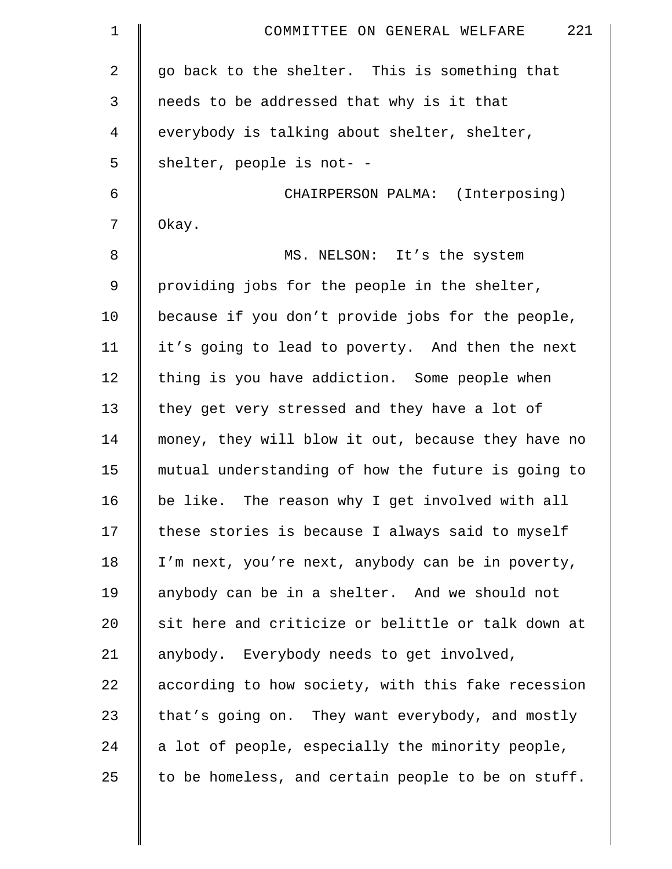| $\mathbf 1$ | 221<br>COMMITTEE ON GENERAL WELFARE                |
|-------------|----------------------------------------------------|
| 2           | go back to the shelter. This is something that     |
| 3           | needs to be addressed that why is it that          |
| 4           | everybody is talking about shelter, shelter,       |
| 5           | shelter, people is not- -                          |
| 6           | CHAIRPERSON PALMA: (Interposing)                   |
| 7           | Okay.                                              |
| 8           | MS. NELSON: It's the system                        |
| 9           | providing jobs for the people in the shelter,      |
| 10          | because if you don't provide jobs for the people,  |
| 11          | it's going to lead to poverty. And then the next   |
| 12          | thing is you have addiction. Some people when      |
| 13          | they get very stressed and they have a lot of      |
| 14          | money, they will blow it out, because they have no |
| 15          | mutual understanding of how the future is going to |
| 16          | be like. The reason why I get involved with all    |
| 17          | these stories is because I always said to myself   |
| 18          | I'm next, you're next, anybody can be in poverty,  |
| 19          | anybody can be in a shelter. And we should not     |
| 20          | sit here and criticize or belittle or talk down at |
| 21          | anybody. Everybody needs to get involved,          |
| 22          | according to how society, with this fake recession |
| 23          | that's going on. They want everybody, and mostly   |
| 24          | a lot of people, especially the minority people,   |
| 25          | to be homeless, and certain people to be on stuff. |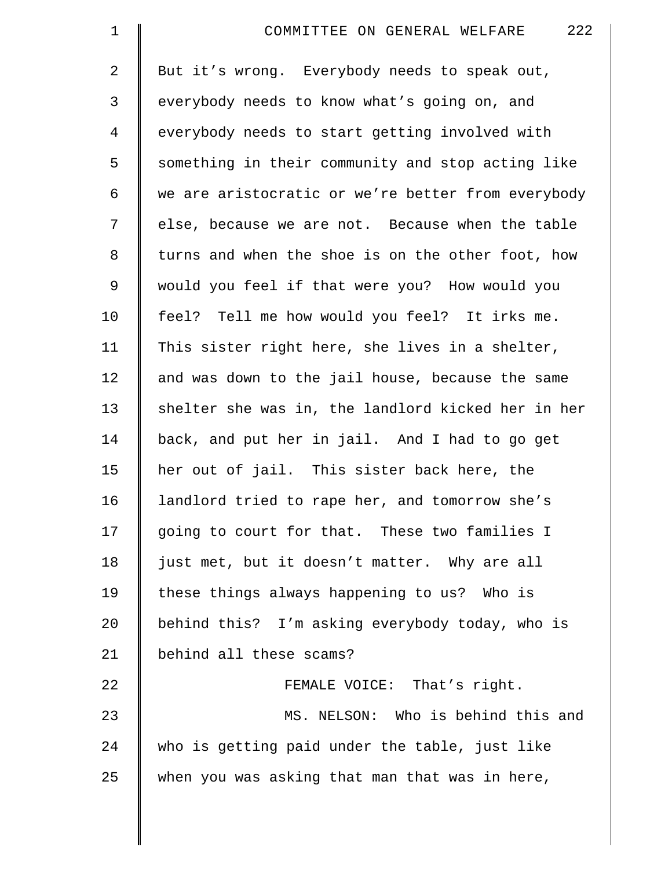| $\mathbf 1$    | 222<br>COMMITTEE ON GENERAL WELFARE                |
|----------------|----------------------------------------------------|
| $\overline{2}$ | But it's wrong. Everybody needs to speak out,      |
| 3              | everybody needs to know what's going on, and       |
| $\overline{4}$ | everybody needs to start getting involved with     |
| 5              | something in their community and stop acting like  |
| 6              | we are aristocratic or we're better from everybody |
| 7              | else, because we are not. Because when the table   |
| $\,8\,$        | turns and when the shoe is on the other foot, how  |
| 9              | would you feel if that were you? How would you     |
| 10             | feel? Tell me how would you feel? It irks me.      |
| 11             | This sister right here, she lives in a shelter,    |
| 12             | and was down to the jail house, because the same   |
| 13             | shelter she was in, the landlord kicked her in her |
| 14             | back, and put her in jail. And I had to go get     |
| 15             | her out of jail. This sister back here, the        |
| 16             | landlord tried to rape her, and tomorrow she's     |
| 17             | going to court for that. These two families I      |
| 18             | just met, but it doesn't matter. Why are all       |
| 19             | these things always happening to us? Who is        |
| 20             | behind this? I'm asking everybody today, who is    |
| 21             | behind all these scams?                            |
| 22             | FEMALE VOICE: That's right.                        |
| 23             | MS. NELSON: Who is behind this and                 |
| 24             | who is getting paid under the table, just like     |
| 25             | when you was asking that man that was in here,     |
|                |                                                    |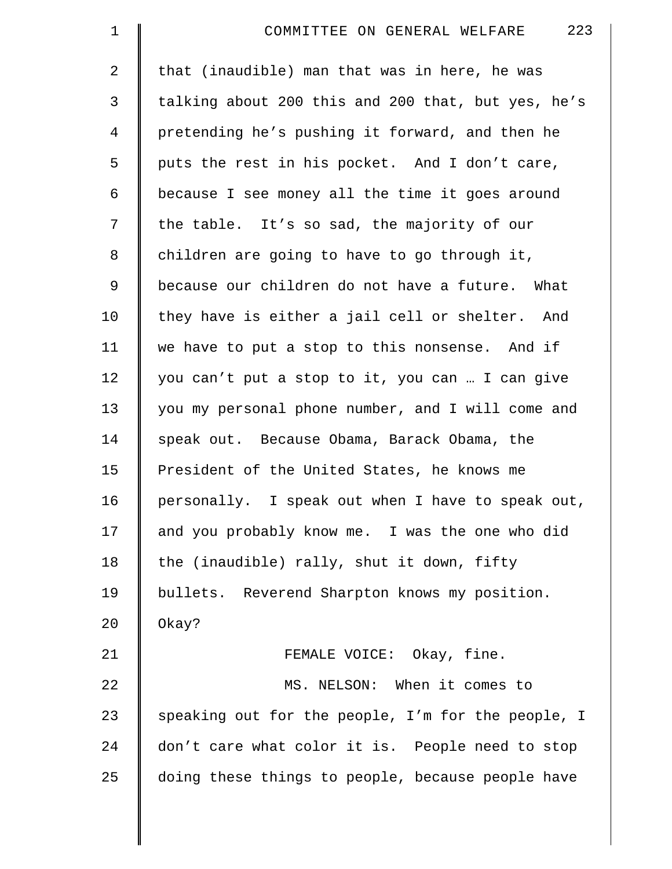| $\mathbf 1$    | 223<br>COMMITTEE ON GENERAL WELFARE                |
|----------------|----------------------------------------------------|
| 2              | that (inaudible) man that was in here, he was      |
| 3              | talking about 200 this and 200 that, but yes, he's |
| $\overline{4}$ | pretending he's pushing it forward, and then he    |
| 5              | puts the rest in his pocket. And I don't care,     |
| 6              | because I see money all the time it goes around    |
| 7              | the table. It's so sad, the majority of our        |
| 8              | children are going to have to go through it,       |
| 9              | because our children do not have a future. What    |
| 10             | they have is either a jail cell or shelter. And    |
| 11             | we have to put a stop to this nonsense. And if     |
| 12             | you can't put a stop to it, you can  I can give    |
| 13             | you my personal phone number, and I will come and  |
| 14             | speak out. Because Obama, Barack Obama, the        |
| 15             | President of the United States, he knows me        |
| 16             | personally. I speak out when I have to speak out,  |
| 17             | and you probably know me. I was the one who did    |
| 18             | the (inaudible) rally, shut it down, fifty         |
| 19             | bullets. Reverend Sharpton knows my position.      |
| 20             | Okay?                                              |
| 21             | FEMALE VOICE: Okay, fine.                          |
| 22             | MS. NELSON: When it comes to                       |
| 23             | speaking out for the people, I'm for the people, I |
| 24             | don't care what color it is. People need to stop   |
| 25             | doing these things to people, because people have  |
|                |                                                    |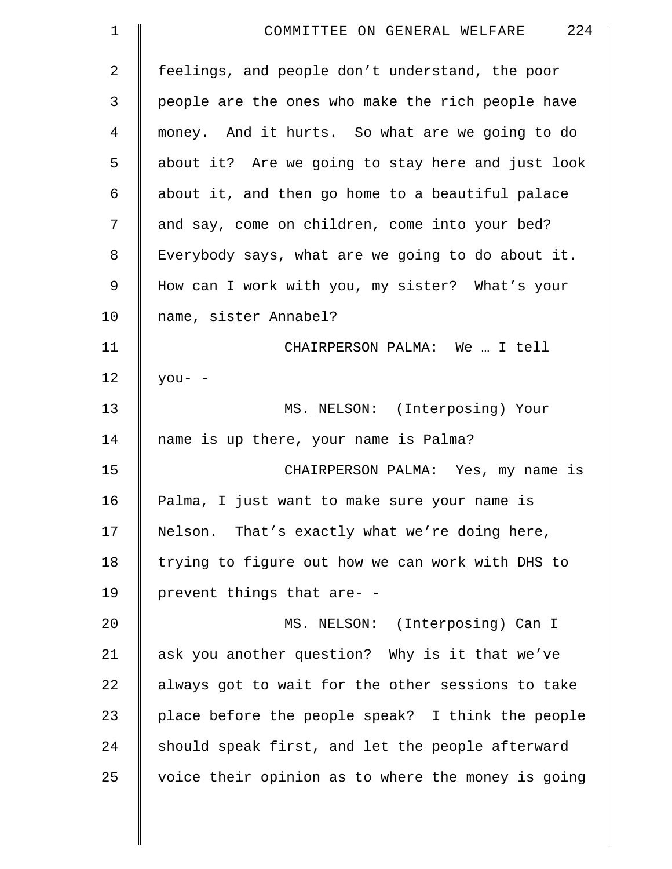| $\mathbf 1$    | 224<br>COMMITTEE ON GENERAL WELFARE                |
|----------------|----------------------------------------------------|
| $\overline{2}$ | feelings, and people don't understand, the poor    |
| 3              | people are the ones who make the rich people have  |
| $\overline{4}$ | money. And it hurts. So what are we going to do    |
| 5              | about it? Are we going to stay here and just look  |
| 6              | about it, and then go home to a beautiful palace   |
| 7              | and say, come on children, come into your bed?     |
| 8              | Everybody says, what are we going to do about it.  |
| 9              | How can I work with you, my sister? What's your    |
| 10             | name, sister Annabel?                              |
| 11             | CHAIRPERSON PALMA: We  I tell                      |
| 12             | $you-$ -                                           |
| 13             | MS. NELSON: (Interposing) Your                     |
| 14             | name is up there, your name is Palma?              |
| 15             | CHAIRPERSON PALMA: Yes, my name is                 |
| 16             | Palma, I just want to make sure your name is       |
| 17             | Nelson. That's exactly what we're doing here,      |
| 18             | trying to figure out how we can work with DHS to   |
| 19             | prevent things that are- -                         |
| 20             | MS. NELSON: (Interposing) Can I                    |
| 21             | ask you another question? Why is it that we've     |
| 22             | always got to wait for the other sessions to take  |
| 23             | place before the people speak? I think the people  |
| 24             | should speak first, and let the people afterward   |
| 25             | voice their opinion as to where the money is going |
|                |                                                    |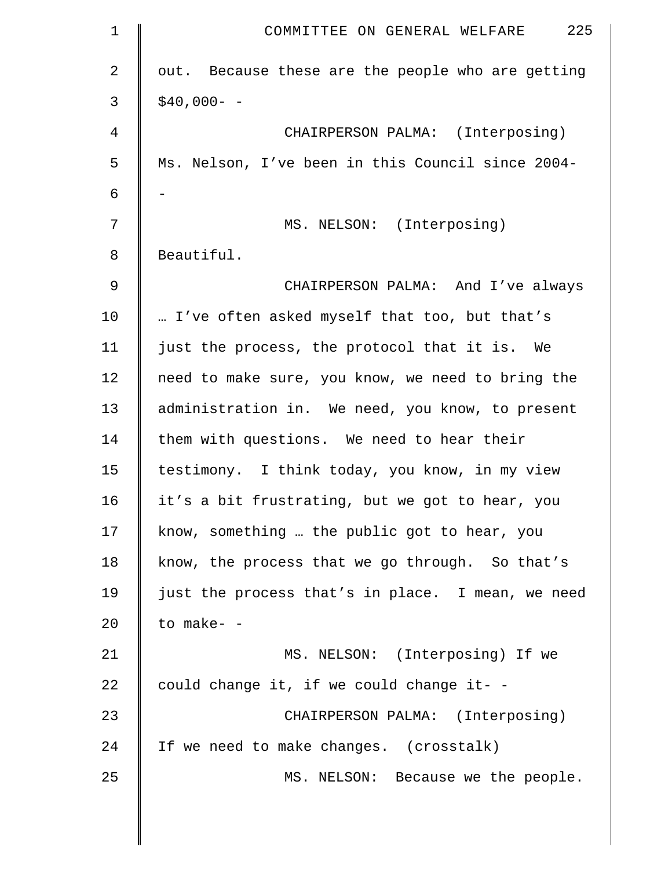| $\mathbf 1$ | 225<br>COMMITTEE ON GENERAL WELFARE               |
|-------------|---------------------------------------------------|
| 2           | out. Because these are the people who are getting |
| 3           | $$40,000- -$                                      |
| 4           | CHAIRPERSON PALMA: (Interposing)                  |
| 5           | Ms. Nelson, I've been in this Council since 2004- |
| 6           |                                                   |
| 7           | MS. NELSON: (Interposing)                         |
| 8           | Beautiful.                                        |
| $\mathsf 9$ | CHAIRPERSON PALMA: And I've always                |
| 10          | I've often asked myself that too, but that's      |
| 11          | just the process, the protocol that it is. We     |
| 12          | need to make sure, you know, we need to bring the |
| 13          | administration in. We need, you know, to present  |
| 14          | them with questions. We need to hear their        |
| 15          | testimony. I think today, you know, in my view    |
| 16          | it's a bit frustrating, but we got to hear, you   |
| 17          | know, something  the public got to hear, you      |
| 18          | know, the process that we go through. So that's   |
| 19          | just the process that's in place. I mean, we need |
| 20          | to make- -                                        |
| 21          | MS. NELSON: (Interposing) If we                   |
| 22          | could change it, if we could change it- -         |
| 23          | CHAIRPERSON PALMA: (Interposing)                  |
| 24          | If we need to make changes. (crosstalk)           |
| 25          | MS. NELSON: Because we the people.                |
|             |                                                   |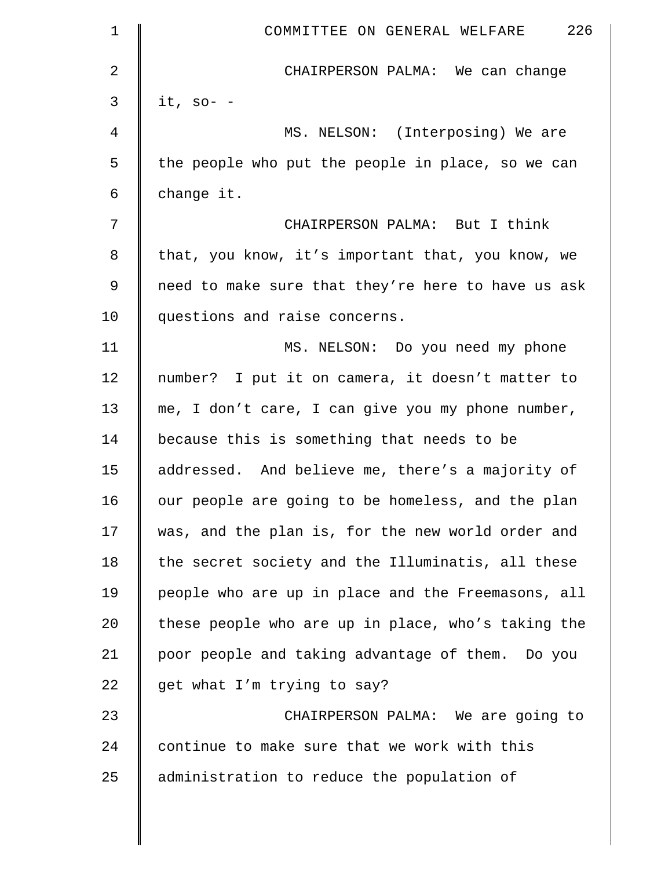| $\mathbf 1$    | 226<br>COMMITTEE ON GENERAL WELFARE                |
|----------------|----------------------------------------------------|
| $\overline{a}$ | CHAIRPERSON PALMA: We can change                   |
| 3              | it, so- $-$                                        |
| 4              | MS. NELSON: (Interposing) We are                   |
| 5              | the people who put the people in place, so we can  |
| 6              | change it.                                         |
| 7              | CHAIRPERSON PALMA: But I think                     |
| 8              | that, you know, it's important that, you know, we  |
| 9              | need to make sure that they're here to have us ask |
| 10             | questions and raise concerns.                      |
| 11             | MS. NELSON: Do you need my phone                   |
| 12             | number? I put it on camera, it doesn't matter to   |
| 13             | me, I don't care, I can give you my phone number,  |
| 14             | because this is something that needs to be         |
| 15             | addressed. And believe me, there's a majority of   |
| 16             | our people are going to be homeless, and the plan  |
| 17             | was, and the plan is, for the new world order and  |
| 18             | the secret society and the Illuminatis, all these  |
| 19             | people who are up in place and the Freemasons, all |
| 20             | these people who are up in place, who's taking the |
| 21             | poor people and taking advantage of them. Do you   |
| 22             | get what I'm trying to say?                        |
| 23             | CHAIRPERSON PALMA: We are going to                 |
| 24             | continue to make sure that we work with this       |
| 25             | administration to reduce the population of         |
|                |                                                    |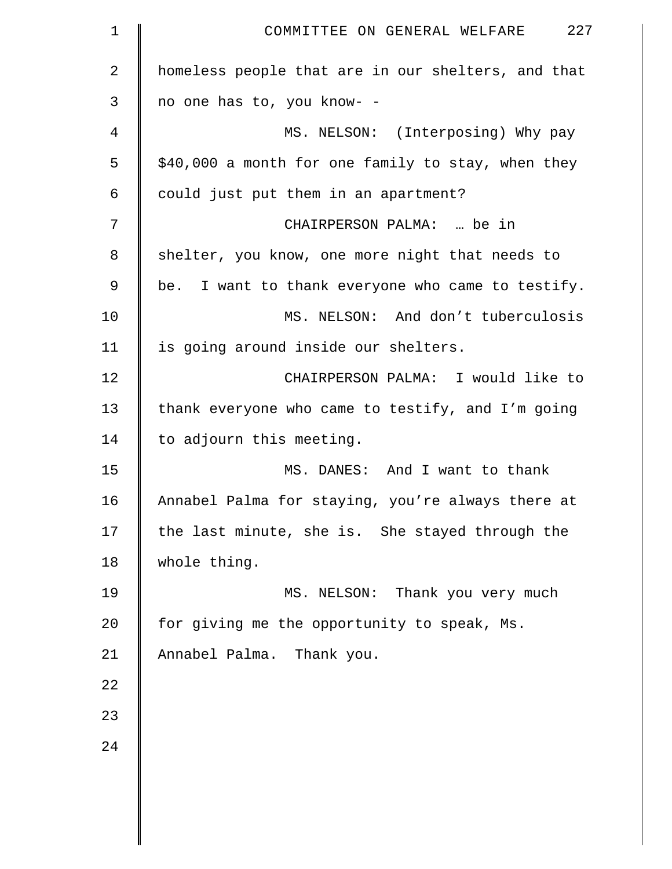| 1              | 227<br>COMMITTEE ON GENERAL WELFARE                |
|----------------|----------------------------------------------------|
| $\overline{2}$ | homeless people that are in our shelters, and that |
| $\mathsf{3}$   | no one has to, you know- -                         |
| 4              | MS. NELSON: (Interposing) Why pay                  |
| 5              | \$40,000 a month for one family to stay, when they |
| 6              | could just put them in an apartment?               |
| 7              | CHAIRPERSON PALMA:  be in                          |
| 8              | shelter, you know, one more night that needs to    |
| $\mathsf 9$    | be. I want to thank everyone who came to testify.  |
| 10             | MS. NELSON: And don't tuberculosis                 |
| 11             | is going around inside our shelters.               |
| 12             | CHAIRPERSON PALMA: I would like to                 |
| 13             | thank everyone who came to testify, and I'm going  |
| 14             | to adjourn this meeting.                           |
| 15             | MS. DANES: And I want to thank                     |
| 16             | Annabel Palma for staying, you're always there at  |
| 17             | the last minute, she is. She stayed through the    |
| 18             | whole thing.                                       |
| 19             | MS. NELSON: Thank you very much                    |
| 20             | for giving me the opportunity to speak, Ms.        |
| 21             | Annabel Palma. Thank you.                          |
| 22             |                                                    |
| 23             |                                                    |
| 24             |                                                    |
|                |                                                    |
|                |                                                    |
|                |                                                    |